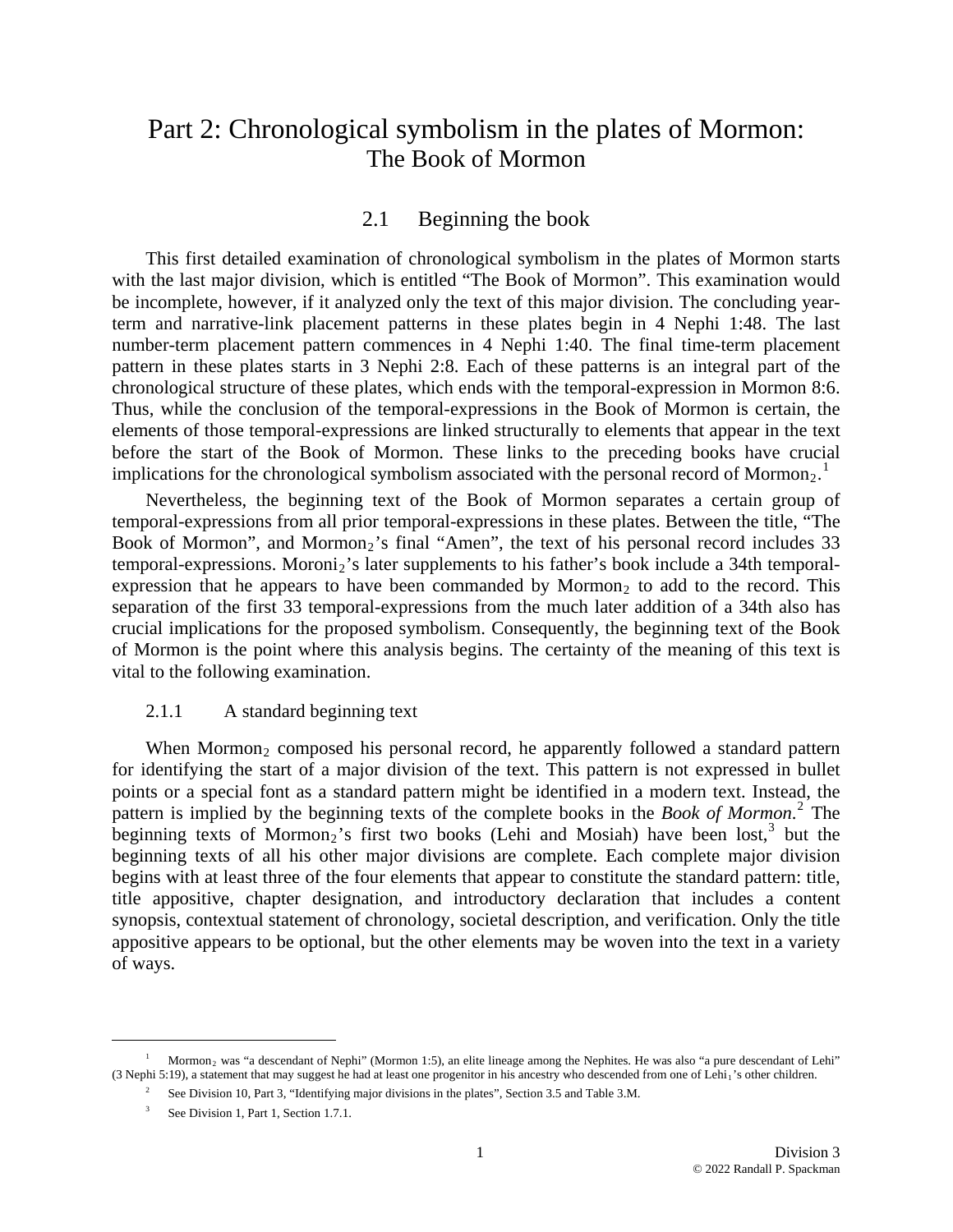# Part 2: Chronological symbolism in the plates of Mormon: The Book of Mormon

#### 2.1 Beginning the book

This first detailed examination of chronological symbolism in the plates of Mormon starts with the last major division, which is entitled "The Book of Mormon". This examination would be incomplete, however, if it analyzed only the text of this major division. The concluding yearterm and narrative-link placement patterns in these plates begin in 4 Nephi 1:48. The last number-term placement pattern commences in 4 Nephi 1:40. The final time-term placement pattern in these plates starts in 3 Nephi 2:8. Each of these patterns is an integral part of the chronological structure of these plates, which ends with the temporal-expression in Mormon 8:6. Thus, while the conclusion of the temporal-expressions in the Book of Mormon is certain, the elements of those temporal-expressions are linked structurally to elements that appear in the text before the start of the Book of Mormon. These links to the preceding books have crucial implications for the chronological symbolism associated with the personal record of Mormon<sub>2</sub>.<sup>[1](#page-0-0)</sup>

Nevertheless, the beginning text of the Book of Mormon separates a certain group of temporal-expressions from all prior temporal-expressions in these plates. Between the title, "The Book of Mormon", and Mormon<sub>2</sub>'s final "Amen", the text of his personal record includes  $33$ temporal-expressions. Moroni<sub>2</sub>'s later supplements to his father's book include a 34th temporalexpression that he appears to have been commanded by Mormon<sub>2</sub> to add to the record. This separation of the first 33 temporal-expressions from the much later addition of a 34th also has crucial implications for the proposed symbolism. Consequently, the beginning text of the Book of Mormon is the point where this analysis begins. The certainty of the meaning of this text is vital to the following examination.

#### 2.1.1 A standard beginning text

When Mormon<sub>2</sub> composed his personal record, he apparently followed a standard pattern for identifying the start of a major division of the text. This pattern is not expressed in bullet points or a special font as a standard pattern might be identified in a modern text. Instead, the pattern is implied by the beginning texts of the complete books in the *Book of Mormon*. [2](#page-0-1) The beginning texts of Mormon<sub>2</sub>'s first two books (Lehi and Mosiah) have been lost,<sup>[3](#page-0-2)</sup> but the beginning texts of all his other major divisions are complete. Each complete major division begins with at least three of the four elements that appear to constitute the standard pattern: title, title appositive, chapter designation, and introductory declaration that includes a content synopsis, contextual statement of chronology, societal description, and verification. Only the title appositive appears to be optional, but the other elements may be woven into the text in a variety of w ays.

<span id="page-0-0"></span>1

<span id="page-0-2"></span><span id="page-0-1"></span><sup>1</sup> Mormon2 was "a descendant of Nephi" (Mormon 1:5), an elite lineage among the Nephites. He was also "a pure descendant of Lehi" (3 Nephi 5:19), a statement that may suggest he had at least one progenitor in his ancestry who descended from one of Lehi<sub>1</sub>'s other children.

<sup>&</sup>lt;sup>2</sup> See Division 10, Part 3, "Identifying major divisions in the plates", Section 3.5 and Table 3.M.

<sup>&</sup>lt;sup>3</sup> See Division 1, Part 1, Section 1.7.1.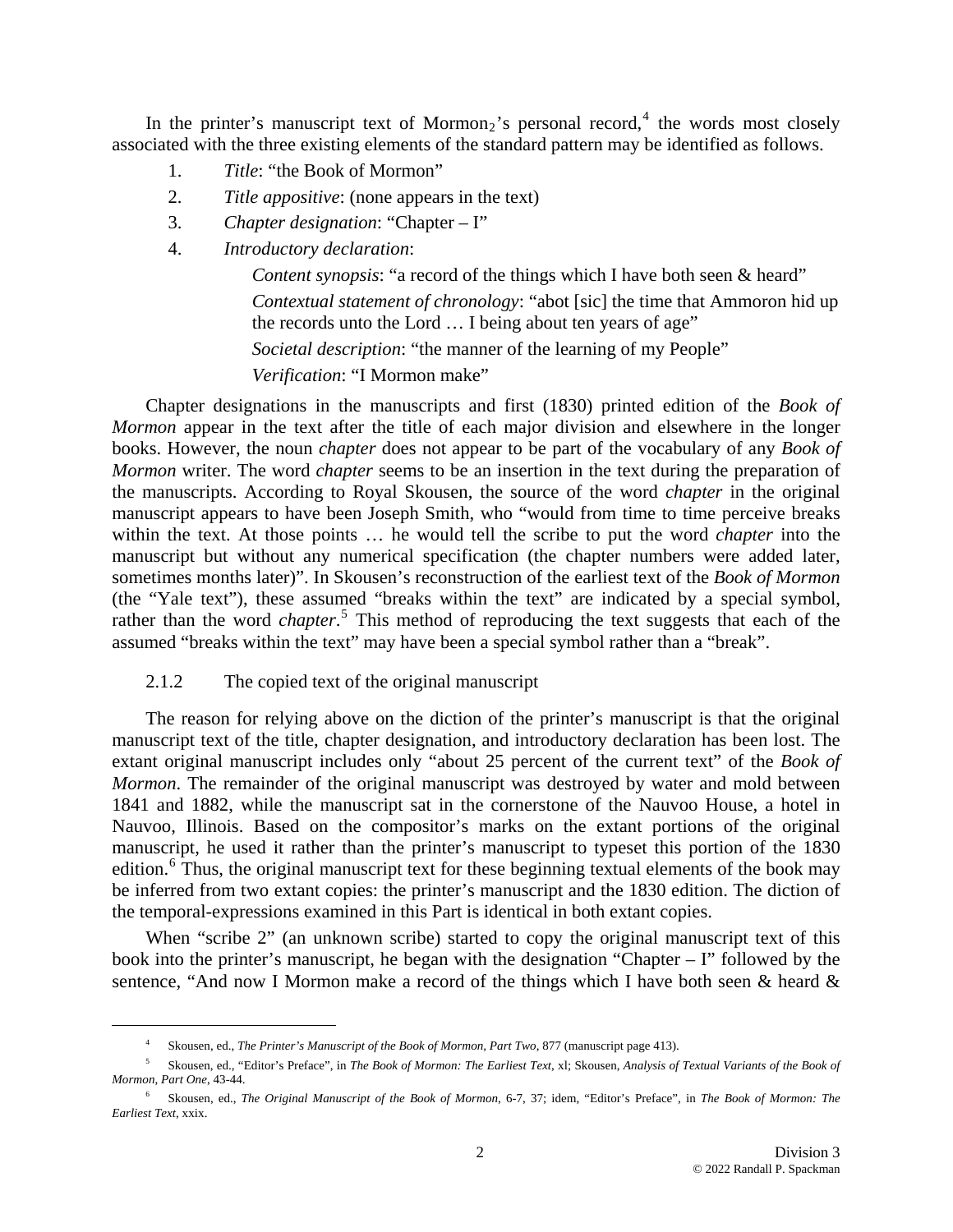In the printer's manuscript text of Mormon<sub>2</sub>'s personal record,<sup>4</sup> the words most closely associated with the three existing elements of the standard pattern may be identified as follows.

- 1. *Title*: "the Book of Mormon"
- 2. *Title appositive*: (none appears in the text)
- 3. *Cha pter designation*: "Chapter I"
- 4. *Intr oductory declaration*:

Content synopsis: "a record of the things which I have both seen & heard" *Contextual statement of chronology*: "abot [sic] the time that Ammoron hid up the records unto the Lord ... I being about ten years of age" *Societal description*: "the manner of the learning of my People" *Verification*: "I Mormon make"

(the "Yale text"), these assumed "breaks within the text" are indicated by a special symbol, rather than the word *chapter*.<sup>5</sup> This method of reproducing the text suggests that each of the assumed "breaks within the text" may have been a special symbol rather than a "break". Chapter designations in the manuscripts and first (1830) printed edition of the *Book of Mormon* appear in the text after the title of each major division and elsewhere in the longer books. However, the noun *chapter* does not appear to be part of the vocabulary of any *Book of Mormon* writer. The word *chapter* seems to be an insertion in the text during the preparation of the manuscripts. According to Royal Skousen, the source of the word *chapter* in the original manuscript appears to have been Joseph Smith, who "would from time to time perceive breaks within the text. At those points … he would tell the scribe to put the word *chapter* into the manuscript but without any numerical specification (the chapter numbers were added later, sometimes months later)". In Skousen's reconstruction of the earliest text of the *Book of Mormon*

2.1.2 The copied text of the original manuscript

 $\overline{a}$ 

The reason for relying above on the diction of the printer's manuscript is that the original manuscript text of the title, chapter designation, and introductory declaration has been lost. The extant original manuscript includes only "about 25 percent of the current text" of the *Book of Mormon*. The remainder of the original manuscript was destroyed by water and mold between 1841 and 1882, while the manuscript sat in the cornerstone of the Nauvoo House, a hotel in Nauvoo, Illinois. Based on the compositor's marks on the extant portions of the original manuscript, he used it rather than the printer's manuscript to typeset this portion of the 1830 edition.<sup>[6](#page-1-0)</sup> Thus, the original manuscript text for these beginning textual elements of the book may be inferred from two extant copies: the printer's manuscript and the 1830 edition. The diction of the temporal-expressions examined in this Part is identical in both extant copies.

When "scribe 2" (an unknown scribe) started to copy the original manuscript text of this book into the printer's manuscript, he began with the designation "Chapter – I" followed by the sentence, "And now I Mormon make a record of the things which I have both seen & heard &

<sup>4</sup> Skousen, ed., *The Printer's Manuscript of the Book of Mormon, Part Two*, 877 (manuscript page 413).

Skousen, ed., "Editor's Preface", in *The Book of Mormon: The Earliest Text*, xl; Skousen, *Analysis of Textual Variants of the Book of Morm on*, *Part One*, 43-44. 5

<span id="page-1-1"></span><span id="page-1-0"></span><sup>&</sup>lt;sup>6</sup> Skousen, ed., *The Original Manuscript of the Book of Mormon*, 6-7, 37; idem, "Editor's Preface", in *The Book of Mormon: The Earlie st Text*, xxix.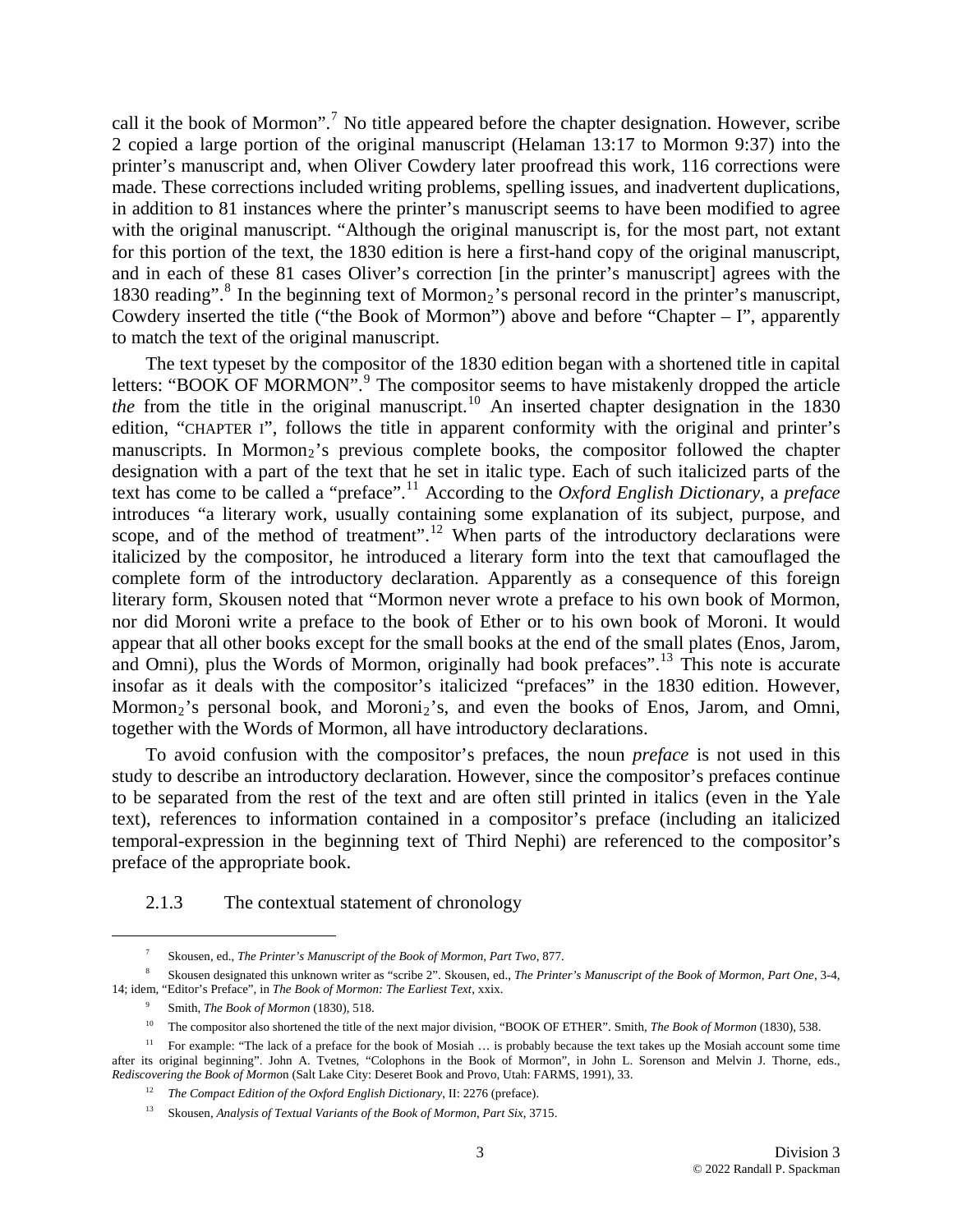call it the book of Mormon".<sup>[7](#page-1-1)</sup> No title appeared before the chapter designation. However, scribe 2 copied a large portion of the original manuscript (Helaman 13:17 to Mormon 9:37) into the printer's manuscript and, when Oliver Cowdery later proofread this work, 116 corrections were made. These corrections included writing problems, spelling issues, and inadvertent duplications, in addition to 81 instances where the printer's manuscript seems to have been modified to agree with the original manuscript. "Although the original manuscript is, for the most part, not extant for this portion of the text, the 1830 edition is here a first-hand copy of the original manuscript, and in each of these 81 cases Oliver's correction [in the printer's manuscript] agrees with the 1[8](#page-2-0)30 reading".<sup>8</sup> In the beginning text of Mormon<sub>2</sub>'s personal record in the printer's manuscript, Cowdery inserted the title ("the Book of Mormon") above and before "Chapter  $-1$ ", apparently to match the text of the original manuscript.

and Omni), plus the Words of Mormon, originally had book prefaces".<sup>[13](#page-2-4)</sup> This note is accurate inso far as it deals with the compositor's italicized "prefaces" in the 1830 edition. However, The text typeset by the compositor of the 1830 edition began with a shortened title in capital letters: "BOOK OF MORMON".<sup>[9](#page-2-1)</sup> The compositor seems to have mistakenly dropped the article *the* from the title in the original manuscript.<sup>[10](#page-2-2)</sup> An inserted chapter designation in the 1830 edition, "CHAPTER I", follows the title in apparent conformity with the original and printer's manuscripts. In Mormon<sub>2</sub>'s previous complete books, the compositor followed the chapter designation with a part of the text that he set in italic type. Each of such italicized parts of the text has come to be called a "preface".[11](#page-2-3) According to the *Oxford English Dictionary*, a *preface* introduces "a literary work, usually containing some explanation of its subject, purpose, and scope, and of the method of treatment".<sup>[12](#page-2-4)</sup> When parts of the introductory declarations were italicized by the compositor, he introduced a literary form into the text that camouflaged the complete form of the introductory declaration. Apparently as a consequence of this foreign literary form, Skousen noted that "Mormon never wrote a preface to his own book of Mormon, nor did Moroni write a preface to the book of Ether or to his own book of Moroni. It would appear that all other books except for the small books at the end of the small plates (Enos, Jarom, Mormon<sub>2</sub>'s personal book, and Moroni<sub>2</sub>'s, and even the books of Enos, Jarom, and Omni, together with the Words of Mormon, all have introductory declarations.

to be separated from the rest of the text and are often still printed in italics (even in the Yale text), references to information contained in a compositor's preface (including an italicized temporal-expression in the beginning text of Third Nephi) are referenced to the compositor's preface of th e appropriate book. To avoid confusion with the compositor's prefaces, the noun *preface* is not used in this study to describe an introductory declaration. However, since the compositor's prefaces continue

2.1.3 The contextual statement of chronology

<sup>7</sup> Skousen, ed., *The Printer's Manuscript of the Book of Mormon, Part Two*, 877.

<span id="page-2-1"></span><span id="page-2-0"></span>Skousen designated this unknown writer as "scribe 2". Skousen, ed., *The Printer's Manuscript of the Book of Mormon, Part One*, 3-4, 14; idem, "Editor's Preface", in *The Book of Mormon: The Earliest Text*, xxix. 8

<sup>9</sup> Smith, *The Book of Mormon* (1830), 518.

<sup>10</sup> The compositor also shortened the title of the next major division, "BOOK OF ETHER". Smith, *The Book of Mormon* (1830), 538.

<span id="page-2-5"></span><span id="page-2-4"></span><span id="page-2-3"></span><span id="page-2-2"></span>after its original beginning". John A. Tvetnes, "Colophons in the Book of Mormon", in John L. Sorenson and Melvin J. Thorne, eds., Rediscovering the Book of Mormon (Salt Lake City: Deseret Book and Provo, Utah: FARMS, 1991), 33. <sup>11</sup> For example: "The lack of a preface for the book of Mosiah ... is probably because the text takes up the Mosiah account some time

<sup>&</sup>lt;sup>12</sup> *The Compact Edition of the Oxford English Dictionary*, II: 2276 (preface).

<sup>&</sup>lt;sup>13</sup> Skousen, *Analysis of Textual Variants of the Book of Mormon, Part Six, 3715.*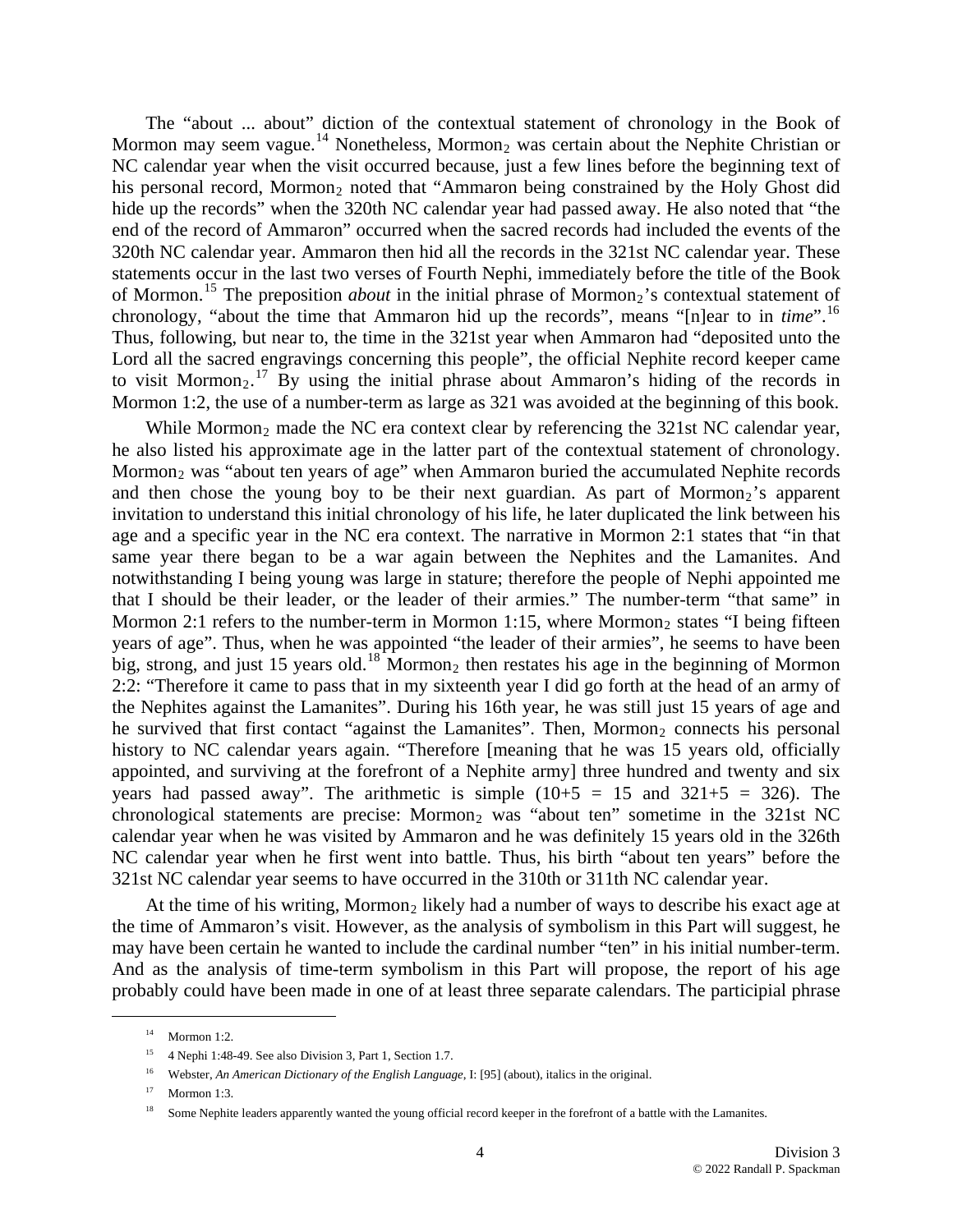The "about ... about" diction of the contextual statement of chronology in the Book of Mormon may seem vague.<sup>[14](#page-2-5)</sup> Nonetheless, Mormon<sub>2</sub> was certain about the Nephite Christian or NC calendar year when the visit occurred because, just a few lines before the beginning text of his personal record, Mormon<sub>2</sub> noted that "Ammaron being constrained by the Holy Ghost did hide up the records" when the 320th NC calendar year had passed away. He also noted that "the end of the record of Ammaron" occurred when the sacred records had included the events of the 320th NC calendar year. Ammaron then hid all the records in the 321st NC calendar year. These statements occur in the last two verses of Fourth Nephi, immediately before the title of the Book of Mormon.<sup>[15](#page-3-0)</sup> The preposition *about* in the initial phrase of Mormon<sub>2</sub>'s contextual statement of chronology, "about the time that Ammaron hid up the records", means "[n]ear to in *time*".[16](#page-3-1) Thus, following, but near to, the time in the 321st year when Ammaron had "deposited unto the Lord all the sacred engravings concerning this people", the official Nephite record keeper came to visit Mormon<sub>2</sub>.<sup>[17](#page-3-2)</sup> By using the initial phrase about Ammaron's hiding of the records in Mormon 1:2, the use of a number-term as large as 321 was avoided at the beginning of this book.

calendar year when he was visited by Ammaron and he was definitely 15 years old in the 326th NC calendar year when he first went into battle. Thus, his birth "about ten years" before the While Mormon<sub>2</sub> made the NC era context clear by referencing the  $321st$  NC calendar year, he also listed his approximate age in the latter part of the contextual statement of chronology. Mormon<sub>2</sub> was "about ten years of age" when Ammaron buried the accumulated Nephite records and then chose the young boy to be their next guardian. As part of Mormon<sub>2</sub>'s apparent invitation to understand this initial chronology of his life, he later duplicated the link between his age and a specific year in the NC era context. The narrative in Mormon 2:1 states that "in that same year there began to be a war again between the Nephites and the Lamanites. And notwithstanding I being young was large in stature; therefore the people of Nephi appointed me that I should be their leader, or the leader of their armies." The number-term "that same" in Mormon 2:1 refers to the number-term in Mormon 1:15, where Mormon<sub>2</sub> states "I being fifteen years of age". Thus, when he was appointed "the leader of their armies", he seems to have been big, strong, and just 15 years old.<sup>[18](#page-3-2)</sup> Mormon<sub>2</sub> then restates his age in the beginning of Mormon 2:2: "Therefore it came to pass that in my sixteenth year I did go forth at the head of an army of the Nephites against the Lamanites". During his 16th year, he was still just 15 years of age and he survived that first contact "against the Lamanites". Then, Mormon<sub>2</sub> connects his personal history to NC calendar years again. "Therefore [meaning that he was 15 years old, officially appointed, and surviving at the forefront of a Nephite army] three hundred and twenty and six years had passed away". The arithmetic is simple  $(10+5 = 15$  and  $321+5 = 326$ ). The chronological statements are precise: Mormon<sub>2</sub> was "about ten" sometime in the 321st NC 321st NC calendar year seems to have occurred in the 310th or 311th NC calendar year.

probably could have been made in one of at least three separate calendars. The participial phrase At the time of his writing, Mormon<sub>2</sub> likely had a number of ways to describe his exact age at the time of Ammaron's visit. However, as the analysis of symbolism in this Part will suggest, he may have been certain he wanted to include the cardinal number "ten" in his initial number-term. And as the analysis of time-term symbolism in this Part will propose, the report of his age

<span id="page-3-2"></span><span id="page-3-1"></span><span id="page-3-0"></span><u>.</u>

 $^{14}$  Mormon  $1:2$ 

<sup>&</sup>lt;sup>15</sup> 4 Nephi 1:48-49. See also Division 3, Part 1, Section 1.7.

<sup>&</sup>lt;sup>16</sup> Webster, *An American Dictionary of the English Language*, I: [95] (about), italics in the original.

 $17$  Mormon 1:3.

 $18$  Some Nephite leaders apparently wanted the young official record keeper in the forefront of a battle with the Lamanites.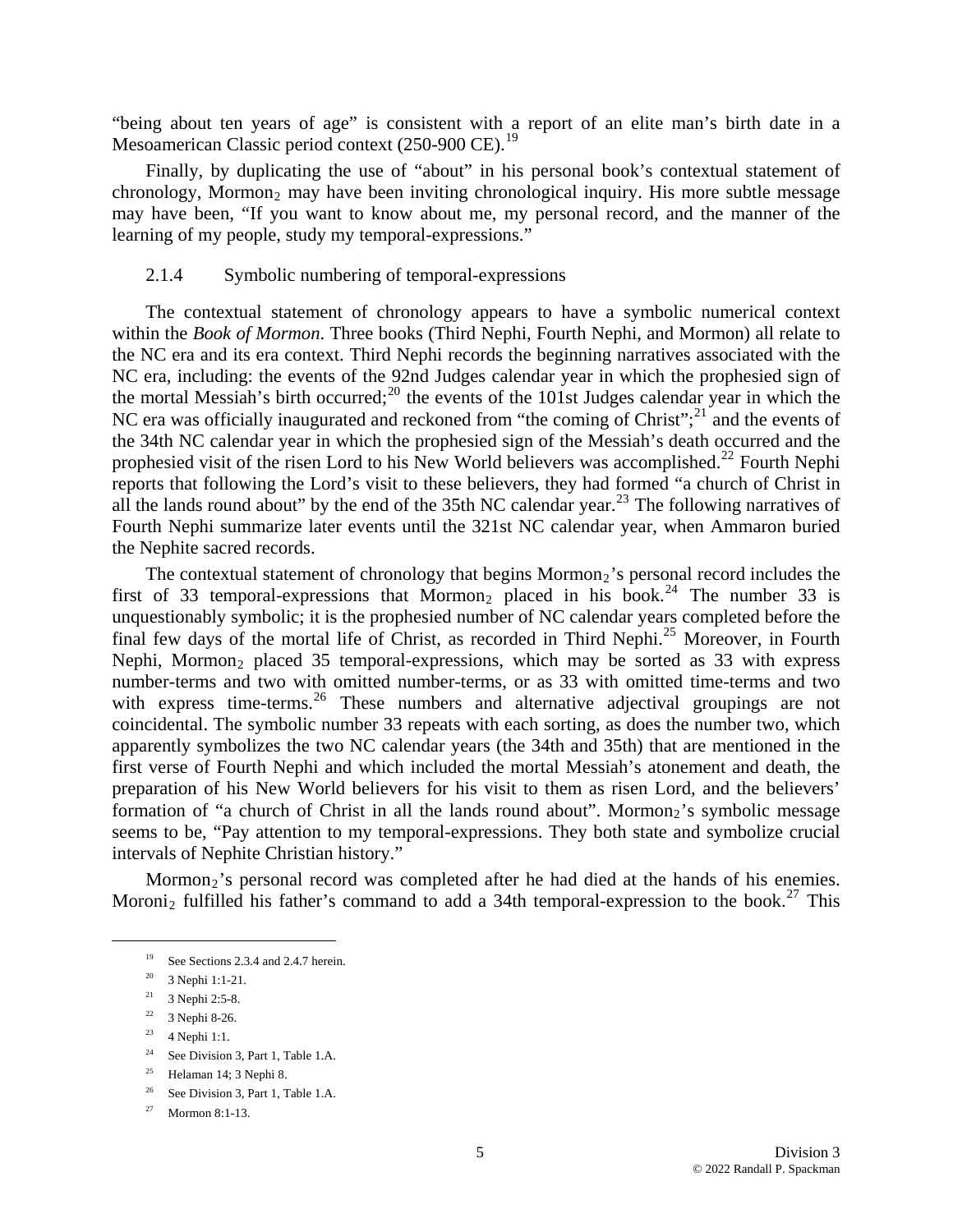"bei ng about ten years of age" is consistent with a report of an elite man's birth date in a Mesoamerican Classic period context (250-900 CE).<sup>19</sup>

chronology, Mormon<sub>2</sub> may have been inviting chronological inquiry. His more subtle message may have been, "If you want to know about me, my personal record, and the manner of the learning of my people, study my temporal-expressions." Finally, by duplicating the use of "about" in his personal book's contextual statement of

#### 2.1.4 Symbolic numbering of temporal-expressions

all the lands round about" by the end of the 35th NC calendar year.<sup>23</sup> The following narratives of Fou rth Nephi summarize later events until the 321st NC calendar year, when Ammaron buried The contextual statement of chronology appears to have a symbolic numerical context within the *Book of Mormon*. Three books (Third Nephi, Fourth Nephi, and Mormon) all relate to the NC era and its era context. Third Nephi records the beginning narratives associated with the NC era, including: the events of the 92nd Judges calendar year in which the prophesied sign of the mortal Messiah's birth occurred;<sup>[20](#page-4-0)</sup> the events of the 101st Judges calendar year in which the NC era was officially inaugurated and reckoned from "the coming of Christ";<sup>[21](#page-4-1)</sup> and the events of the 34th NC calendar year in which the prophesied sign of the Messiah's death occurred and the prophesied visit of the risen Lord to his New World believers was accomplished.<sup>[22](#page-4-2)</sup> Fourth Nephi reports that following the Lord's visit to these believers, they had formed "a church of Christ in the Nephite sacred records.

formation of "a church of Christ in all the lands round about". Mormon<sub>2</sub>'s symbolic message seem s to be, "Pay attention to my temporal-expressions. They both state and symbolize crucial The contextual statement of chronology that begins  $Mormon<sub>2</sub>$ 's personal record includes the first of 33 temporal-expressions that Mormon<sub>2</sub> placed in his book.<sup>[24](#page-4-3)</sup> The number 33 is unquestionably symbolic; it is the prophesied number of NC calendar years completed before the final few days of the mortal life of Christ, as recorded in Third Nephi.<sup>[25](#page-4-4)</sup> Moreover, in Fourth Nephi, Mormon<sub>2</sub> placed 35 temporal-expressions, which may be sorted as 33 with express number-terms and two with omitted number-terms, or as 33 with omitted time-terms and two with express time-terms.<sup>[26](#page-4-5)</sup> These numbers and alternative adjectival groupings are not coincidental. The symbolic number 33 repeats with each sorting, as does the number two, which apparently symbolizes the two NC calendar years (the 34th and 35th) that are mentioned in the first verse of Fourth Nephi and which included the mortal Messiah's atonement and death, the preparation of his New World believers for his visit to them as risen Lord, and the believers' intervals of Nephite Christian history."

Mormon<sub>2</sub>'s personal record was completed after he had died at the hands of his enemies. Moroni<sub>2</sub> fulfilled his father's command to add a 34th temporal-expression to the book.<sup>[27](#page-4-6)</sup> This

<sup>&</sup>lt;sup>19</sup> See Sections 2.3.4 and 2.4.7 herein.

<sup>20 3</sup> Nephi 1:1-21.

<span id="page-4-1"></span><span id="page-4-0"></span><sup>21 3</sup> Nephi 2:5-8.

<span id="page-4-2"></span><sup>22 3</sup> Nephi 8-26.

<sup>&</sup>lt;sup>23</sup> 4 Nephi 1:1.

<span id="page-4-3"></span><sup>&</sup>lt;sup>24</sup> See Division 3, Part 1, Table 1.A.

<span id="page-4-4"></span> $25$  Helaman 14; 3 Nephi 8.

<span id="page-4-5"></span><sup>&</sup>lt;sup>26</sup> See Division 3, Part 1, Table 1.A.

<span id="page-4-6"></span><sup>27</sup> Mormon 8:1-13.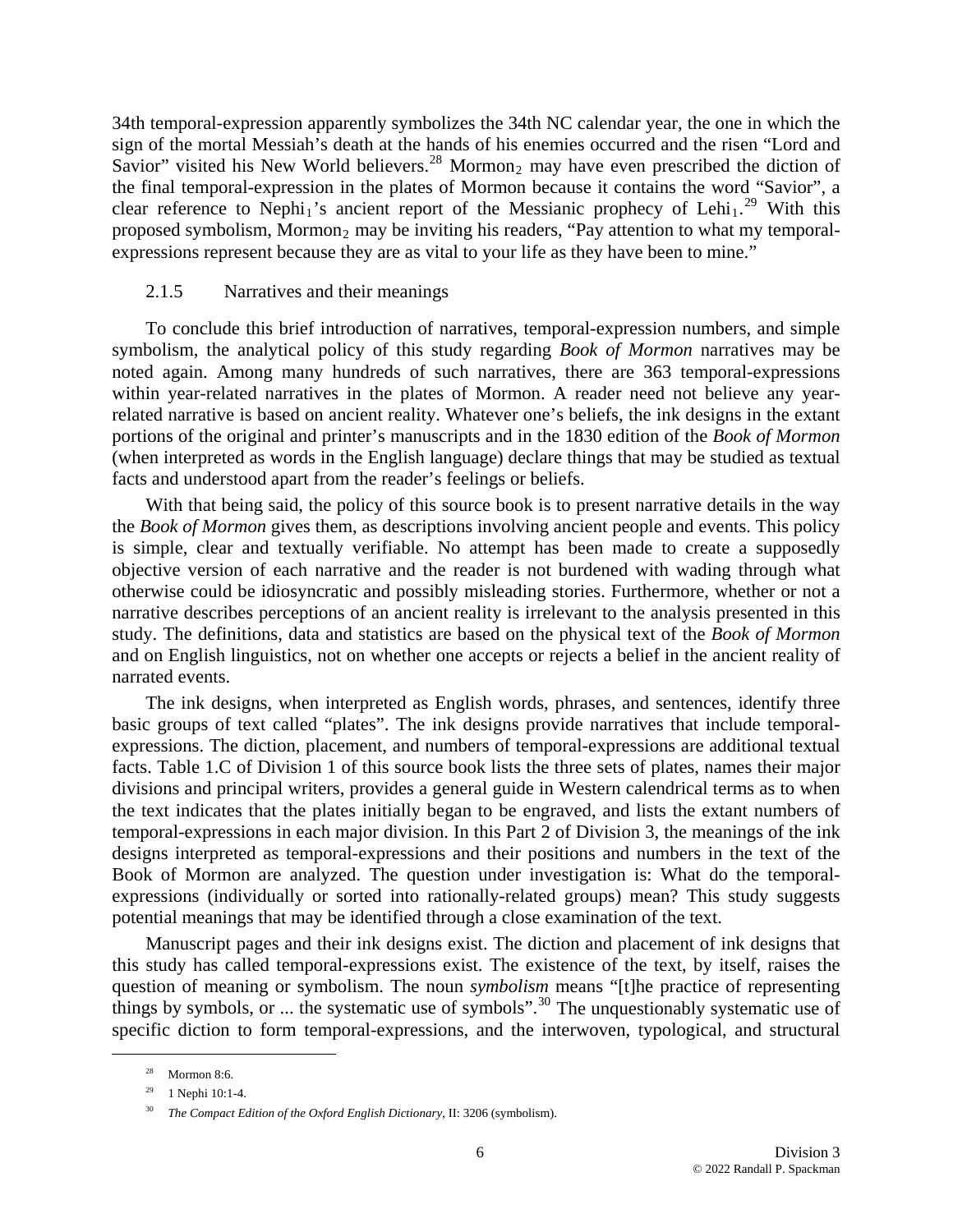34th temporal-expression apparently symbolizes the 34th NC calendar year, the one in which the sign of the mortal Messiah's death at the hands of his enemies occurred and the risen "Lord and Savior" visited his New World believers.<sup>[28](#page-5-0)</sup> Mormon<sub>2</sub> may have even prescribed the diction of the final temporal-expression in the plates of Mormon because it contains the word "Savior", a clear reference to Nephi<sub>1</sub>'s ancient report of the Messianic prophecy of Lehi<sub>1</sub>.<sup>[29](#page-5-1)</sup> With this proposed symbolism, Mormon<sub>2</sub> may be inviting his readers, "Pay attention to what my temporalexpressions represent because they are as vital to your life as they have been to mine."

#### 2.1.5 Narratives and their meanings

portions of the original and printer's manuscripts and in the 1830 edition of the Book of Mormon (wh en interpreted as words in the English language) declare things that may be studied as textual To conclude this brief introduction of narratives, temporal-expression numbers, and simple symbolism, the analytical policy of this study regarding *Book of Mormon* narratives may be noted again. Among many hundreds of such narratives, there are 363 temporal-expressions within year-related narratives in the plates of Mormon. A reader need not believe any yearrelated narrative is based on ancient reality. Whatever one's beliefs, the ink designs in the extant facts and understood apart from the reader's feelings or beliefs.

study. The definitions, data and statistics are based on the physical text of the *Book of Mormon* and on English linguistics, not on whether one accepts or rejects a belief in the ancient reality of With that being said, the policy of this source book is to present narrative details in the way the *Book of Mormon* gives them, as descriptions involving ancient people and events. This policy is simple, clear and textually verifiable. No attempt has been made to create a supposedly objective version of each narrative and the reader is not burdened with wading through what otherwise could be idiosyncratic and possibly misleading stories. Furthermore, whether or not a narrative describes perceptions of an ancient reality is irrelevant to the analysis presented in this narrated events.

Book of Mormon are analyzed. The question under investigation is: What do the temporalexpr essions (individually or sorted into rationally-related groups) mean? This study suggests The ink designs, when interpreted as English words, phrases, and sentences, identify three basic groups of text called "plates". The ink designs provide narratives that include temporalexpressions. The diction, placement, and numbers of temporal-expressions are additional textual facts. Table 1.C of Division 1 of this source book lists the three sets of plates, names their major divisions and principal writers, provides a general guide in Western calendrical terms as to when the text indicates that the plates initially began to be engraved, and lists the extant numbers of temporal-expressions in each major division. In this Part 2 of Division 3, the meanings of the ink designs interpreted as temporal-expressions and their positions and numbers in the text of the potential meanings that may be identified through a close examination of the text.

Manuscript pages and their ink designs exist. The diction and placement of ink designs that this study has called temporal-expressions exist. The existence of the text, by itself, raises the question of meaning or symbolism. The noun *symbolism* means "[t]he practice of representing things by symbols, or ... the systematic use of symbols".<sup>[30](#page-5-2)</sup> The unquestionably systematic use of specific diction to form temporal-expressions, and the interwoven, typological, and structural

<span id="page-5-0"></span><sup>28</sup> Mormon 8:6.

<span id="page-5-2"></span><span id="page-5-1"></span> $29$  1 Nephi 10:1-4.

<sup>30</sup> *The Compact Edition of the Oxford English Dictionary*, II: 3206 (symbolism).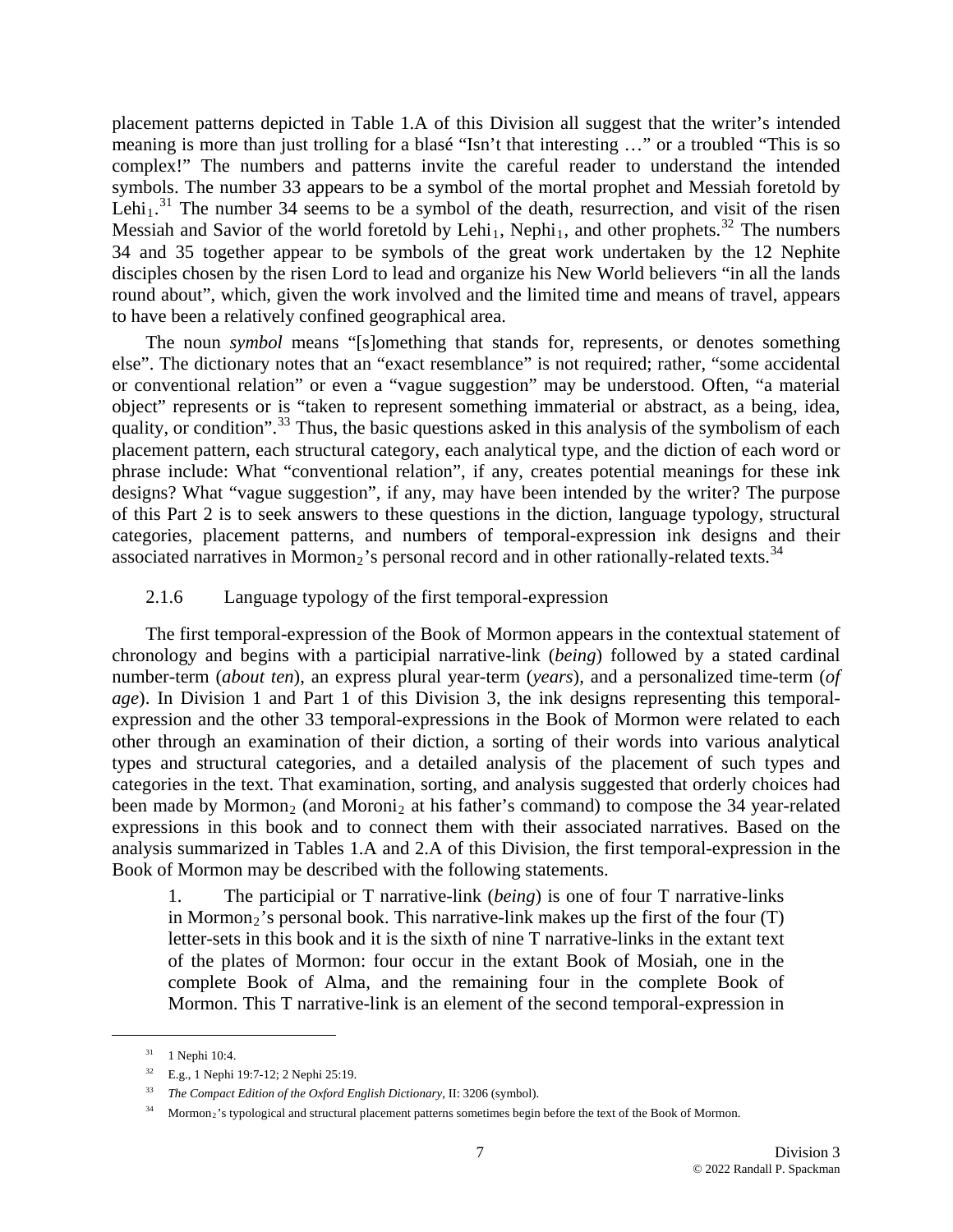placement patterns depicted in Table 1.A of this Division all suggest that the writer's intended meaning is more than just trolling for a blasé "Isn't that interesting …" or a troubled "This is so complex!" The numbers and patterns invite the careful reader to understand the intended symbols. The number 33 appears to be a symbol of the mortal prophet and Messiah foretold by Lehi<sub>1</sub>.<sup>[31](#page-6-0)</sup> The number 34 seems to be a symbol of the death, resurrection, and visit of the risen Messiah and Savior of the world foretold by Lehi<sub>1</sub>, Nephi<sub>1</sub>, and other prophets.<sup>[32](#page-6-1)</sup> The numbers 34 and 35 together appear to be symbols of the great work undertaken by the 12 Nephite disciples chosen by the risen Lord to lead and organize his New World believers "in all the lands roun d about", which, given the work involved and the limited time and means of travel, appears to have been a relatively confined geographical area.

of this Part 2 is to seek answers to these questions in the diction, language typology, structural categories, placement patterns, and numbers of temporal-expression ink designs and their associated narratives in Mormon<sub>2</sub>'s personal record and in other rationally-related texts.<sup>34</sup> The noun *symbol* means "[s]omething that stands for, represents, or denotes something else". The dictionary notes that an "exact resemblance" is not required; rather, "some accidental or conventional relation" or even a "vague suggestion" may be understood. Often, "a material object" represents or is "taken to represent something immaterial or abstract, as a being, idea, quality, or condition".<sup>[33](#page-6-2)</sup> Thus, the basic questions asked in this analysis of the symbolism of each placement pattern, each structural category, each analytical type, and the diction of each word or phrase include: What "conventional relation", if any, creates potential meanings for these ink designs? What "vague suggestion", if any, may have been intended by the writer? The purpose

# 2.1.6 Language typology of the first temporal-expression

expressions in this book and to connect them with their associated narratives. Based on the analysis summarized in Tables 1.A and 2.A of this Division, the first temporal-expression in the Book o f Mormon may be described with the following statements. The first temporal-expression of the Book of Mormon appears in the contextual statement of chronology and begins with a participial narrative-link (*being*) followed by a stated cardinal number-term (*about ten*), an express plural year-term (*years*), and a personalized time-term (*of age*). In Division 1 and Part 1 of this Division 3, the ink designs representing this temporalexpression and the other 33 temporal-expressions in the Book of Mormon were related to each other through an examination of their diction, a sorting of their words into various analytical types and structural categories, and a detailed analysis of the placement of such types and categories in the text. That examination, sorting, and analysis suggested that orderly choices had been made by Mormon<sub>2</sub> (and Moroni<sub>2</sub> at his father's command) to compose the 34 year-related

1. The participial or T narrative-link (*being*) is one of four T narrative-links in Mormon<sub>2</sub>'s personal book. This narrative-link makes up the first of the four  $(T)$ letter-sets in this book and it is the sixth of nine T narrative-links in the extant text of the plates of Mormon: four occur in the extant Book of Mosiah, one in the complete Book of Alma, and the remaining four in the complete Book of Mormon. This T narrative-link is an element of the second temporal-expression in

<span id="page-6-0"></span><sup>&</sup>lt;sup>31</sup> 1 Nephi 10:4.

<span id="page-6-1"></span><sup>32</sup> E.g., 1 Nephi 19:7-12; 2 Nephi 25:19.

<span id="page-6-2"></span><sup>33</sup> *The Compact Edition of the Oxford English Dictionary*, II: 3206 (symbol).

<sup>&</sup>lt;sup>34</sup> Mormon<sub>2</sub>'s typological and structural placement patterns sometimes begin before the text of the Book of Mormon.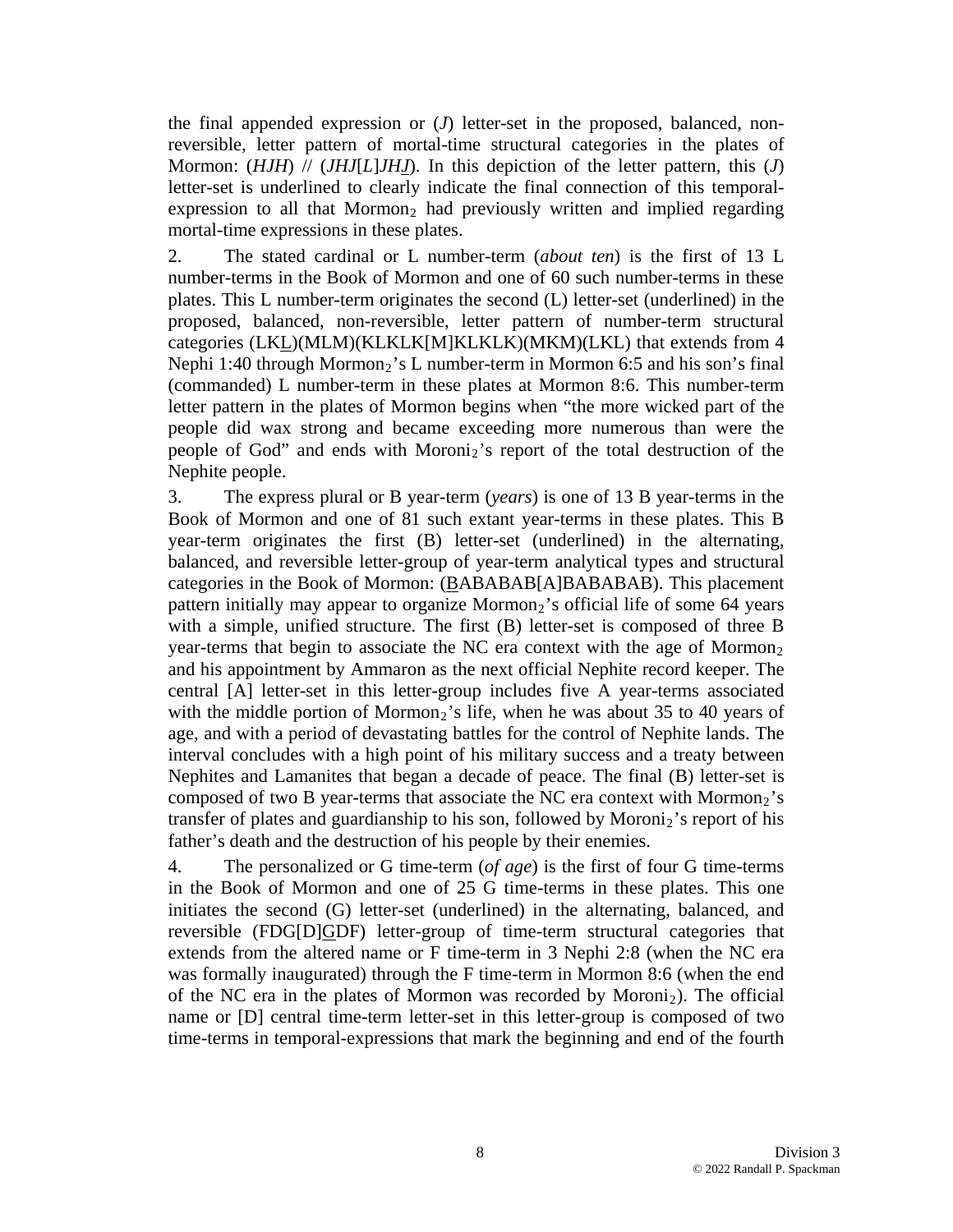the final appended expression or (*J*) letter-set in the proposed, balanced, nonreversible, letter pattern of mortal-time structural categories in the plates of Mormon: (*HJH*) // (*JHJ*[*L*]*JHJ*). In this depiction of the letter pattern, this (*J*) letter-set is underlined to clearly indicate the final connection of this temporalexpression to all that  $Mormon<sub>2</sub>$  had previously written and implied regarding mortal-time expressions in these plates.

2. The stated cardinal or L number-term (*about ten*) is the first of 13 L number-terms in the Book of Mormon and one of 60 such number-terms in these plates. This L number-term originates the second (L) letter-set (underlined) in the proposed, balanced, non-reversible, letter pattern of number-term structural categories (LKL)(MLM)(KLKLK[M]KLKLK)(MKM)(LKL) that extends from 4 Nephi 1:40 through Mormon<sub>2</sub>'s L number-term in Mormon 6:5 and his son's final (commanded) L number-term in these plates at Mormon 8:6. This number-term letter pattern in the plates of Mormon begins when "the more wicked part of the people did wax strong and became exceeding more numerous than were the people of God" and ends with Moroni<sub>2</sub>'s report of the total destruction of the Nephite people.

3. The express plural or B year-term (*years*) is one of 13 B year-terms in the Book of Mormon and one of 81 such extant year-terms in these plates. This B year-term originates the first (B) letter-set (underlined) in the alternating, balanced, and reversible letter-group of year-term analytical types and structural categories in the Book of Mormon: (BABABAB[A]BABABAB). This placement pattern initially may appear to organize  $Mormon<sub>2</sub>$ 's official life of some 64 years with a simple, unified structure. The first (B) letter-set is composed of three B year-terms that begin to associate the NC era context with the age of Mormon<sub>2</sub> and his appointment by Ammaron as the next official Nephite record keeper. The central [A] letter-set in this letter-group includes five A year-terms associated with the middle portion of Mormon<sub>2</sub>'s life, when he was about 35 to 40 years of age, and with a period of devastating battles for the control of Nephite lands. The interval concludes with a high point of his military success and a treaty between Nephites and Lamanites that began a decade of peace. The final (B) letter-set is composed of two B year-terms that associate the NC era context with Mormon<sub>2</sub>'s transfer of plates and guardianship to his son, followed by Moroni $_2$ 's report of his father's death and the destruction of his people by their enemies.

4. The personalized or G time-term (*of age*) is the first of four G time-terms in the Book of Mormon and one of 25 G time-terms in these plates. This one initiates the second (G) letter-set (underlined) in the alternating, balanced, and reversible (FDG[D]GDF) letter-group of time-term structural categories that extends from the altered name or F time-term in 3 Nephi 2:8 (when the NC era was formally inaugurated) through the F time-term in Mormon 8:6 (when the end of the NC era in the plates of Mormon was recorded by Moroni<sub>2</sub>). The official name or [D] central time-term letter-set in this letter-group is composed of two time-terms in temporal-expressions that mark the beginning and end of the fourth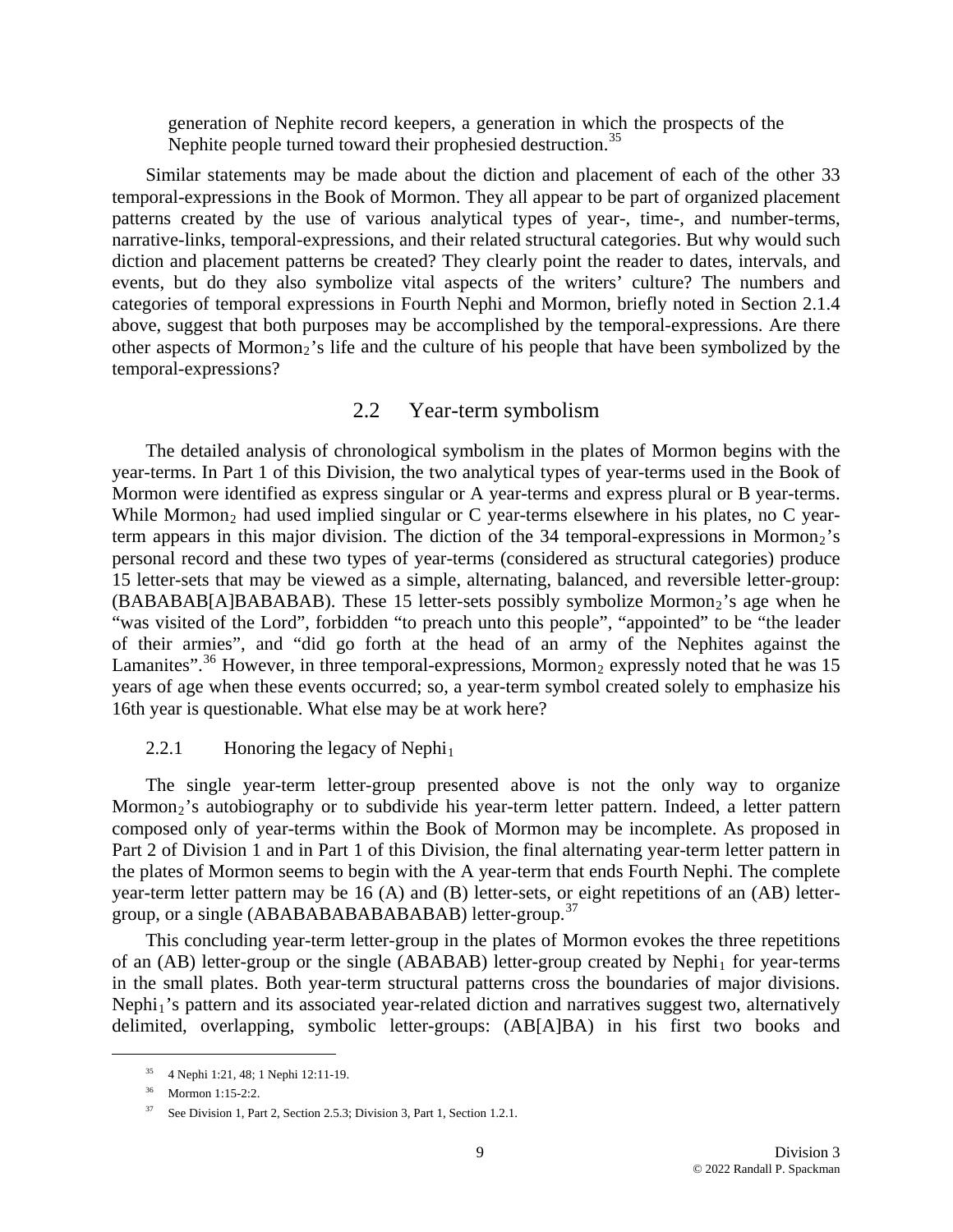generation of Nephite record keepers, a generation in which the prospects of the Nephite people turned toward their prophesied destruction.<sup>35</sup>

Similar statements may be made about the diction and placement of each of the other 33 temporal-expressions in the Book of Mormon. They all appear to be part of organized placement patterns created by the use of various analytical types of year-, time-, and number-terms, narrative-links, temporal-expressions, and their related structural categories. But why would such diction and placement patterns be created? They clearly point the reader to dates, intervals, and events, but do they also symbolize vital aspects of the writers' culture? The numbers and categories of temporal expressions in Fourth Nephi and Mormon, briefly noted in Section 2.1.4 above, suggest that both purposes may be accomplished by the temporal-expressions. Are there other aspects of Mormon<sub>2</sub>'s life and the culture of his people that have been symbolized by the temporal-expressions?

# 2.2 Year-term symbolism

Lamanites".<sup>[36](#page-8-0)</sup> However, in three temporal-expressions, Mormon<sub>2</sub> expressly noted that he was 15 years of age when these events occurred; so, a year-term symbol created solely to emphasize his 16th year is questionable. What else may be at work here? The detailed analysis of chronological symbolism in the plates of Mormon begins with the year-terms. In Part 1 of this Division, the two analytical types of year-terms used in the Book of Mormon were identified as express singular or A year-terms and express plural or B year-terms. While Mormon<sub>2</sub> had used implied singular or C year-terms elsewhere in his plates, no C yearterm appears in this major division. The diction of the 34 temporal-expressions in Mormon<sub>2</sub>'s personal record and these two types of year-terms (considered as structural categories) produce 15 letter-sets that may be viewed as a simple, alternating, balanced, and reversible letter-group:  $(BABABAB[ABABABABAB])$ . These 15 letter-sets possibly symbolize Mormon<sub>2</sub>'s age when he "was visited of the Lord", forbidden "to preach unto this people", "appointed" to be "the leader of their armies", and "did go forth at the head of an army of the Nephites against the

#### 2.2.1 Honoring the legacy of Nephi<sub>1</sub>

the plates of Mormon seems to begin with the A year-term that ends Fourth Nephi. The complete year -term letter pattern may be 16 (A) and (B) letter-sets, or eight repetitions of an (AB) letter-The single year-term letter-group presented above is not the only way to organize Mormon<sub>2</sub>'s autobiography or to subdivide his year-term letter pattern. Indeed, a letter pattern composed only of year-terms within the Book of Mormon may be incomplete. As proposed in Part 2 of Division 1 and in Part 1 of this Division, the final alternating year-term letter pattern in group, or a single (ABABABABABABABAB) letter-group.<sup>[37](#page-9-0)</sup>

This concluding year-term letter-group in the plates of Mormon evokes the three repetitions of an  $(AB)$  letter-group or the single  $(ABABAB)$  letter-group created by Nephi<sub>1</sub> for year-terms in the small plates. Both year-term structural patterns cross the boundaries of major divisions. Nephi<sub>1</sub>'s pattern and its associated year-related diction and narratives suggest two, alternatively delimited, overlapping, symbolic letter-groups: (AB[A]BA) in his first two books and

 <sup>35 4</sup> Nephi 1:21, 48; 1 Nephi 12:11-19.

<span id="page-8-0"></span><sup>36</sup> Mormon 1:15-2:2.

<sup>37</sup> See Division 1, Part 2, Section 2.5.3; Division 3, Part 1, Section 1.2.1.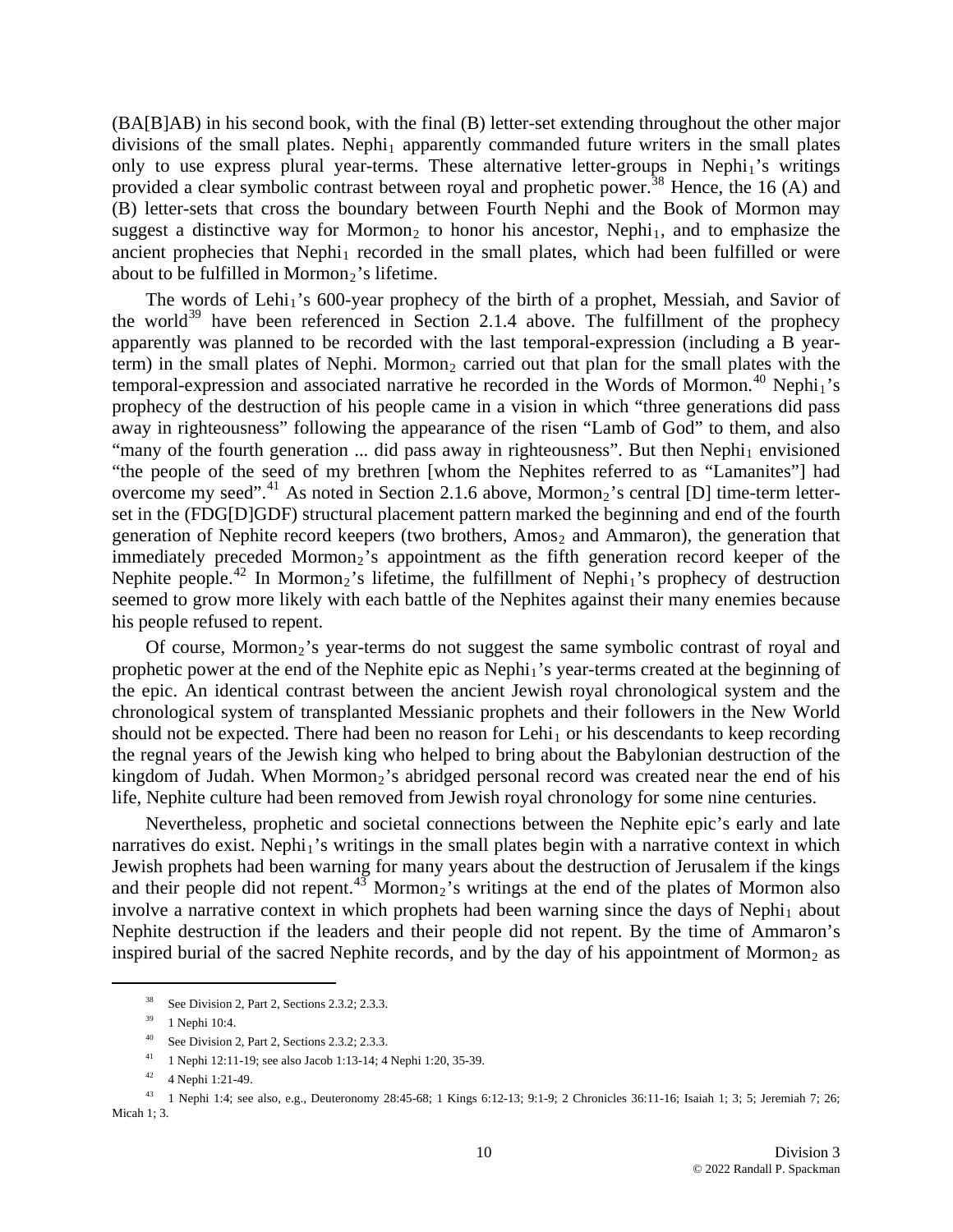(BA[B]AB) in his second book, with the final (B) letter-set extending throughout the other major divisions of the small plates. Nephi<sub>1</sub> apparently commanded future writers in the small plates only to use express plural year-terms. These alternative letter-groups in Nephi<sub>1</sub>'s writings provided a clear symbolic contrast between royal and prophetic power.<sup>[38](#page-9-0)</sup> Hence, the 16 (A) and (B) letter-sets that cross the boundary between Fourth Nephi and the Book of Mormon may suggest a distinctive way for Mormon<sub>2</sub> to honor his ancestor, Nephi<sub>1</sub>, and to emphasize the ancient prophecies that  $Nephi<sub>1</sub>$  recorded in the small plates, which had been fulfilled or were about to be fulfilled in Mormon<sub>2</sub>'s lifetime.

immediately preceded Mormon<sub>2</sub>'s appointment as the fifth generation record keeper of the Nephite people.<sup>42</sup> In Mormon<sub>2</sub>'s lifetime, the fulfillment of Nephi<sub>1</sub>'s prophecy of destruction The words of Lehi<sub>1</sub>'s 600-year prophecy of the birth of a prophet, Messiah, and Savior of the world<sup>[39](#page-9-1)</sup> have been referenced in Section 2.1.4 above. The fulfillment of the prophecy apparently was planned to be recorded with the last temporal-expression (including a B yearterm) in the small plates of Nephi. Mormon<sub>2</sub> carried out that plan for the small plates with the temporal-expression and associated narrative he recorded in the Words of Mormon.<sup>[40](#page-9-2)</sup> Nephi<sub>1</sub>'s prophecy of the destruction of his people came in a vision in which "three generations did pass away in righteousness" following the appearance of the risen "Lamb of God" to them, and also "many of the fourth generation ... did pass away in righteousness". But then Nephi<sub>1</sub> envisioned "the people of the seed of my brethren [whom the Nephites referred to as "Lamanites"] had overcome my seed".<sup>[41](#page-9-3)</sup> As noted in Section 2.1.6 above, Mormon<sub>2</sub>'s central [D] time-term letterset in the (FDG[D]GDF) structural placement pattern marked the beginning and end of the fourth generation of Nephite record keepers (two brothers,  $Amos<sub>2</sub>$  and Ammaron), the generation that seemed to grow more likely with each battle of the Nephites against their many enemies because his people refused to repent.

should not be expected. There had been no reason for Lehi<sub>1</sub> or his descendants to keep recording the regnal years of the Jewish king who helped to bring about the Babylonian destruction of the Of course, Mormon<sub>2</sub>'s year-terms do not suggest the same symbolic contrast of royal and prophetic power at the end of the Nephite epic as Nephi<sub>1</sub>'s year-terms created at the beginning of the epic. An identical contrast between the ancient Jewish royal chronological system and the chronological system of transplanted Messianic prophets and their followers in the New World kingdom of Judah. When  $Mormon<sub>2</sub>$ 's abridged personal record was created near the end of his life, Nephite culture had been removed from Jewish royal chronology for some nine centuries.

inspired burial of the sacred Nephite records, and by the day of his appointment of Mormon<sub>2</sub> as Nevertheless, prophetic and societal connections between the Nephite epic's early and late narratives do exist. Nephi<sub>1</sub>'s writings in the small plates begin with a narrative context in which Jewish prophets had been warning for many years about the destruction of Jerusalem if the kings and their people did not repent.<sup>[43](#page-9-4)</sup> Mormon<sub>2</sub>'s writings at the end of the plates of Mormon also involve a narrative context in which prophets had been warning since the days of Nephi<sub>1</sub> about Nephite destruction if the leaders and their people did not repent. By the time of Ammaron's

<span id="page-9-2"></span><span id="page-9-1"></span><span id="page-9-0"></span><u>.</u>

<sup>38</sup> See Division 2, Part 2, Sections 2.3.2; 2.3.3.

<sup>39 1</sup> Nephi 10:4.

<sup>40</sup> See Division 2, Part 2, Sections 2.3.2; 2.3.3.

<sup>&</sup>lt;sup>41</sup> 1 Nephi 12:11-19; see also Jacob 1:13-14; 4 Nephi 1:20, 35-39.

<sup>42 4</sup> Nephi 1:21-49.

<span id="page-9-5"></span><span id="page-9-4"></span><span id="page-9-3"></span> $^{43}$  1 Nephi 1:4; see also, e.g., Deuteronomy 28:45-68; 1 Kings 6:12-13; 9:1-9; 2 Chronicles 36:11-16; Isaiah 1; 3; 5; Jeremiah 7; 26; Micah 1; 3.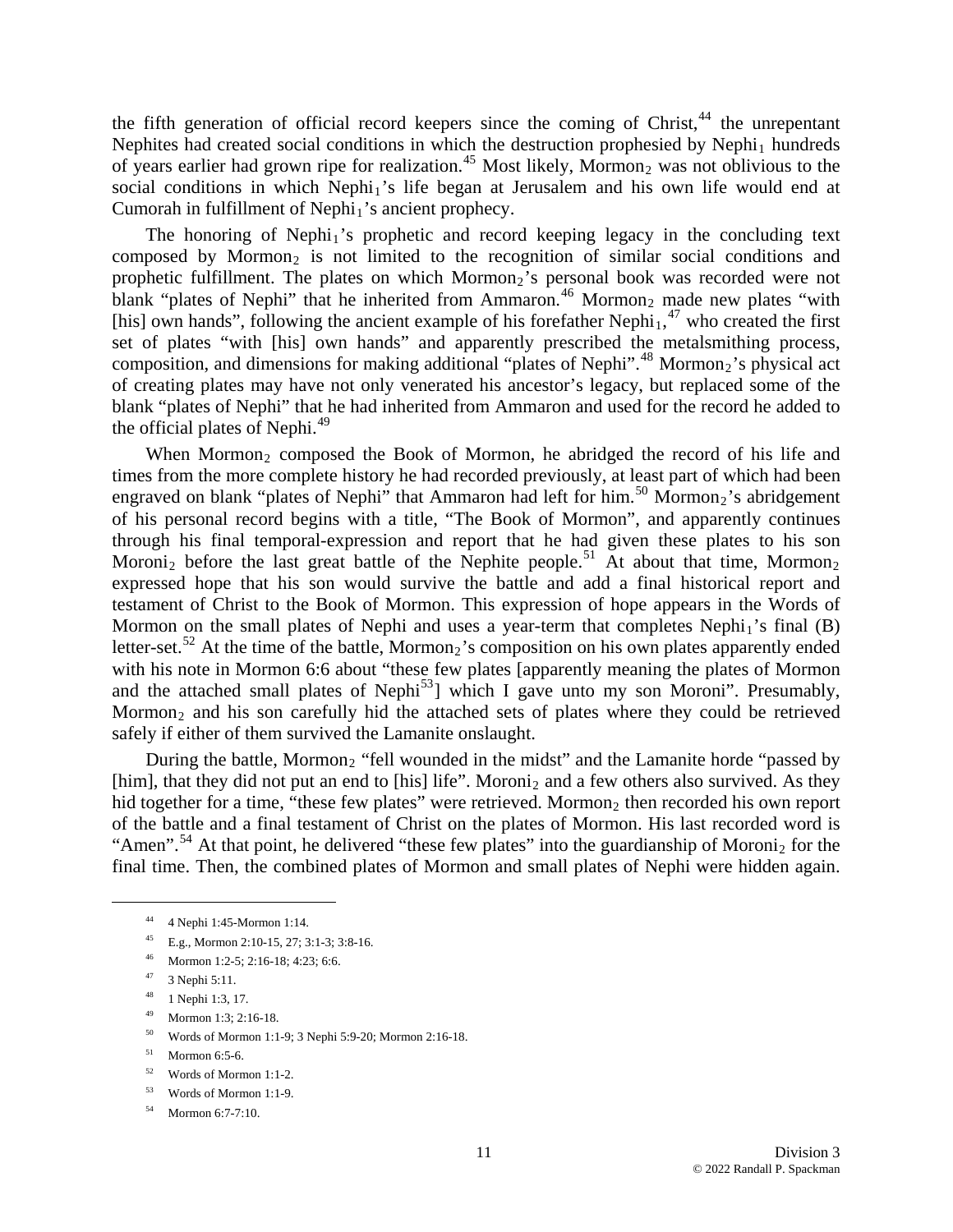the fifth generation of official record keepers since the coming of Christ, $44$  the unrepentant Nephites had created social conditions in which the destruction prophesied by Nephi<sub>1</sub> hundreds of years earlier had grown ripe for realization.<sup>[45](#page-10-0)</sup> Most likely, Mormon<sub>2</sub> was not oblivious to the social conditions in which Nephi<sub>1</sub>'s life began at Jerusalem and his own life would end at Cumorah in fulfillment of  $Nephi<sub>1</sub>'s$  ancient prophecy.

of creating plates may have not only venerated his ancestor's legacy, but replaced some of the blan k "plates of Nephi" that he had inherited from Ammaron and used for the record he added to The honoring of Nephi<sub>1</sub>'s prophetic and record keeping legacy in the concluding text composed by Mormon<sub>2</sub> is not limited to the recognition of similar social conditions and prophetic fulfillment. The plates on which Mormon<sub>2</sub>'s personal book was recorded were not blank "plates of Nephi" that he inherited from Ammaron.<sup>[46](#page-10-1)</sup> Mormon<sub>2</sub> made new plates "with [his] own hands", following the ancient example of his forefather Nephi<sub>1</sub>,<sup>[47](#page-10-2)</sup> who created the first set of plates "with [his] own hands" and apparently prescribed the metalsmithing process, composition, and dimensions for making additional "plates of Nephi".<sup>[48](#page-10-3)</sup> Mormon<sub>2</sub>'s physical act the official plates of Nephi.<sup>[49](#page-10-4)</sup>

[and the attached small plates of Nephi](#page-10-7)<sup>53</sup>] which I gave unto my son Moroni". Presumably, Mormon<sub>2</sub> and his son carefully hid the attached sets of plates where they could be retrieved When Mormon<sub>2</sub> composed the Book of Mormon, he abridged the record of his life and [times from the more complete history he had recorded previously, at least part of which had been](#page-10-4)  [engraved on blank "plates of Nephi" that Ammaron had left for him.](#page-10-4)<sup>50</sup> [Mormon](#page-10-5)<sub>[2](#page-10-5)</sub>'s abridgement [of his personal record begins with a title, "The Book of Mormon", and apparently continues](#page-10-5)  [through his final temporal-expression and report that he had given these plates to his son](#page-10-5)  Moroni<sub>2</sub> before the last great battle of the Nephite people.<sup>51</sup> [At about that time, Mormon](#page-10-6)<sub>[2](#page-10-6)</sub> [expressed hope that his son would survive the battle and add a final historical report and](#page-10-6)  [testament of Christ to the Book of Mormon. This expression of hope appears in the Words of](#page-10-6)  [Mormon on the small plates of Nephi and uses a year-term that completes Nephi](#page-10-6)<sub>[1](#page-10-6)</sub>'s final (B) [letter-set.](#page-10-6)<sup>52</sup> [At the time of the battle, Mormon](#page-10-7)<sub>[2](#page-10-7)</sub>'s composition on his own plates apparently ended with his note in Mormon 6:6 about "these few plates [apparently meaning the plates of Mormon safely if either of them survived the Lamanite onslaught.

During the battle, Mormon<sub>2</sub> "fell wounded in the midst" and the Lamanite horde "passed by [him], that they did not put an end to [his] life". Moroni<sub>2</sub> and a few others also survived. As they hid together for a time, "these few plates" were retrieved. Mormon<sub>2</sub> then recorded his own report of the battle and a final testament of Christ on the plates of Mormon. His last recorded word is "Amen".<sup>[54](#page-10-8)</sup> At that point, he delivered "these few plates" into the guardianship of Moroni<sub>2</sub> for the final time. Then, the combined plates of Mormon and small plates of Nephi were hidden again.

- <span id="page-10-0"></span>45 E.g., Mormon 2:10-15, 27; 3:1-3; 3:8-16.
- 46 Mormon 1:2-5; 2:16-18; 4:23; 6:6.
- <span id="page-10-3"></span><span id="page-10-2"></span><span id="page-10-1"></span><sup>47</sup> 3 Nephi 5:11.<br><sup>48</sup> 1 Nephi 1:3.1

- 1 Nephi 1:3, 17.
- 49 Mormon 1:3; 2:16-18.
- 50 Words of Mormon 1:1-9; 3 Nephi 5:9-20; Mormon 2:16-18.
- <span id="page-10-5"></span><span id="page-10-4"></span> $51$  Mormon 6:5-6.
- <span id="page-10-6"></span>52 Words of Mormon 1:1-2.
- <span id="page-10-7"></span>53 Words of Mormon 1:1-9.
- <span id="page-10-8"></span>54 Mormon 6:7-7:10.

<sup>44 4</sup> Nephi 1:45-Mormon 1:14.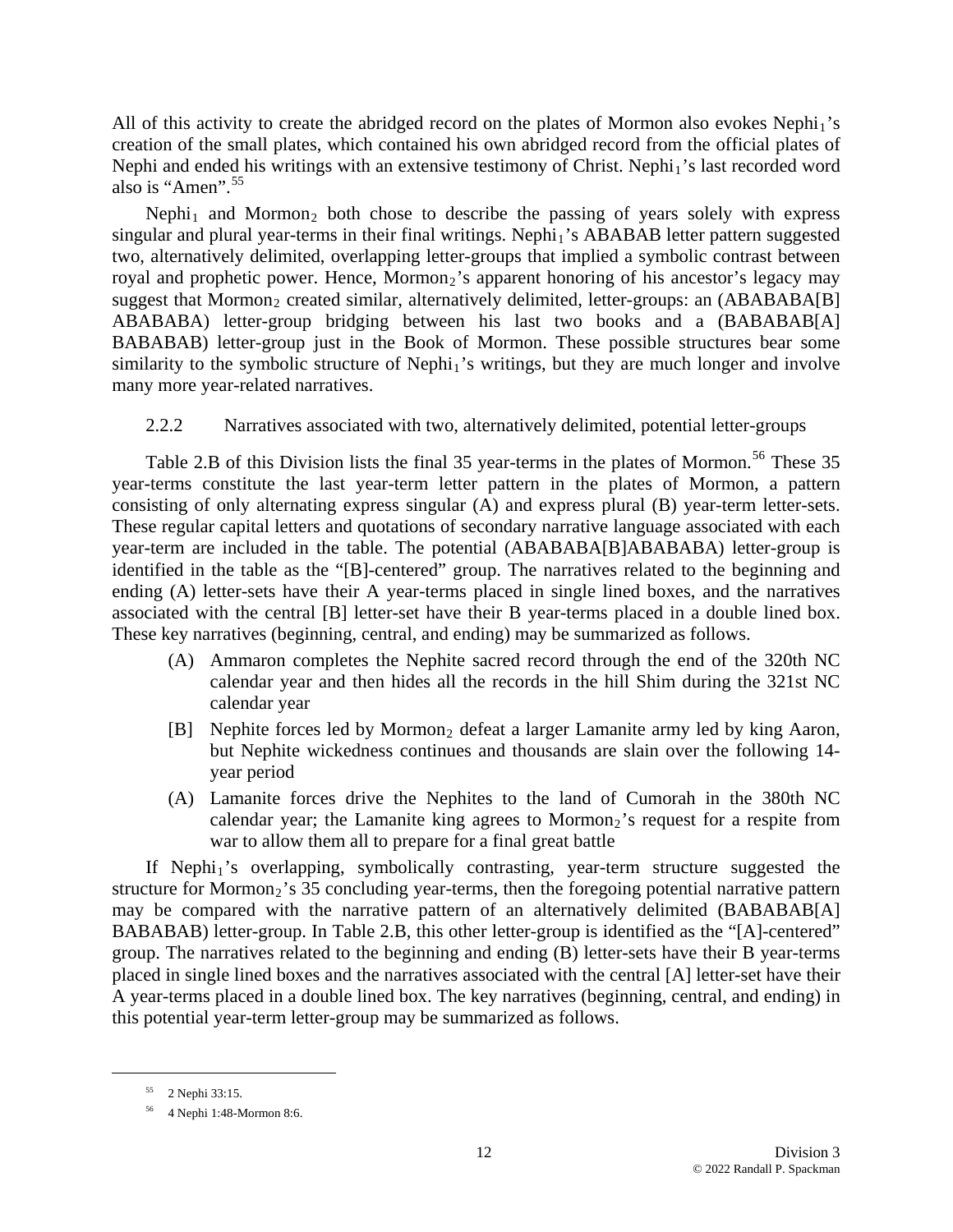All of this activity to create the abridged record on the plates of Mormon also evokes  $Nephi<sub>1</sub>'s$ creation of the small plates, which contained his own abridged record from the official plates of Nephi and ended his writings with an extensive testimony of Christ. Nephi<sub>1</sub>'s last recorded word also is "Amen".<sup>55</sup>

BABABAB) letter-group just in the Book of Mormon. These possible structures bear some similarity to the symbolic structure of Nephi<sub>1</sub>'s writings, but they are much longer and involve many more year-related narratives. Nephi<sub>1</sub> and Mormon<sub>2</sub> both chose to describe the passing of years solely with express singular and plural year-terms in their final writings. Nephi<sub>1</sub>'s ABABAB letter pattern suggested two, alternatively delimited, overlapping letter-groups that implied a symbolic contrast between royal and prophetic power. Hence, Mormon<sub>2</sub>'s apparent honoring of his ancestor's legacy may suggest that Mormon<sub>2</sub> created similar, alternatively delimited, letter-groups: an (ABABABA[B] ABABABA) letter-group bridging between his last two books and a (BABABAB[A]

#### 2.2.2 Narratives associated with two, alternatively delimited, potential letter-groups

ending (A) letter-sets have their A year-terms placed in single lined boxes, and the narratives associa ted with the central [B] letter-set have their B year-terms placed in a double lined box. These key na rratives (beginning, central, and ending) may be summarized as follows. Table 2.B of this Division lists the final 35 year-terms in the plates of Mormon.<sup>[56](#page-11-0)</sup> These 35 year-terms constitute the last year-term letter pattern in the plates of Mormon, a pattern consisting of only alternating express singular (A) and express plural (B) year-term letter-sets. These regular capital letters and quotations of secondary narrative language associated with each year-term are included in the table. The potential (ABABABA[B]ABABABA) letter-group is identified in the table as the "[B]-centered" group. The narratives related to the beginning and

- (A) Ammaron completes the Nephite sacred record through the end of the 320th NC calendar year and then hides all the records in the hill Shim during the 321st NC calendar year
- [B] Nephite forces led by Mormon<sub>2</sub> defeat a larger Lamanite army led by king Aaron, but Nephite wickedness continues and thousands are slain over the following 14 year period
- (A) Lamanite forces drive the Nephites to the land of Cumorah in the 380th NC calendar year; the Lamanite king agrees to Mormon<sub>2</sub>'s request for a respite from war to allow them all to prepare for a final great battle

placed in single lined boxes and the narratives associated with the central [A] letter-set have their A year-terms placed in a double lined box. The key narratives (beginning, central, and ending) in this potential year-term letter-group may be summarized as follows. If Nephi<sub>1</sub>'s overlapping, symbolically contrasting, year-term structure suggested the structure for Mormon<sub>2</sub>'s 35 concluding year-terms, then the foregoing potential narrative pattern may be compared with the narrative pattern of an alternatively delimited (BABABAB[A] BABABAB) letter-group. In Table 2.B, this other letter-group is identified as the "[A]-centered" group. The narratives related to the beginning and ending (B) letter-sets have their B year-terms

<span id="page-11-0"></span>1

<sup>55 2</sup> Nephi 33:15.

<sup>56 4</sup> Nephi 1:48-Mormon 8:6.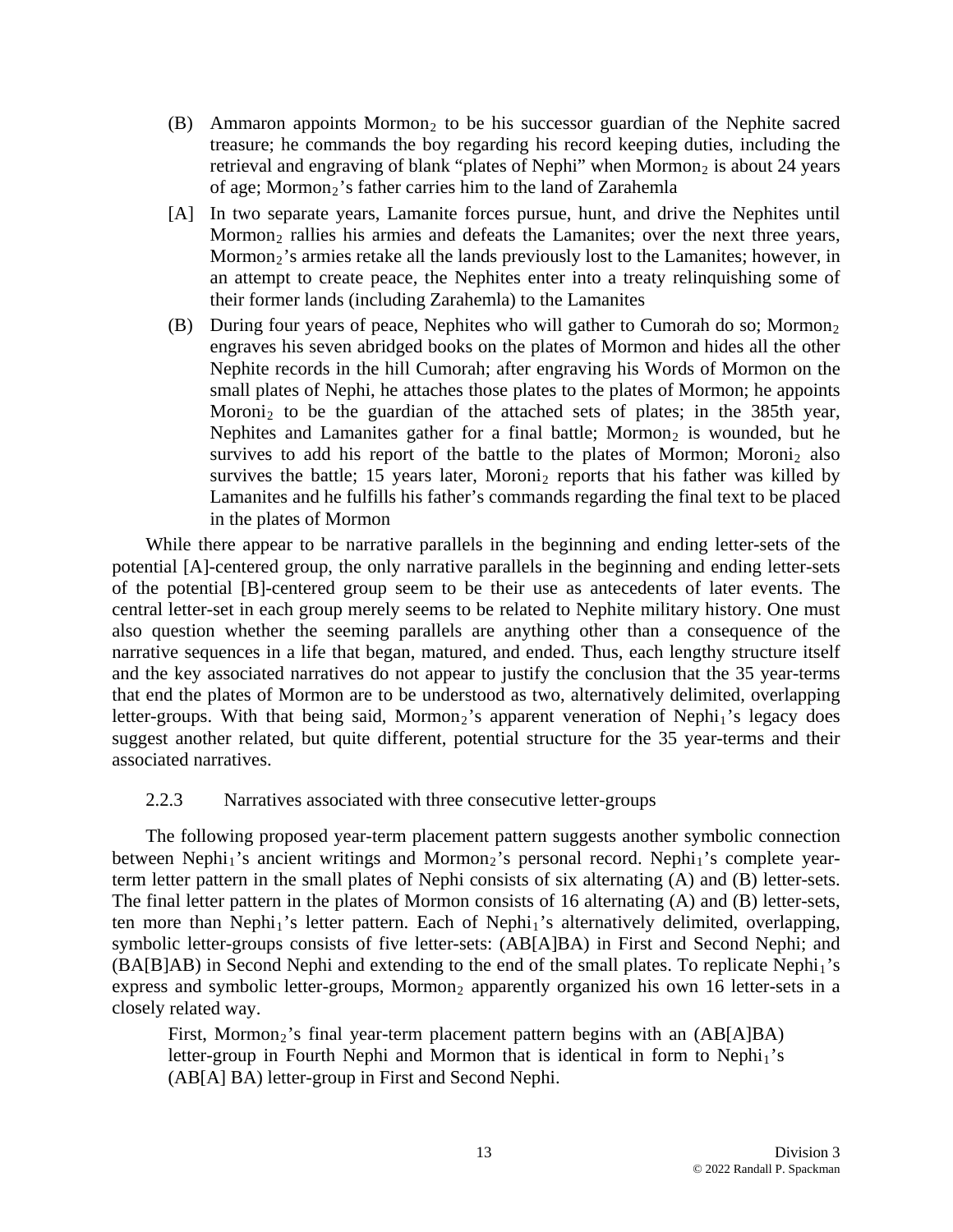- (B) Ammaron appoints Mormon<sub>2</sub> to be his successor guardian of the Nephite sacred treasure; he commands the boy regarding his record keeping duties, including the retrieval and engraving of blank "plates of Nephi" when Mormon<sub>2</sub> is about 24 years of age; Mormon<sub>2</sub>'s father carries him to the land of Zarahemla
- [A] In two separate years, Lamanite forces pursue, hunt, and drive the Nephites until Mormon<sub>2</sub>'s armies retake all the lands previously lost to the Lamanites; however, in Mormon<sub>2</sub> rallies his armies and defeats the Lamanites; over the next three years, an attempt to create peace, the Nephites enter into a treaty relinquishing some of their former lands (including Zarahemla) to the Lamanites
- (B) During four years of peace, Nephites who will gather to Cumorah do so; Mormon<sub>2</sub> engraves his seven abridged books on the plates of Mormon and hides all the other Nephite records in the hill Cumorah; after engraving his Words of Mormon on the small plates of Nephi, he attaches those plates to the plates of Mormon; he appoints Moroni<sub>2</sub> to be the guardian of the attached sets of plates; in the 385th year, Nephites and Lamanites gather for a final battle; Mormon<sub>2</sub> is wounded, but he survives to add his report of the battle to the plates of Mormon; Moroni<sub>2</sub> also survives the battle; 15 years later, Moroni<sub>2</sub> reports that his father was killed by Lamanites and he fulfills his father's commands regarding the final text to be placed in the plates of Mormon

that end the plates of Mormon are to be understood as two, alternatively delimited, overlapping letter-groups. With that being said, Mormon<sub>2</sub>'s apparent veneration of Nephi<sub>1</sub>'s legacy does suggest another related, but quite different, potential structure for the 35 year-terms and their associated n arratives. While there appear to be narrative parallels in the beginning and ending letter-sets of the potential [A]-centered group, the only narrative parallels in the beginning and ending letter-sets of the potential [B]-centered group seem to be their use as antecedents of later events. The central letter-set in each group merely seems to be related to Nephite military history. One must also question whether the seeming parallels are anything other than a consequence of the narrative sequences in a life that began, matured, and ended. Thus, each lengthy structure itself and the key associated narratives do not appear to justify the conclusion that the 35 year-terms

# 2.2.3 Narratives associated with three consecutive letter-groups

symbolic letter-groups consists of five letter-sets: (AB[A]BA) in First and Second Nephi; and  $(BA[B]AB)$  in Second Nephi and extending to the end of the small plates. To replicate Nephi<sub>1</sub>'s express and symbolic letter-groups, Mormon<sub>2</sub> apparently organized his own 16 letter-sets in a closely related way. The following proposed year-term placement pattern suggests another symbolic connection between Nephi<sub>1</sub>'s ancient writings and Mormon<sub>2</sub>'s personal record. Nephi<sub>1</sub>'s complete yearterm letter pattern in the small plates of Nephi consists of six alternating (A) and (B) letter-sets. The final letter pattern in the plates of Mormon consists of 16 alternating (A) and (B) letter-sets, ten more than Nephi<sub>1</sub>'s letter pattern. Each of Nephi<sub>1</sub>'s alternatively delimited, overlapping,

First, Mormon<sub>2</sub>'s final year-term placement pattern begins with an (AB[A]BA) letter-group in Fourth Nephi and Mormon that is identical in form to Nephi<sub>1</sub>'s (AB[A] BA) letter-group in First and Second Nephi.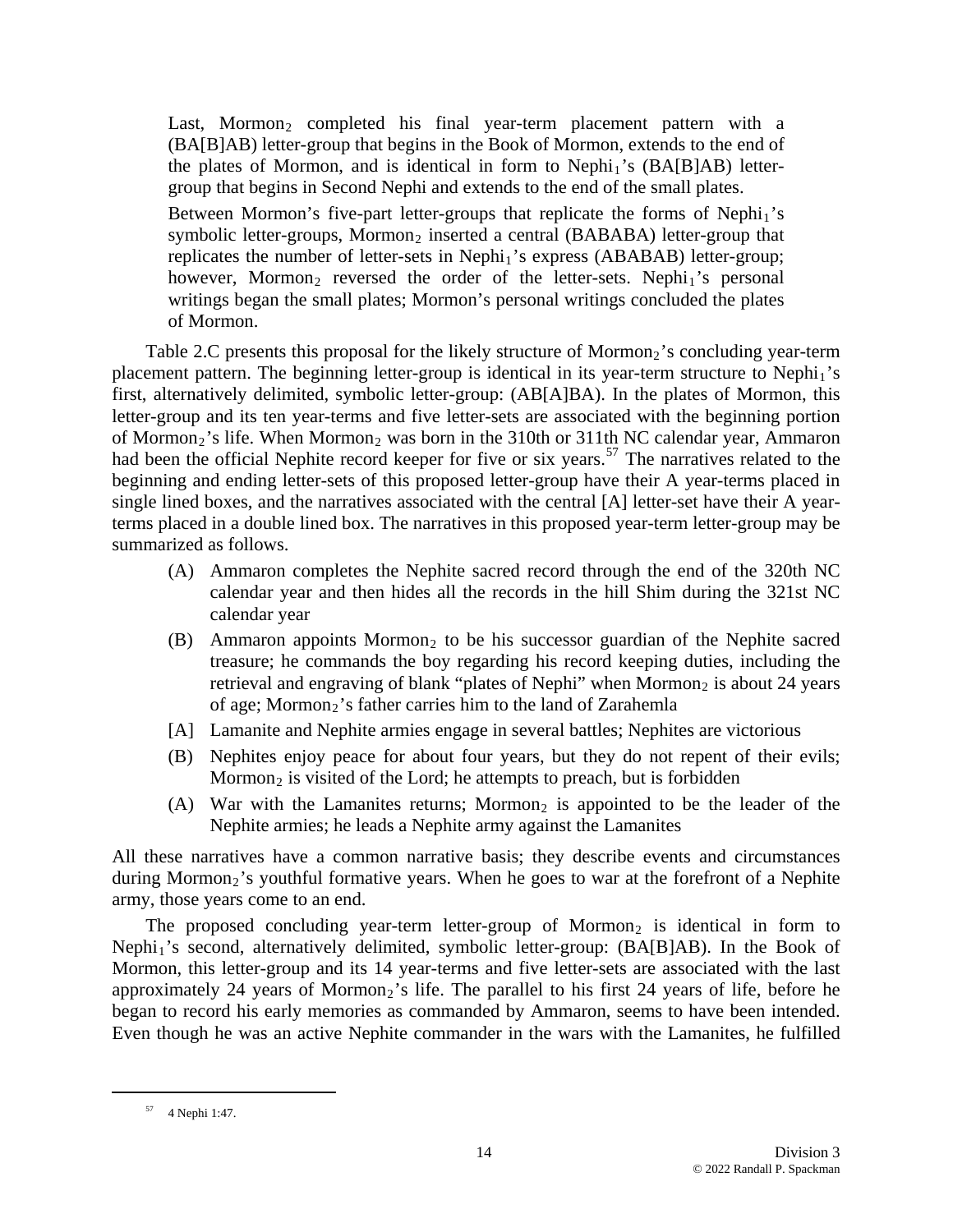Last, Mormon<sub>2</sub> completed his final year-term placement pattern with a (BA[B]AB) letter-group that begins in the Book of Mormon, extends to the end of the plates of Mormon, and is identical in form to  $Nephi<sub>1</sub>'s (BA[ $B$ ]AB) letter$ group that begins in Second Nephi and extends to the end of the small plates. Between Mormon's five-part letter-groups that replicate the forms of  $Nephi<sub>1</sub>'s$ symbolic letter-groups, Mormon<sub>2</sub> inserted a central (BABABA) letter-group that replicates the number of letter-sets in Nephi<sub>1</sub>'s express (ABABAB) letter-group; however, Mormon<sub>2</sub> reversed the order of the letter-sets. Nephi<sub>1</sub>'s personal writings began the small plates; Mormon's personal writings concluded the plates

of Mormon.

had been the official Nephite record keeper for five or six years.<sup>57</sup> The narratives related to the beginni ng and ending letter-sets of this proposed letter-group have their A year-terms placed in single lined b oxes, and the narratives associated with the central [A] letter-set have their A year terms placed in a double lined box. The narratives in this proposed year-term letter-group may be summarized as follows. Table 2.C presents this proposal for the likely structure of Mormon<sub>2</sub>'s concluding year-term placement pattern. The beginning letter-group is identical in its year-term structure to Nephi<sub>1</sub>'s first, alternatively delimited, symbolic letter-group: (AB[A]BA). In the plates of Mormon, this letter-group and its ten year-terms and five letter-sets are associated with the beginning portion of Mormon<sub>2</sub>'s life. When Mormon<sub>2</sub> was born in the 310th or 311th NC calendar year, Ammaron

- (A) Ammaron completes the Nephite sacred record through the end of the 320th NC calendar year and then hides all the records in the hill Shim during the 321st NC calendar year
- (B) Ammaron appoints Mormon<sub>2</sub> to be his successor guardian of the Nephite sacred retrieval and engraving of blank "plates of Nephi" when Mormon<sub>2</sub> is about 24 years treasure; he commands the boy regarding his record keeping duties, including the of age; Mormon<sub>2</sub>'s father carries him to the land of Zarahemla
- [A] Lamanite and Nephite armies engage in several battles; Nephites are victorious
- (B) Nephites enjoy peace for about four years, but they do not repent of their evils; Mormon<sub>2</sub> is visited of the Lord; he attempts to preach, but is forbidden
- (A) War with the Lamanites returns; Mormon<sub>2</sub> is appointed to be the leader of the Nephite armies; he leads a Nephite army against the Lamanites

All these narratives have a common narrative basis; they describe events and circumstances during Mormon<sub>2</sub>'s youthful formative years. When he goes to war at the forefront of a Nephite army, those years come to an end.

Even though he was an active Nephite commander in the wars with the Lamanites, he fulfilled The proposed concluding year-term letter-group of Mormon<sub>2</sub> is identical in form to Nephi<sub>1</sub>'s second, alternatively delimited, symbolic letter-group: (BA[B]AB). In the Book of Mormon, this letter-group and its 14 year-terms and five letter-sets are associated with the last approximately 24 years of Mormon<sub>2</sub>'s life. The parallel to his first 24 years of life, before he began to record his early memories as commanded by Ammaron, seems to have been intended.

<sup>57 4</sup> Nephi 1:47.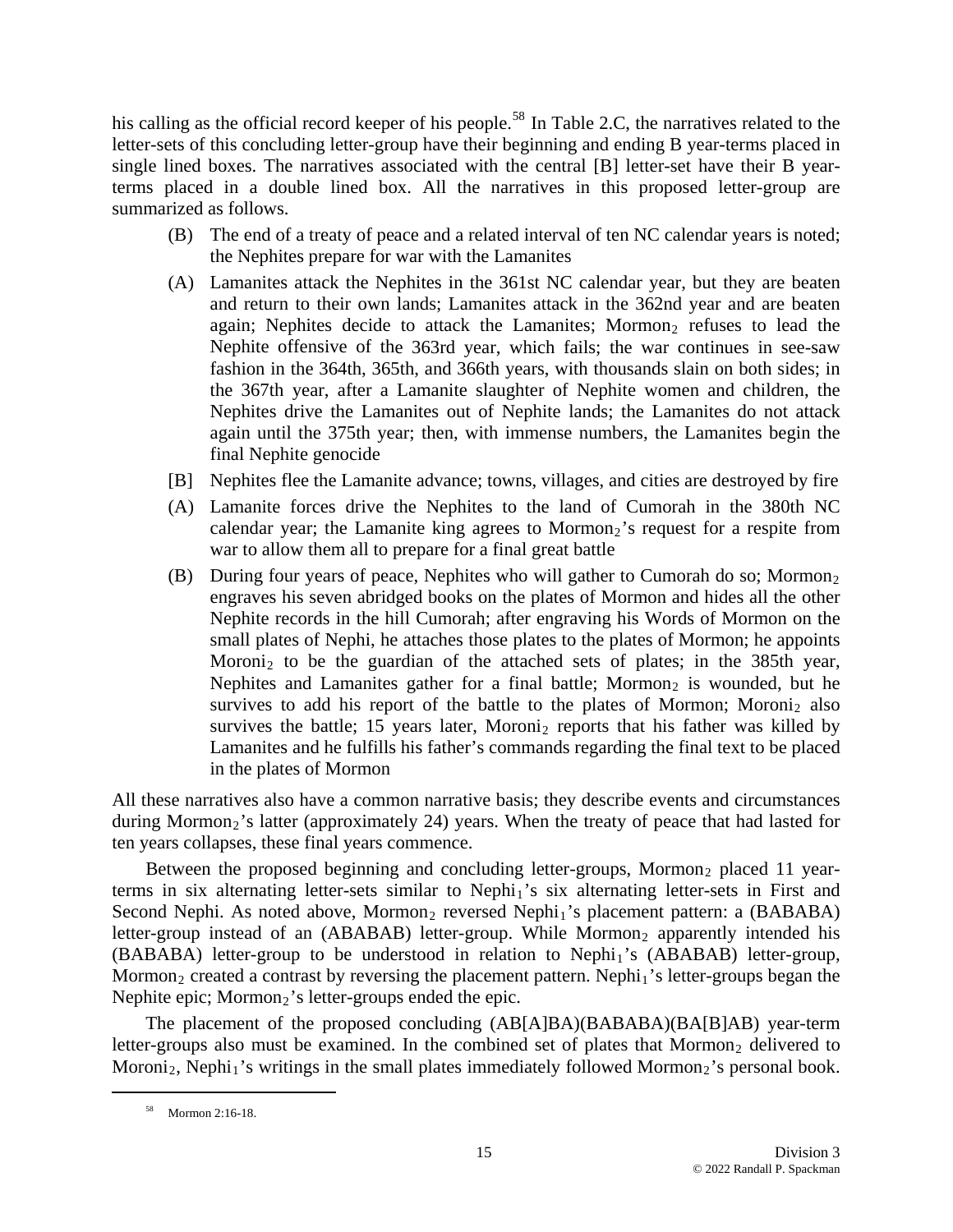his calling as the official record keeper of his people.<sup>58</sup> In Table 2.C, the narratives related to the letter-sets of this concluding letter-group have their beginning and ending B year-terms placed in single lined boxes. The narratives associated with the central [B] letter-set have their B year terms placed in a double lined box. All the narratives in this proposed letter-group are summarized as follows.

- (B) The end of a treaty of peace and a related interval of ten NC calendar years is noted; the Nephites prepare for war with the Lamanites
- (A) Lamanites attack the Nephites in the 361st NC calendar year, but they are beaten Nephite offensive of the 363rd year, which fails; the war continues in see-saw again until the 375th year; then, with immense numbers, the Lamanites begin the and return to their own lands; Lamanites attack in the 362nd year and are beaten again; Nephites decide to attack the Lamanites; Mormon<sub>2</sub> refuses to lead the fashion in the 364th, 365th, and 366th years, with thousands slain on both sides; in the 367th year, after a Lamanite slaughter of Nephite women and children, the Nephites drive the Lamanites out of Nephite lands; the Lamanites do not attack final Nephite genocide
- [B] Nephites flee the Lamanite advance; towns, villages, and cities are destroyed by fire
- (A) Lamanite forces drive the Nephites to the land of Cumorah in the 380th NC calendar year; the Lamanite king agrees to Mormon<sub>2</sub>'s request for a respite from war to allow them all to prepare for a final great battle
- (B) During four years of peace, Nephites who will gather to Cumorah do so; Mormon<sub>2</sub> survives to add his report of the battle to the plates of Mormon; Moroni<sub>2</sub> also engraves his seven abridged books on the plates of Mormon and hides all the other Nephite records in the hill Cumorah; after engraving his Words of Mormon on the small plates of Nephi, he attaches those plates to the plates of Mormon; he appoints Moroni<sub>2</sub> to be the guardian of the attached sets of plates; in the 385th year, Nephites and Lamanites gather for a final battle; Mormon<sub>2</sub> is wounded, but he survives the battle; 15 years later, Moroni<sub>2</sub> reports that his father was killed by Lamanites and he fulfills his father's commands regarding the final text to be placed in the plates of Mormon

All these narratives also have a common narrative basis; they describe events and circumstances during Mormon<sub>2</sub>'s latter (approximately 24) years. When the treaty of peace that had lasted for ten years collapses, these final years commence.

Between the proposed beginning and concluding letter-groups, Mormon<sub>2</sub> placed 11 yearterms in six alternating letter-sets similar to Nephi<sub>1</sub>'s six alternating letter-sets in First and Second Nephi. As noted above, Mormon<sub>2</sub> reversed Nephi<sub>1</sub>'s placement pattern: a (BABABA) letter-group instead of an  $(ABABAB)$  letter-group. While Mormon<sub>2</sub> apparently intended his  $(BABABA)$  letter-group to be understood in relation to Nephi<sub>1</sub>'s  $(ABABAB)$  letter-group, Mormon<sub>2</sub> created a contrast by reversing the placement pattern. Nephi<sub>1</sub>'s letter-groups began the Nephite epic;  $Mormon<sub>2</sub>$ 's letter-groups ended the epic.

The placement of the proposed concluding (AB[A]BA)(BABABA)(BA[B]AB) year-term letter-groups also must be examined. In the combined set of plates that Mormon<sub>2</sub> delivered to Moroni<sub>2</sub>, Nephi<sub>1</sub>'s writings in the small plates immediately followed Mormon<sub>2</sub>'s personal book.

 <sup>58</sup> Mormon 2:16-18.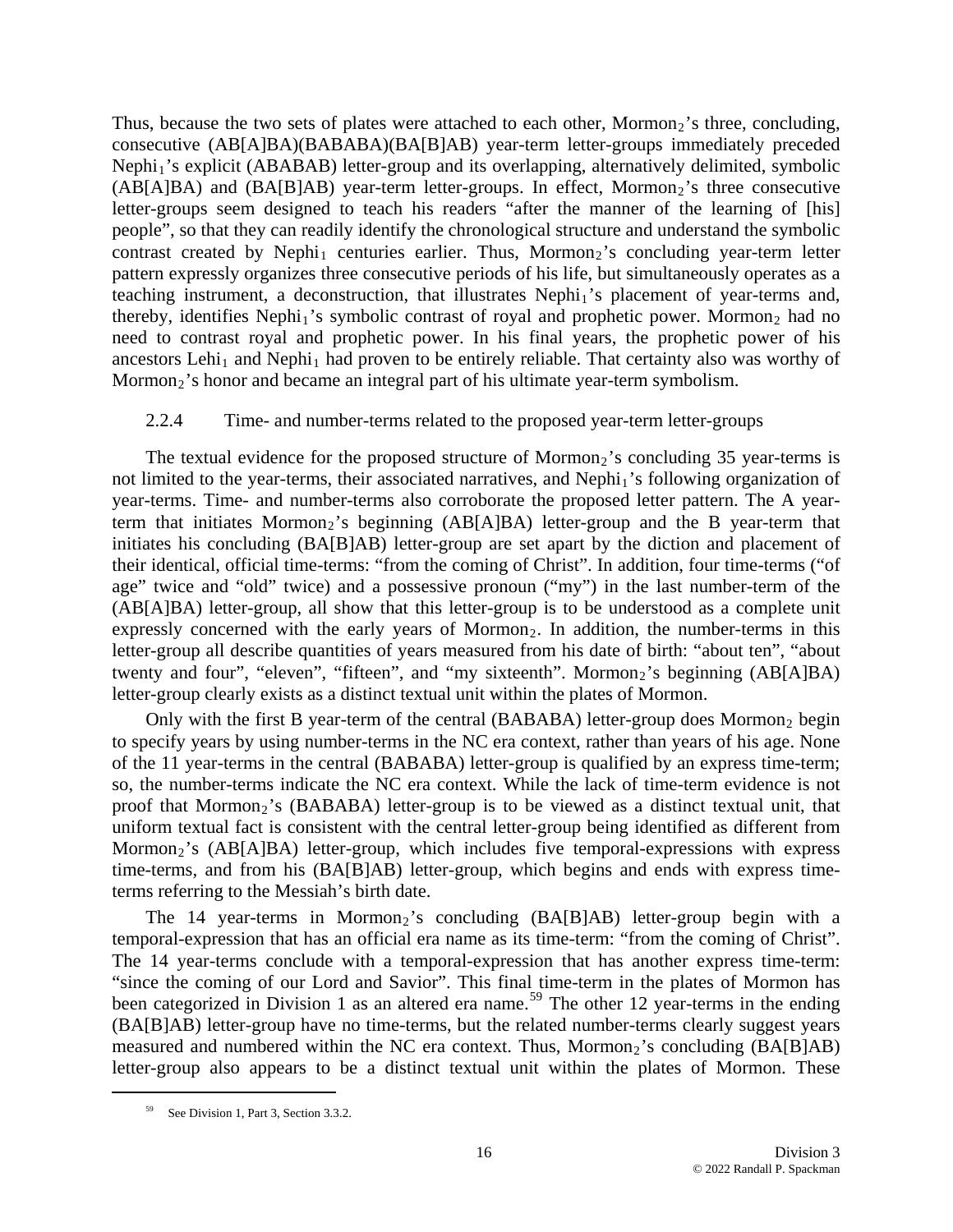Thus, because the two sets of plates were attached to each other, Mormon<sub>2</sub>'s three, concluding, consecutive (AB[A]BA)(BABABA)(BA[B]AB) year-term letter-groups immediately preceded Nephi<sub>1</sub>'s explicit (ABABAB) letter-group and its overlapping, alternatively delimited, symbolic  $(AB[AB]BA)$  and  $(BA[B]AB)$  year-term letter-groups. In effect, Mormon<sub>2</sub>'s three consecutive letter-groups seem designed to teach his readers "after the manner of the learning of [his] people", so that they can readily identify the chronological structure and understand the symbolic contrast created by Nephi<sub>1</sub> centuries earlier. Thus, Mormon<sub>2</sub>'s concluding year-term letter patt ern expressly organizes three consecutive periods of his life, but simultaneously operates as a teaching instrument, a deconstruction, that illustrates Nephi<sub>1</sub>'s placement of year-terms and, thereby, identifies Nephi<sub>1</sub>'s symbolic contrast of royal and prophetic power. Mormon<sub>2</sub> had no need to contrast royal and prophetic power. In his final years, the prophetic power of his ancestors Lehi<sub>1</sub> and Nephi<sub>1</sub> had proven to be entirely reliable. That certainty also was worthy of Mormon<sub>2</sub>'s honor and became an integral part of his ultimate year-term symbolism.

# 2.2.4 Time- and number-terms related to the proposed year-term letter-groups

term that initiates Mormon<sub>2</sub>'s beginning  $(AB[A]BA)$  letter-group and the B year-term that initi ates his concluding (BA[B]AB) letter-group are set apart by the diction and placement of The textual evidence for the proposed structure of Mormon<sub>2</sub>'s concluding  $35$  year-terms is not limited to the year-terms, their associated narratives, and Nephi<sub>1</sub>'s following organization of year-terms. Time- and number-terms also corroborate the proposed letter pattern. The A yeartheir identical, official time-terms: "from the coming of Christ". In addition, four time-terms ("of age" twice and "old" twice) and a possessive pronoun ("my") in the last number-term of the (AB[A]BA) letter-group, all show that this letter-group is to be understood as a complete unit expressly concerned with the early years of Mormon<sub>2</sub>. In addition, the number-terms in this letter-group all describe quantities of years measured from his date of birth: "about ten", "about twenty and four", "eleven", "fifteen", and "my sixteenth". Mormon<sub>2</sub>'s beginning (AB[A]BA) letter-group clearly exists as a distinct textual unit within the plates of Mormon.

Only with the first B year-term of the central (BABABA) letter-group does Mormon<sub>2</sub> begin to sp ecify years by using number-terms in the NC era context, rather than years of his age. None of the 11 year-terms in the central (BABABA) letter-group is qualified by an express time-term; so, the number-terms indicate the NC era context. While the lack of time-term evidence is not proof that Mormon<sub>2</sub>'s (BABABA) letter-group is to be viewed as a distinct textual unit, that uniform textual fact is consistent with the central letter-group being identified as different from Mormon<sub>2</sub>'s (AB[A]BA) letter-group, which includes five temporal-expressions with express time-terms, and from his (BA[B]AB) letter-group, which begins and ends with express timeterms referring to the Messiah's birth date.

"since the coming of our Lord and Savior". This final time-term in the plates of Mormon has been categorized in Division 1 as an altered era name.<sup>59</sup> The other 12 year-terms in the ending (BA[B]AB) letter-group have no time-terms, but the related number-terms clearly suggest years measured and numbered within the NC era context. Thus, Mormon<sub>2</sub>'s concluding (BA[B]AB) letter-group also appears to be a distinct textual unit within the plates of Mormon. These The 14 year-terms in Mormon<sub>2</sub>'s concluding  $(BA[B|AB)$  letter-group begin with a temporal-expression that has an official era name as its time-term: "from the coming of Christ". The 14 year-terms conclude with a temporal-expression that has another express time-term:

<sup>&</sup>lt;sup>59</sup> See Division 1, Part 3, Section 3.3.2.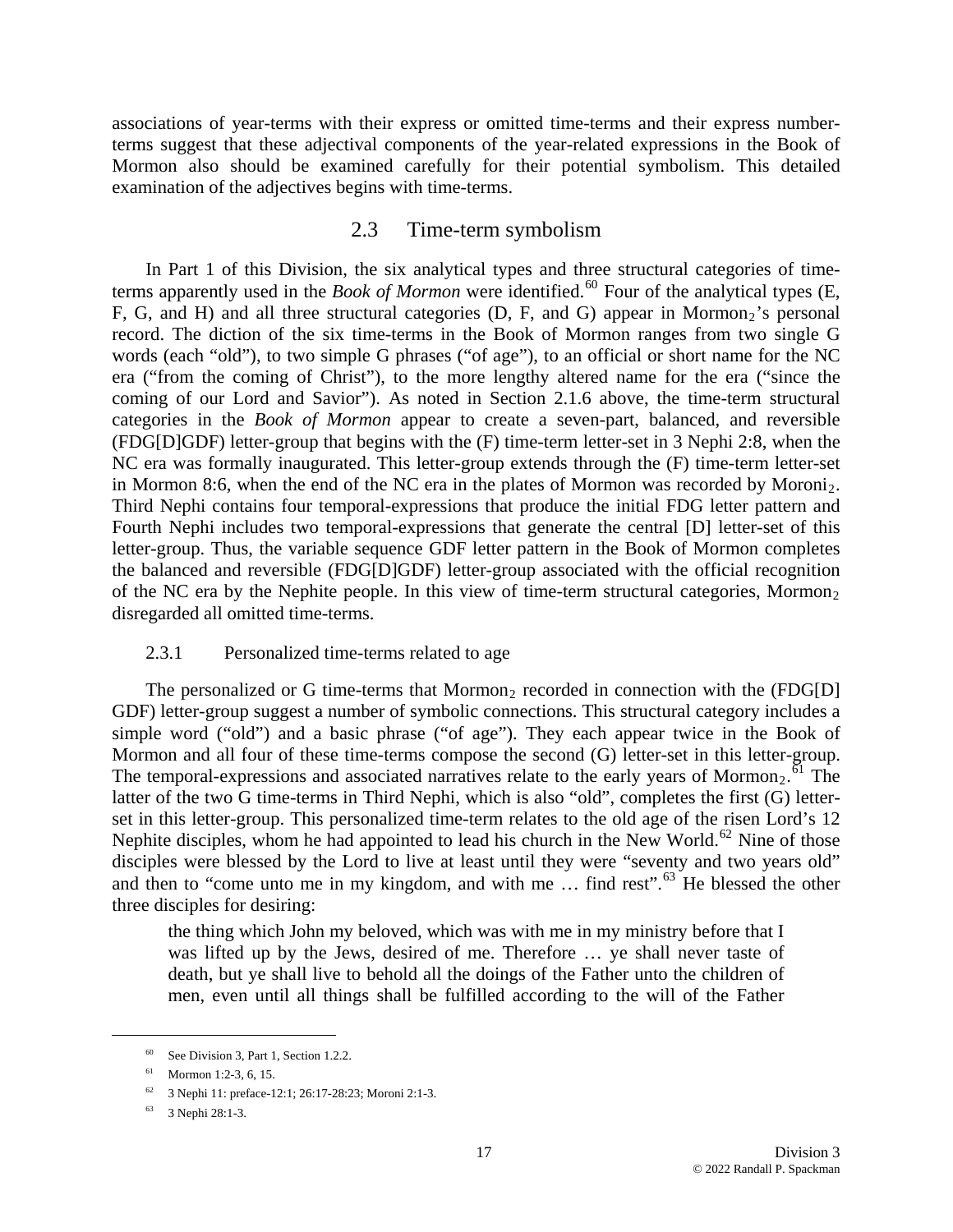associations of year-terms with their express or omitted time-terms and their express numberterms suggest that these adjectival components of the year-related expressions in the Book of Mor mon also should be examined carefully for their potential symbolism. This detailed examination of the adjectives begins with time-terms.

# 2.3 Time-term symbolism

Third Nephi contains four temporal-expressions that produce the initial FDG letter pattern and Fourth Nephi includes two temporal-expressions that generate the central [D] letter-set of this letter-group. Thus, the variable sequence GDF letter pattern in the Book of Mormon completes the balanced and reversible (FDG[D]GDF) letter-g roup associated with the official recognition In Part 1 of this Division, the six analytical types and three structural categories of timeterms apparently used in the *Book of Mormon* were identified.<sup>[60](#page-16-0)</sup> Four of the analytical types (E, F, G, and H) and all three structural categories (D, F, and G) appear in Mormon<sub>2</sub>'s personal record. The diction of the six time-terms in the Book of Mormon ranges from two single G words (each "old"), to two simple G phrases ("of age"), to an official or short name for the NC era ("from the coming of Christ"), to the more lengthy altered name for the era ("since the coming of our Lord and Savior"). As noted in Section 2.1.6 above, the time-term structural categories in the *Book of Mormon* appear to create a seven-part, balanced, and reversible (FDG[D]GDF) letter-group that begins with the (F) time-term letter-set in 3 Nephi 2:8, when the NC era was formally inaugurated. This letter-group extends through the (F) time-term letter-set in Mormon 8:6, when the end of the NC era in the plates of Mormon was recorded by Moroni<sub>2</sub>. of the NC era by the Nephite people. In this view of time-term structural categories, Mormon<sub>2</sub> disregarded all omitted time-terms.

# 2.3.1 Personalized time-terms related to age

latter of the two G time-terms in Third Nephi, which is also "old", completes the first (G) letterset in this letter-group. This personalized time-term relates to the old age of the risen Lord's 12 Nephite disciples, whom he had appointed to lead his church in the New World.<sup>[62](#page-16-2)</sup> Nine of those disciples were blessed by the Lord to live at least until they were "seventy and two years old" and then to "come unto me in my kingdom, and with me  $\ldots$  find rest".<sup>[63](#page-16-2)</sup> He blessed the other three di sciples for desiring: The personalized or G time-terms that Mormon<sub>2</sub> recorded in connection with the  $(FDG[D])$ GDF) letter-group suggest a number of symbolic connections. This structural category includes a simple word ("old") and a basic phrase ("of age"). They each appear twice in the Book of Mormon and all four of these time-terms compose the second (G) letter-set in this letter-group. The temporal-expressions and associated narratives relate to the early years of Mormon<sub>2</sub>.<sup> $\overline{6}1$ </sup> The

was lifted up by the Jews, desired of me. Therefore ... ye shall never taste of death, but ye shall live to behold all the doings of the Father unto the children of men, even until all things shall be fulfilled according to the will of the Father the thing which John my beloved, which was with me in my ministry before that I

<span id="page-16-2"></span><span id="page-16-1"></span><span id="page-16-0"></span> $\overline{a}$ 

<sup>60</sup> See Division 3, Part 1, Section 1.2.2.

<sup>61</sup> Mormon 1:2-3, 6, 15.

<sup>&</sup>lt;sup>62</sup> 3 Nephi 11: preface-12:1; 26:17-28:23; Moroni 2:1-3.

<sup>63 3</sup> Nephi 28:1-3.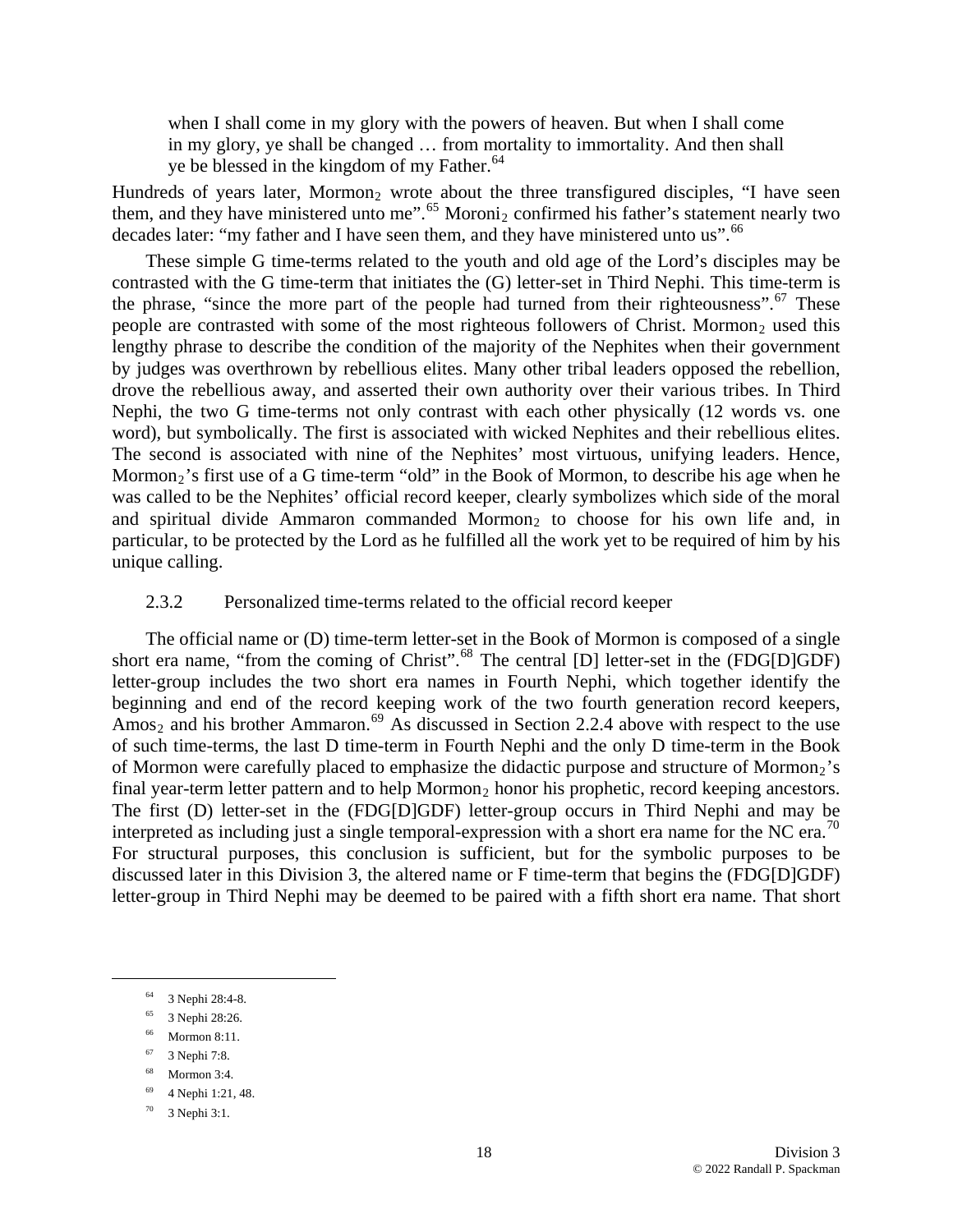when I shall come in my glory with the powers of heaven. But when I shall come in my glory, ye shall be changed … from mortality to immortality. And then shall ye be blessed in the kingdom of my Father.<sup>[64](#page-17-0)</sup>

Hundreds of years later, Mormon<sub>2</sub> wrote about the three transfigured disciples, "I have seen them, and they have ministered unto me".<sup>[65](#page-17-1)</sup> Moroni<sub>2</sub> confirmed his father's statement nearly two decades later: "my father and I have seen them, and they have ministered unto us".<sup>[66](#page-17-1)</sup>

[was calle](#page-17-1)d to be the Nephites' official record keeper, clearly symbolizes which side of the moral and spiritual divide Ammaron commanded Mormon<sub>2</sub> to choose for his own life and, in particular, to be protected by the Lord as he fulfilled all the work yet to be required of him by his unique calling. [These simple G time-terms related to the youth and old age of the Lord's disciples may be](#page-17-1)  [contrasted with the G time-term that initiates the \(G\) letter-set in Third Nephi. This time-term is](#page-17-1)  [the phrase, "since the more part of the people had turned from their righteousness".](#page-17-1)  $67$  These people are contrasted with some of the most righteous followers of Christ. Mormon<sub>2</sub> used this [lengthy phrase to describe the condition of the majority of the Nephites when their government](#page-17-1)  [by judges was overthrown by rebellious elites. Many other tribal leaders opposed the rebellion,](#page-17-1)  [drove the rebellious away, and asserted their own authority over their various tribes. In Third](#page-17-1)  [Nephi, the two G time-terms not only contrast with each other physically \(12 words vs. one](#page-17-1)  [word\), but symbolically. The first is associated with wicked Nephites and their rebellious elites.](#page-17-1)  [The second is associated with nine of the Nephites' most virtuous, unifying leaders. Hence,](#page-17-1)  [Mormon](#page-17-1)<sub>[2](#page-17-1)</sub>'s first use of a G time-term "old" in the Book of Mormon, to describe his age when he

# 2.3.2 Personalized time-terms related to the official record keeper

discussed later in this Division 3, the altered name or F time-term that begins the (FDG[D]GDF) lette r-group in Third Nephi may be deemed to be paired with a fifth short era name. That short The official name or (D) time-term letter-set in the Book of Mormon is composed of a single short era name, "from the coming of Christ".<sup>[68](#page-17-2)</sup> The central [D] letter-set in the (FDG[D]GDF) letter-group includes the two short era names in Fourth Nephi, which together identify the beginning and end of the record keeping work of the two fourth generation record keepers, Amos<sub>2</sub> and his brother Ammaron.<sup>[69](#page-17-3)</sup> As discussed in Section 2.2.4 above with respect to the use of such time-terms, the last D time-term in Fourth Nephi and the only D time-term in the Book of Mormon were carefully placed to emphasize the didactic purpose and structure of Mormon<sub>2</sub>'s final year-term letter pattern and to help Mormon<sub>2</sub> honor his prophetic, record keeping ancestors. The first (D) letter-set in the (FDG[D]GDF) letter-group occurs in Third Nephi and may be interpreted as including just a single temporal-expression with a short era name for the NC era.<sup>[70](#page-17-4)</sup> For structural purposes, this conclusion is sufficient, but for the symbolic purposes to be

<span id="page-17-2"></span><span id="page-17-1"></span><span id="page-17-0"></span><u>.</u>

- <sup>66</sup> Mormon 8:11.
- 67 3 Nephi 7:8.
- <span id="page-17-3"></span>68 Mormon 3:4.
- <span id="page-17-4"></span>69 4 Nephi 1:21, 48.

<sup>64 3</sup> Nephi 28:4-8.

<sup>65 3</sup> Nephi 28:26.

<sup>70 3</sup> Nephi 3:1.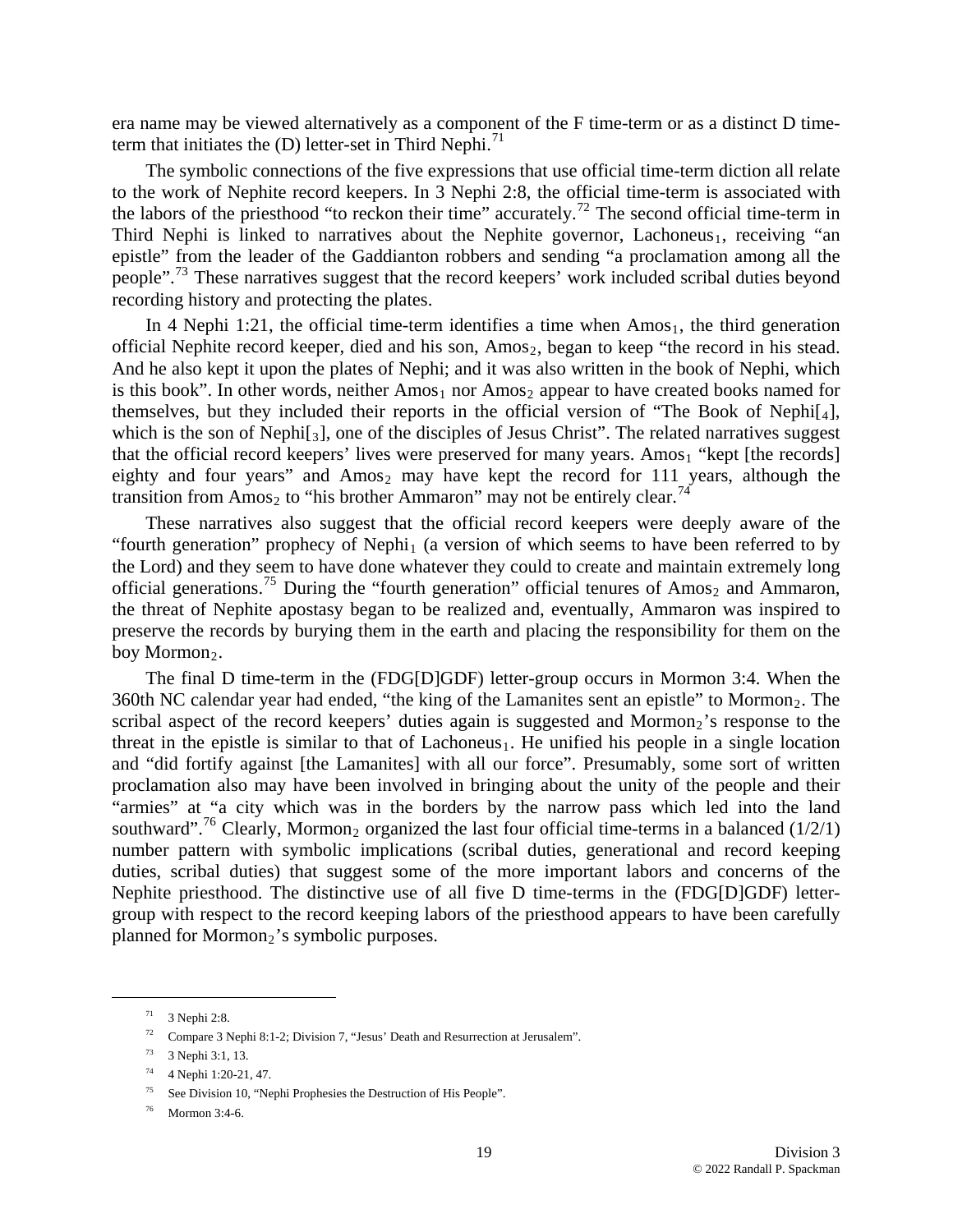era name may be viewed alternatively as a component of the F time-term or as a distinct D timeterm that initiates the  $(D)$  letter-set in Third Nephi.<sup>[71](#page-18-0)</sup>

The symbolic connections of the five expressions that use official time-term diction all relate to the work of Nephite record keepers. In 3 Nephi 2:8, the official time-term is associated with the labors of the priesthood "to reckon their time" accurately.72 The second official time-term in Third Nephi is linked to narratives about the Nephite governor, Lachoneus<sub>1</sub>, receiving "an epistle" from the leader of the Gaddianton robbers and sending "a proclamation among all the people".<sup>[73](#page-18-1)</sup> These narratives suggest that the record keepers' work included scribal duties beyond recording history and protecting the plates.

themselves, but they included their reports in the official version of "The Book of Nephi $[4]$ , which is the son of Nephi[3], one of the disciples of Jesus Christ". The related narratives suggest In 4 Nephi 1:21, the official time-term identifies a time when  $A$ mos<sub>1</sub>, the third generation official Nephite record keeper, died and his son,  $A$ mos<sub>2</sub>, began to keep "the record in his stead. And he also kept it upon the plates of Nephi; and it was also written in the book of Nephi, which is this book". In other words, neither  $Amos<sub>1</sub>$  nor  $Amos<sub>2</sub>$  appear to have created books named for that the official record keepers' lives were preserved for many years. Amos<sub>1</sub> "kept [the records] eighty and four years" and  $Amos<sub>2</sub>$  may have kept the record for 111 years, although the transition from Amos<sub>2</sub> to "his brother Ammaron" may not be entirely clear.<sup>[74](#page-18-2)</sup>

the Lord) and they seem to have done whatever they could to create and maintain extremely long official generations.<sup>[75](#page-18-3)</sup> During the "fourth generation" official tenures of Amos<sub>2</sub> and Ammaron, These narratives also suggest that the official record keepers were deeply aware of the "fourth generation" prophecy of Nephi<sub>1</sub> (a version of which seems to have been referred to by the threat of Nephite apostasy began to be realized and, eventually, Ammaron was inspired to preserve the records by burying them in the earth and placing the responsibility for them on the boy Mormon<sub>2</sub>.

number pattern with symbolic implications (scribal duties, generational and record keeping duties, scribal duties) that suggest some of the more important labors and concerns of the Nephite priesthood. The distinctive use of all five D time-terms in the (FDG[D]GDF) lettergrou p with respect to the record keeping labors of the priesthood appears to have been carefully The final D time-term in the (FDG[D]GDF) letter-group occurs in Mormon 3:4. When the 360th NC calendar year had ended, "the king of the Lamanites sent an epistle" to Mormon<sub>2</sub>. The scribal aspect of the record keepers' duties again is suggested and Mormon<sub>2</sub>'s response to the threat in the epistle is similar to that of Lachoneus<sub>1</sub>. He unified his people in a single location and "did fortify against [the Lamanites] with all our force". Presumably, some sort of written proclamation also may have been involved in bringing about the unity of the people and their "armies" at "a city which was in the borders by the narrow pass which led into the land southward".<sup>[76](#page-18-3)</sup> Clearly, Mormon<sub>2</sub> organized the last four official time-terms in a balanced (1/2/1) planned for Mormon<sub>2</sub>'s symbolic purposes.

 $71$  3 Nephi 2:8.

<sup>72</sup> Compare 3 Nephi 8:1-2; Division 7, "Jesus' Death and Resurrection at Jerusalem".

<span id="page-18-0"></span><sup>73 3</sup> Nephi 3:1, 13.

<span id="page-18-1"></span><sup>74 4</sup> Nephi 1:20-21, 47.

<span id="page-18-2"></span><sup>75</sup> See Division 10, "Nephi Prophesies the Destruction of His People".

<span id="page-18-3"></span><sup>76</sup> Mormon 3:4-6.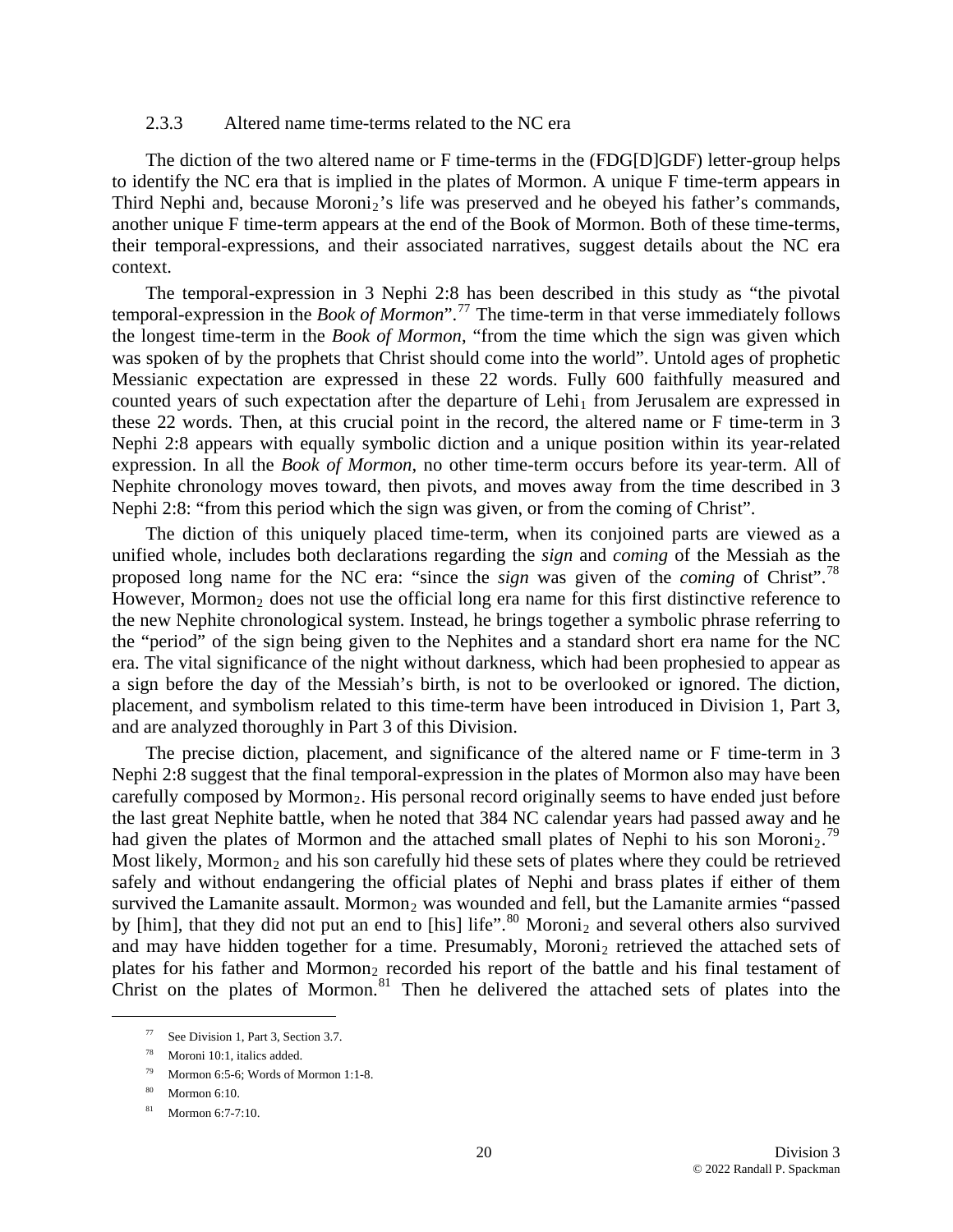#### 2.3.3 Altered name time-terms related to the NC era

The diction of the two altered name or F time-terms in the (FDG[D]GDF) letter-group helps to identify the NC era that is implied in the plates of Mormon. A unique F time-term appears in Third Nephi and, because Moroni<sub>2</sub>'s life was preserved and he obeyed his father's commands, another unique F time-term appears at the end of the Book of Mormon. Both of these time-terms, their temporal-expressions, and their associated narratives, suggest details about the NC era context.

The temporal-expression in 3 Nephi 2:8 has been described in this study as "the pivotal temporal-expression in the *Book of Mormon*".[77](#page-19-0) The time-term in that verse immediately follows the longest time-term in the *Book of Mormon*, "from the time which the sign was given which was spoken of by the prophets that Christ should come into the world". Untold ages of prophetic Messianic expectation are expressed in these 22 words. Fully 600 faithfully measured and counted years of such expectation after the departure of Lehi<sub>1</sub> from Jerusalem are expressed in these 22 words. Then, at this crucial point in the record, the altered name or F time-term in 3 Nephi 2:8 appears with equally symbolic diction and a unique position within its year-related expression. In all the *Book of Mormon*, no other time-term occurs before its year-term. All of Nephite chronology moves toward, then pivots, and moves away from the time described in 3 Nephi 2:8: "from this period which the sign was given, or from the coming of Christ".

The diction of this uniquely placed time-term, when its conjoined parts are viewed as a unified whole, includes both declarations regarding the *sign* and *coming* of the Messiah as the proposed long name for the NC era: "since the *sign* was given of the *coming* of Christ".[78](#page-19-1) However, Mormon<sub>2</sub> does not use the official long era name for this first distinctive reference to the new Nephite chronological system. Instead, he brings together a symbolic phrase referring to the "period" of the sign being given to the Nephites and a standard short era name for the NC era. The vital significance of the night without darkness, which had been prophesied to appear as a sign before the day of the Messiah's birth, is not to be overlooked or ignored. The diction, placement, and symbolism related to this time-term have been introduced in Division 1, Part 3, and are analyzed thoroughly in Part 3 of this Division.

The precise diction, placement, and significance of the altered name or F time-term in 3 Nephi 2:8 suggest that the final temporal-expression in the plates of Mormon also may have been carefully composed by Mormon<sub>2</sub>. His personal record originally seems to have ended just before the last great Nephite battle, when he noted that 384 NC calendar years had passed away and he had given the plates of Mormon and the attached small plates of Nephi to his son Moroni<sub>2</sub>.<sup>[79](#page-19-2)</sup> Most likely, Mormon<sub>2</sub> and his son carefully hid these sets of plates where they could be retrieved safely and without endangering the official plates of Nephi and brass plates if either of them survived the Lamanite assault. Mormon<sub>2</sub> was wounded and fell, but the Lamanite armies "passed by [him], that they did not put an end to [his] life".<sup>[80](#page-19-3)</sup> Moroni<sub>2</sub> and several others also survived and may have hidden together for a time. Presumably, Moroni<sub>2</sub> retrieved the attached sets of plates for his father and Mormon<sub>2</sub> recorded his report of the battle and his final testament of Christ on the plates of Mormon.<sup>81</sup> Then he delivered the attached sets of plates into the

<span id="page-19-0"></span> <sup>77</sup> See Division 1, Part 3, Section 3.7.

<span id="page-19-1"></span><sup>78</sup> Moroni 10:1, italics added.

<span id="page-19-2"></span><sup>79</sup> Mormon 6:5-6; Words of Mormon 1:1-8.

<span id="page-19-3"></span><sup>80</sup> Mormon 6:10.

<sup>81</sup> Mormon 6:7-7:10.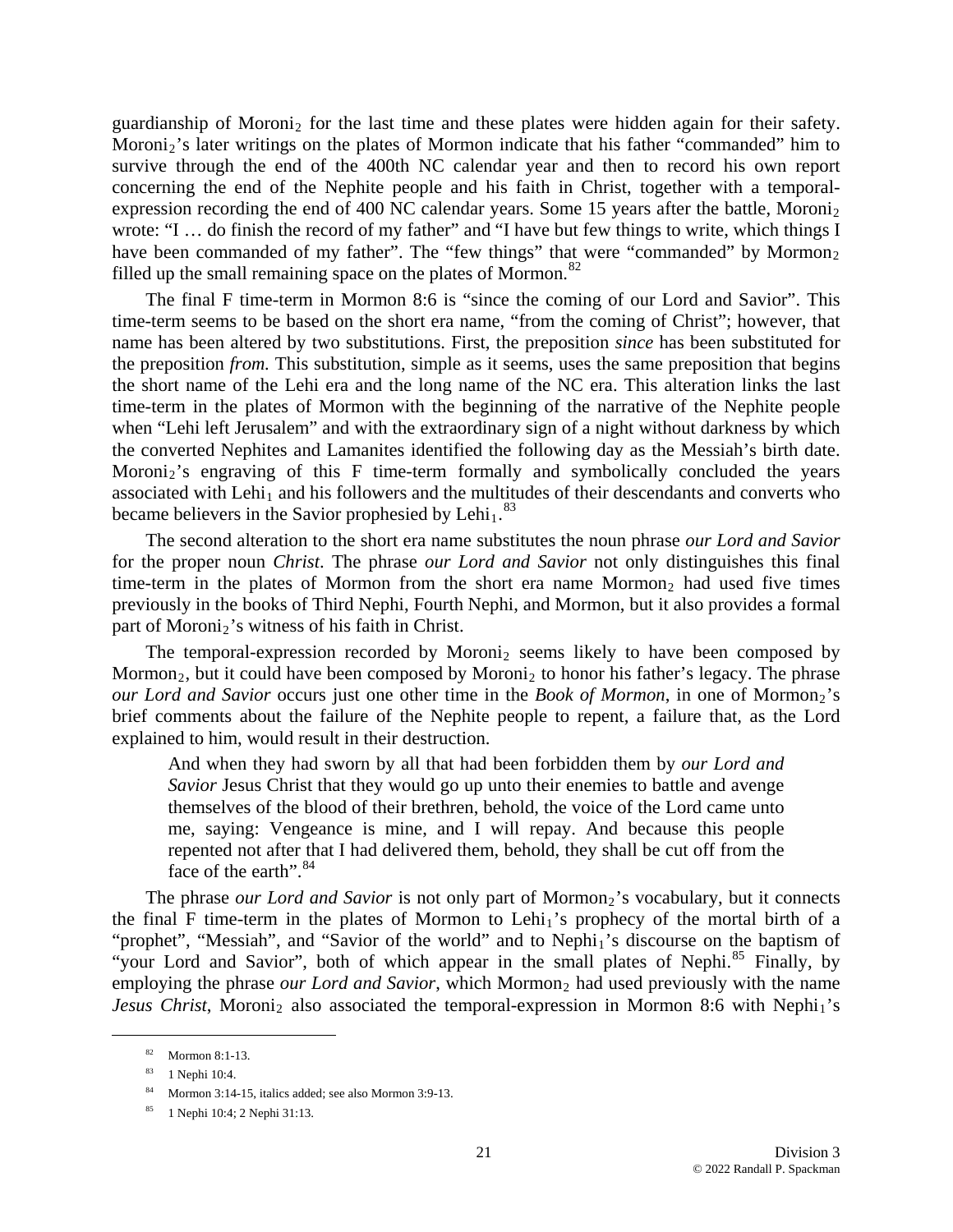guardianship of Moroni<sub>2</sub> for the last time and these plates were hidden again for their safety. Moroni<sub>2</sub>'s later writings on the plates of Mormon indicate that his father "commanded" him to survive through the end of the 400th NC calendar year and then to record his own report conc erning the end of the Nephite people and his faith in Christ, together with a temporalexpression recording the end of 400 NC calendar years. Some 15 years after the battle, Moroni<sub>2</sub> wrote: "I … do finish the record of my father" and "I have but few things to write, which things I have been commanded of my father". The "few things" that were "commanded" by Mormon<sub>2</sub> filled up the small remaining space on the plates of Mormon.<sup>[82](#page-20-0)</sup>

time-term in the plates of Mormon with the beginning of the narrative of the Nephite people whe n "Lehi left Jerusalem" and with the extraordinary sign of a night without darkness by which became believers in the Savior prophesied by Lehi<sub>1</sub>.<sup>83</sup> The final F time-term in Mormon 8:6 is "since the coming of our Lord and Savior". This time-term seems to be based on the short era name, "from the coming of Christ"; however, that name has been altered by two substitutions. First, the preposition *since* has been substituted for the preposition *from.* This substitution, simple as it seems, uses the same preposition that begins the short name of the Lehi era and the long name of the NC era. This alteration links the last the converted Nephites and Lamanites identified the following day as the Messiah's birth date. Moroni<sub>2</sub>'s engraving of this F time-term formally and symbolically concluded the years associated with Lehi<sub>1</sub> and his followers and the multitudes of their descendants and converts who

The second alteration to the short era name substitutes the noun phrase *our Lord and Savior* for the proper noun *Christ*. The phrase *our Lord and Savior* not only distinguishes this final time-term in the plates of Mormon from the short era name Mormon<sub>2</sub> had used five times previously in the books of Third Nephi, Fourth Nephi, and Mormon, but it also provides a formal part of Moroni<sub>2</sub>'s witness of his faith in Christ.

The temporal-expression recorded by Moroni<sub>2</sub> seems likely to have been composed by Mormon<sub>2</sub>, but it could have been composed by Moroni<sub>2</sub> to honor his father's legacy. The phrase *our Lord and Savior* occurs just one other time in the *Book of Mormon*, in one of Mormon<sub>2</sub>'s brief comments about the failure of the Nephite people to repent, a failure that, as the Lord explain ed to him, would result in their destruction.

And when they had sworn by all that had been forbidden them by our Lord and *Savior* Jesus Christ that they would go up unto their enemies to battle and avenge themselves of the blood of their brethren, behold, the voice of the Lord came unto me, saying: Vengeance is mine, and I will repay. And because this people repented not after that I had delivered them, behold, they shall be cut off from the face of the earth".<sup>[84](#page-20-1)</sup>

*Jesus Christ*, Moroni<sub>2</sub> also associated the temporal-expression in Mormon 8:6 with Nephi<sub>1</sub>'s The phrase our Lord and Savior [is not only part of Mormon](#page-20-1)<sub>[2](#page-20-1)</sub>'s vocabulary, but it connects [the final F time-term in the plates of Mormon to Lehi](#page-20-1)<sub>[1](#page-20-1)</sub>'s prophecy of the mortal birth of a ["prophet", "Messiah", and "Savior of the world" and to Nephi](#page-20-1)<sub>[1](#page-20-1)</sub>'s discourse on the baptism of ["your Lord and Savior", both of which appear in the small plates of Nephi.](#page-20-1)<sup>85</sup> Finally, by [employing the phrase](#page-20-2) *our Lord and Savior*, which Mormon<sub>2</sub> had used previously with the name

<span id="page-20-2"></span><span id="page-20-1"></span><span id="page-20-0"></span>1

<sup>82</sup> Mormon 8:1-13.

<sup>83 1</sup> Nephi 10:4.

 $84$  Mormon 3:14-15, italics added; see also Mormon 3:9-13.

<sup>85 1</sup> Nephi 10:4; 2 Nephi 31:13.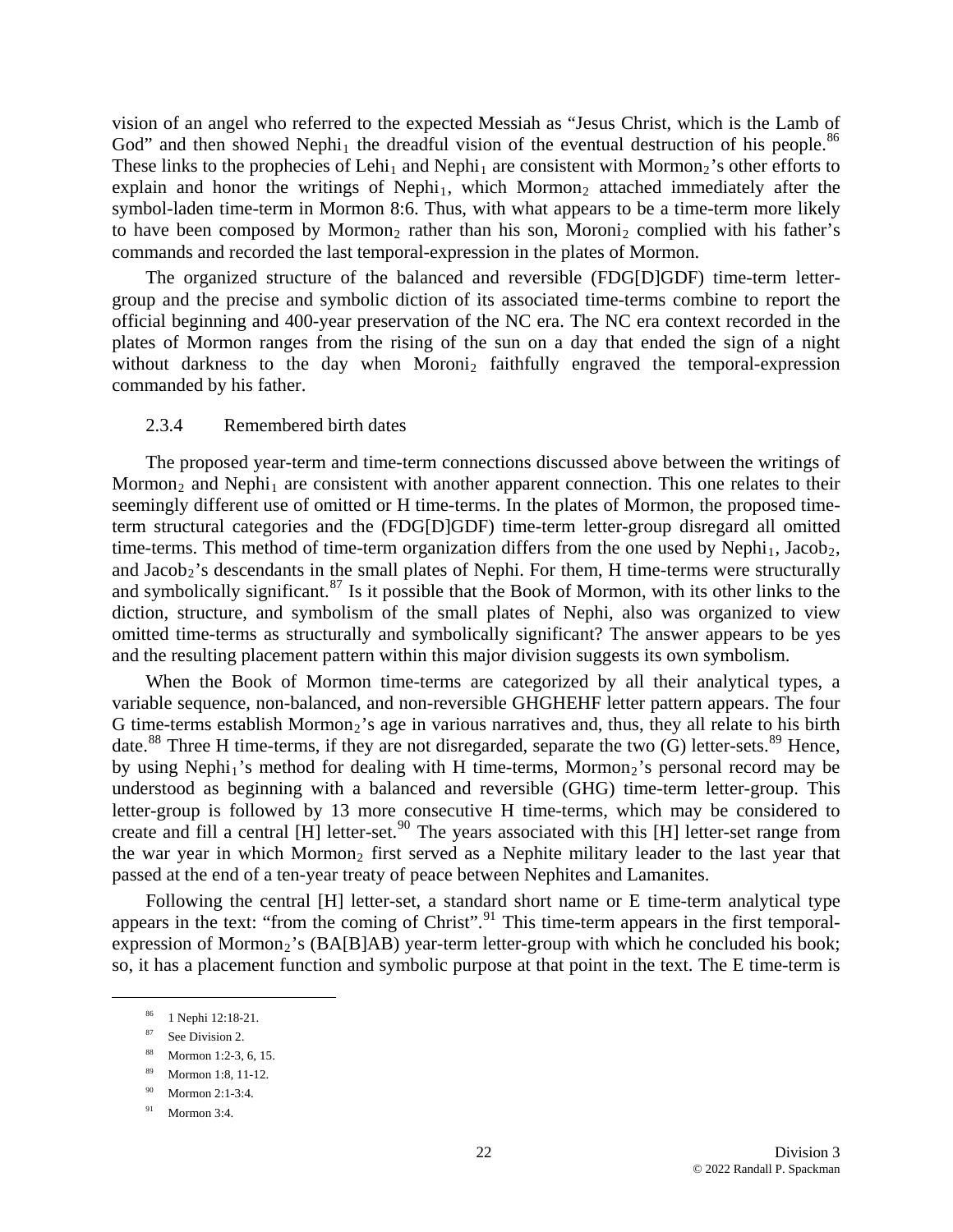[vision of an angel who referred to the expected Messiah as "Jesus Christ, which is the Lamb of](#page-20-2)  God" and then showed Nephi<sub>1</sub> the dreadful vision of the eventual destruction of his people.<sup>86</sup> These links to the prophecies of Lehi<sub>1</sub> and Nephi<sub>1</sub> are consistent with Mormon<sub>2</sub>'s other efforts to explain and honor the writings of Nephi<sub>1</sub>, which Mormon<sub>2</sub> attached immediately after the symbol-laden time-term in Mormon 8:6. Thus, with what appears to be a time-term more likely to have been composed by Mormon<sub>2</sub> rather than his son, Moroni<sub>2</sub> complied with his father's commands and recorded the last temporal-expression in the plates of Mormon.

group and the precise and symbolic diction of its associated time-terms combine to report the official beginning and 400-year preservation of the NC era. The NC era context recorded in the plates of Mormon ranges from the rising of the sun on a day that ended the sign of a night without darkness to the day when Moroni<sub>2</sub> faithfully engraved the temporal-expression The organized structure of the balanced and reversible (FDG[D]GDF) time-term lettercommanded by his father.

#### 2.3.4 Remembered birth dates

and Jacob<sub>2</sub>'s descendants in the small plates of Nephi. For them, H time-terms were structurally and symbolically significant.<sup>[87](#page-21-0)</sup> Is it possible that the Book of Mormon, with its other links to the The proposed year-term and time-term connections discussed above between the writings of Mormon<sub>2</sub> and Nephi<sub>1</sub> are consistent with another apparent connection. This one relates to their seemingly different use of omitted or H time-terms. In the plates of Mormon, the proposed timeterm structural categories and the (FDG[D]GDF) time-term letter-group disregard all omitted time-terms. This method of time-term organization differs from the one used by Nephi<sub>1</sub>, Jacob<sub>2</sub>, diction, structure, and symbolism of the small plates of Nephi, also was organized to view omitted time-terms as structurally and symbolically significant? The answer appears to be yes and the resulting placement pattern within this major division suggests its own symbolism.

understood as beginning with a balanced and reversible (GHG) time-term letter-group. This lette r-group is followed by 13 more consecutive H time-terms, which may be considered to When the Book of Mormon time-terms are categorized by all their analytical types, a variable sequence, non-balanced, and non-reversible GHGHEHF letter pattern appears. The four G time-terms establish Mormon<sub>2</sub>'s age in various narratives and, thus, they all relate to his birth date.<sup>[88](#page-21-1)</sup> Three H time-terms, if they are not disregarded, separate the two  $(G)$  letter-sets.<sup>89</sup> Hence, by using Nephi<sub>1</sub>'s method for dealing with H time-terms, Mormon<sub>2</sub>'s personal record may be create and fill a central [H] letter-set.<sup>[90](#page-21-3)</sup> The years associated with this [H] letter-set range from the war year in which Mormon<sub>2</sub> first served as a Nephite military leader to the last year that passed at the end of a ten-year treaty of peace between Nephites and Lamanites.

Following the central [H] letter-set, a standard short name or E time-term analytical type appears in the text: "from the coming of Christ". <sup>[91](#page-21-4)</sup> This time-term appears in the first temporalexpression of Mormon<sub>2</sub>'s (BA[B]AB) year-term letter-group with which he concluded his book; so, it has a placement function and symbolic purpose at that point in the text. The E time-term is

<sup>.</sup> 86 1 Nephi 12:18-21

<span id="page-21-0"></span><sup>87</sup> See Division 2.

<span id="page-21-1"></span><sup>88</sup> Mormon 1:2-3, 6, 15.

<span id="page-21-2"></span><sup>.</sup> 89 Mormon 1:8, 11-12

 $^{90}$  Mormon 2:1-3:4.

<span id="page-21-4"></span><span id="page-21-3"></span> $91$  Mormon 3:4.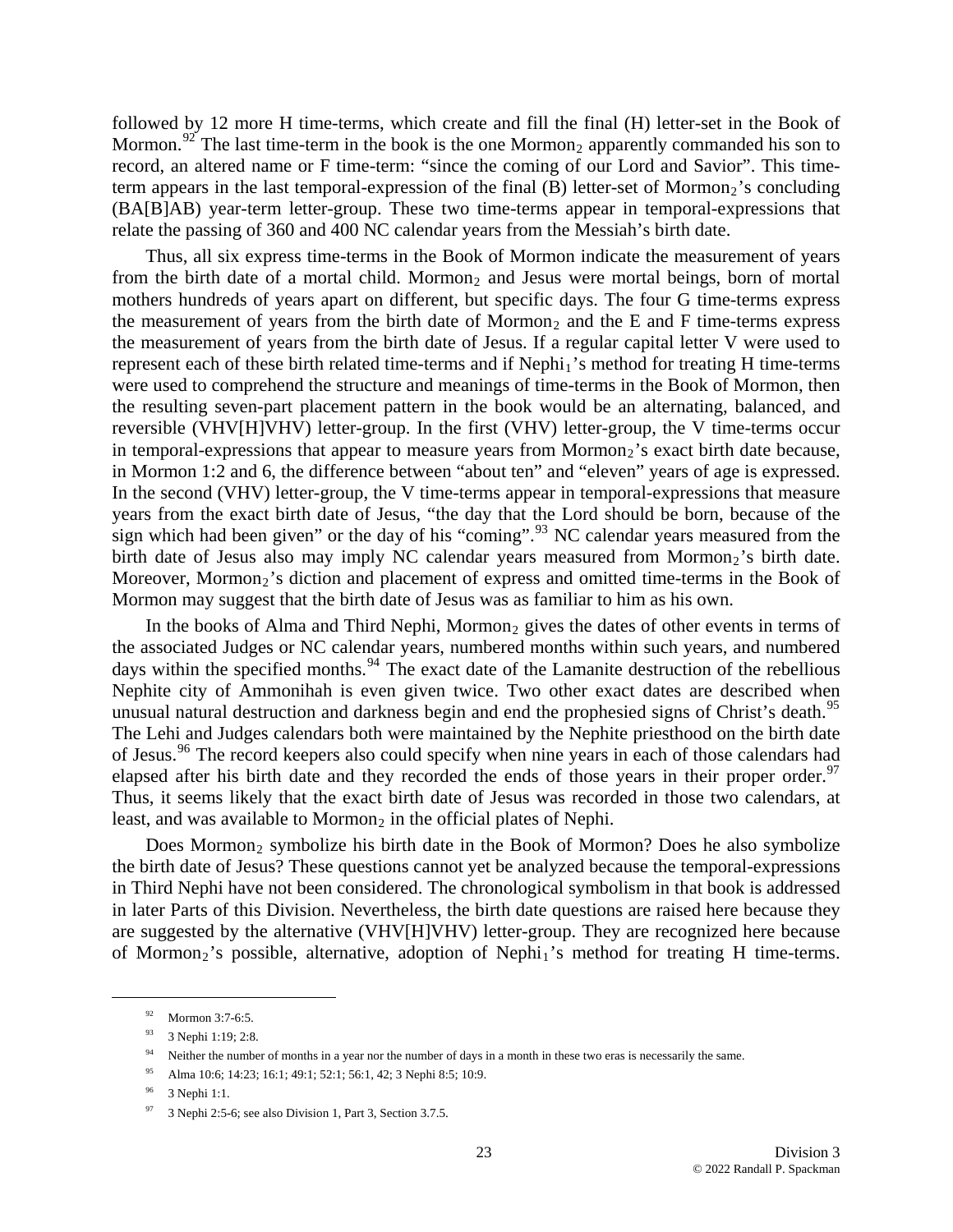followed by 12 more H time-terms, which create and fill the final (H) letter-set in the Book of Mormon.<sup>[92](#page-21-4)</sup> The last time-term in the book is the one Mormon<sub>2</sub> apparently commanded his son to record, an altered name or F time-term: "since the coming of our Lord and Savior". This timeterm appears in the last temporal-expression of the final  $(B)$  letter-set of Mormon<sub>2</sub>'s concluding (BA[B]AB) year-term letter-group. These two time-terms appear in temporal-expressions that relate the passing of 360 and 400 NC calendar years from the Messiah's birth date.

years from the exact birth date of Jesus, "the day that the Lord should be born, because of the sign which had been given" or the day of his "coming".<sup>[93](#page-22-0)</sup> NC calendar years measured from the Thus, all six express time-terms in the Book of Mormon indicate the measurement of years from the birth date of a mortal child. Mormon<sub>2</sub> and Jesus were mortal beings, born of mortal mothers hundreds of years apart on different, but specific days. The four G time-terms express the measurement of years from the birth date of Mormon<sub>2</sub> and the E and F time-terms express the measurement of years from the birth date of Jesus. If a regular capital letter V were used to represent each of these birth related time-terms and if Nephi<sub>1</sub>'s method for treating H time-terms were used to comprehend the structure and meanings of time-terms in the Book of Mormon, then the resulting seven-part placement pattern in the book would be an alternating, balanced, and reversible (VHV[H]VHV) letter-group. In the first (VHV) letter-group, the V time-terms occur in temporal-expressions that appear to measure years from Mormon<sub>2</sub>'s exact birth date because, in Mormon 1:2 and 6, the difference between "about ten" and "eleven" years of age is expressed. In the second (VHV) letter-group, the V time-terms appear in temporal-expressions that measure birth date of Jesus also may imply NC calendar years measured from Mormon<sub>2</sub>'s birth date. Moreover, Mormon<sub>2</sub>'s diction and placement of express and omitted time-terms in the Book of Mormon may suggest that the birth date of Jesus was as familiar to him as his own.

The Lehi and Judges calendars both were maintained by the Nephite priesthood on the birth date of Jesus.<sup>96</sup> The record keepers also could specify when nine years in each of those calendars had In the books of Alma and Third Nephi, Mormon<sub>2</sub> gives the dates of other events in terms of the associated Judges or NC calendar years, numbered months within such years, and numbered days within the specified months.<sup>[94](#page-22-1)</sup> The exact date of the Lamanite destruction of the rebellious Nephite city of Ammonihah is even given twice. Two other exact dates are described when unusual natural destruction and darkness begin and end the prophesied signs of Christ's death.<sup>[95](#page-22-2)</sup> elapsed after his birth date and they recorded the ends of those years in their proper order.<sup>97</sup> Thus, it seems likely that the exact birth date of Jesus was recorded in those two calendars, at least, and was available to Mormon<sub>2</sub> in the official plates of Nephi.

in later Parts of this Division. Nevertheless, the birth date questions are raised here because they are suggested by the alternative (VHV[H]VHV) letter-group. They are recognized here because of Mormon<sub>2</sub>'s possible, alternative, adoption of Nephi<sub>1</sub>'s method for treating H time-terms. Does Mormon<sub>2</sub> symbolize his birth date in the Book of Mormon? Does he also symbolize the birth date of Jesus? These questions cannot yet be analyzed because the temporal-expressions in Third Nephi have not been considered. The chronological symbolism in that book is addressed

<sup>92</sup> Mormon 3:7-6:5.

<sup>93 3</sup> Nephi 1:19; 2:8.

<span id="page-22-0"></span><sup>&</sup>lt;sup>94</sup> Neither the number of months in a year nor the number of days in a month in these two eras is necessarily the same.

<span id="page-22-1"></span><sup>95</sup> Alma 10:6; 14:23; 16:1; 49:1; 52:1; 56:1, 42; 3 Nephi 8:5; 10:9.

<span id="page-22-2"></span><sup>96 3</sup> Nephi 1:1.

 $97$  3 Nephi 2:5-6; see also Division 1, Part 3, Section 3.7.5.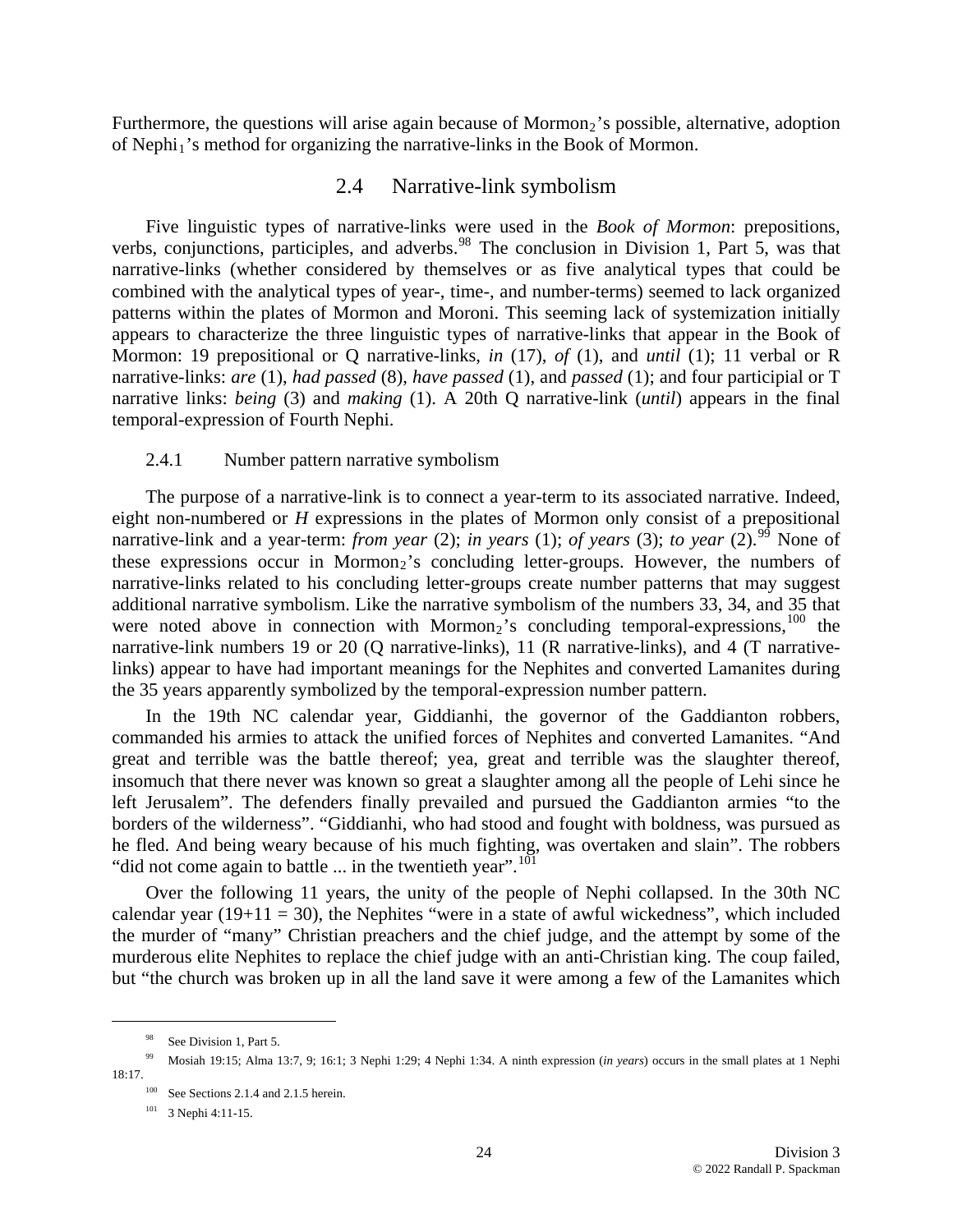Furthermore, the questions will arise again because of Mormon<sub>2</sub>'s possible, alternative, adoption of Nephi<sub>1</sub>'s method for organizing the narrative-links in the Book of Mormon.

# 2.4 Narrative-link symbolism

Mormon: 19 prepositional or Q narrative-links, *in* (17), *of* (1), and *until* (1); 11 verbal or R narrative-links: *are* (1), *had passed* (8), *have passed* (1), and *passed* (1); and four participial or T narrative links: *being* (3) and *making* (1). A 20th Q narrative-link (*until*) appears in the final temporal-expression of Fourth Nephi. Five linguistic types of narrative-links were used in the *Book of Mormon*: prepositions, verbs, conjunctions, participles, and adverbs.<sup>[98](#page-23-0)</sup> The conclusion in Division 1, Part 5, was that narrative-links (whether considered by themselves or as five analytical types that could be combined with the analytical types of year-, time-, and number-terms) seemed to lack organized patterns within the plates of Mormon and Moroni. This seeming lack of systemization initially appears to characterize the three linguistic types of narrative-links that appear in the Book of

#### 2.4.1 Number pattern narrative symbolism

were noted above in connection with Mormon<sub>2</sub>'s concluding temporal-expressions,<sup>100</sup> the narr ative-link numbers 19 or 20 (Q narrative-links), 11 (R narrative-links), and 4 (T narrative-The purpose of a narrative-link is to connect a year-term to its associated narrative. Indeed, eight non-numbered or *H* expressions in the plates of Mormon only consist of a prepositional narrative-link and a year-term: *from year* (2); *in years* (1); *of years* (3); *to year* (2).<sup>[99](#page-23-1)</sup> None of these expressions occur in Mormon<sub>2</sub>'s concluding letter-groups. However, the numbers of narrative-links related to his concluding letter-groups create number patterns that may suggest additional narrative symbolism. Like the narrative symbolism of the numbers 33, 34, and 35 that links) appear to have had important meanings for the Nephites and converted Lamanites during the 35 years apparently symbolized by the temporal-expression number pattern.

left Jerusalem". The defenders finally prevailed and pursued the Gaddianton armies "to the bord ers of the wilderness". "Giddianhi, who had stood and fought with boldness, was pursued as In the 19th NC calendar year, Giddianhi, the governor of the Gaddianton robbers, commanded his armies to attack the unified forces of Nephites and converted Lamanites. "And great and terrible was the battle thereof; yea, great and terrible was the slaughter thereof, insomuch that there never was known so great a slaughter among all the people of Lehi since he he fled. And being weary because of his much fighting, was overtaken and slain". The robbers "did not come again to battle  $\ldots$  in the twentieth year".<sup>[101](#page-23-2)</sup>

but "the church was broken up in all the land save it were among a few of the Lamanites which Over the following 11 years, the unity of the people of Nephi collapsed. In the 30th NC calendar year  $(19+11 = 30)$ , the Nephites "were in a state of awful wickedness", which included the murder of "many" Christian preachers and the chief judge, and the attempt by some of the murderous elite Nephites to replace the chief judge with an anti-Christian king. The coup failed,

<sup>&</sup>lt;sup>98</sup> See Division 1, Part 5.

<span id="page-23-2"></span><span id="page-23-1"></span><span id="page-23-0"></span>Mosiah 19:15; Alma 13:7, 9; 16:1; 3 Nephi 1:29; 4 Nephi 1:34. A ninth expression (*in years*) occurs in the small plates at 1 Nephi 99 18:17.

 $100$  See Sections 2.1.4 and 2.1.5 herein.

<sup>101 3</sup> Nephi 4:11-15.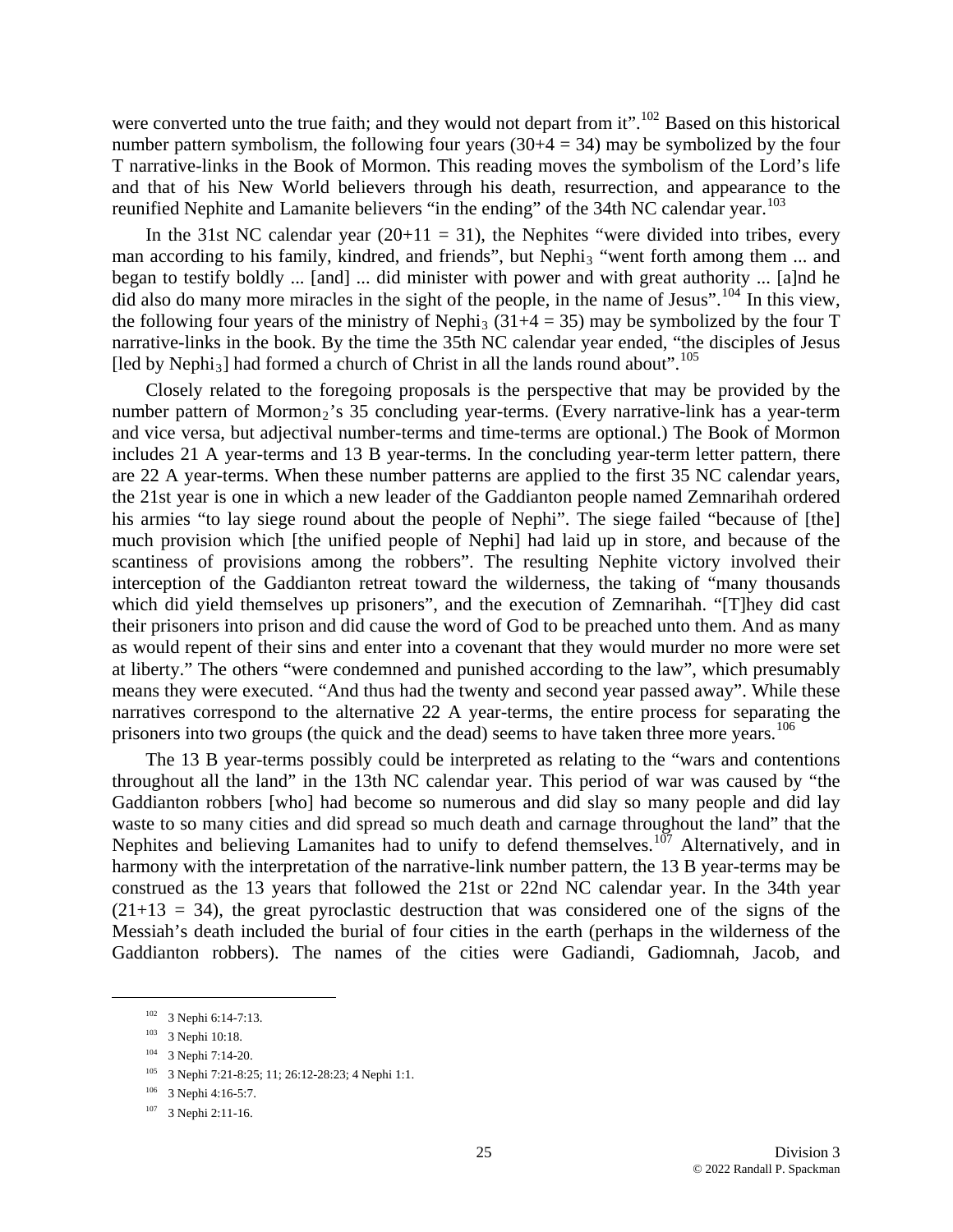were converted unto the true faith; and they would not depart from it".<sup>[102](#page-24-0)</sup> Based on this historical number pattern symbolism, the following four years  $(30+4 = 34)$  may be symbolized by the four T narrative-links in the Book of Mormon. This reading moves the symbolism of the Lord's life and that of his New World believers through his death, resurrection, and appearance to the reunified Nephite and Lamanite believers "in the ending" of the 34th NC calendar year.<sup>[103](#page-24-1)</sup>

the following four years of the ministry of Nephi<sub>3</sub> (31+4 = 35) may be symbolized by the four T narr ative-links in the book. By the time the 35th NC calendar year ended, "the disciples of Jesus In the 31st NC calendar year  $(20+11 = 31)$ , the Nephites "were divided into tribes, every man according to his family, kindred, and friends", but Nephi<sub>3</sub> "went forth among them ... and [began to testify boldly ... \[and\] ... did minister with power and with great authority ... \[a\]nd he](#page-24-1)  [did also do many more miracles in the sight of the people, in the name of Jesus".](#page-24-1)<sup>104</sup> In this view, [led by Nephi<sub>3</sub>] had formed a church of Christ in all the lands round about".<sup>[105](#page-24-3)</sup>

[means they were executed. "And thus had the twenty and second year passed away". While](#page-24-3) these narr atives correspond to the alternative 22 A year-terms, the entire process for separating the [Closely related to the foregoing proposals is the perspective that may be provided by the](#page-24-3)  [number pattern of Mormon](#page-24-3)<sub>[2](#page-24-3)</sub>'s 35 concluding year-terms. (Every narrative-link has a year-term [and vice versa, but adjectival number-terms and time-terms are optional.\) The Book of Mormon](#page-24-3)  [includes 21 A year-terms and 13 B year-terms. In the concluding year-term letter pattern, there](#page-24-3)  [are 22 A year-terms. When these number patterns are applied to the first 35 NC calendar years,](#page-24-3)  [the 21st year is one in which a new leader of the Gaddianton people named Zemnarihah ordered](#page-24-3)  his armies "to lay siege round about the people of Nephi". The siege failed "because of [the] [much provision which \[the unified people of Nephi\] had laid up in store, and because of the](#page-24-3)  [scantiness of provisions among the robbers". The resulting Nephite victory involved their](#page-24-3)  [interception of the Gaddianton retreat toward the wilderness, the taking of "many thousands](#page-24-3)  [which did yield themselves up prisoners", and the execution of Zemnarihah. "\[T\]hey did cast](#page-24-3)  [their prisoners into prison and did cause the word of God to be preached unto them. And as many](#page-24-3)  [as would repent of their sins and enter into a covenant that they would murder no more were set](#page-24-3)  [at liberty." The others "were condemned and punished according to the law", which presumably](#page-24-3)  prisoners into two groups (the quick and the dead) seems to have taken three more years.<sup>[106](#page-24-4)</sup>

[The 13 B year-terms possibly could be interpreted as relating to the "wars and contentions](#page-24-4)  [throughout all the land" in the 13th NC calendar year. This period of war was caused by "the](#page-24-4)  [Gaddianton robbers \[who\] had become so numerous and did slay so many people and did lay](#page-24-4)  [waste to so many cities and did spread so much death and carnage throughout the land" that the](#page-24-4)  [Nephites and believing Lamanites had to unify to defend themselves.](#page-24-4)<sup>107</sup> Alternatively, and in [harmony with the interpretation of the narrative-link number pattern, the 13 B year-terms may be](#page-24-5)  [construed as the 13 years that followed the 21st or 22nd NC calendar year. In the 34th year](#page-24-5)   $(21+13 = 34)$ , the great pyroclastic destruction that was considered one of the signs of the [Messiah's death included the burial of four cities in the earth \(perhaps in the wilderness of the](#page-24-5)  [Gaddianton robbers\). The names of the cities were Gadiandi, Gadiomnah, Jacob, and](#page-24-5) 

<span id="page-24-3"></span><span id="page-24-2"></span><span id="page-24-1"></span><span id="page-24-0"></span>1

<sup>&</sup>lt;sup>102</sup> 3 Nephi 6:14-7:13.

<sup>103 3</sup> Nephi 10:18.

<sup>104 3</sup> Nephi 7:14-20.

<sup>&</sup>lt;sup>105</sup> 3 Nephi 7:21-8:25; 11; 26:12-28:23; 4 Nephi 1:1.

<span id="page-24-4"></span><sup>106 3</sup> Nephi 4:16-5:7.

<span id="page-24-5"></span><sup>&</sup>lt;sup>107</sup> 3 Nephi 2:11-16.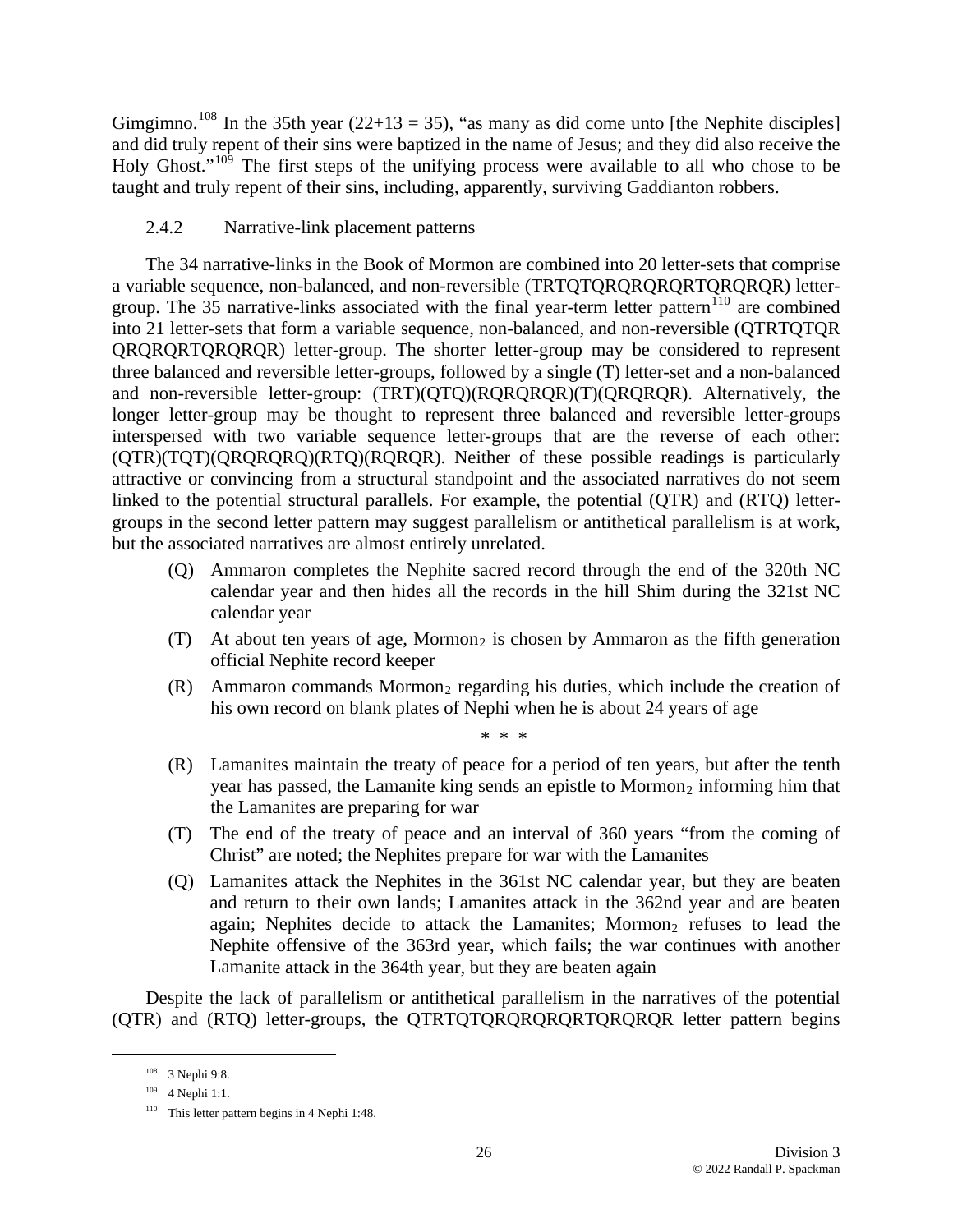[Gimgimno.](#page-24-5)<sup>108</sup> In the 35th year (22+13 = 35), "as many as did come unto [the Nephite disciples] [and did truly repent of their sins were baptized in the name of Jesus; and they did also rece](#page-25-0)ive the Holy Ghost."<sup>[109](#page-25-0)</sup> The first steps of the unifying process were available to all who chose to be taught and truly repent of their sins, including, apparently, surviving Gaddianton robbers.

# 2.4.2 Narrative-link placement patterns

linked to the potential structural parallels. For example, the potential (QTR) and (RTQ) lettergroups in the second letter pattern may suggest parallelism or antithetical parallelism is at work, but the assoc iated narratives are almost entirely unrelated. The 34 narrative-links in the Book of Mormon are combined into 20 letter-sets that comprise a variable sequence, non-balanced, and non-reversible (TRTQTQRQRQRQRTQRQRQR) lettergroup. The  $35$  narrative-links associated with the final year-term letter pattern<sup>[110](#page-25-1)</sup> are combined into 21 letter-sets that form a variable sequence, non-balanced, and non-reversible (QTRTQTQR QRQRQRTQRQRQR) letter-group. The shorter letter-group may be considered to represent three balanced and reversible letter-groups, followed by a single (T) letter-set and a non-balanced and non-reversible letter-group: (TRT)(QTQ)(RQRQRQR)(T)(QRQRQR). Alternatively, the longer letter-group may be thought to represent three balanced and reversible letter-groups interspersed with two variable sequence letter-groups that are the reverse of each other: (QTR)(TQT)(QRQRQRQ)(RTQ)(RQRQR). Neither of these possible readings is particularly attractive or convincing from a structural standpoint and the associated narratives do not seem

- (Q) Ammaron completes the Nephite sacred record through the end of the 320th NC calendar year and then hides all the records in the hill Shim during the 321st NC calendar year
- (T) At about ten years of age, Mormon<sub>2</sub> is chosen by Ammaron as the fifth generation official Nephite record keeper
- $(R)$  Ammaron commands Mormon<sub>2</sub> regarding his duties, which include the creation of his own record on blank plates of Nephi when he is about 24 years of age

\* \* \*

- $(R)$  Lamanites maintain the treaty of peace for a period of ten years, but after the tenth year has passed, the Lamanite king sends an epistle to Mormon<sub>2</sub> informing him that the Lamanites are preparing for war
- (T) The end of the treaty of peace and an interval of 360 years "from the coming of Christ" are noted; the Nephites prepare for war with the Lamanites
- (Q) Lamanites attack the Nephites in the 361st NC calendar year, but they are beaten again; Nephites decide to attack the Lamanites; Mormon<sub>2</sub> refuses to lead the and return to their own lands; Lamanites attack in the 362nd year and are beaten Nephite offensive of the 363rd year, which fails; the war continues with another Lamanite attack in the 364th year, but they are beaten again

Despite the lack of parallelism or antithetical parallelism in the narratives of the potential (QTR) and (RTQ) letter-groups, the QTRTQTQRQRQRQRTQRQRQR letter pattern begins

<sup>108 3</sup> Nephi 9:8.

<span id="page-25-0"></span><sup>109 4</sup> Nephi 1:1.

<span id="page-25-1"></span><sup>&</sup>lt;sup>110</sup> This letter pattern begins in 4 Nephi 1:48.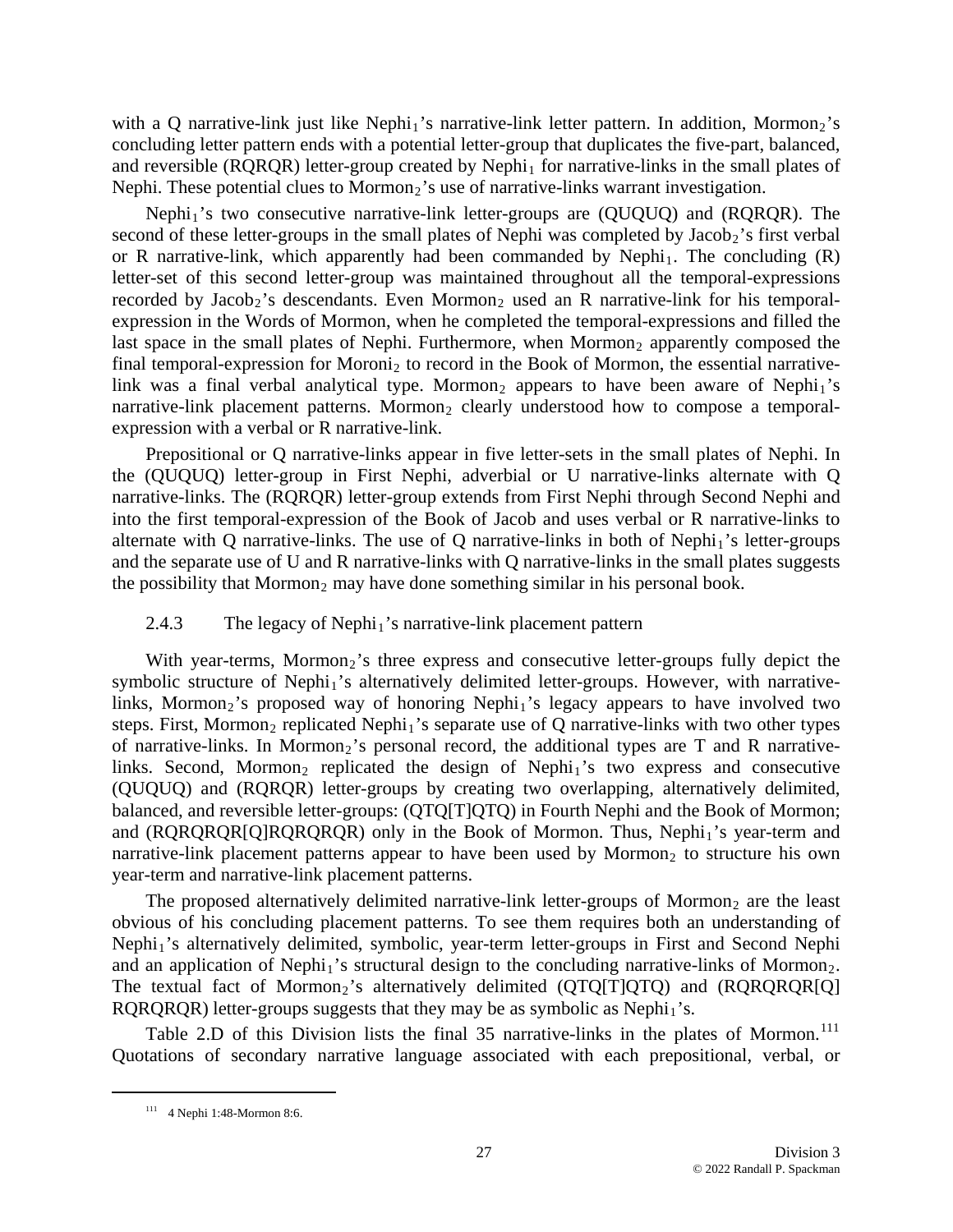with a Q narrative-link just like Nephi<sub>1</sub>'s narrative-link letter pattern. In addition, Mormon<sub>2</sub>'s concluding letter pattern ends with a potential letter-group that duplicates the five-part, balanced, and reversible ( $RQRQR$ ) letter-group created by  $Nephi<sub>1</sub>$  for narrative-links in the small plates of Nephi. These potential clues to Mormon<sub>2</sub>'s use of narrative-links warrant investigation.

link was a final verbal analytical type. Mormon<sub>2</sub> appears to have been aware of Nephi<sub>1</sub>'s narrative-link placement patterns. Mormon<sub>2</sub> clearly understood how to compose a temporal-Nephi<sub>1</sub>'s two consecutive narrative-link letter-groups are (QUQUQ) and (RQRQR). The second of these letter-groups in the small plates of Nephi was completed by Jacob<sub>2</sub>'s first verbal or R narrative-link, which apparently had been commanded by Nephi<sub>1</sub>. The concluding  $(R)$ letter-set of this second letter-group was maintained throughout all the temporal-expressions recorded by Jacob<sub>2</sub>'s descendants. Even Mormon<sub>2</sub> used an R narrative-link for his temporalexpression in the Words of Mormon, when he completed the temporal-expressions and filled the last space in the small plates of Nephi. Furthermore, when  $Mormon<sub>2</sub>$  apparently composed the final temporal-expression for Moroni<sub>2</sub> to record in the Book of Mormon, the essential narrativeexpression with a verbal or R narrative-link.

alternate with Q narrative-links. The use of Q narrative-links in both of Nephi<sub>1</sub>'s letter-groups and the separate use of U and R narrative-links with Q narrative-links in the small plates suggests the possibility that Mormon<sub>2</sub> may have done something similar in his personal book. Prepositional or Q narrative-links appear in five letter-sets in the small plates of Nephi. In the (QUQUQ) letter-group in First Nephi, adverbial or U narrative-links alternate with Q narrative-links. The (RQRQR) letter-group extends from First Nephi through Second Nephi and into the first temporal-expression of the Book of Jacob and uses verbal or R narrative-links to

#### 2.4.3 The legacy of Nephi<sub>1</sub>'s narrative-link placement pattern

and (RQRQRQR[Q]RQRQRQR) only in the Book of Mormon. Thus, Nephi<sub>1</sub>'s year-term and narrative-link placement patterns appear to have been used by Mormon<sub>2</sub> to structure his own With year-terms, Mormon<sub>2</sub>'s three express and consecutive letter-groups fully depict the symbolic structure of Nephi<sub>1</sub>'s alternatively delimited letter-groups. However, with narrativelinks, Mormon<sub>2</sub>'s proposed way of honoring Nephi<sub>1</sub>'s legacy appears to have involved two steps. First, Mormon<sub>2</sub> replicated Nephi<sub>1</sub>'s separate use of Q narrative-links with two other types of narrative-links. In Mormon<sub>2</sub>'s personal record, the additional types are T and R narrativelinks. Second, Mormon<sub>2</sub> replicated the design of Nephi<sub>1</sub>'s two express and consecutive (QUQUQ) and (RQRQR) letter-groups by creating two overlapping, alternatively delimited, balanced, and reversible letter-groups: (QTQ[T]QTQ) in Fourth Nephi and the Book of Mormon; year-term and narrative-link placement patterns.

and an application of Nephi<sub>1</sub>'s structural design to the concluding narrative-links of Mormon<sub>2</sub>. The textual fact of Mormon<sub>2</sub>'s alternatively delimited  $(QTQ[T]QTQ)$  and  $(RQRQR[Q]$ The proposed alternatively delimited narrative-link letter-groups of Mormon<sub>2</sub> are the least obvious of his concluding placement patterns. To see them requires both an understanding of Nephi<sub>1</sub>'s alternatively delimited, symbolic, year-term letter-groups in First and Second Nephi RQRQRQR) letter-groups suggests that they may be as symbolic as  $Nephi<sub>1</sub>'s$ .

Table 2.D of this Division lists the final 35 narrative-links in the plates of Mormon.<sup>[111](#page-26-0)</sup> Quotations of secondary narrative language associated with each prepositional, verbal, or

<span id="page-26-0"></span>1

<sup>111 4</sup> Nephi 1:48-Mormon 8:6.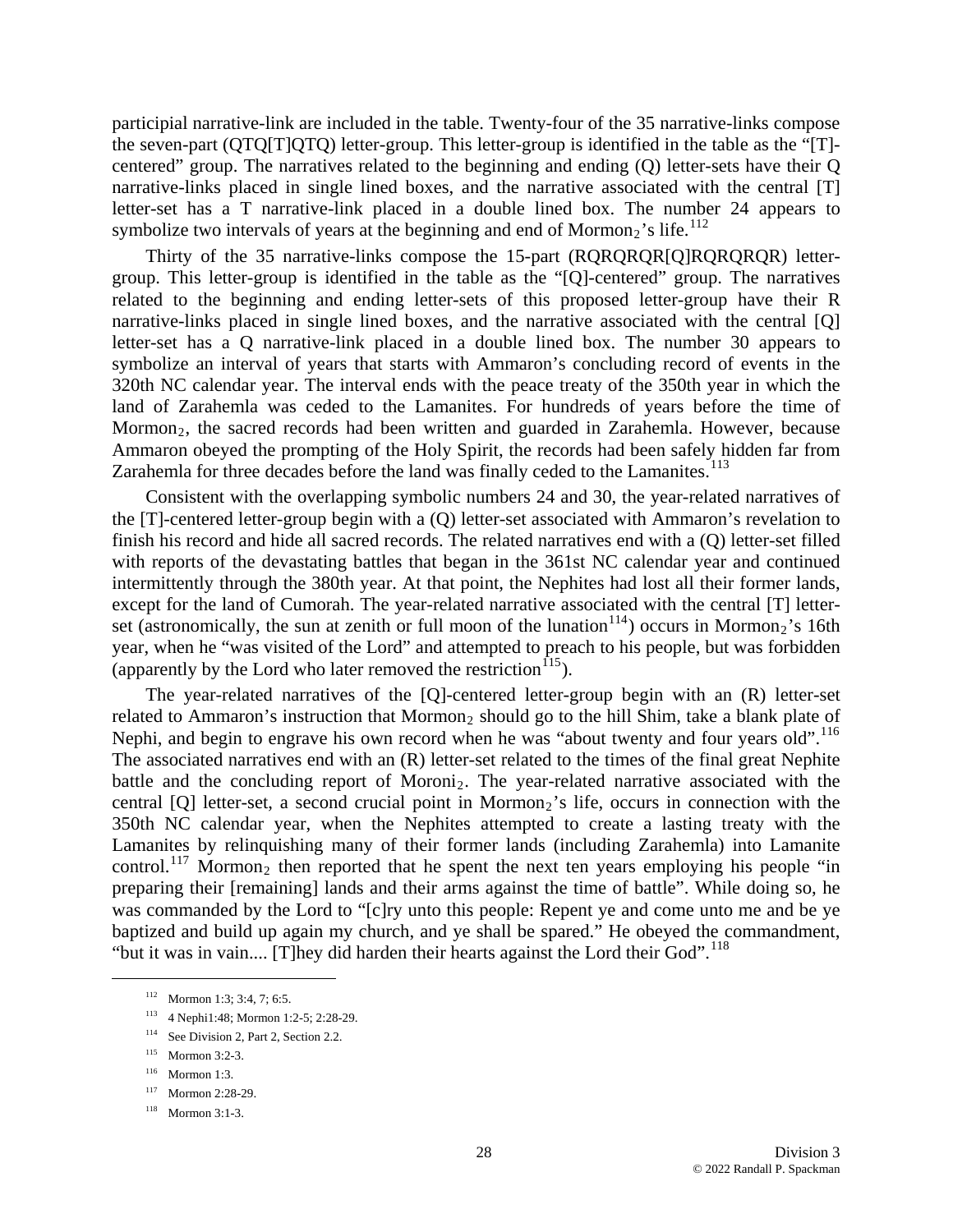participial narrative-link are included in the table. Twenty-four of the 35 narrative-links compose the seven-part (QTQ[T]QTQ) letter-group. This letter-group is identified in the table as the "[T] centered" group. The narratives related to the beginning and ending (Q) letter-sets have their Q narrative-links placed in single lined boxes, and the narrative associated with the central [T] lette r-set has a T narrative-link placed in a double lined box. The number 24 appears to symbolize two intervals of years at the beginning and end of Mormon<sub>2</sub>'s life.<sup>[112](#page-27-0)</sup>

Mormon<sub>2</sub>, the sacred records had been written and guarded in Zarahemla. However, because Am maron obeyed the prompting of the Holy Spirit, the records had been safely hidden far from [Thirty of the 35 narrative-links compose the 15-part \(RQRQRQR\[Q\]RQRQRQR\) letter](#page-27-0)[group. This letter-group is identified in the table as the "\[Q\]-centered" group. The narratives](#page-27-0)  [related to the beginning and ending letter-sets of this proposed letter-group have their R](#page-27-0)  narrative-links placed in single lined boxes, and the narrative associated with the central [Q] [letter-set has a Q narrative-link placed in a double lined box. The number 30 appears to](#page-27-0)  [symbolize an interval of years that starts with Ammaron's concluding record of events in the](#page-27-0)  [320th NC calendar year. The interval ends with the peace treaty of the 350th year in which the](#page-27-0)  [land of Zarahemla was ceded to the Lamanites. For hundreds of years before the time of](#page-27-0)  Zarahemla for three decades before the land was finally ceded to the Lamanites.<sup>[113](#page-27-1)</sup>

[set \(astronomically, the sun at zenith or full moon of the luna](#page-27-1)tion<sup>114</sup>) occurs in Mormon<sub>2</sub>'s 16th year , when he "was visited of the Lord" and attempted to preach to his people, but was forbidden [Consistent with the overlapping symbolic numbers 24 and 30, the year-related narratives of](#page-27-1)  [the \[T\]-centered letter-group begin with a \(Q\) letter-set associated with Ammaron's revelation to](#page-27-1)  [finish his record and hide all sacred records. The related narratives end with a \(Q\) letter-set filled](#page-27-1)  [with reports of the devastating battles that began in the 361st NC calendar year and continued](#page-27-1)  [intermittently through the 380th year. At that point, the Nephites had lost all their former lands,](#page-27-1)  [except for the land of Cumorah. The year-related narrative associated with the central \[T\] letter-](#page-27-1)(apparently by the Lord who later removed the restriction<sup> $115$ </sup>).

was commanded by the Lord to "[c]ry unto this people: Repent ye and come unto me and be ye baptized and build up again my church, and ye shall be spared." He obeyed the commandment, "but it was in vain.... [T]hey did harden their hearts against the Lord their God".<sup>118</sup> The year-related narratives of the [Q]-centered letter-group begin with an (R) letter-set related to Ammaron's instruction that Mormon<sub>2</sub> should go to the hill Shim, take a blank plate of Nephi, and begin to engrave his own record when he was "about twenty and four years old".<sup>[116](#page-27-3)</sup> The associated narratives end with an (R) letter-set related to the times of the final great Nephite battle and the concluding report of Moroni<sub>2</sub>. The year-related narrative associated with the central [Q] letter-set, a second crucial point in Mormon<sub>2</sub>'s life, occurs in connection with the 350th NC calendar year, when the Nephites attempted to create a lasting treaty with the Lamanites by relinquishing many of their former lands (including Zarahemla) into Lamanite control.<sup>[117](#page-27-4)</sup> Mormon<sub>2</sub> then reported that he spent the next ten years employing his people "in" preparing their [remaining] lands and their arms against the time of battle". While doing so, he

<span id="page-27-1"></span><span id="page-27-0"></span><u>.</u>

<sup>112</sup> Mormon 1:3; 3:4, 7; 6:5.

<sup>113 4</sup> Nephi1:48; Mormon 1:2-5; 2:28-29.

<sup>&</sup>lt;sup>114</sup> See Division 2, Part 2, Section 2.2.

<sup>115</sup> Mormon 3:2-3.

<span id="page-27-2"></span><sup>116</sup> Mormon 1:3.

<span id="page-27-3"></span><sup>117</sup> Mormon 2:28-29.

<span id="page-27-4"></span><sup>118</sup> Mormon 3:1-3.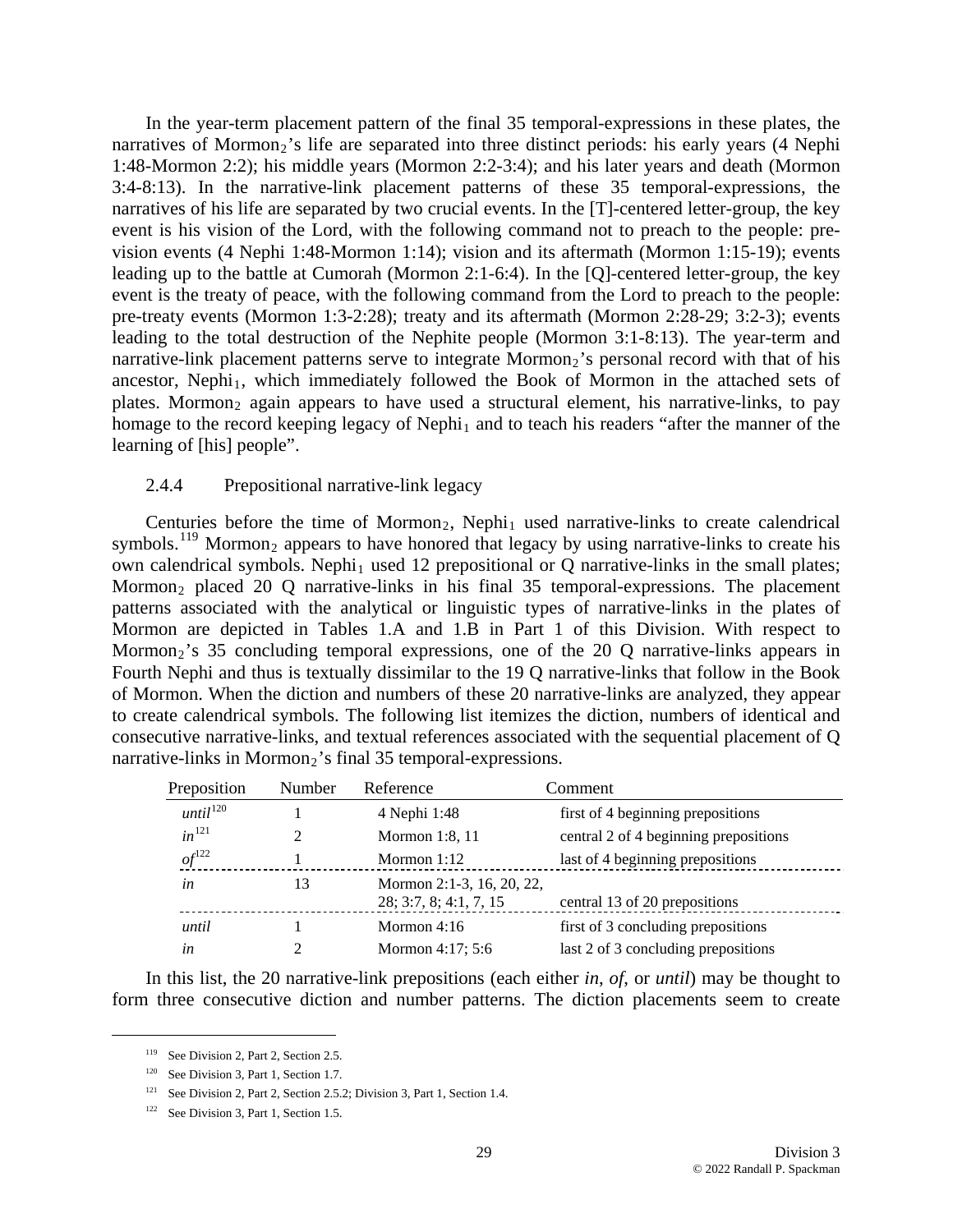In the year-term placement pattern of the final 35 temporal-expressions in these plates, the narratives of Mormon<sub>2</sub>'s life are separated into three distinct periods: his early years (4 Nephi 1:48-Mormon 2:2); his middle years (Mormon 2:2-3:4); and his later years and death (Mormon 3:4-8:13). In the narrative-link placement patterns of these 35 temporal-expressions, the narratives of his life are separated by two crucial events. In the [T]-centered letter-group, the key event is his vision of the Lord, with the following command not to preach to the people: prevision events (4 Nephi 1:48-Mormon 1:14); vision and its aftermath (Mormon 1:15-19); events leading up to the battle at Cumorah (Mormon 2:1-6:4). In the [Q]-centered letter-group, the key event is the treaty of peace, with the following command from the Lord to preach to the people: pre-treaty events (Mormon 1:3-2:28); treaty and its aftermath (Mormon 2:28-29; 3:2-3); events leading to the total destruction of the Nephite people (Mormon 3:1-8:13). The year-term and narrative-link placement patterns serve to integrate Mormon<sub>2</sub>'s personal record with that of his ancestor, Nephi<sub>1</sub>, which immediately followed the Book of Mormon in the attached sets of plates. Mormon<sub>2</sub> again appears to have used a structural element, his narrative-links, to pay homage to the record keeping legacy of Nephi<sub>1</sub> and to teach his readers "after the manner of the learning of [his] people".

#### 2.4.4 Prepositional narrative-link legacy

Centuries before the time of Mormon<sub>2</sub>, Nephi<sub>1</sub> used narrative-links to create calendrical symbols.<sup>[119](#page-28-0)</sup> Mormon<sub>2</sub> appears to have honored that legacy by using narrative-links to create his own calendrical symbols. Nephi<sub>1</sub> used 12 prepositional or  $Q$  narrative-links in the small plates; Mormon<sub>2</sub> placed 20 Q narrative-links in his final 35 temporal-expressions. The placement patterns associated with the analytical or linguistic types of narrative-links in the plates of Mormon are depicted in Tables 1.A and 1.B in Part 1 of this Division. With respect to Mormon<sub>2</sub>'s 35 concluding temporal expressions, one of the 20 Q narrative-links appears in Fourth Nephi and thus is textually dissimilar to the 19 Q narrative-links that follow in the Book of Mormon. When the diction and numbers of these 20 narrative-links are analyzed, they appear to create calendrical symbols. The following list itemizes the diction, numbers of identical and consecutive narrative-links, and textual references associated with the sequential placement of Q narrative-links in Mormon<sub>2</sub>'s final 35 temporal-expressions.

| Preposition         | Number | Reference                                           | Comment                               |
|---------------------|--------|-----------------------------------------------------|---------------------------------------|
| $until^{120}$       |        | 4 Nephi 1:48                                        | first of 4 beginning prepositions     |
| $in$ <sup>121</sup> |        | Mormon 1:8, 11                                      | central 2 of 4 beginning prepositions |
| $of$ <sup>122</sup> |        | Mormon $1:12$                                       | last of 4 beginning prepositions      |
| in                  | 13     | Mormon 2:1-3, 16, 20, 22,<br>28; 3:7, 8; 4:1, 7, 15 | central 13 of 20 prepositions         |
| until               |        | Mormon $4:16$                                       | first of 3 concluding prepositions    |
| in                  |        | Mormon $4:17:5:6$                                   | last 2 of 3 concluding prepositions   |

<span id="page-28-0"></span>In this list, the 20 narrative-link prepositions (each either *in*, *of*, or *until*) may be thought to form three consecutive diction and number patterns. The diction placements seem to create

<sup>&</sup>lt;sup>119</sup> See Division 2, Part 2, Section 2.5.

<span id="page-28-1"></span><sup>&</sup>lt;sup>120</sup> See Division 3, Part 1, Section 1.7.

<span id="page-28-2"></span><sup>&</sup>lt;sup>121</sup> See Division 2, Part 2, Section 2.5.2; Division 3, Part 1, Section 1.4.

<span id="page-28-3"></span><sup>&</sup>lt;sup>122</sup> See Division 3, Part 1, Section 1.5.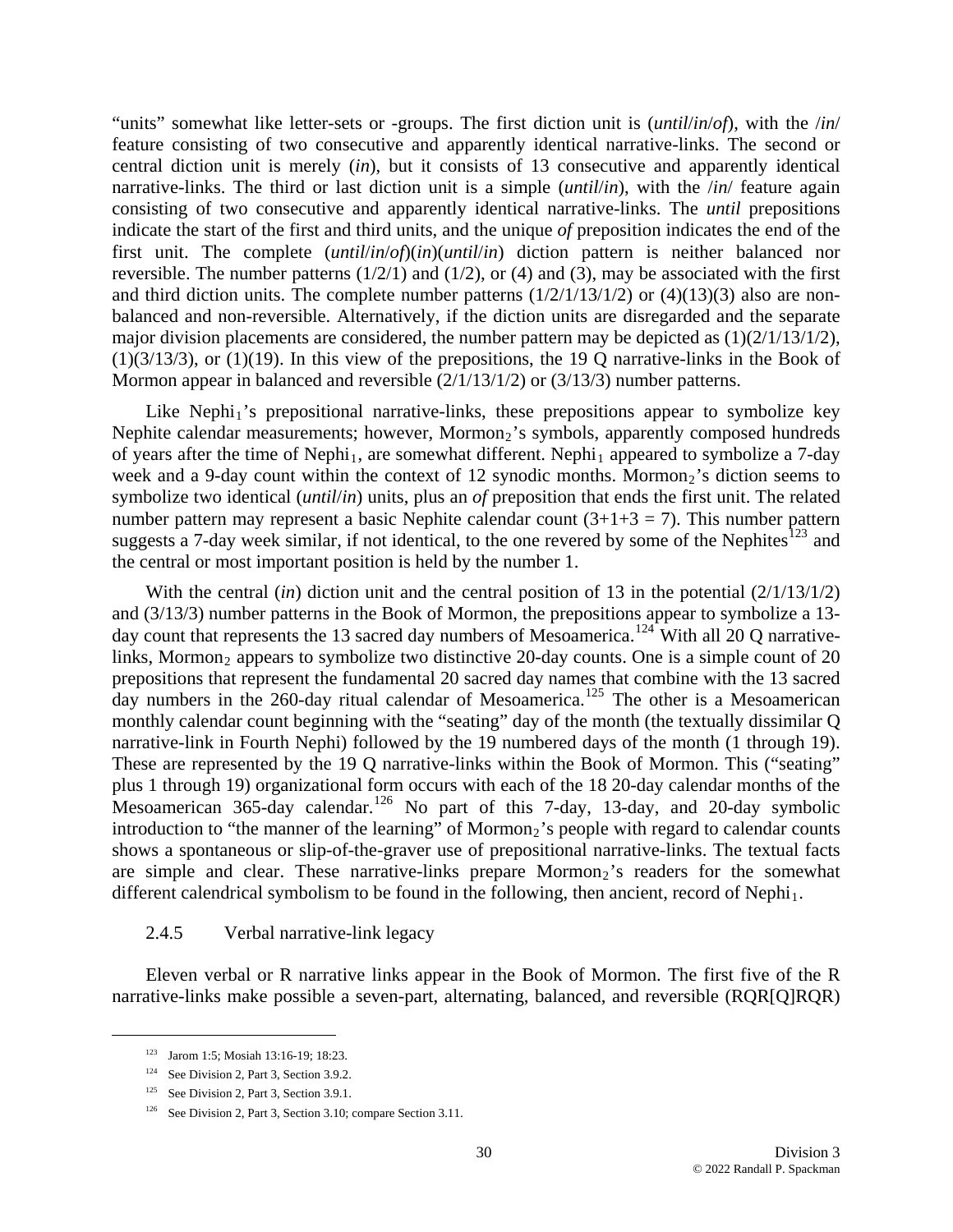"units" somewhat like letter-sets or -groups. The first diction unit is (*until*/*in*/*of*), with the /*in*/ feature consisting of two consecutive and apparently identical narrative-links. The second or central diction unit is merely (*in*), but it consists of 13 consecutive and apparently identical narrative-links. The third or last diction unit is a simple (*until*/*in*), with the /*in*/ feature again consisting of two consecutive and apparently identical narrative-links. The *until* prepositions indicate the start of the first and third units, and the unique *of* preposition indicates the end of the first unit. The complete (*until*/*in*/*of*)(*in*)(*until*/*in*) diction pattern is neither balanced nor reversible. The number patterns  $(1/2/1)$  and  $(1/2)$ , or  $(4)$  and  $(3)$ , may be associated with the first and third diction units. The complete number patterns  $(1/2/1/13/1/2)$  or  $(4)(13)(3)$  also are nonbalanced and non-reversible. Alternatively, if the diction units are disregarded and the separate major division placements are considered, the number pattern may be depicted as  $(1)(2/1/13/1/2)$ ,  $(1)(3/13/3)$ , or  $(1)(19)$ . In this view of the prepositions, the 19 Q narrative-links in the Book of Mormon appear in balanced and reversible (2/1/13/1/2) or (3/13/3) number patterns.

Like Nephi<sub>1</sub>'s prepositional narrative-links, these prepositions appear to symbolize key Nephite calendar measurements; however, Mormon<sub>2</sub>'s symbols, apparently composed hundreds of years after the time of Nephi<sub>1</sub>, are somewhat different. Nephi<sub>1</sub> appeared to symbolize a 7-day week and a 9-day count within the context of 12 synodic months. Mormon<sub>2</sub>'s diction seems to symbolize two identical (*until*/*in*) units, plus an *of* preposition that ends the first unit. The related number pattern may represent a basic Nephite calendar count  $(3+1+3 = 7)$ . This number pattern suggests a 7-day week similar, if not identical, to the one revered by some of the Nephites $^{123}$  $^{123}$  $^{123}$  and the central or most important position is held by the number 1.

With the central *(in)* diction unit and the central position of 13 in the potential (2/1/13/1/2) and (3/13/3) number patterns in the Book of Mormon, the prepositions appear to symbolize a 13- day count that represents the 13 sacred day numbers of Mesoamerica.<sup>[124](#page-29-1)</sup> With all 20 Q narrativelinks, Mormon<sub>2</sub> appears to symbolize two distinctive 20-day counts. One is a simple count of 20 prepositions that represent the fundamental 20 sacred day names that combine with the 13 sacred day numbers in the 260-day ritual calendar of Mesoamerica.<sup>[125](#page-29-2)</sup> The other is a Mesoamerican monthly calendar count beginning with the "seating" day of the month (the textually dissimilar Q narrative-link in Fourth Nephi) followed by the 19 numbered days of the month (1 through 19). These are represented by the 19 Q narrative-links within the Book of Mormon. This ("seating" plus 1 through 19) organizational form occurs with each of the 18 20-day calendar months of the Mesoamerican  $365$ -day calendar.<sup>[126](#page-29-3)</sup> No part of this 7-day, 13-day, and 20-day symbolic introduction to "the manner of the learning" of Mormon<sub>2</sub>'s people with regard to calendar counts shows a spontaneous or slip-of-the-graver use of prepositional narrative-links. The textual facts are simple and clear. These narrative-links prepare  $Mormon<sub>2</sub>$ 's readers for the somewhat different calendrical symbolism to be found in the following, then ancient, record of Nephi<sub>1</sub>.

# 2.4.5 Verbal narrative-link legacy

<span id="page-29-0"></span>Eleven verbal or R narrative links appear in the Book of Mormon. The first five of the R narrative-links make possible a seven-part, alternating, balanced, and reversible (RQR[Q]RQR)

 <sup>123</sup> Jarom 1:5; Mosiah 13:16-19; 18:23.

<span id="page-29-1"></span><sup>&</sup>lt;sup>124</sup> See Division 2, Part 3, Section 3.9.2.

<span id="page-29-2"></span><sup>&</sup>lt;sup>125</sup> See Division 2, Part 3, Section 3.9.1.

<span id="page-29-3"></span><sup>&</sup>lt;sup>126</sup> See Division 2, Part 3, Section 3.10; compare Section 3.11.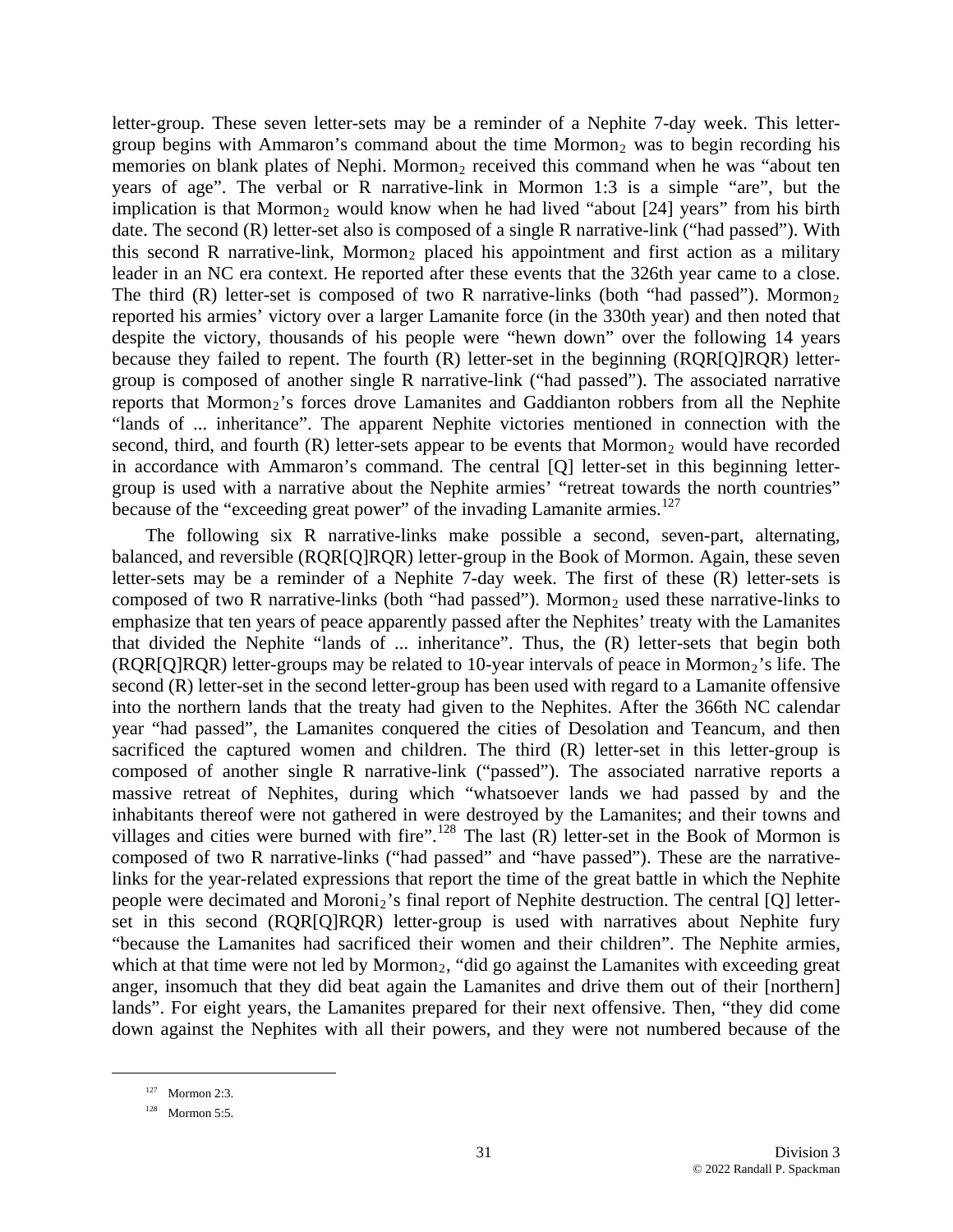letter-group. These seven letter-sets may be a reminder of a Nephite 7-day week. This lettergroup begins with Ammaron's command about the time  $Mormon<sub>2</sub>$  was to begin recording his memories on blank plates of Nephi. Mormon<sub>2</sub> received this command when he was "about ten years of age". The verbal or R narrative-link in Mormon 1:3 is a simple "are", but the implication is that Mormon<sub>2</sub> would know when he had lived "about [24] years" from his birth date. The second (R) letter-set also is composed of a single R narrative-link ("had passed"). With this second R narrative-link, Mormon<sub>2</sub> placed his appointment and first action as a military leader in an NC era context. He reported after these events that the 326th year came to a close. The third  $(R)$  letter-set is composed of two R narrative-links (both "had passed"). Mormon<sub>2</sub> reported his armies' victory over a larger Lamanite force (in the 330th year) and then noted that despite the victory, thousands of his people were "hewn down" over the following 14 years because they failed to repent. The fourth (R) letter-set in the beginning (RQR[Q]RQR) lettergroup is composed of another single R narrative-link ("had passed"). The associated narrative reports that Mormon<sub>2</sub>'s forces drove Lamanites and Gaddianton robbers from all the Nephite "lands of ... inheritance". The apparent Nephite victories mentioned in connection with the second, third, and fourth  $(R)$  letter-sets appear to be events that Mormon<sub>2</sub> would have recorded in accordance with Ammaron's command. The central [Q] letter-set in this beginning lettergroup is used with a narrative about the Nephite armies' "retreat towards the north countries" because of the "exceeding great power" of the invading Lamanite armies.  $127$ 

The following six R narrative-links make possible a second, seven-part, alternating, balanced, and reversible (RQR[Q]RQR) letter-group in the Book of Mormon. Again, these seven letter-sets may be a reminder of a Nephite 7-day week. The first of these (R) letter-sets is composed of two R narrative-links (both "had passed"). Mormon<sub>2</sub> used these narrative-links to emphasize that ten years of peace apparently passed after the Nephites' treaty with the Lamanites that divided the Nephite "lands of ... inheritance". Thus, the (R) letter-sets that begin both  $(RQR[Q]RQR)$  letter-groups may be related to 10-year intervals of peace in Mormon<sub>2</sub>'s life. The second (R) letter-set in the second letter-group has been used with regard to a Lamanite offensive into the northern lands that the treaty had given to the Nephites. After the 366th NC calendar year "had passed", the Lamanites conquered the cities of Desolation and Teancum, and then sacrificed the captured women and children. The third (R) letter-set in this letter-group is composed of another single R narrative-link ("passed"). The associated narrative reports a massive retreat of Nephites, during which "whatsoever lands we had passed by and the inhabitants thereof were not gathered in were destroyed by the Lamanites; and their towns and villages and cities were burned with fire".<sup>[128](#page-30-0)</sup> The last  $(R)$  letter-set in the Book of Mormon is composed of two R narrative-links ("had passed" and "have passed"). These are the narrativelinks for the year-related expressions that report the time of the great battle in which the Nephite people were decimated and Moroni<sub>2</sub>'s final report of Nephite destruction. The central [Q] letterset in this second (RQR[Q]RQR) letter-group is used with narratives about Nephite fury "because the Lamanites had sacrificed their women and their children". The Nephite armies, which at that time were not led by Mormon<sub>2</sub>, "did go against the Lamanites with exceeding great anger, insomuch that they did beat again the Lamanites and drive them out of their [northern] lands". For eight years, the Lamanites prepared for their next offensive. Then, "they did come down against the Nephites with all their powers, and they were not numbered because of the

<sup>127</sup> Mormon 2:3.

<span id="page-30-0"></span><sup>128</sup> Mormon 5:5.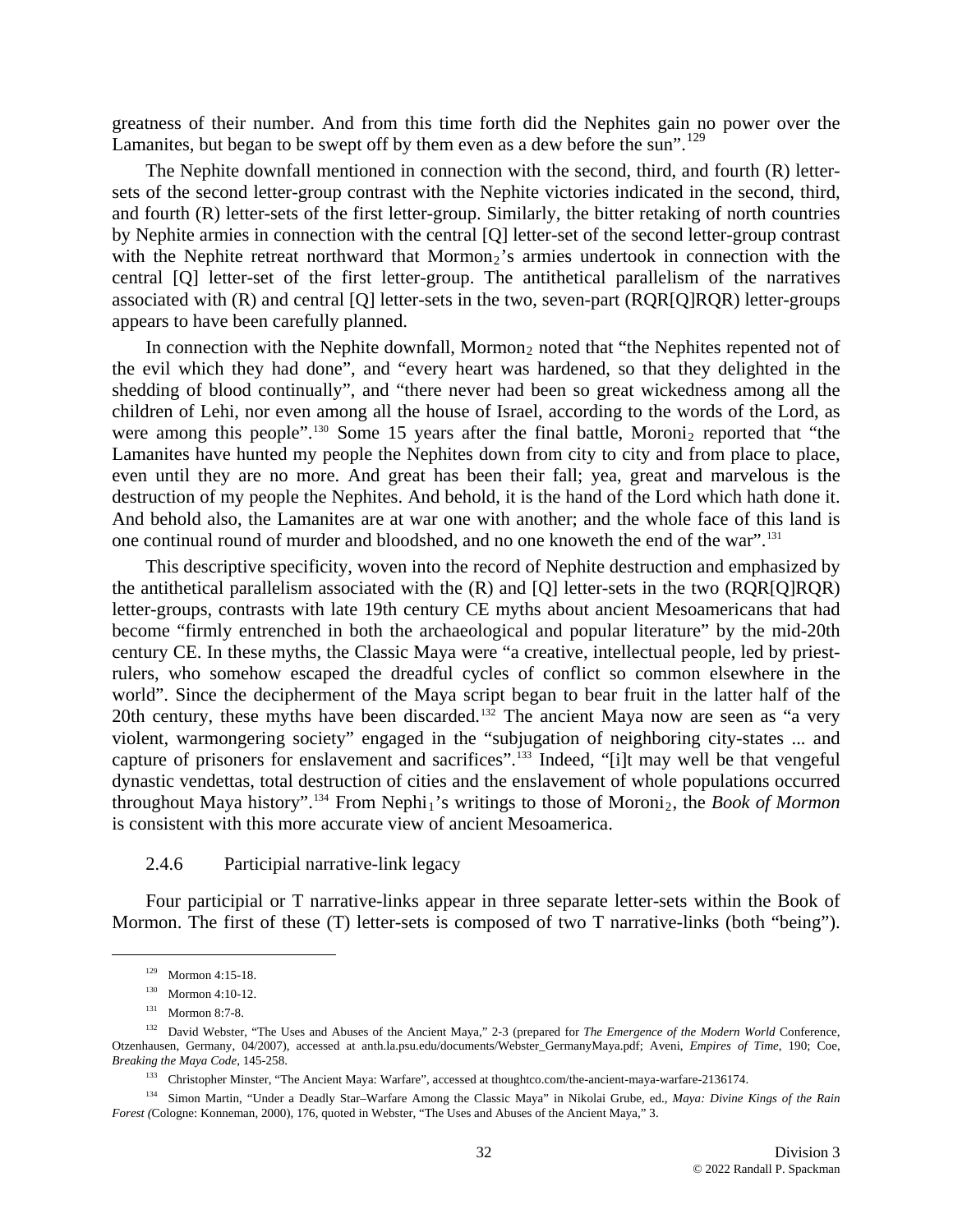greatness of their number. And from this time forth did the Nephites gain no power over the Lamanites, but began to be swept off by them even as a dew before the sun".<sup>[129](#page-31-0)</sup>

The Nephite downfall mentioned in connection with the second, third, and fourth (R) lettersets of the second letter-group contrast with the Nephite victories indicated in the second, third, and fourth (R) letter-sets of the first letter-group. Similarly, the bitter retaking of north countries by Nephite armies in connection with the central [Q] letter-set of the second letter-group contrast with the Nephite retreat northward that Mormon<sub>2</sub>'s armies undertook in connection with the central [Q] letter-set of the first letter-group. The antithetical parallelism of the narratives associated with (R) and central [Q] letter-sets in the two, seven-part (RQR[Q]RQR) letter-groups appears to have been carefully planned.

In connection with the Nephite downfall, Mormon<sub>2</sub> noted that "the Nephites repented not of the evil which they had done", and "every heart was hardened, so that they delighted in the shedding of blood continually", and "there never had been so great wickedness among all the children of Lehi, nor even among all the house of Israel, according to the words of the Lord, as were among this people".<sup>[130](#page-31-1)</sup> Some 15 years after the final battle, Moroni<sub>2</sub> reported that "the Lamanites have hunted my people the Nephites down from city to city and from place to place, even until they are no more. And great has been their fall; yea, great and marvelous is the destruction of my people the Nephites. And behold, it is the hand of the Lord which hath done it. And behold also, the Lamanites are at war one with another; and the whole face of this land is one continual round of murder and bloodshed, and no one knoweth the end of the war".[131](#page-31-2)

This descriptive specificity, woven into the record of Nephite destruction and emphasized by the antithetical parallelism associated with the (R) and [Q] letter-sets in the two (RQR[Q]RQR) letter-groups, contrasts with late 19th century CE myths about ancient Mesoamericans that had become "firmly entrenched in both the archaeological and popular literature" by the mid-20th century CE. In these myths, the Classic Maya were "a creative, intellectual people, led by priestrulers, who somehow escaped the dreadful cycles of conflict so common elsewhere in the world". Since the decipherment of the Maya script began to bear fruit in the latter half of the 20th century, these myths have been discarded.<sup>[132](#page-31-3)</sup> The ancient Maya now are seen as "a very" violent, warmongering society" engaged in the "subjugation of neighboring city-states ... and capture of prisoners for enslavement and sacrifices".[133](#page-31-4) Indeed, "[i]t may well be that vengeful dynastic vendettas, total destruction of cities and the enslavement of whole populations occurred throughout Maya history".<sup>[134](#page-31-5)</sup> From Nephi<sub>1</sub>'s writings to those of Moroni<sub>2</sub>, the *Book of Mormon* is consistent with this more accurate view of ancient Mesoamerica.

#### 2.4.6 Participial narrative-link legacy

Four participial or T narrative-links appear in three separate letter-sets within the Book of Mormon. The first of these (T) letter-sets is composed of two T narrative-links (both "being").

<sup>129</sup> Mormon 4:15-18.

<sup>130</sup> Mormon 4:10-12.

<sup>131</sup> Mormon 8:7-8.

<span id="page-31-3"></span><span id="page-31-2"></span><span id="page-31-1"></span><span id="page-31-0"></span><sup>132</sup> David Webster, "The Uses and Abuses of the Ancient Maya," 2-3 (prepared for *The Emergence of the Modern World* Conference, Otzenhausen, Germany, 04/2007), accessed at anth.la.psu.edu/documents/Webster\_GermanyMaya.pdf; Aveni, *Empires of Time*, 190; Coe, *Breaking the Maya Code*, 145-258.

<sup>133</sup> Christopher Minster, "The Ancient Maya: Warfare", accessed at thoughtco.com/the-ancient-maya-warfare-2136174.

<span id="page-31-5"></span><span id="page-31-4"></span><sup>134</sup> Simon Martin, "Under a Deadly Star–Warfare Among the Classic Maya" in Nikolai Grube, ed., *Maya: Divine Kings of the Rain Forest (*Cologne: Konneman, 2000), 176, quoted in Webster, "The Uses and Abuses of the Ancient Maya," 3.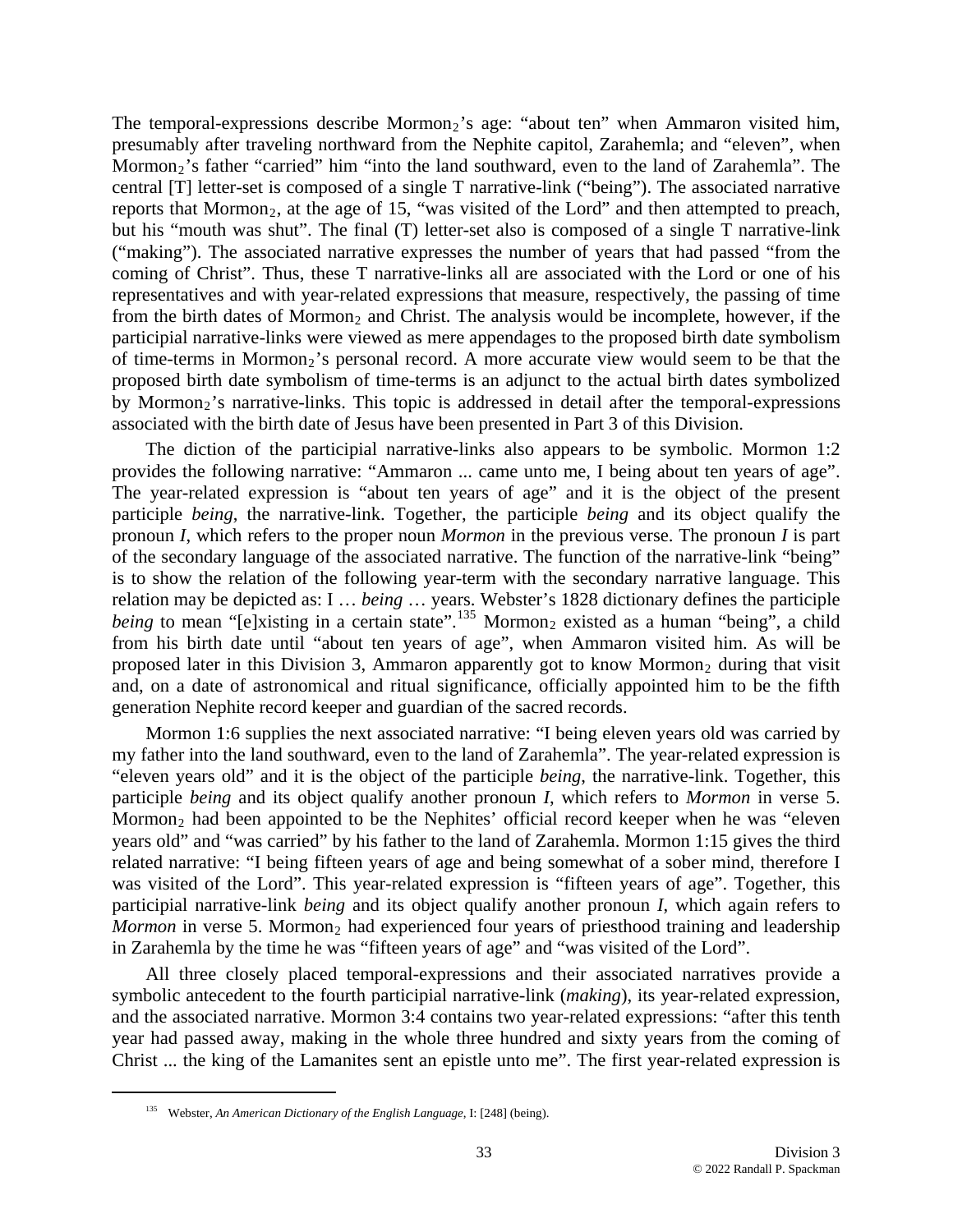The temporal-expressions describe Mormon<sub>2</sub>'s age: "about ten" when Ammaron visited him, presumably after traveling northward from the Nephite capitol, Zarahemla; and "eleven", when Mormon<sub>2</sub>'s father "carried" him "into the land southward, even to the land of Zarahemla". The central [T] letter-set is composed of a single T narrative-link ("being"). The associated narrative reports that Mormon<sub>2</sub>, at the age of 15, "was visited of the Lord" and then attempted to preach, but his "mouth was shut". The final (T) letter-set also is composed of a single T narrative-link ("making"). The associated narrative expresses the number of years that had passed "from the coming of Christ". Thus, these T narrative-links all are associated with the Lord or one of his representatives and with year-related expressions that measure, respectively, the passing of time from the birth dates of Mormon<sub>2</sub> and Christ. The analysis would be incomplete, however, if the participial narrative-links were viewed as mere appendages to the proposed birth date symbolism of time-terms in Mormon<sub>2</sub>'s personal record. A more accurate view would seem to be that the proposed birth date symbolism of time-terms is an adjunct to the actual birth dates symbolized by Mormon<sub>2</sub>'s narrative-links. This topic is addressed in detail after the temporal-expressions associated with the birth date of Jesus have been presented in Part 3 of this Division.

The diction of the participial narrative-links also appears to be symbolic. Mormon 1:2 provides the following narrative: "Ammaron ... came unto me, I being about ten years of age". The year-related expression is "about ten years of age" and it is the object of the present participle *being*, the narrative-link. Together, the participle *being* and its object qualify the pronoun *I*, which refers to the proper noun *Mormon* in the previous verse. The pronoun *I* is part of the secondary language of the associated narrative. The function of the narrative-link "being" is to show the relation of the following year-term with the secondary narrative language. This relation may be depicted as: I … *being* … years. Webster's 1828 dictionary defines the participle *being* to mean "[e]xisting in a certain state".<sup>[135](#page-32-0)</sup> Mormon<sub>2</sub> existed as a human "being", a child from his birth date until "about ten years of age", when Ammaron visited him. As will be proposed later in this Division 3, Ammaron apparently got to know Mormon<sub>2</sub> during that visit and, on a date of astronomical and ritual significance, officially appointed him to be the fifth generation Nephite record keeper and guardian of the sacred records.

Mormon 1:6 supplies the next associated narrative: "I being eleven years old was carried by my father into the land southward, even to the land of Zarahemla". The year-related expression is "eleven years old" and it is the object of the participle *being*, the narrative-link. Together, this participle *being* and its object qualify another pronoun *I*, which refers to *Mormon* in verse 5. Mormon<sub>2</sub> had been appointed to be the Nephites' official record keeper when he was "eleven" years old" and "was carried" by his father to the land of Zarahemla. Mormon 1:15 gives the third related narrative: "I being fifteen years of age and being somewhat of a sober mind, therefore I was visited of the Lord". This year-related expression is "fifteen years of age". Together, this participial narrative-link *being* and its object qualify another pronoun *I*, which again refers to *Mormon* in verse 5. Mormon<sub>2</sub> had experienced four years of priesthood training and leadership in Zarahemla by the time he was "fifteen years of age" and "was visited of the Lord".

All three closely placed temporal-expressions and their associated narratives provide a symbolic antecedent to the fourth participial narrative-link (*making*), its year-related expression, and the associated narrative. Mormon 3:4 contains two year-related expressions: "after this tenth year had passed away, making in the whole three hundred and sixty years from the coming of Christ ... the king of the Lamanites sent an epistle unto me". The first year-related expression is

<span id="page-32-0"></span><sup>135</sup> Webster, *An American Dictionary of the English Language*, I: [248] (being).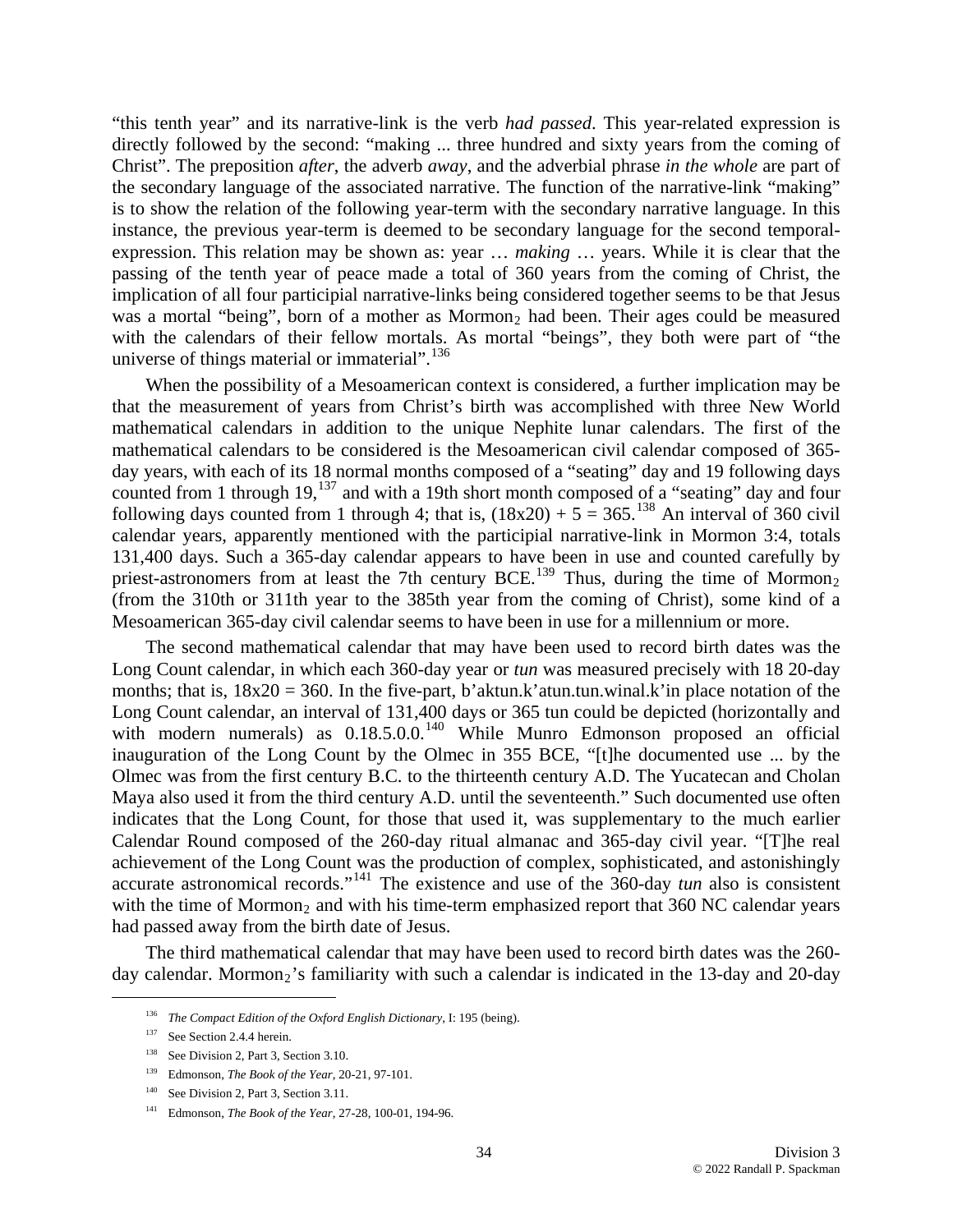"this tenth year" and its narrative-link is the verb *had passed*. This year-related expression is directly followed by the second: "making ... three hundred and sixty years from the coming of Christ". The preposition *after*, the adverb *away*, and the adverbial phrase *in the whole* are part of the secondary language of the associated narrative. The function of the narrative-link "making" is to show the relation of the following year-term with the secondary narrative language. In this instance, the previous year-term is deemed to be secondary language for the second temporalexpression. This relation may be shown as: year … *making* … years. While it is clear that the passing of the tenth year of peace made a total of 360 years from the coming of Christ, the implication of all four participial narrative-links being considered together seems to be that Jesus was a mortal "being", born of a mother as  $Mormon<sub>2</sub>$  had been. Their ages could be measured with the calendars of their fellow mortals. As mortal "beings", they both were part of "the universe of things material or immaterial".<sup>[136](#page-33-0)</sup>

When the possibility of a Mesoamerican context is considered, a further implication may be that the measurement of years from Christ's birth was accomplished with three New World mathematical calendars in addition to the unique Nephite lunar calendars. The first of the mathematical calendars to be considered is the Mesoamerican civil calendar composed of 365 day years, with each of its 18 normal months composed of a "seating" day and 19 following days counted from 1 through 19,<sup>[137](#page-33-1)</sup> and with a 19th short month composed of a "seating" day and four following days counted from 1 through 4; that is,  $(18x20) + 5 = 365$ .<sup>[138](#page-33-2)</sup> An interval of 360 civil calendar years, apparently mentioned with the participial narrative-link in Mormon 3:4, totals 131,400 days. Such a 365-day calendar appears to have been in use and counted carefully by priest-astronomers from at least the 7th century BCE.<sup>[139](#page-33-3)</sup> Thus, during the time of Mormon<sub>2</sub> (from the 310th or 311th year to the 385th year from the coming of Christ), some kind of a Mesoamerican 365-day civil calendar seems to have been in use for a millennium or more.

The second mathematical calendar that may have been used to record birth dates was the Long Count calendar, in which each 360-day year or *tun* was measured precisely with 18 20-day months; that is,  $18x20 = 360$ . In the five-part, b'aktun.k'atun.tun.winal.k'in place notation of the Long Count calendar, an interval of 131,400 days or 365 tun could be depicted (horizontally and with modern numerals) as  $0.18.5.0.0$ .<sup>[140](#page-33-4)</sup> While Munro Edmonson proposed an official inauguration of the Long Count by the Olmec in 355 BCE, "[t]he documented use ... by the Olmec was from the first century B.C. to the thirteenth century A.D. The Yucatecan and Cholan Maya also used it from the third century A.D. until the seventeenth." Such documented use often indicates that the Long Count, for those that used it, was supplementary to the much earlier Calendar Round composed of the 260-day ritual almanac and 365-day civil year. "[T]he real achievement of the Long Count was the production of complex, sophisticated, and astonishingly accurate astronomical records."[141](#page-33-5) The existence and use of the 360-day *tun* also is consistent with the time of Mormon<sub>2</sub> and with his time-term emphasized report that  $360$  NC calendar years had passed away from the birth date of Jesus.

<span id="page-33-1"></span><span id="page-33-0"></span>The third mathematical calendar that may have been used to record birth dates was the 260 day calendar. Mormon<sub>2</sub>'s familiarity with such a calendar is indicated in the 13-day and 20-day

 <sup>136</sup> *The Compact Edition of the Oxford English Dictionary*, I: 195 (being).

<sup>&</sup>lt;sup>137</sup> See Section 2.4.4 herein.

<span id="page-33-2"></span><sup>&</sup>lt;sup>138</sup> See Division 2, Part 3, Section 3.10.

<span id="page-33-3"></span><sup>139</sup> Edmonson, *The Book of the Year*, 20-21, 97-101.

<span id="page-33-4"></span><sup>&</sup>lt;sup>140</sup> See Division 2, Part 3, Section 3.11.

<span id="page-33-5"></span><sup>141</sup> Edmonson, *The Book of the Year*, 27-28, 100-01, 194-96.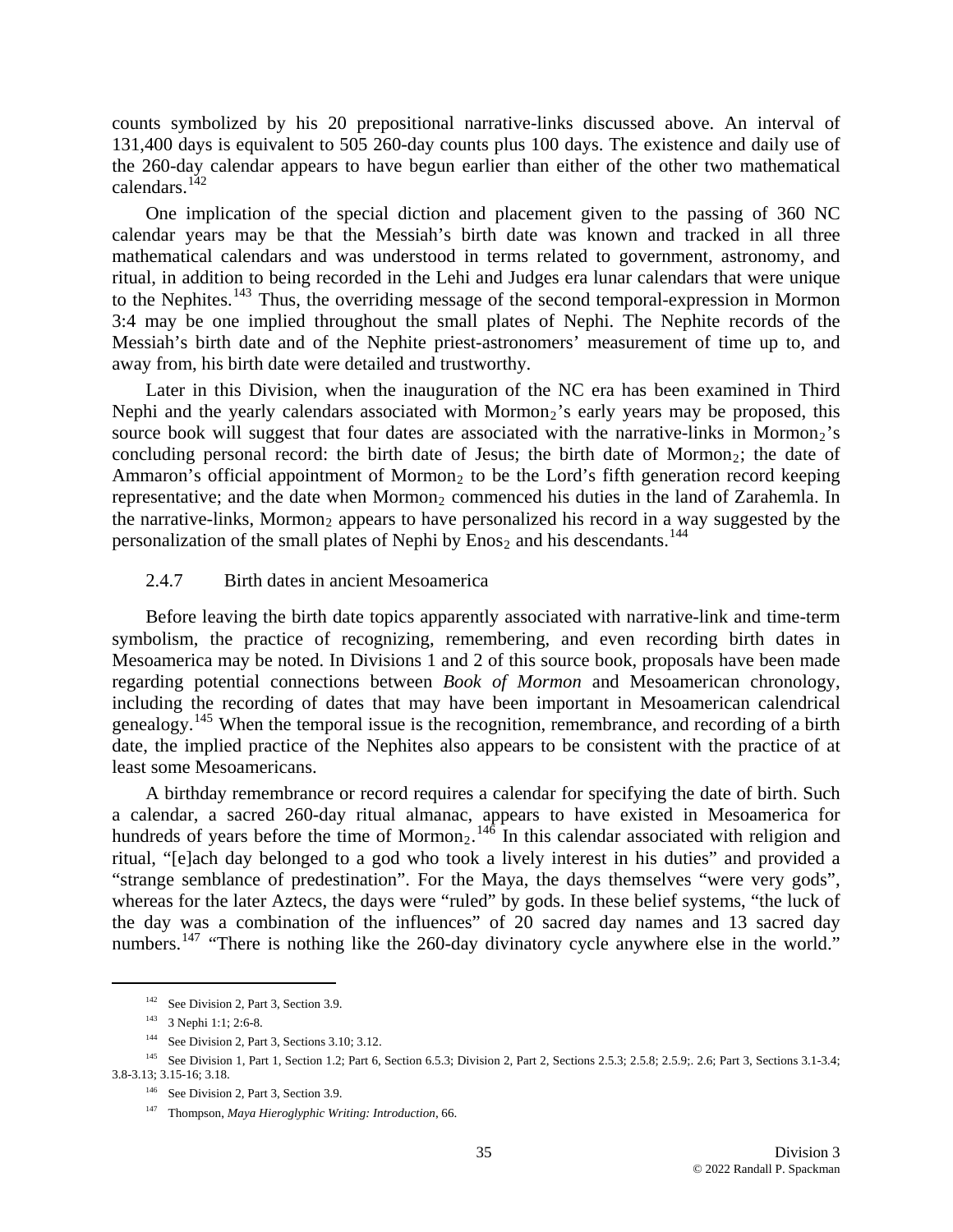counts symbolized by his 20 prepositional narrative-links discussed above. An interval of 131,400 days is equivalent to 505 260-day counts plus 100 days. The existence and daily use of the 260-day calendar appears to have begun earlier than either of the other two mathematical calendars.[142](#page-34-0)

One implication of the special diction and placement given to the passing of 360 NC calendar years may be that the Messiah's birth date was known and tracked in all three mathematical calendars and was understood in terms related to government, astronomy, and ritual, in addition to being recorded in the Lehi and Judges era lunar calendars that were unique to the Nephites.<sup>[143](#page-34-1)</sup> Thus, the overriding message of the second temporal-expression in Mormon 3:4 may be one implied throughout the small plates of Nephi. The Nephite records of the Messiah's birth date and of the Nephite priest-astronomers' measurement of time up to, and away from, his birth date were detailed and trustworthy.

Later in this Division, when the inauguration of the NC era has been examined in Third Nephi and the yearly calendars associated with Mormon<sub>2</sub>'s early years may be proposed, this source book will suggest that four dates are associated with the narrative-links in Mormon<sub>2</sub>'s concluding personal record: the birth date of Jesus; the birth date of Mormon<sub>2</sub>; the date of Ammaron's official appointment of Mormon<sub>2</sub> to be the Lord's fifth generation record keeping representative; and the date when Mormon<sub>2</sub> commenced his duties in the land of Zarahemla. In the narrative-links, Mormon<sub>2</sub> appears to have personalized his record in a way suggested by the personalization of the small plates of Nephi by Enos<sub>2</sub> and his descendants.<sup>[144](#page-34-2)</sup>

#### 2.4.7 Birth dates in ancient Mesoamerica

Before leaving the birth date topics apparently associated with narrative-link and time-term symbolism, the practice of recognizing, remembering, and even recording birth dates in Mesoamerica may be noted. In Divisions 1 and 2 of this source book, proposals have been made regarding potential connections between *Book of Mormon* and Mesoamerican chronology, including the recording of dates that may have been important in Mesoamerican calendrical genealogy.<sup>[145](#page-34-3)</sup> When the temporal issue is the recognition, remembrance, and recording of a birth date, the implied practice of the Nephites also appears to be consistent with the practice of at least some Mesoamericans.

A birthday remembrance or record requires a calendar for specifying the date of birth. Such a calendar, a sacred 260-day ritual almanac, appears to have existed in Mesoamerica for hundreds of years before the time of Mormon<sub>2</sub>.<sup>[146](#page-34-4)</sup> In this calendar associated with religion and ritual, "[e]ach day belonged to a god who took a lively interest in his duties" and provided a "strange semblance of predestination". For the Maya, the days themselves "were very gods", whereas for the later Aztecs, the days were "ruled" by gods. In these belief systems, "the luck of the day was a combination of the influences" of 20 sacred day names and 13 sacred day numbers.<sup>[147](#page-34-5)</sup> "There is nothing like the 260-day divinatory cycle anywhere else in the world."

<sup>&</sup>lt;sup>142</sup> See Division 2, Part 3, Section 3.9.

<sup>143 3</sup> Nephi 1:1; 2:6-8.

<sup>144</sup> See Division 2, Part 3, Sections 3.10; 3.12.

<span id="page-34-5"></span><span id="page-34-4"></span><span id="page-34-3"></span><span id="page-34-2"></span><span id="page-34-1"></span><span id="page-34-0"></span><sup>&</sup>lt;sup>145</sup> See Division 1, Part 1, Section 1.2; Part 6, Section 6.5.3; Division 2, Part 2, Sections 2.5.3; 2.5.8; 2.5.9;. 2.6; Part 3, Sections 3.1-3.4; 3.8-3.13; 3.15-16; 3.18.

<sup>&</sup>lt;sup>146</sup> See Division 2, Part 3, Section 3.9.

<sup>147</sup> Thompson, *Maya Hieroglyphic Writing: Introduction*, 66.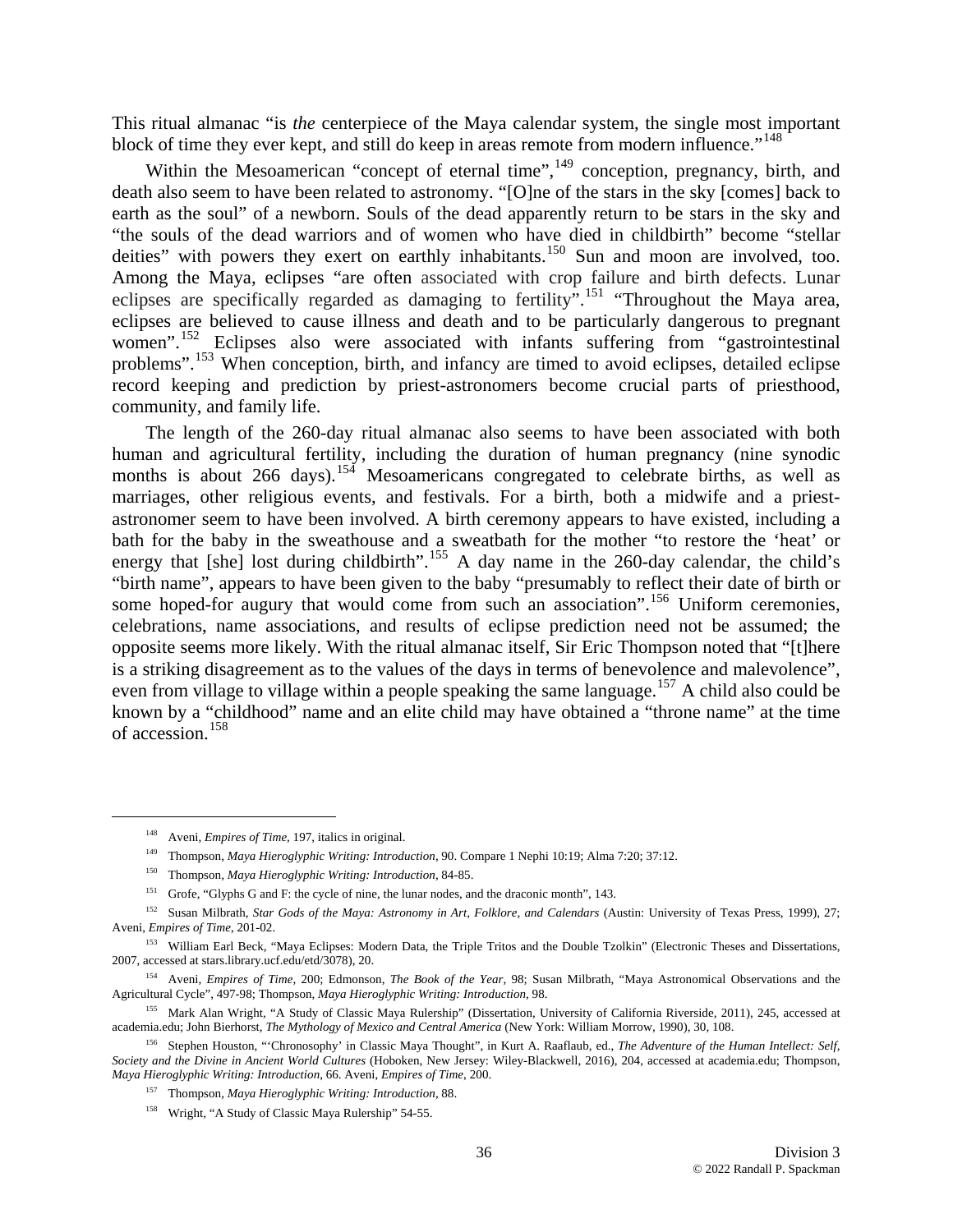This ritual almanac "is *the* centerpiece of the Maya calendar system, the single most important block of time they ever kept, and still do keep in areas remote from modern influence."<sup>[148](#page-35-0)</sup>

Within the Mesoamerican "concept of eternal time",<sup>[149](#page-35-1)</sup> conception, pregnancy, birth, and death also seem to have been related to astronomy. "[O]ne of the stars in the sky [comes] back to earth as the soul" of a newborn. Souls of the dead apparently return to be stars in the sky and "the souls of the dead warriors and of women who have died in childbirth" become "stellar deities" with powers they exert on earthly inhabitants.<sup>[150](#page-35-2)</sup> Sun and moon are involved, too. Among the Maya, eclipses "are often associated with crop failure and birth defects. Lunar eclipses are specifically regarded as damaging to fertility".<sup>[151](#page-35-3)</sup> "Throughout the Maya area, eclipses are believed to cause illness and death and to be particularly dangerous to pregnant women".<sup>[152](#page-35-4)</sup> Eclipses also were associated with infants suffering from "gastrointestinal" problems".<sup>[153](#page-35-5)</sup> When conception, birth, and infancy are timed to avoid eclipses, detailed eclipse record keeping and prediction by priest-astronomers become crucial parts of priesthood, community, and family life.

The length of the 260-day ritual almanac also seems to have been associated with both human and agricultural fertility, including the duration of human pregnancy (nine synodic months is about 266 days).<sup>[154](#page-35-6)</sup> Mesoamericans congregated to celebrate births, as well as marriages, other religious events, and festivals. For a birth, both a midwife and a priestastronomer seem to have been involved. A birth ceremony appears to have existed, including a bath for the baby in the sweathouse and a sweatbath for the mother "to restore the 'heat' or energy that [she] lost during childbirth".<sup>[155](#page-35-7)</sup> A day name in the 260-day calendar, the child's "birth name", appears to have been given to the baby "presumably to reflect their date of birth or some hoped-for augury that would come from such an association".<sup>[156](#page-35-8)</sup> Uniform ceremonies, celebrations, name associations, and results of eclipse prediction need not be assumed; the opposite seems more likely. With the ritual almanac itself, Sir Eric Thompson noted that "[t]here is a striking disagreement as to the values of the days in terms of benevolence and malevolence", even from village to village within a people speaking the same language.<sup>[157](#page-35-9)</sup> A child also could be known by a "childhood" name and an elite child may have obtained a "throne name" at the time of accession.[158](#page-35-10)

 <sup>148</sup> Aveni, *Empires of Time*, 197, italics in original.

<sup>149</sup> Thompson, *Maya Hieroglyphic Writing: Introduction*, 90. Compare 1 Nephi 10:19; Alma 7:20; 37:12.

<sup>150</sup> Thompson, *Maya Hieroglyphic Writing: Introduction*, 84-85.

<sup>151</sup> Grofe, "Glyphs G and F: the cycle of nine, the lunar nodes, and the draconic month", 143.

<span id="page-35-4"></span><span id="page-35-3"></span><span id="page-35-2"></span><span id="page-35-1"></span><span id="page-35-0"></span><sup>152</sup> Susan Milbrath, *Star Gods of the Maya: Astronomy in Art, Folklore, and Calendars* (Austin: University of Texas Press, 1999), 27; Aveni, *Empires of Time*, 201-02.

<span id="page-35-5"></span><sup>&</sup>lt;sup>153</sup> William Earl Beck, "Maya Eclipses: Modern Data, the Triple Tritos and the Double Tzolkin" (Electronic Theses and Dissertations, 2007, accessed at stars.library.ucf.edu/etd/3078), 20.

<span id="page-35-6"></span><sup>154</sup> Aveni, *Empires of Time*, 200; Edmonson, *The Book of the Year*, 98; Susan Milbrath, "Maya Astronomical Observations and the Agricultural Cycle", 497-98; Thompson, *Maya Hieroglyphic Writing: Introduction*, 98.

<span id="page-35-7"></span><sup>155</sup> Mark Alan Wright, "A Study of Classic Maya Rulership" (Dissertation, University of California Riverside, 2011), 245, accessed at academia.edu; John Bierhorst, *The Mythology of Mexico and Central America* (New York: William Morrow, 1990), 30, 108.

<span id="page-35-10"></span><span id="page-35-9"></span><span id="page-35-8"></span><sup>156</sup> Stephen Houston, "'Chronosophy' in Classic Maya Thought", in Kurt A. Raaflaub, ed., *The Adventure of the Human Intellect: Self, Society and the Divine in Ancient World Cultures* (Hoboken, New Jersey: Wiley-Blackwell, 2016), 204, accessed at academia.edu; Thompson, *Maya Hieroglyphic Writing: Introduction*, 66. Aveni, *Empires of Time*, 200.

<sup>157</sup> Thompson, *Maya Hieroglyphic Writing: Introduction*, 88.

<sup>&</sup>lt;sup>158</sup> Wright, "A Study of Classic Maya Rulership" 54-55.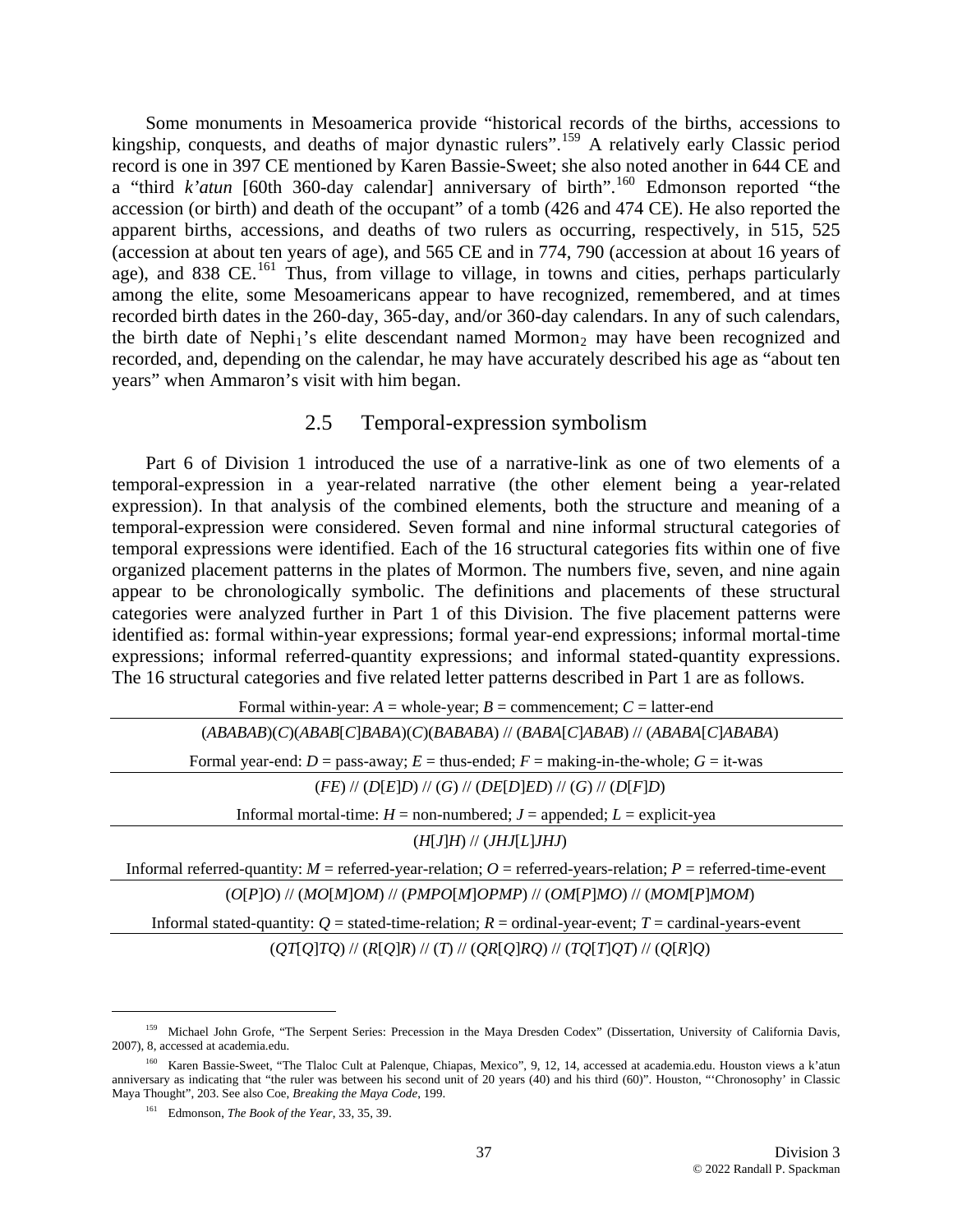Some monuments in Mesoamerica provide "historical records of the births, accessions to kingship, conquests, and deaths of major dynastic rulers".<sup>[159](#page-36-0)</sup> A relatively early Classic period record is one in 397 CE mentioned by Karen Bassie-Sweet; she also noted another in 644 CE and a "third *k'atun* [60th 360-day calendar] anniversary of birth".<sup>[160](#page-36-1)</sup> Edmonson reported "the accession (or birth) and death of the occupant" of a tomb (426 and 474 CE). He also reported the apparent births, accessions, and deaths of two rulers as occurring, respectively, in 515, 525 (accession at about ten years of age), and 565 CE and in 774, 790 (accession at about 16 years of age), and 838 CE.<sup>[161](#page-36-2)</sup> Thus, from village to village, in towns and cities, perhaps particularly among the elite, some Mesoamericans appear to have recognized, remembered, and at times recorded birth dates in the 260-day, 365-day, and/or 360-day calendars. In any of such calendars, the birth date of Nephi<sub>1</sub>'s elite descendant named Mormon<sub>2</sub> may have been recognized and recorded, and, depending on the calendar, he may have accurately described his age as "about ten years" when Ammaron's visit with him began.

# 2.5 Temporal-expression symbolism

Part 6 of Division 1 introduced the use of a narrative-link as one of two elements of a temporal-expression in a year-related narrative (the other element being a year-related expression). In that analysis of the combined elements, both the structure and meaning of a temporal-expression were considered. Seven formal and nine informal structural categories of temporal expressions were identified. Each of the 16 structural categories fits within one of five organized placement patterns in the plates of Mormon. The numbers five, seven, and nine again appear to be chronologically symbolic. The definitions and placements of these structural categories were analyzed further in Part 1 of this Division. The five placement patterns were identified as: formal within-year expressions; formal year-end expressions; informal mortal-time expressions; informal referred-quantity expressions; and informal stated-quantity expressions. The 16 structural categories and five related letter patterns described in Part 1 are as follows.

Formal within-year:  $A =$  whole-year;  $B =$  commencement;  $C =$  latter-end (*ABABAB*)(*C*)(*ABAB*[*C*]*BABA*)(*C*)(*BABABA*) // (*BABA*[*C*]*ABAB*) // (*ABABA*[*C*]*ABABA*) Formal year-end:  $D =$  pass-away;  $E =$  thus-ended;  $F =$  making-in-the-whole;  $G =$  it-was (*FE*) // (*D*[*E*]*D*) // (*G*) // (*DE*[*D*]*ED*) // (*G*) // (*D*[*F*]*D*) Informal mortal-time:  $H =$  non-numbered;  $J =$  appended;  $L =$  explicit-yea (*H*[*J*]*H*) // (*JHJ*[*L*]*JHJ*) Informal referred-quantity:  $M$  = referred-year-relation;  $O$  = referred-years-relation;  $P$  = referred-time-event (*O*[*P*]*O*) // (*MO*[*M*]*OM*) // (*PMPO*[*M*]*OPMP*) // (*OM*[*P*]*MO*) // (*MOM*[*P*]*MOM*) Informal stated-quantity: *Q* = stated-time-relation; *R* = ordinal-year-event; *T* = cardinal-years-event

(*QT*[*Q*]*TQ*) // (*R*[*Q*]*R*) // (*T*) // (*QR*[*Q*]*RQ*) // (*TQ*[*T*]*QT*) // (*Q*[*R*]*Q*)

<span id="page-36-0"></span> <sup>159</sup> Michael John Grofe, "The Serpent Series: Precession in the Maya Dresden Codex" (Dissertation, University of California Davis, 2007), 8, accessed at academia.edu.

<span id="page-36-2"></span><span id="page-36-1"></span><sup>&</sup>lt;sup>160</sup> Karen Bassie-Sweet, "The Tlaloc Cult at Palenque, Chiapas, Mexico", 9, 12, 14, accessed at academia.edu. Houston views a k'atun anniversary as indicating that "the ruler was between his second unit of 20 years (40) and his third (60)". Houston, "'Chronosophy' in Classic Maya Thought", 203. See also Coe, *Breaking the Maya Code*, 199.

<sup>161</sup> Edmonson, *The Book of the Year*, 33, 35, 39.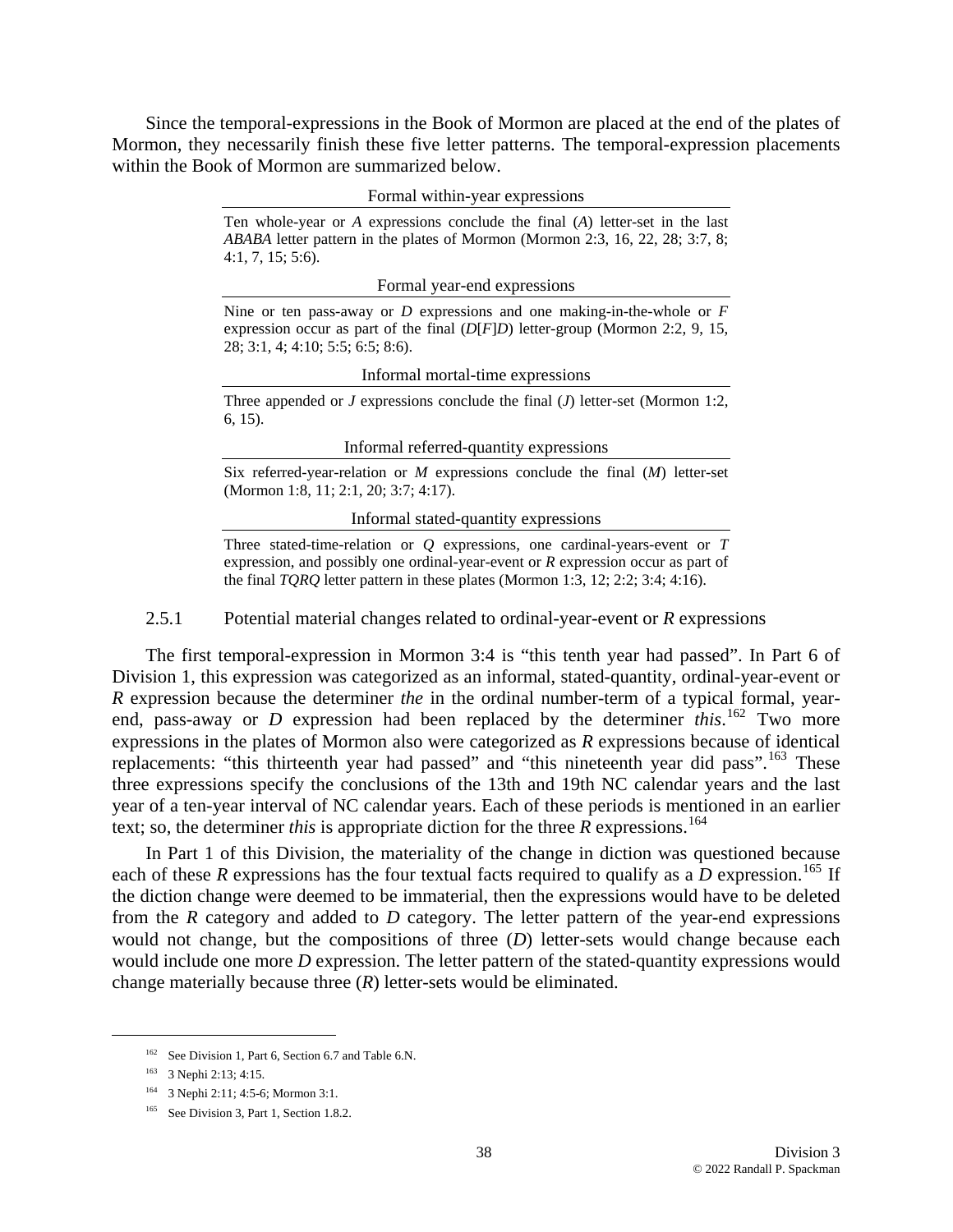Since the temporal-expressions in the Book of Mormon are placed at the end of the plates of Mormon, they necessarily finish these five letter patterns. The temporal-expression placements within the Book of Mormon are summarized below.

Formal within-year expressions

Ten whole-year or *A* expressions conclude the final (*A*) letter-set in the last *ABABA* letter pattern in the plates of Mormon (Mormon 2:3, 16, 22, 28; 3:7, 8; 4:1, 7, 15; 5:6).

Formal year-end expressions

Nine or ten pass-away or *D* expressions and one making-in-the-whole or *F* expression occur as part of the final (*D*[*F*]*D*) letter-group (Mormon 2:2, 9, 15, 28; 3:1, 4; 4:10; 5:5; 6:5; 8:6).

Informal mortal-time expressions

Three appended or *J* expressions conclude the final (*J*) letter-set (Mormon 1:2, 6, 15).

Informal referred-quantity expressions

Six referred-year-relation or *M* expressions conclude the final (*M*) letter-set (Mormon 1:8, 11; 2:1, 20; 3:7; 4:17).

Informal stated-quantity expressions

Three stated-time-relation or *Q* expressions, one cardinal-years-event or *T* expression, and possibly one ordinal-year-event or *R* expression occur as part of the final *TQRQ* letter pattern in these plates (Mormon 1:3, 12; 2:2; 3:4; 4:16).

2.5.1 Potential material changes related to ordinal-year-event or *R* expressions

The first temporal-expression in Mormon 3:4 is "this tenth year had passed". In Part 6 of Division 1, this expression was categorized as an informal, stated-quantity, ordinal-year-event or *R* expression because the determiner *the* in the ordinal number-term of a typical formal, yearend, pass-away or *D* expression had been replaced by the determiner *this*.<sup>[162](#page-37-0)</sup> Two more expressions in the plates of Mormon also were categorized as *R* expressions because of identical replacements: "this thirteenth year had passed" and "this nineteenth year did pass".<sup>[163](#page-37-1)</sup> These three expressions specify the conclusions of the 13th and 19th NC calendar years and the last year of a ten-year interval of NC calendar years. Each of these periods is mentioned in an earlier text; so, the determiner *this* is appropriate diction for the three  $R$  expressions.<sup>[164](#page-37-2)</sup>

In Part 1 of this Division, the materiality of the change in diction was questioned because each of these R expressions has the four textual facts required to qualify as a D expression.<sup>[165](#page-37-3)</sup> If the diction change were deemed to be immaterial, then the expressions would have to be deleted from the *R* category and added to *D* category. The letter pattern of the year-end expressions would not change, but the compositions of three (*D*) letter-sets would change because each would include one more *D* expression. The letter pattern of the stated-quantity expressions would change materially because three (*R*) letter-sets would be eliminated.

<sup>&</sup>lt;sup>162</sup> See Division 1, Part 6, Section 6.7 and Table 6.N.

<span id="page-37-1"></span><span id="page-37-0"></span><sup>163 3</sup> Nephi 2:13; 4:15.

<span id="page-37-2"></span><sup>164 3</sup> Nephi 2:11; 4:5-6; Mormon 3:1.

<span id="page-37-3"></span><sup>&</sup>lt;sup>165</sup> See Division 3, Part 1, Section 1.8.2.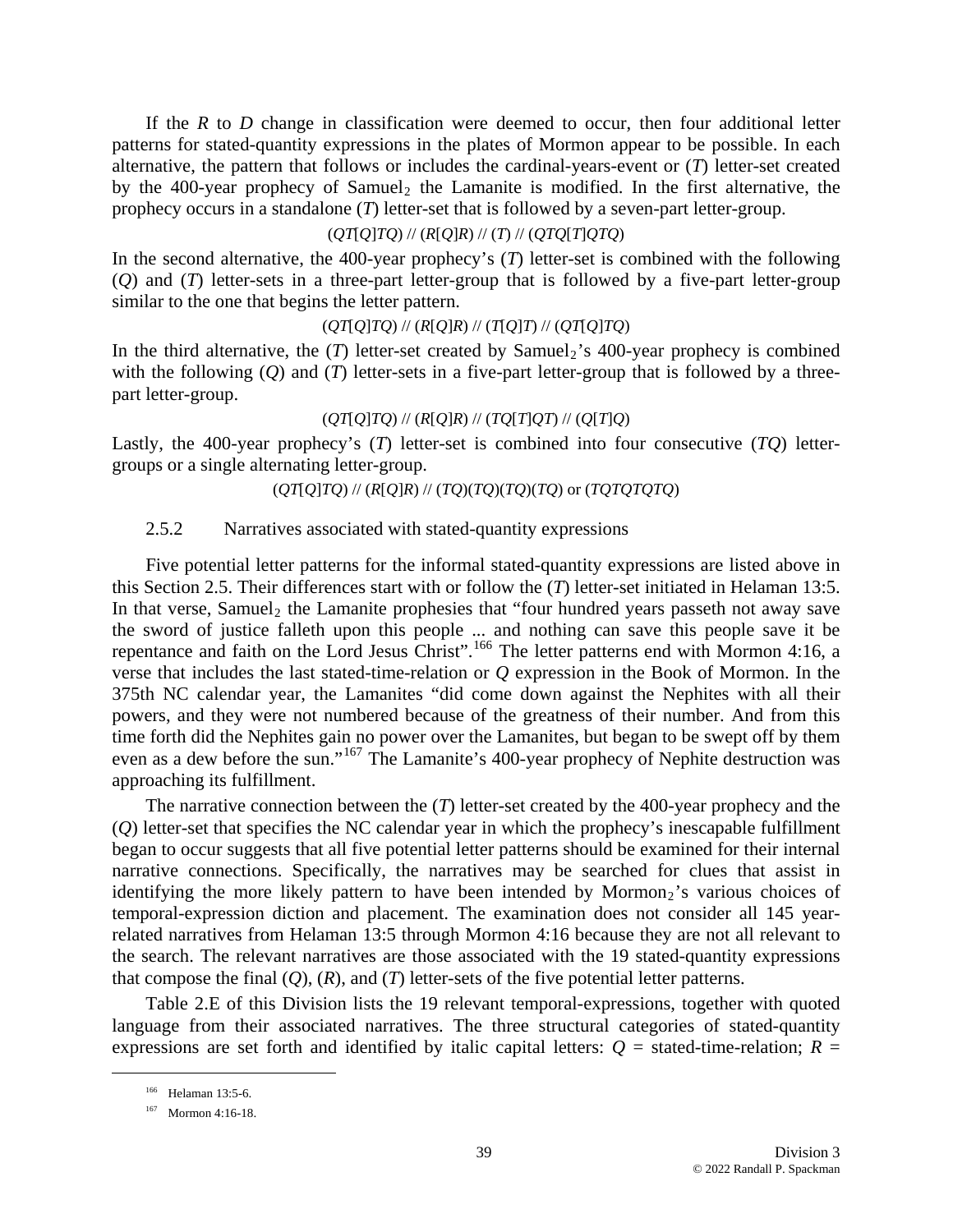If the *R* to *D* change in classification were deemed to occur, then four additional letter patterns for stated-quantity expressions in the plates of Mormon appear to be possible. In each alternative, the pattern that follows or includes the cardinal-years-event or (*T*) letter-set created by the 400-year prophecy of Samuel<sub>2</sub> the Lamanite is modified. In the first alternative, the prophecy occurs in a standalone (*T*) letter-set that is followed by a seven-part letter-group.

### (*QT*[*Q*]*TQ*) // (*R*[*Q*]*R*) // (*T*) // (*QTQ*[*T*]*QTQ*)

In the second alternative, the 400-year prophecy's (*T*) letter-set is combined with the following (*Q*) and (*T*) letter-sets in a three-part letter-group that is followed by a five-part letter-group similar to the one that begins the letter pattern.

# (*QT*[*Q*]*TQ*) // (*R*[*Q*]*R*) // (*T*[*Q*]*T*) // (*QT*[*Q*]*TQ*)

In the third alternative, the  $(T)$  letter-set created by Samuel<sub>2</sub>'s 400-year prophecy is combined with the following (*Q*) and (*T*) letter-sets in a five-part letter-group that is followed by a threepart letter-group.

### (*QT*[*Q*]*TQ*) // (*R*[*Q*]*R*) // (*TQ*[*T*]*QT*) // (*Q*[*T*]*Q*)

Lastly, the 400-year prophecy's (*T*) letter-set is combined into four consecutive (*TQ*) lettergroups or a single alternating letter-group.

#### (*QT*[*Q*]*TQ*) // (*R*[*Q*]*R*) // (*TQ*)(*TQ*)(*TQ*)(*TQ*) or (*TQTQTQTQ*)

#### 2.5.2 Narratives associated with stated-quantity expressions

Five potential letter patterns for the informal stated-quantity expressions are listed above in this Section 2.5. Their differences start with or follow the (*T*) letter-set initiated in Helaman 13:5. In that verse, Samuel<sub>2</sub> the Lamanite prophesies that "four hundred years passeth not away save the sword of justice falleth upon this people ... and nothing can save this people save it be repentance and faith on the Lord Jesus Christ".<sup>[166](#page-38-0)</sup> The letter patterns end with Mormon 4:16, a verse that includes the last stated-time-relation or *Q* expression in the Book of Mormon. In the 375th NC calendar year, the Lamanites "did come down against the Nephites with all their powers, and they were not numbered because of the greatness of their number. And from this time forth did the Nephites gain no power over the Lamanites, but began to be swept off by them even as a dew before the sun."<sup>[167](#page-38-1)</sup> The Lamanite's 400-year prophecy of Nephite destruction was approaching its fulfillment.

The narrative connection between the (*T*) letter-set created by the 400-year prophecy and the (*Q*) letter-set that specifies the NC calendar year in which the prophecy's inescapable fulfillment began to occur suggests that all five potential letter patterns should be examined for their internal narrative connections. Specifically, the narratives may be searched for clues that assist in identifying the more likely pattern to have been intended by Mormon<sub>2</sub>'s various choices of temporal-expression diction and placement. The examination does not consider all 145 yearrelated narratives from Helaman 13:5 through Mormon 4:16 because they are not all relevant to the search. The relevant narratives are those associated with the 19 stated-quantity expressions that compose the final (*Q*), (*R*), and (*T*) letter-sets of the five potential letter patterns.

<span id="page-38-0"></span>Table 2.E of this Division lists the 19 relevant temporal-expressions, together with quoted language from their associated narratives. The three structural categories of stated-quantity expressions are set forth and identified by italic capital letters:  $Q =$  stated-time-relation;  $R =$ 

 <sup>166</sup> Helaman 13:5-6.

<span id="page-38-1"></span><sup>167</sup> Mormon 4:16-18.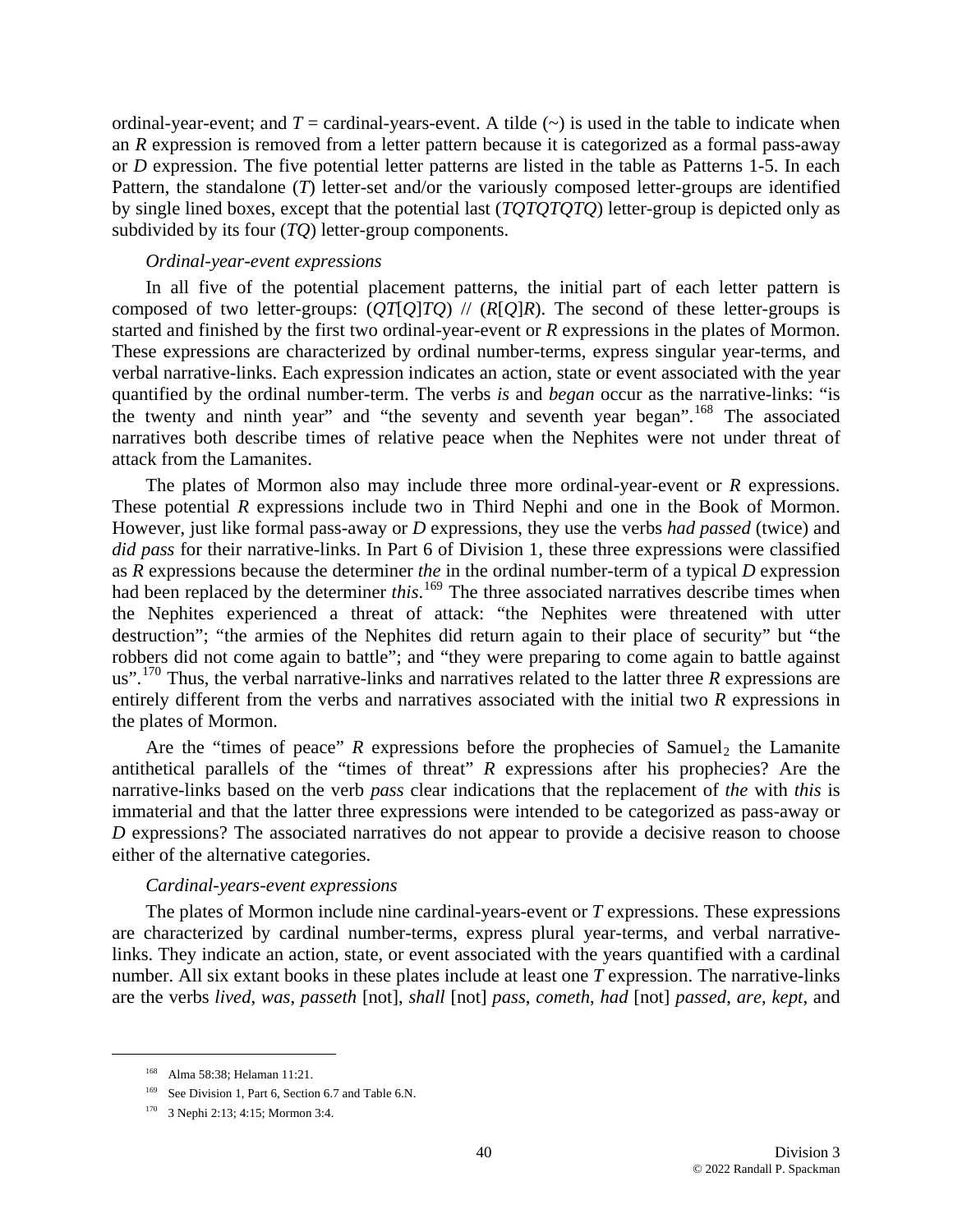ordinal-year-event; and  $T =$  cardinal-years-event. A tilde  $(\sim)$  is used in the table to indicate when an *R* expression is removed from a letter pattern because it is categorized as a formal pass-away or *D* expression. The five potential letter patterns are listed in the table as Patterns 1-5. In each Pattern, the standalone (*T*) letter-set and/or the variously composed letter-groups are identified by single lined boxes, except that the potential last (*TQTQTQTQ*) letter-group is depicted only as subdivided by its four (*TQ*) letter-group components.

### *Ordinal-year-event expressions*

In all five of the potential placement patterns, the initial part of each letter pattern is composed of two letter-groups:  $\left(\frac{O}{O}\right)/\left(\frac{R}{O}\right)R$ . The second of these letter-groups is started and finished by the first two ordinal-year-event or *R* expressions in the plates of Mormon. These expressions are characterized by ordinal number-terms, express singular year-terms, and verbal narrative-links. Each expression indicates an action, state or event associated with the year quantified by the ordinal number-term. The verbs *is* and *began* occur as the narrative-links: "is the twenty and ninth year" and "the seventy and seventh year began".<sup>[168](#page-39-0)</sup> The associated narratives both describe times of relative peace when the Nephites were not under threat of attack from the Lamanites.

The plates of Mormon also may include three more ordinal-year-event or *R* expressions. These potential *R* expressions include two in Third Nephi and one in the Book of Mormon. However, just like formal pass-away or *D* expressions, they use the verbs *had passed* (twice) and *did pass* for their narrative-links. In Part 6 of Division 1, these three expressions were classified as *R* expressions because the determiner *the* in the ordinal number-term of a typical *D* expression had been replaced by the determiner *this*. [169](#page-39-1) The three associated narratives describe times when the Nephites experienced a threat of attack: "the Nephites were threatened with utter destruction"; "the armies of the Nephites did return again to their place of security" but "the robbers did not come again to battle"; and "they were preparing to come again to battle against us".[170](#page-39-2) Thus, the verbal narrative-links and narratives related to the latter three *R* expressions are entirely different from the verbs and narratives associated with the initial two *R* expressions in the plates of Mormon.

Are the "times of peace"  $R$  expressions before the prophecies of Samuel<sub>2</sub> the Lamanite antithetical parallels of the "times of threat" *R* expressions after his prophecies? Are the narrative-links based on the verb *pass* clear indications that the replacement of *the* with *this* is immaterial and that the latter three expressions were intended to be categorized as pass-away or *D* expressions? The associated narratives do not appear to provide a decisive reason to choose either of the alternative categories.

#### *Cardinal-years-event expressions*

The plates of Mormon include nine cardinal-years-event or *T* expressions. These expressions are characterized by cardinal number-terms, express plural year-terms, and verbal narrativelinks. They indicate an action, state, or event associated with the years quantified with a cardinal number. All six extant books in these plates include at least one *T* expression. The narrative-links are the verbs *lived*, *was*, *passeth* [not], *shall* [not] *pass*, *cometh*, *had* [not] *passed*, *are*, *kept*, and

<span id="page-39-0"></span> <sup>168</sup> Alma 58:38; Helaman 11:21.

<span id="page-39-1"></span><sup>&</sup>lt;sup>169</sup> See Division 1, Part 6, Section 6.7 and Table 6.N.

<span id="page-39-2"></span><sup>170 3</sup> Nephi 2:13; 4:15; Mormon 3:4.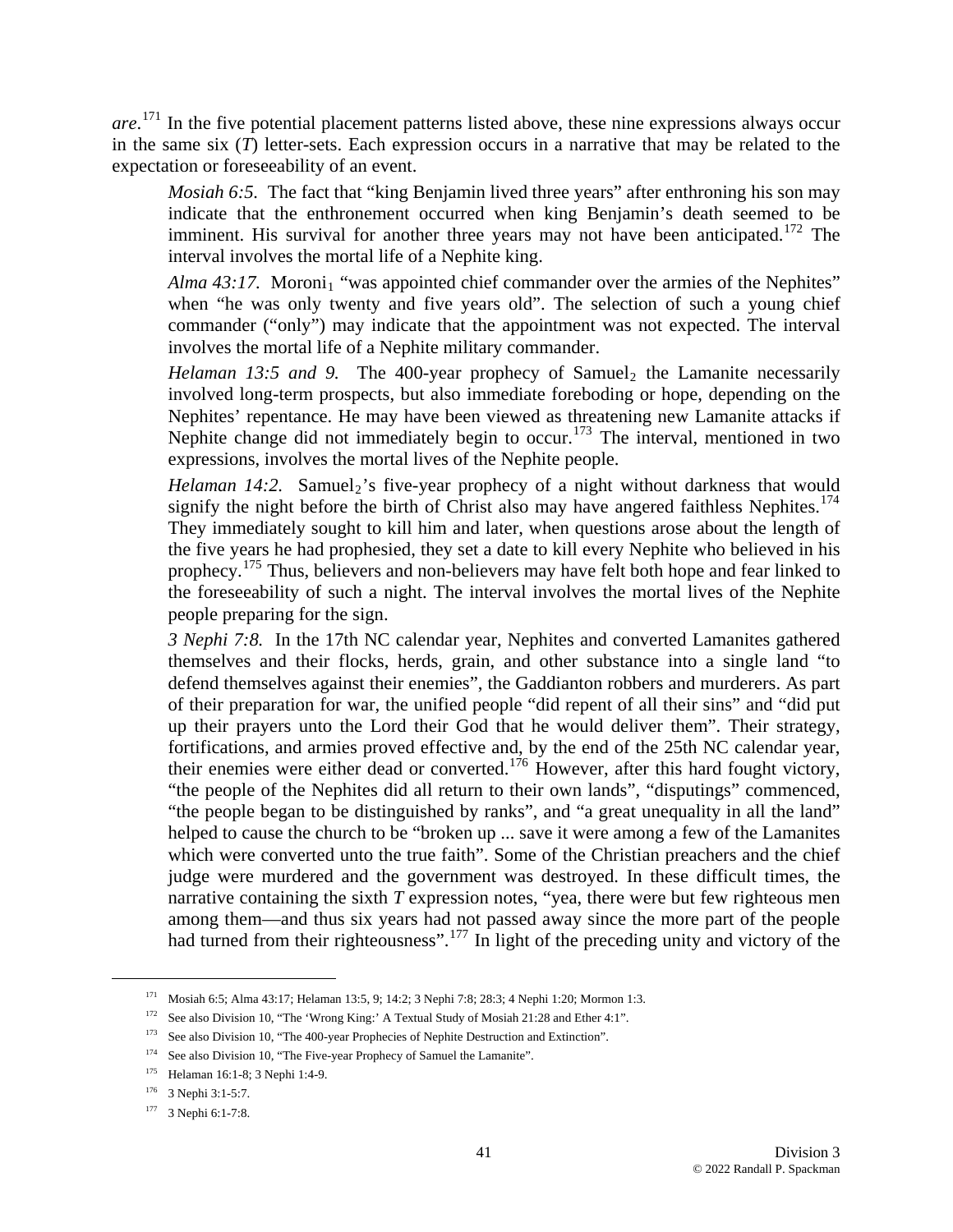*are*. [171](#page-40-0) In the five potential placement patterns listed above, these nine expressions always occur in the same six (*T*) letter-sets. Each expression occurs in a narrative that may be related to the expectation or foreseeability of an event.

*Mosiah 6:5.* The fact that "king Benjamin lived three years" after enthroning his son may indicate that the enthronement occurred when king Benjamin's death seemed to be imminent. His survival for another three years may not have been anticipated.<sup>[172](#page-40-1)</sup> The interval involves the mortal life of a Nephite king.

*Alma 43:17.* Moroni<sub>1</sub> "was appointed chief commander over the armies of the Nephites" when "he was only twenty and five years old". The selection of such a young chief commander ("only") may indicate that the appointment was not expected. The interval involves the mortal life of a Nephite military commander.

*Helaman 13:5 and 9.* The 400-year prophecy of Samuel<sub>2</sub> the Lamanite necessarily involved long-term prospects, but also immediate foreboding or hope, depending on the Nephites' repentance. He may have been viewed as threatening new Lamanite attacks if Nephite change did not immediately begin to occur.<sup>[173](#page-40-2)</sup> The interval, mentioned in two expressions, involves the mortal lives of the Nephite people.

*Helaman 14:2.* Samuel<sub>2</sub>'s five-year prophecy of a night without darkness that would signify the night before the birth of Christ also may have angered faithless Nephites.<sup>[174](#page-40-3)</sup> They immediately sought to kill him and later, when questions arose about the length of the five years he had prophesied, they set a date to kill every Nephite who believed in his prophecy.[175](#page-40-4) Thus, believers and non-believers may have felt both hope and fear linked to the foreseeability of such a night. The interval involves the mortal lives of the Nephite people preparing for the sign.

*3 Nephi 7:8.* In the 17th NC calendar year, Nephites and converted Lamanites gathered themselves and their flocks, herds, grain, and other substance into a single land "to defend themselves against their enemies", the Gaddianton robbers and murderers. As part of their preparation for war, the unified people "did repent of all their sins" and "did put up their prayers unto the Lord their God that he would deliver them". Their strategy, fortifications, and armies proved effective and, by the end of the 25th NC calendar year, their enemies were either dead or converted.<sup>[176](#page-40-5)</sup> However, after this hard fought victory, "the people of the Nephites did all return to their own lands", "disputings" commenced, "the people began to be distinguished by ranks", and "a great unequality in all the land" helped to cause the church to be "broken up ... save it were among a few of the Lamanites which were converted unto the true faith". Some of the Christian preachers and the chief judge were murdered and the government was destroyed. In these difficult times, the narrative containing the sixth *T* expression notes, "yea, there were but few righteous men among them—and thus six years had not passed away since the more part of the people had turned from their righteousness".<sup>[177](#page-40-6)</sup> In light of the preceding unity and victory of the

<span id="page-40-0"></span> <sup>171</sup> Mosiah 6:5; Alma 43:17; Helaman 13:5, 9; 14:2; 3 Nephi 7:8; 28:3; 4 Nephi 1:20; Mormon 1:3.

<span id="page-40-1"></span><sup>172</sup> See also Division 10, "The 'Wrong King:' A Textual Study of Mosiah 21:28 and Ether 4:1".

<span id="page-40-2"></span><sup>&</sup>lt;sup>173</sup> See also Division 10, "The 400-year Prophecies of Nephite Destruction and Extinction".

<sup>&</sup>lt;sup>174</sup> See also Division 10, "The Five-year Prophecy of Samuel the Lamanite".

<span id="page-40-4"></span><span id="page-40-3"></span><sup>175</sup> Helaman 16:1-8; 3 Nephi 1:4-9.

<span id="page-40-5"></span><sup>176 3</sup> Nephi 3:1-5:7.

<span id="page-40-6"></span><sup>177 3</sup> Nephi 6:1-7:8.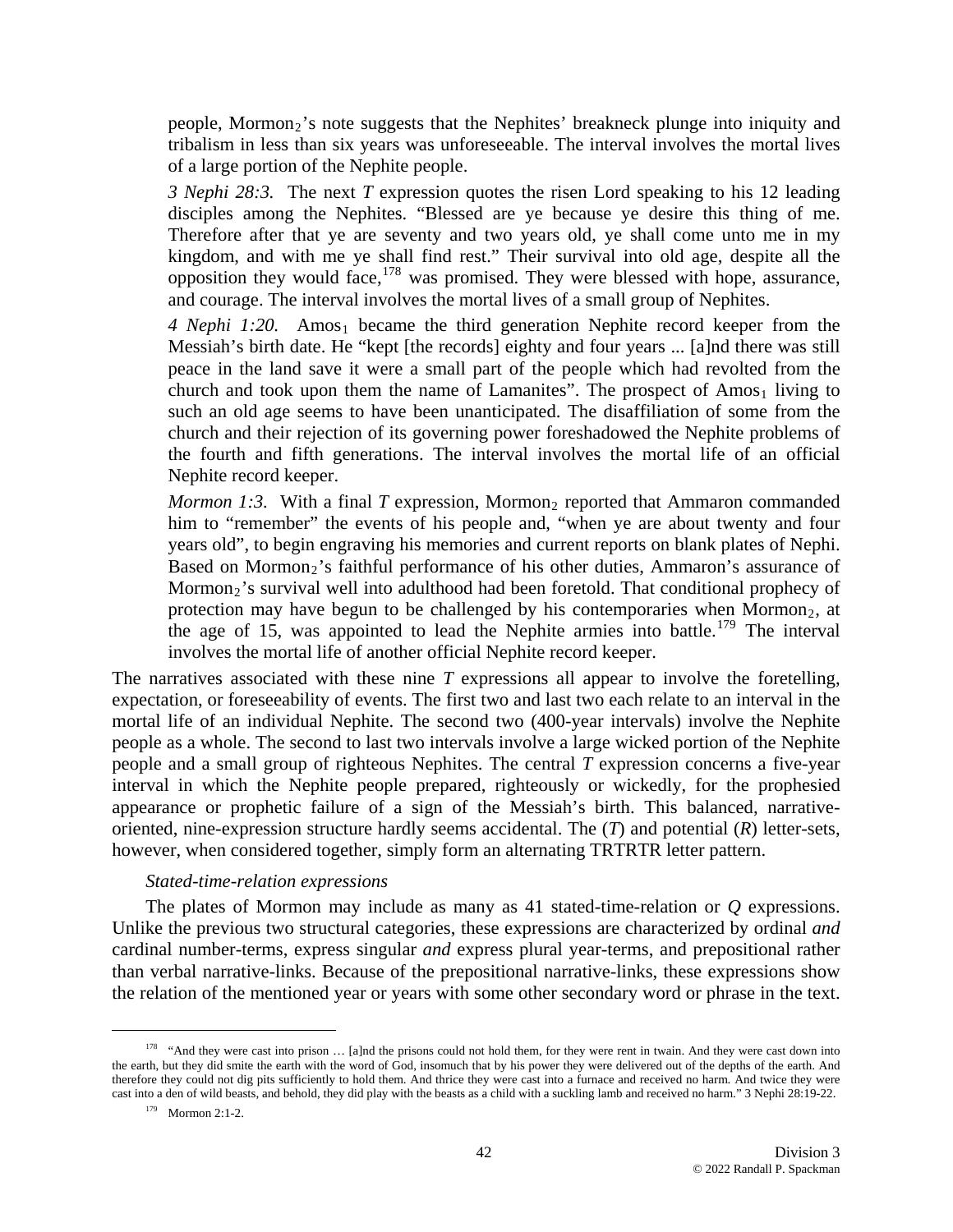people, Mormon<sub>2</sub>'s note suggests that the Nephites' breakneck plunge into iniquity and tribalism in less than six years was unforeseeable. The interval involves the mortal lives of a large portion of the Nephite people.

*3 Nephi 28:3.* The next *T* expression quotes the risen Lord speaking to his 12 leading disciples among the Nephites. "Blessed are ye because ye desire this thing of me. Therefore after that ye are seventy and two years old, ye shall come unto me in my kingdom, and with me ye shall find rest." Their survival into old age, despite all the opposition they would face,[178](#page-41-0) was promised. They were blessed with hope, assurance, and courage. The interval involves the mortal lives of a small group of Nephites.

4 Nephi 1:20. Amos<sub>1</sub> became the third generation Nephite record keeper from the Messiah's birth date. He "kept [the records] eighty and four years ... [a]nd there was still peace in the land save it were a small part of the people which had revolted from the church and took upon them the name of Lamanites". The prospect of  $Amos<sub>1</sub>$  living to such an old age seems to have been unanticipated. The disaffiliation of some from the church and their rejection of its governing power foreshadowed the Nephite problems of the fourth and fifth generations. The interval involves the mortal life of an official Nephite record keeper.

*Mormon 1:3.* With a final  $T$  expression, Mormon<sub>2</sub> reported that Ammaron commanded him to "remember" the events of his people and, "when ye are about twenty and four years old", to begin engraving his memories and current reports on blank plates of Nephi. Based on Mormon<sub>2</sub>'s faithful performance of his other duties, Ammaron's assurance of Mormon<sub>2</sub>'s survival well into adulthood had been foretold. That conditional prophecy of protection may have begun to be challenged by his contemporaries when Mormon<sub>2</sub>, at the age of 15, was appointed to lead the Nephite armies into battle.<sup>[179](#page-41-1)</sup> The interval involves the mortal life of another official Nephite record keeper.

The narratives associated with these nine *T* expressions all appear to involve the foretelling, expectation, or foreseeability of events. The first two and last two each relate to an interval in the mortal life of an individual Nephite. The second two (400-year intervals) involve the Nephite people as a whole. The second to last two intervals involve a large wicked portion of the Nephite people and a small group of righteous Nephites. The central *T* expression concerns a five-year interval in which the Nephite people prepared, righteously or wickedly, for the prophesied appearance or prophetic failure of a sign of the Messiah's birth. This balanced, narrativeoriented, nine-expression structure hardly seems accidental. The (*T*) and potential (*R*) letter-sets, however, when considered together, simply form an alternating TRTRTR letter pattern.

#### *Stated-time-relation expressions*

The plates of Mormon may include as many as 41 stated-time-relation or *Q* expressions. Unlike the previous two structural categories, these expressions are characterized by ordinal *and* cardinal number-terms, express singular *and* express plural year-terms, and prepositional rather than verbal narrative-links. Because of the prepositional narrative-links, these expressions show the relation of the mentioned year or years with some other secondary word or phrase in the text.

 $\overline{a}$ 

<span id="page-41-1"></span><span id="page-41-0"></span><sup>&</sup>lt;sup>178</sup> "And they were cast into prison  $\ldots$  [a]nd the prisons could not hold them, for they were rent in twain. And they were cast down into the earth, but they did smite the earth with the word of God, insomuch that by his power they were delivered out of the depths of the earth. And therefore they could not dig pits sufficiently to hold them. And thrice they were cast into a furnace and received no harm. And twice they were cast into a den of wild beasts, and behold, they did play with the beasts as a child with a suckling lamb and received no harm." 3 Nephi 28:19-22.

<sup>179</sup> Mormon 2:1-2.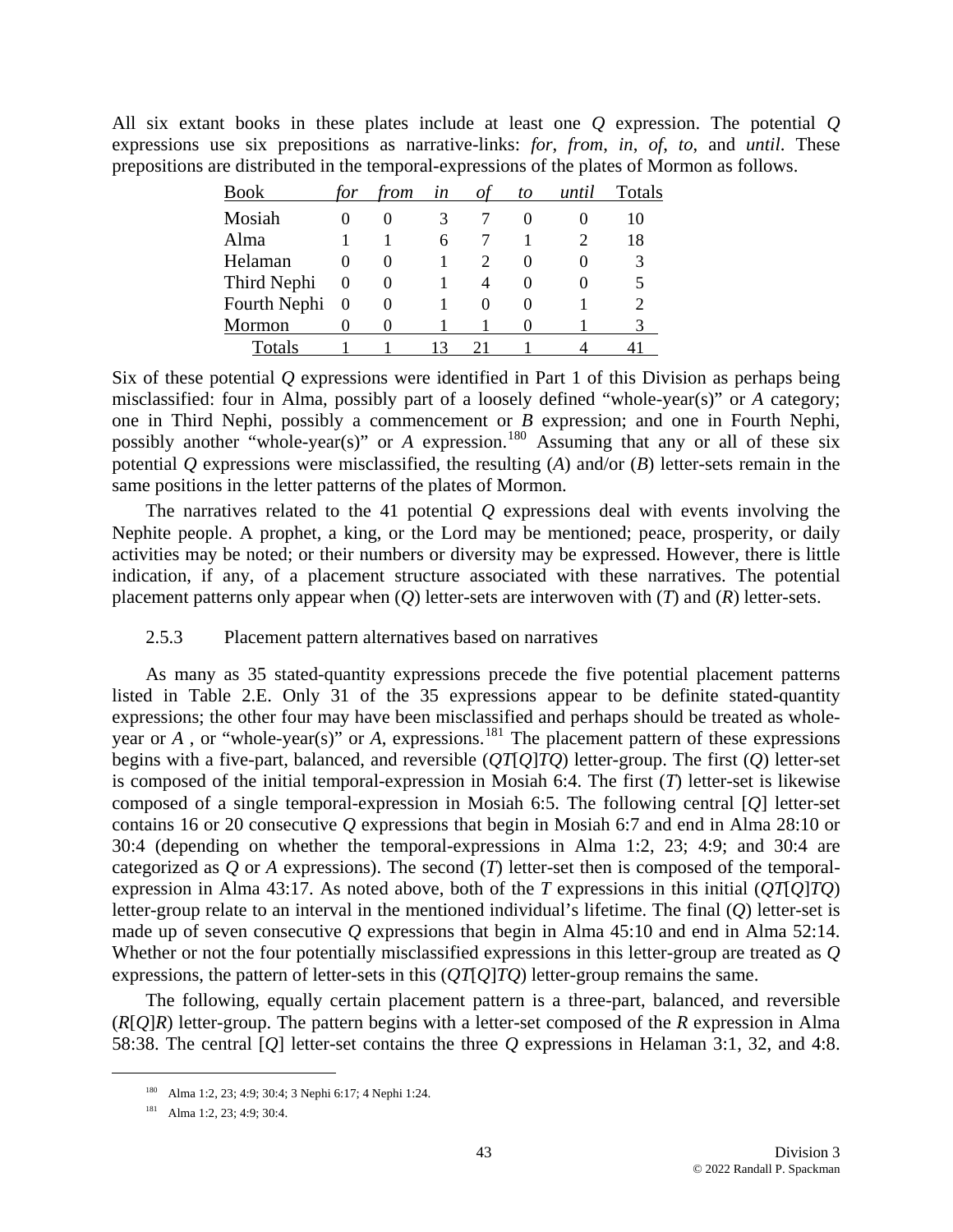All six extant books in these plates include at least one *Q* expression. The potential *Q* expressions use six prepositions as narrative-links: *for*, *from*, *in*, *of*, *to*, and *until*. These prepositions are distributed in the temporal-expressions of the plates of Mormon as follows.

| <b>Book</b>  | tor      | from              | $\mathfrak{m}$ | Оt | to                | until | Totals |
|--------------|----------|-------------------|----------------|----|-------------------|-------|--------|
| Mosiah       |          | 0                 | 3              |    |                   |       | 10     |
| Alma         |          |                   | 6              |    |                   |       | 18     |
| Helaman      |          | $\mathbf{\Omega}$ |                |    | $\mathbf{\Omega}$ |       | 3      |
| Third Nephi  | 0        | $\theta$          |                | 4  |                   |       |        |
| Fourth Nephi | $\theta$ | 0                 |                | 0  | $\mathbf{\Omega}$ |       |        |
| Mormon       |          |                   |                |    |                   |       | 3      |
| Totals       |          |                   | 13             | 21 |                   |       |        |

Six of these potential *Q* expressions were identified in Part 1 of this Division as perhaps being misclassified: four in Alma, possibly part of a loosely defined "whole-year(s)" or *A* category; one in Third Nephi, possibly a commencement or *B* expression; and one in Fourth Nephi, possibly another "whole-year(s)" or *A* expression.<sup>[180](#page-42-0)</sup> Assuming that any or all of these six potential *Q* expressions were misclassified, the resulting (*A*) and/or (*B*) letter-sets remain in the same positions in the letter patterns of the plates of Mormon.

The narratives related to the 41 potential *Q* expressions deal with events involving the Nephite people. A prophet, a king, or the Lord may be mentioned; peace, prosperity, or daily activities may be noted; or their numbers or diversity may be expressed. However, there is little indication, if any, of a placement structure associated with these narratives. The potential placement patterns only appear when (*Q*) letter-sets are interwoven with (*T*) and (*R*) letter-sets.

## 2.5.3 Placement pattern alternatives based on narratives

As many as 35 stated-quantity expressions precede the five potential placement patterns listed in Table 2.E. Only 31 of the 35 expressions appear to be definite stated-quantity expressions; the other four may have been misclassified and perhaps should be treated as wholeyear or  $\hat{A}$ , or "whole-year(s)" or  $\hat{A}$ , expressions.<sup>[181](#page-42-1)</sup> The placement pattern of these expressions begins with a five-part, balanced, and reversible (*QT*[*Q*]*TQ*) letter-group. The first (*Q*) letter-set is composed of the initial temporal-expression in Mosiah 6:4. The first (*T*) letter-set is likewise composed of a single temporal-expression in Mosiah 6:5. The following central [*Q*] letter-set contains 16 or 20 consecutive *Q* expressions that begin in Mosiah 6:7 and end in Alma 28:10 or 30:4 (depending on whether the temporal-expressions in Alma 1:2, 23; 4:9; and 30:4 are categorized as *Q* or *A* expressions). The second (*T*) letter-set then is composed of the temporalexpression in Alma 43:17. As noted above, both of the *T* expressions in this initial (*QT*[*Q*]*TQ*) letter-group relate to an interval in the mentioned individual's lifetime. The final (*Q*) letter-set is made up of seven consecutive *Q* expressions that begin in Alma 45:10 and end in Alma 52:14. Whether or not the four potentially misclassified expressions in this letter-group are treated as *Q* expressions, the pattern of letter-sets in this (*QT*[*Q*]*TQ*) letter-group remains the same.

The following, equally certain placement pattern is a three-part, balanced, and reversible (*R*[*Q*]*R*) letter-group. The pattern begins with a letter-set composed of the *R* expression in Alma 58:38. The central [*Q*] letter-set contains the three *Q* expressions in Helaman 3:1, 32, and 4:8.

<span id="page-42-0"></span> <sup>180</sup> Alma 1:2, 23; 4:9; 30:4; 3 Nephi 6:17; 4 Nephi 1:24.

<span id="page-42-1"></span><sup>181</sup> Alma 1:2, 23; 4:9; 30:4.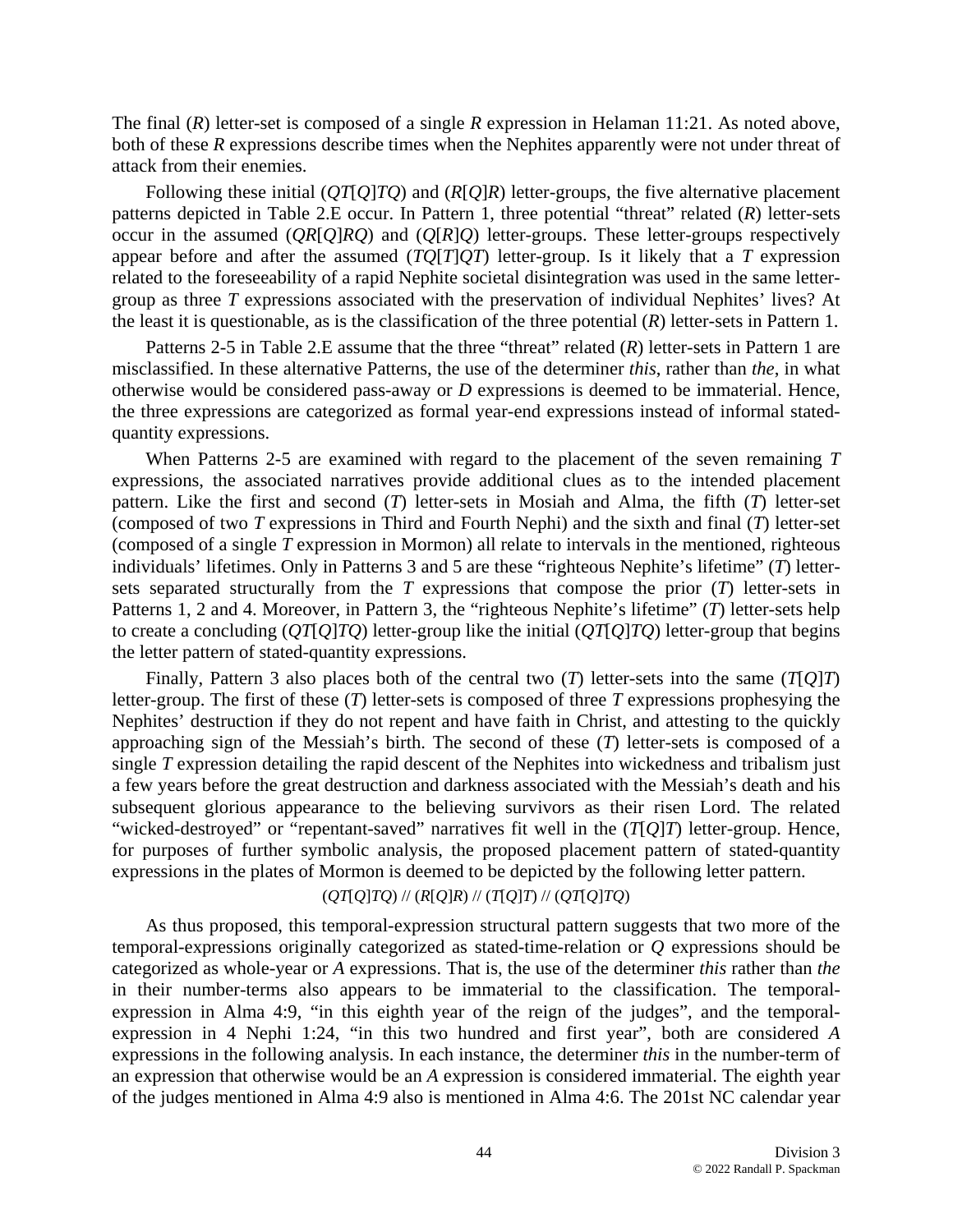The final (*R*) letter-set is composed of a single *R* expression in Helaman 11:21. As noted above, both of these *R* expressions describe times when the Nephites apparently were not under threat of attack from their enemies.

Following these initial (*QT*[*Q*]*TQ*) and (*R*[*Q*]*R*) letter-groups, the five alternative placement patterns depicted in Table 2.E occur. In Pattern 1, three potential "threat" related (*R*) letter-sets occur in the assumed (*QR*[*Q*]*RQ*) and (*Q*[*R*]*Q*) letter-groups. These letter-groups respectively appear before and after the assumed (*TQ*[*T*]*QT*) letter-group. Is it likely that a *T* expression related to the foreseeability of a rapid Nephite societal disintegration was used in the same lettergroup as three *T* expressions associated with the preservation of individual Nephites' lives? At the least it is questionable, as is the classification of the three potential (*R*) letter-sets in Pattern 1.

Patterns 2-5 in Table 2.E assume that the three "threat" related (*R*) letter-sets in Pattern 1 are misclassified. In these alternative Patterns, the use of the determiner *this*, rather than *the*, in what otherwise would be considered pass-away or *D* expressions is deemed to be immaterial. Hence, the three expressions are categorized as formal year-end expressions instead of informal statedquantity expressions.

When Patterns 2-5 are examined with regard to the placement of the seven remaining *T* expressions, the associated narratives provide additional clues as to the intended placement pattern. Like the first and second (*T*) letter-sets in Mosiah and Alma, the fifth (*T*) letter-set (composed of two *T* expressions in Third and Fourth Nephi) and the sixth and final (*T*) letter-set (composed of a single *T* expression in Mormon) all relate to intervals in the mentioned, righteous individuals' lifetimes. Only in Patterns 3 and 5 are these "righteous Nephite's lifetime" (*T*) lettersets separated structurally from the *T* expressions that compose the prior (*T*) letter-sets in Patterns 1, 2 and 4. Moreover, in Pattern 3, the "righteous Nephite's lifetime" (*T*) letter-sets help to create a concluding (*QT*[*Q*]*TQ*) letter-group like the initial (*QT*[*Q*]*TQ*) letter-group that begins the letter pattern of stated-quantity expressions.

Finally, Pattern 3 also places both of the central two  $(T)$  letter-sets into the same  $(T[Q]T)$ letter-group. The first of these (*T*) letter-sets is composed of three *T* expressions prophesying the Nephites' destruction if they do not repent and have faith in Christ, and attesting to the quickly approaching sign of the Messiah's birth. The second of these (*T*) letter-sets is composed of a single *T* expression detailing the rapid descent of the Nephites into wickedness and tribalism just a few years before the great destruction and darkness associated with the Messiah's death and his subsequent glorious appearance to the believing survivors as their risen Lord. The related "wicked-destroyed" or "repentant-saved" narratives fit well in the (*T*[*Q*]*T*) letter-group. Hence, for purposes of further symbolic analysis, the proposed placement pattern of stated-quantity expressions in the plates of Mormon is deemed to be depicted by the following letter pattern.

### (*QT*[*Q*]*TQ*) // (*R*[*Q*]*R*) // (*T*[*Q*]*T*) // (*QT*[*Q*]*TQ*)

As thus proposed, this temporal-expression structural pattern suggests that two more of the temporal-expressions originally categorized as stated-time-relation or *Q* expressions should be categorized as whole-year or *A* expressions. That is, the use of the determiner *this* rather than *the* in their number-terms also appears to be immaterial to the classification. The temporalexpression in Alma 4:9, "in this eighth year of the reign of the judges", and the temporalexpression in 4 Nephi 1:24, "in this two hundred and first year", both are considered *A* expressions in the following analysis. In each instance, the determiner *this* in the number-term of an expression that otherwise would be an *A* expression is considered immaterial. The eighth year of the judges mentioned in Alma 4:9 also is mentioned in Alma 4:6. The 201st NC calendar year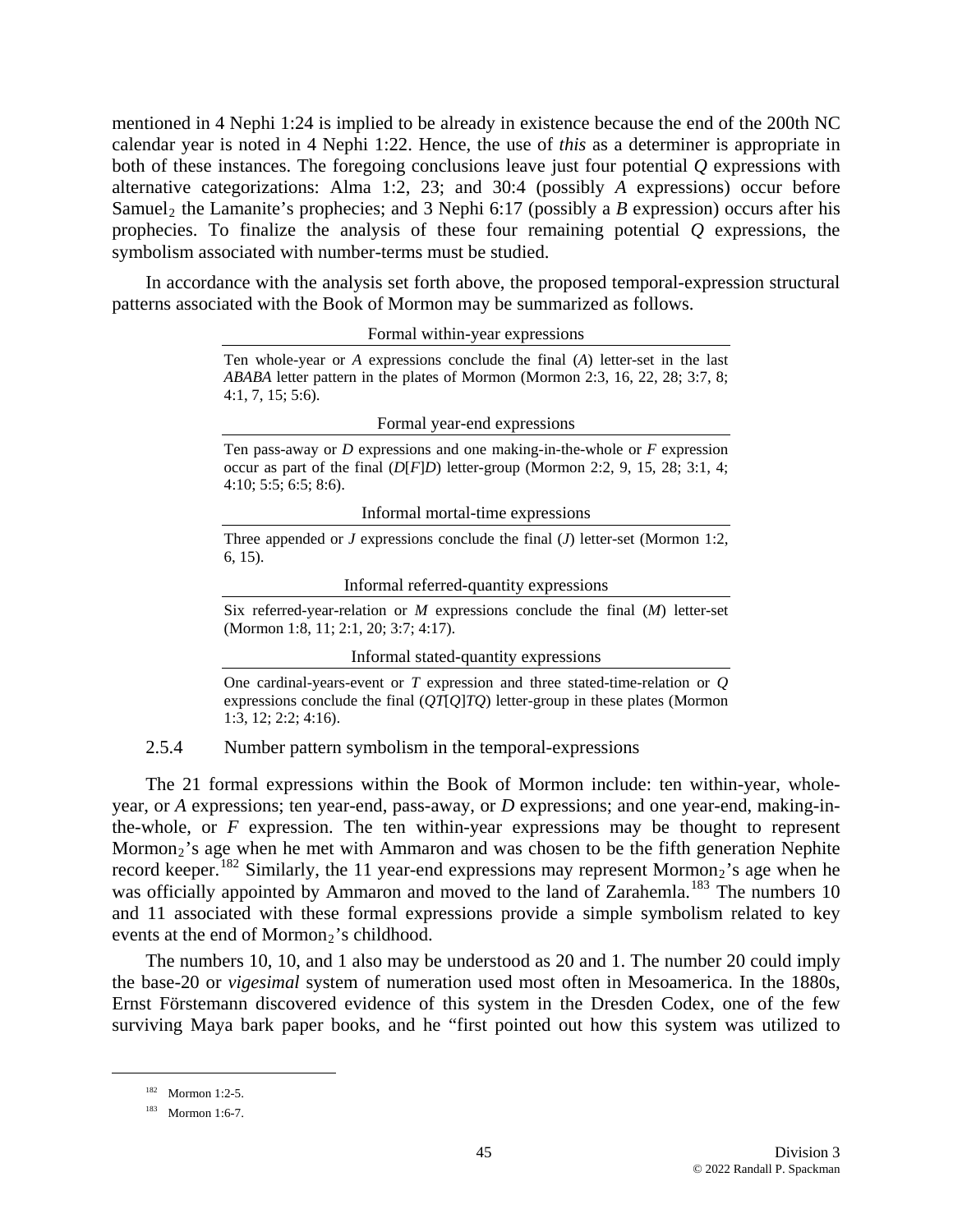mentioned in 4 Nephi 1:24 is implied to be already in existence because the end of the 200th NC calendar year is noted in 4 Nephi 1:22. Hence, the use of *this* as a determiner is appropriate in both of these instances. The foregoing conclusions leave just four potential *Q* expressions with alternative categorizations: Alma 1:2, 23; and 30:4 (possibly *A* expressions) occur before Samuel<sub>2</sub> the Lamanite's prophecies; and 3 Nephi 6:17 (possibly a *B* expression) occurs after his prophecies. To finalize the analysis of these four remaining potential *Q* expressions, the symbolism associated with number-terms must be studied.

In accordance with the analysis set forth above, the proposed temporal-expression structural patterns associated with the Book of Mormon may be summarized as follows.

Formal within-year expressions

Ten whole-year or *A* expressions conclude the final (*A*) letter-set in the last *ABABA* letter pattern in the plates of Mormon (Mormon 2:3, 16, 22, 28; 3:7, 8; 4:1, 7, 15; 5:6).

Formal year-end expressions

Ten pass-away or *D* expressions and one making-in-the-whole or *F* expression occur as part of the final (*D*[*F*]*D*) letter-group (Mormon 2:2, 9, 15, 28; 3:1, 4; 4:10; 5:5; 6:5; 8:6).

Informal mortal-time expressions

Three appended or *J* expressions conclude the final (*J*) letter-set (Mormon 1:2, 6, 15).

Informal referred-quantity expressions

Six referred-year-relation or *M* expressions conclude the final (*M*) letter-set (Mormon 1:8, 11; 2:1, 20; 3:7; 4:17).

Informal stated-quantity expressions

One cardinal-years-event or *T* expression and three stated-time-relation or *Q* expressions conclude the final (*QT*[*Q*]*TQ*) letter-group in these plates (Mormon 1:3, 12; 2:2; 4:16).

2.5.4 Number pattern symbolism in the temporal-expressions

The 21 formal expressions within the Book of Mormon include: ten within-year, wholeyear, or *A* expressions; ten year-end, pass-away, or *D* expressions; and one year-end, making-inthe-whole, or *F* expression. The ten within-year expressions may be thought to represent Mormon<sub>2</sub>'s age when he met with Ammaron and was chosen to be the fifth generation Nephite record keeper.<sup>[182](#page-44-0)</sup> Similarly, the 11 year-end expressions may represent Mormon<sub>2</sub>'s age when he was officially appointed by Ammaron and moved to the land of Zarahemla.<sup>[183](#page-44-1)</sup> The numbers 10 and 11 associated with these formal expressions provide a simple symbolism related to key events at the end of Mormon<sub>2</sub>'s childhood.

The numbers 10, 10, and 1 also may be understood as 20 and 1. The number 20 could imply the base-20 or *vigesimal* system of numeration used most often in Mesoamerica. In the 1880s, Ernst Förstemann discovered evidence of this system in the Dresden Codex, one of the few surviving Maya bark paper books, and he "first pointed out how this system was utilized to

 <sup>182</sup> Mormon 1:2-5.

<span id="page-44-1"></span><span id="page-44-0"></span><sup>183</sup> Mormon 1:6-7.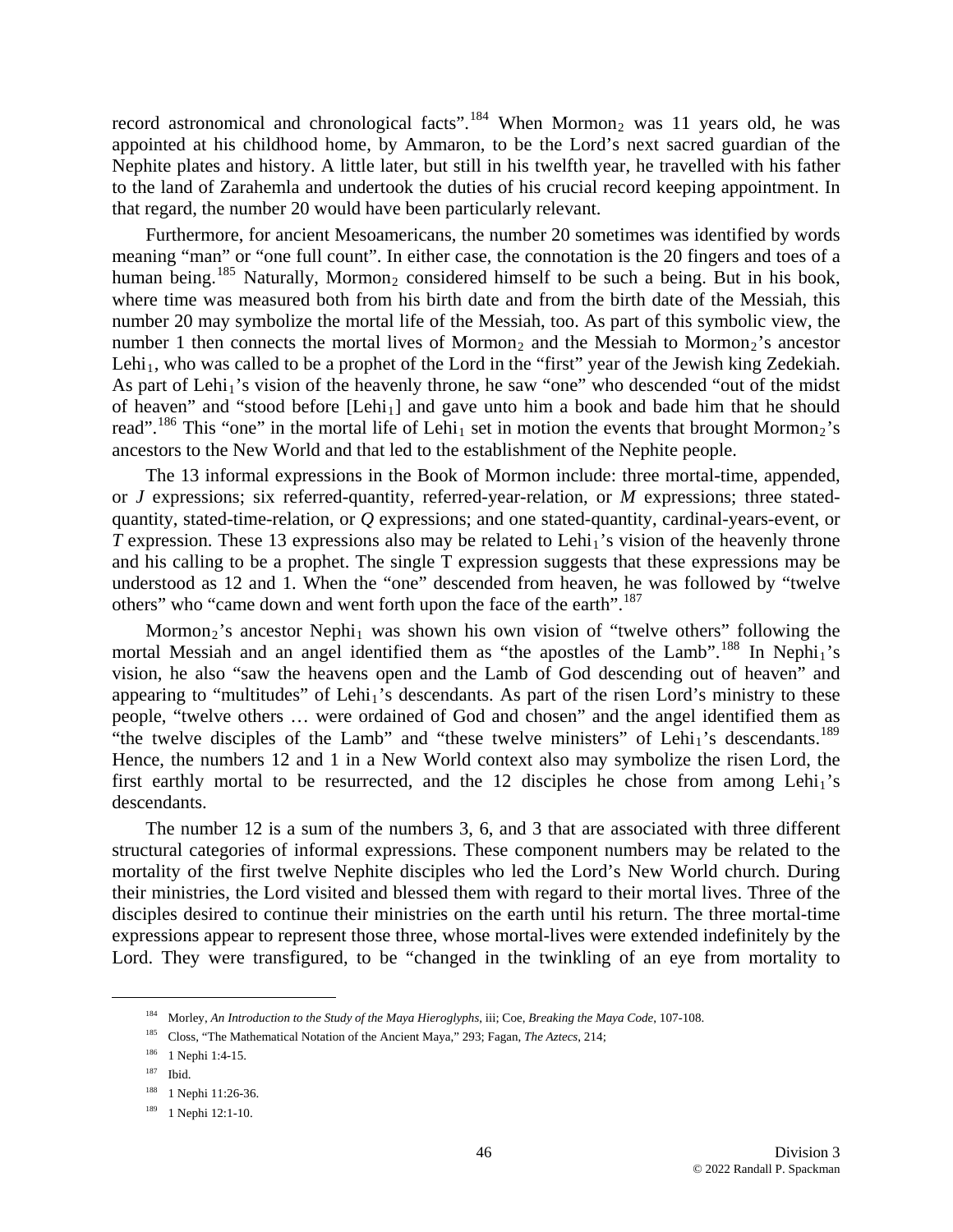record astronomical and chronological facts".<sup>[184](#page-45-0)</sup> When Mormon<sub>2</sub> was 11 years old, he was appointed at his childhood home, by Ammaron, to be the Lord's next sacred guardian of the Nephite plates and history. A little later, but still in his twelfth year, he travelled with his father to the land of Zarahemla and undertook the duties of his crucial record keeping appointment. In that regard, the number 20 would have been particularly relevant.

Furthermore, for ancient Mesoamericans, the number 20 sometimes was identified by words meaning "man" or "one full count". In either case, the connotation is the 20 fingers and toes of a human being.<sup>[185](#page-45-1)</sup> Naturally, Mormon<sub>2</sub> considered himself to be such a being. But in his book, where time was measured both from his birth date and from the birth date of the Messiah, this number 20 may symbolize the mortal life of the Messiah, too. As part of this symbolic view, the number 1 then connects the mortal lives of Mormon<sub>2</sub> and the Messiah to Mormon<sub>2</sub>'s ancestor Lehi<sub>1</sub>, who was called to be a prophet of the Lord in the "first" year of the Jewish king Zedekiah. As part of Lehi<sub>1</sub>'s vision of the heavenly throne, he saw "one" who descended "out of the midst" of heaven" and "stood before [Lehi<sub>1</sub>] and gave unto him a book and bade him that he should read".<sup>[186](#page-45-2)</sup> This "one" in the mortal life of Lehi<sub>1</sub> set in motion the events that brought Mormon<sub>2</sub>'s ancestors to the New World and that led to the establishment of the Nephite people.

The 13 informal expressions in the Book of Mormon include: three mortal-time, appended, or *J* expressions; six referred-quantity, referred-year-relation, or *M* expressions; three statedquantity, stated-time-relation, or *Q* expressions; and one stated-quantity, cardinal-years-event, or *T* expression. These 13 expressions also may be related to Lehi<sub>1</sub>'s vision of the heavenly throne and his calling to be a prophet. The single T expression suggests that these expressions may be understood as 12 and 1. When the "one" descended from heaven, he was followed by "twelve others" who "came down and went forth upon the face of the earth".<sup>[187](#page-45-3)</sup>

Mormon<sub>2</sub>'s ancestor Nephi<sub>1</sub> was shown his own vision of "twelve others" following the mortal Messiah and an angel identified them as "the apostles of the Lamb".<sup>[188](#page-45-4)</sup> In Nephi<sub>1</sub>'s vision, he also "saw the heavens open and the Lamb of God descending out of heaven" and appearing to "multitudes" of Lehi<sub>1</sub>'s descendants. As part of the risen Lord's ministry to these people, "twelve others … were ordained of God and chosen" and the angel identified them as "the twelve disciples of the Lamb" and "these twelve ministers" of Lehi<sub>1</sub>'s descendants.<sup>[189](#page-45-5)</sup> Hence, the numbers 12 and 1 in a New World context also may symbolize the risen Lord, the first earthly mortal to be resurrected, and the 12 disciples he chose from among Lehi<sub>1</sub>'s desc endants.

The number 12 is a sum of the numbers 3, 6, and 3 that are associated with three different structural categories of informal expressions. These component numbers may be related to the mortality of the first twelve Nephite disciples who led the Lord's New World church. During their ministries, the Lord visited and blessed them with regard to their mortal lives. Three of the disciples desired to continue their ministries on the earth until his return. The three mortal-time expressions appear to represent those three, whose mortal-lives were extended indefinitely by the Lord. They were transfigured, to be "changed in the twinkling of an eye from mortality to

<span id="page-45-3"></span><span id="page-45-2"></span><span id="page-45-1"></span><span id="page-45-0"></span>1

<sup>184</sup> Morley, *An Introduction to the Study of the Maya Hieroglyphs*, iii; Coe, *Breaking the Maya Code*, 107-108.

<sup>185</sup> Closs, "The Mathematical Notation of the Ancient Maya," 293; Fagan, *The Aztecs*, 214;

<sup>186 1</sup> Nephi 1:4-15.

<sup>187</sup> Ibid.

<span id="page-45-4"></span><sup>&</sup>lt;sup>188</sup> 1 Nephi 11:26-36.

<span id="page-45-5"></span><sup>189 1</sup> Nephi 12:1-10.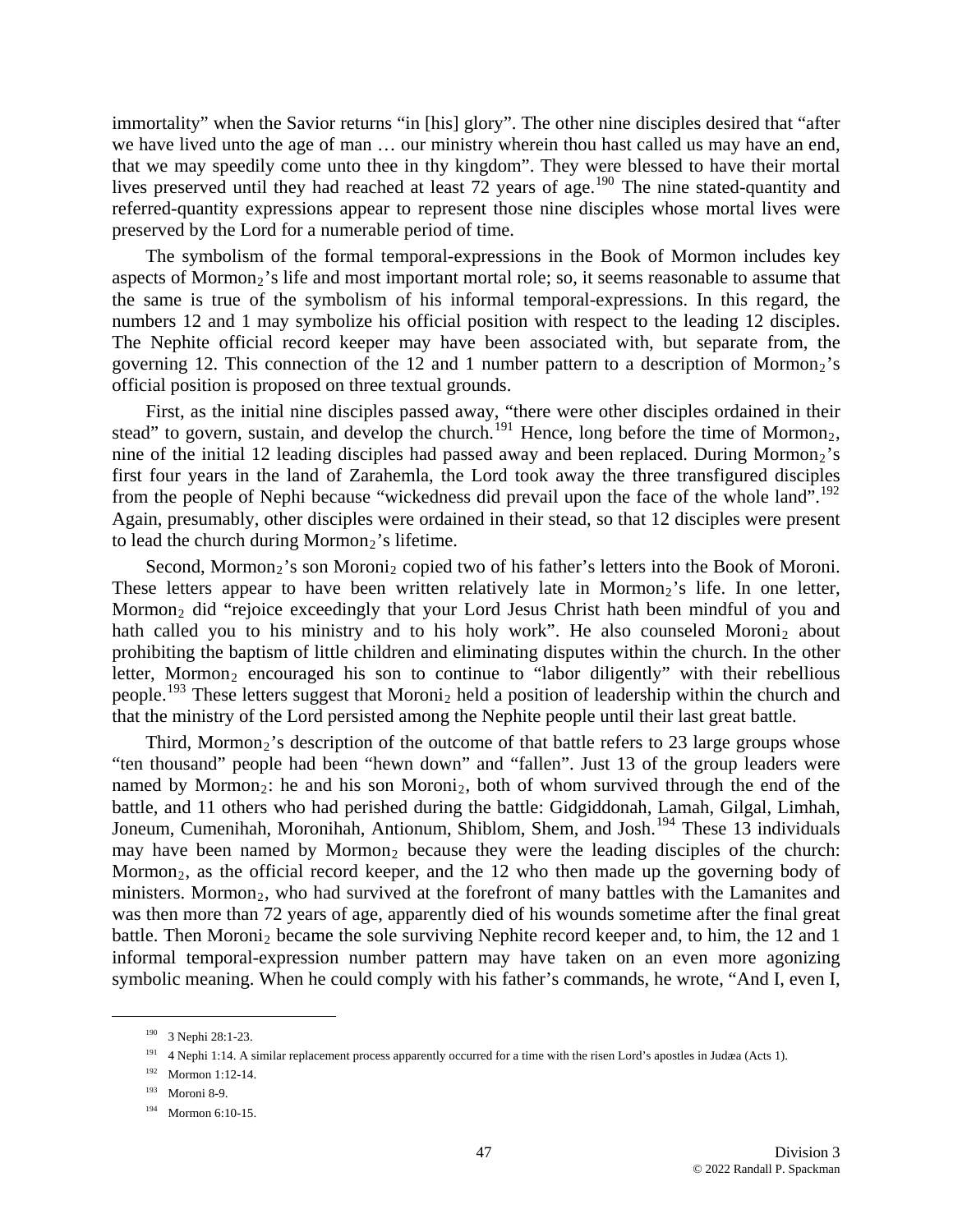immortality" when the Savior returns "in [his] glory". The other nine disciples desired that "after we have lived unto the age of man … our ministry wherein thou hast called us may have an end, that we may speedily come unto thee in thy kingdom". They were blessed to have their mortal lives preserved until they had reached at least 72 years of age.<sup>[190](#page-46-0)</sup> The nine stated-quantity and referred-quantity expressions appear to represent those nine disciples whose mortal lives were pres erved by the Lord for a numerable period of time.

governing 12. This connection of the 12 and 1 number pattern to a description of Mormon<sub>2</sub>'s offic ial position is proposed on three textual grounds. The symbolism of the formal temporal-expressions in the Book of Mormon includes key aspects of Mormon<sub>2</sub>'s life and most important mortal role; so, it seems reasonable to assume that the same is true of the symbolism of his informal temporal-expressions. In this regard, the numbers 12 and 1 may symbolize his official position with respect to the leading 12 disciples. The Nephite official record keeper may have been associated with, but separate from, the

Again, presumably, other disciples were ordained in their stead, so that 12 disciples were present to lead the church during Mormon<sub>2</sub>'s lifetime. First, as the initial nine disciples passed away, "there were other disciples ordained in their stead" to govern, sustain, and develop the church.<sup>[191](#page-46-1)</sup> Hence, long before the time of Mormon<sub>2</sub>, nine of the initial 12 leading disciples had passed away and been replaced. During Mormon<sub>2</sub>'s first four years in the land of Zarahemla, the Lord took away the three transfigured disciples from the people of Nephi because "wickedness did prevail upon the face of the whole land".<sup>[192](#page-46-2)</sup>

people.<sup>[193](#page-46-3)</sup> These letters suggest that Moroni<sub>2</sub> held a position of leadership within the church and that the ministry of the Lord persisted among the Nephite people until their last great battle. Second, Mormon<sub>2</sub>'s son Moroni<sub>2</sub> copied two of his father's letters into the Book of Moroni. These letters appear to have been written relatively late in Mormon<sub>2</sub>'s life. In one letter, Mormon<sub>2</sub> did "rejoice exceedingly that your Lord Jesus Christ hath been mindful of you and hath called you to his ministry and to his holy work". He also counseled Moroni<sub>2</sub> about prohibiting the baptism of little children and eliminating disputes within the church. In the other letter, Mormon<sub>2</sub> encouraged his son to continue to "labor diligently" with their rebellious

symbolic meaning. When he could comply with his father's commands, he wrote, "And I, even I, Third, Mormon<sub>2</sub>'s description of the outcome of that battle refers to 23 large groups whose "ten thousand" people had been "hewn down" and "fallen". Just 13 of the group leaders were named by Mormon<sub>2</sub>: he and his son Moroni<sub>2</sub>, both of whom survived through the end of the battle, and 11 others who had perished during the battle: Gidgiddonah, Lamah, Gilgal, Limhah, Joneum, Cumenihah, Moronihah, Antionum, Shiblom, Shem, and Josh.<sup>[194](#page-46-4)</sup> These 13 individuals may have been named by Mormon<sub>2</sub> because they were the leading disciples of the church: Mormon<sub>2</sub>, as the official record keeper, and the  $12$  who then made up the governing body of ministers. Mormon<sub>2</sub>, who had survived at the forefront of many battles with the Lamanites and was then more than 72 years of age, apparently died of his wounds sometime after the final great battle. Then Moroni<sub>2</sub> became the sole surviving Nephite record keeper and, to him, the 12 and 1 informal temporal-expression number pattern may have taken on an even more agonizing

<span id="page-46-3"></span><span id="page-46-2"></span><span id="page-46-1"></span><span id="page-46-0"></span> $\overline{a}$ 

<sup>190 3</sup> Nephi 28:1-23.

<sup>&</sup>lt;sup>191</sup> 4 Nephi 1:14. A similar replacement process apparently occurred for a time with the risen Lord's apostles in Judæa (Acts 1).

<sup>192</sup> Mormon 1:12-14.

<sup>193</sup> Moroni 8-9.

<span id="page-46-4"></span><sup>194</sup> Mormon 6:10-15.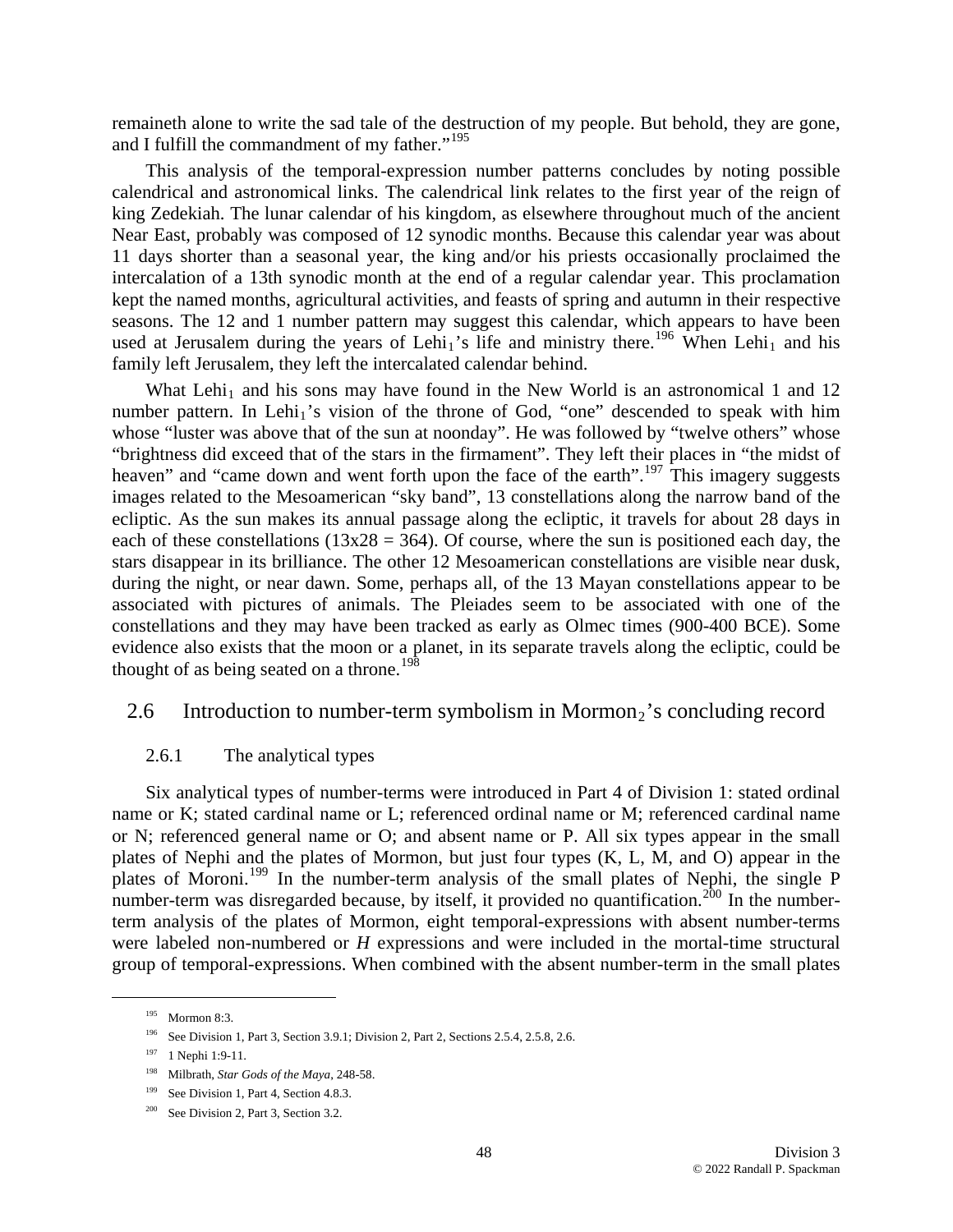remaineth alone to write the sad tale of the destruction of my people. But behold, they are gone, and I fulfill the commandment of my father."<sup>[195](#page-47-0)</sup>

This analysis of the temporal-expression number patterns concludes by noting possible calendrical and astronomical links. The calendrical link relates to the first year of the reign of king Zedekiah. The lunar calendar of his kingdom, as elsewhere throughout much of the ancient Near East, probably was composed of 12 synodic months. Because this calendar year was about 11 days shorter than a seasonal year, the king and/or his priests occasionally proclaimed the intercalation of a 13th synodic month at the end of a regular calendar year. This proclamation kept the named months, agricultural activities, and feasts of spring and autumn in their respective seasons. The 12 and 1 number pattern may suggest this calendar, which appears to have been used at Jerusalem during the years of Lehi<sub>1</sub>'s life and ministry there.<sup>[196](#page-47-1)</sup> When Lehi<sub>1</sub> and his family left Jerusalem, they left the intercalated calendar behind.

What Lehi<sub>1</sub> and his sons may have found in the New World is an astronomical 1 and 12 number pattern. In Lehi<sub>1</sub>'s vision of the throne of God, "one" descended to speak with him whose "luster was above that of the sun at noonday". He was followed by "twelve others" whose "brightness did exceed that of the stars in the firmament". They left their places in "the midst of heaven" and "came down and went forth upon the face of the earth".<sup>[197](#page-47-2)</sup> This imagery suggests images related to the Mesoamerican "sky band", 13 constellations along the narrow band of the ecliptic. As the sun makes its annual passage along the ecliptic, it travels for about 28 days in each of these constellations ( $13x28 = 364$ ). Of course, where the sun is positioned each day, the stars disappear in its brilliance. The other 12 Mesoamerican constellations are visible near dusk, during the night, or near dawn. Some, perhaps all, of the 13 Mayan constellations appear to be associated with pictures of animals. The Pleiades seem to be associated with one of the constellations and they may have been tracked as early as Olmec times (900-400 BCE). Some evidence also exists that the moon or a planet, in its separate travels along the ecliptic, could be thought of as being seated on a throne.<sup>[198](#page-47-3)</sup>

### 2.6 Introduction to number-term symbolism in Mormon<sub>2</sub>'s concluding record

#### 2.6.1 The analytical types

Six analytical types of number-terms were introduced in Part 4 of Division 1: stated ordinal name or K; stated cardinal name or L; referenced ordinal name or M; referenced cardinal name or N; referenced general name or O; and absent name or P. All six types appear in the small plates of Nephi and the plates of Mormon, but just four types (K, L, M, and O) appear in the plates of Moroni.[199](#page-47-4) In the number-term analysis of the small plates of Nephi, the single P number-term was disregarded because, by itself, it provided no quantification.<sup>[200](#page-47-5)</sup> In the numberterm analysis of the plates of Mormon, eight temporal-expressions with absent number-terms were labeled non-numbered or *H* expressions and were included in the mortal-time structural group of temporal-expressions. When combined with the absent number-term in the small plates

<span id="page-47-0"></span> <sup>195</sup> Mormon 8:3.

<sup>&</sup>lt;sup>196</sup> See Division 1, Part 3, Section 3.9.1; Division 2, Part 2, Sections 2.5.4, 2.5.8, 2.6.

<span id="page-47-2"></span><span id="page-47-1"></span><sup>197 1</sup> Nephi 1:9-11.

<span id="page-47-3"></span><sup>198</sup> Milbrath, *Star Gods of the Maya*, 248-58.

<span id="page-47-4"></span><sup>&</sup>lt;sup>199</sup> See Division 1, Part 4, Section 4.8.3.

<span id="page-47-5"></span><sup>&</sup>lt;sup>200</sup> See Division 2, Part 3, Section 3.2.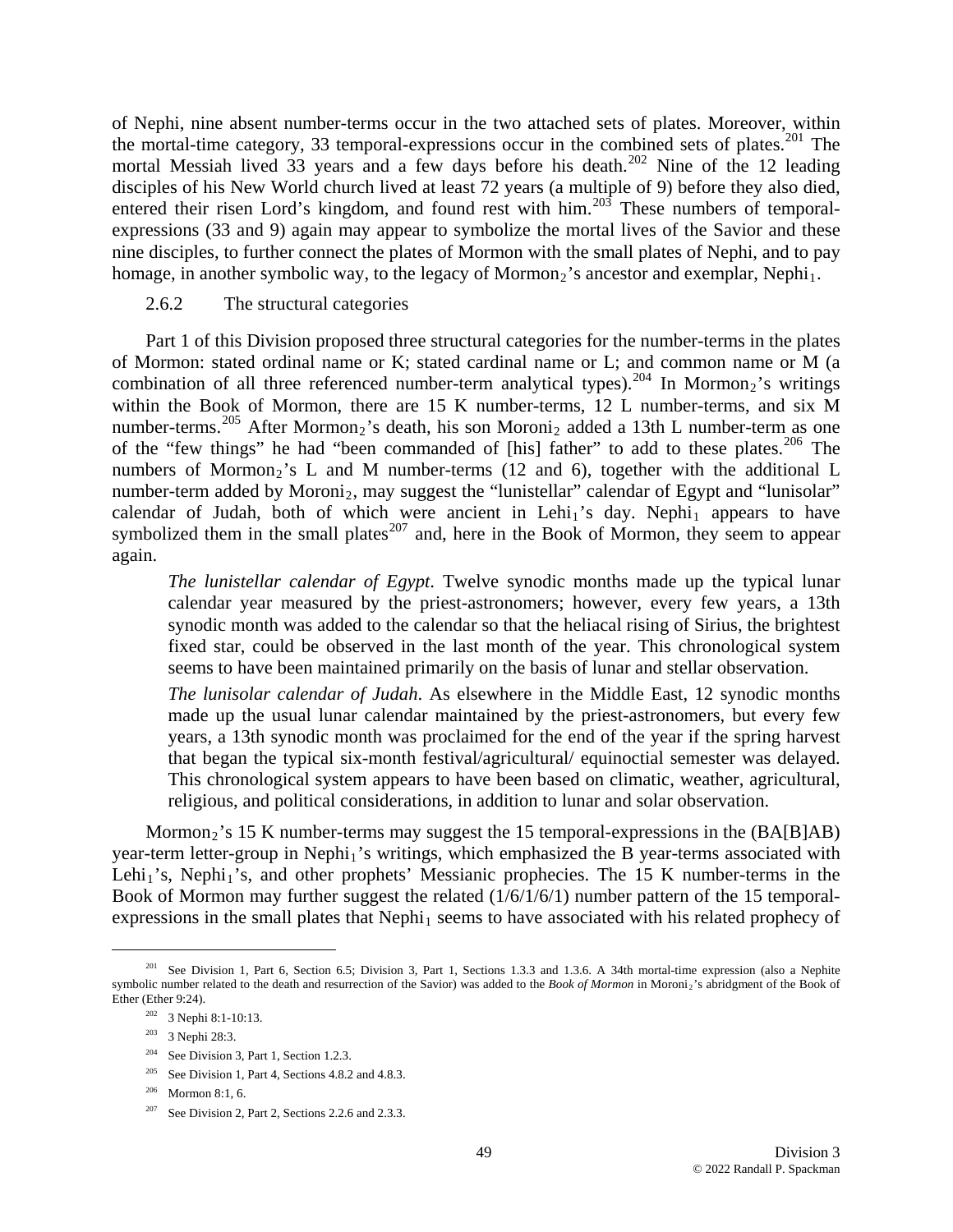of Nephi, nine absent number-terms occur in the two attached sets of plates. Moreover, within the mortal-time category, 33 temporal-expressions occur in the combined sets of plates.<sup>[201](#page-48-0)</sup> The mortal Messiah lived 33 years and a few days before his death.<sup>[202](#page-48-1)</sup> Nine of the 12 leading disciples of his New World church lived at least 72 years (a multiple of 9) before they also died, entered their risen Lord's kingdom, and found rest with him.<sup>[203](#page-48-2)</sup> These numbers of temporalexpressions (33 and 9) again may appear to symbolize the mortal lives of the Savior and these nine disciples, to further connect the plates of Mormon with the small plates of Nephi, and to pay homage, in another symbolic way, to the legacy of Mormon<sub>2</sub>'s ancestor and exemplar, Nephi<sub>1</sub>.

#### 2.6.2 The structural categories

Part 1 of this Division proposed three structural categories for the number-terms in the plates of Mormon: stated ordinal name or K; stated cardinal name or L; and common name or M (a combination of all three referenced number-term analytical types).<sup>[204](#page-48-3)</sup> In Mormon<sub>2</sub>'s writings within the Book of Mormon, there are 15 K number-terms, 12 L number-terms, and six M number-terms.<sup>[205](#page-48-4)</sup> After Mormon<sub>2</sub>'s death, his son Moroni<sub>2</sub> added a 13th L number-term as one of the "few things" he had "been commanded of [his] father" to add to these plates.<sup>[206](#page-48-5)</sup> The numbers of Mormon<sub>2</sub>'s L and M number-terms (12 and 6), together with the additional L number-term added by Moroni<sub>2</sub>, may suggest the "lunistellar" calendar of Egypt and "lunisolar" calendar of Judah, both of which were ancient in Lehi<sub>1</sub>'s day. Nephi<sub>1</sub> appears to have symbolized them in the small plates<sup>[207](#page-48-6)</sup> and, here in the Book of Mormon, they seem to appear again.

fixed star, could be observed in the last month of the year. This chronological system *The lunistellar calendar of Egypt*. Twelve synodic months made up the typical lunar calendar year measured by the priest-astronomers; however, every few years, a 13th synodic month was added to the calendar so that the heliacal rising of Sirius, the brightest seems to have been maintained primarily on the basis of lunar and stellar observation.

This chronological system appears to have been based on climatic, weather, agricultural, *The lunisolar calendar of Judah*. As elsewhere in the Middle East, 12 synodic months made up the usual lunar calendar maintained by the priest-astronomers, but every few years, a 13th synodic month was proclaimed for the end of the year if the spring harvest that began the typical six-month festival/agricultural/ equinoctial semester was delayed. religious, and political considerations, in addition to lunar and solar observation.

expressions in the small plates that  $Nephi<sub>1</sub>$  seems to have associated with his related prophecy of Mormon<sub>2</sub>'s 15 K number-terms may suggest the 15 temporal-expressions in the  $(BA[B]AB)$ year-term letter-group in Nephi<sub>1</sub>'s writings, which emphasized the B year-terms associated with Lehi<sub>1</sub>'s, Nephi<sub>1</sub>'s, and other prophets' Messianic prophecies. The 15 K number-terms in the Book of Mormon may further suggest the related (1/6/1/6/1) number pattern of the 15 temporal-

<u>.</u>

<sup>204</sup> See Division 3, Part 1, Section 1.2.3.

<span id="page-48-3"></span><span id="page-48-2"></span><span id="page-48-1"></span><span id="page-48-0"></span><sup>&</sup>lt;sup>201</sup> See Division 1, Part 6, Section 6.5; Division 3, Part 1, Sections 1.3.3 and 1.3.6. A 34th mortal-time expression (also a Nephite symbolic number related to the death and resurrection of the Savior) was added to the *Book of Mormon* in Moroni2's abridgment of the Book of Ether (Ether 9:24).

<sup>202 3</sup> Nephi 8:1-10:13.

<sup>203 3</sup> Nephi 28:3.

<span id="page-48-4"></span><sup>&</sup>lt;sup>205</sup> See Division 1, Part 4, Sections 4.8.2 and 4.8.3.

<span id="page-48-5"></span><sup>206</sup> Mormon 8:1, 6.

<span id="page-48-6"></span><sup>&</sup>lt;sup>207</sup> See Division 2, Part 2, Sections 2.2.6 and 2.3.3.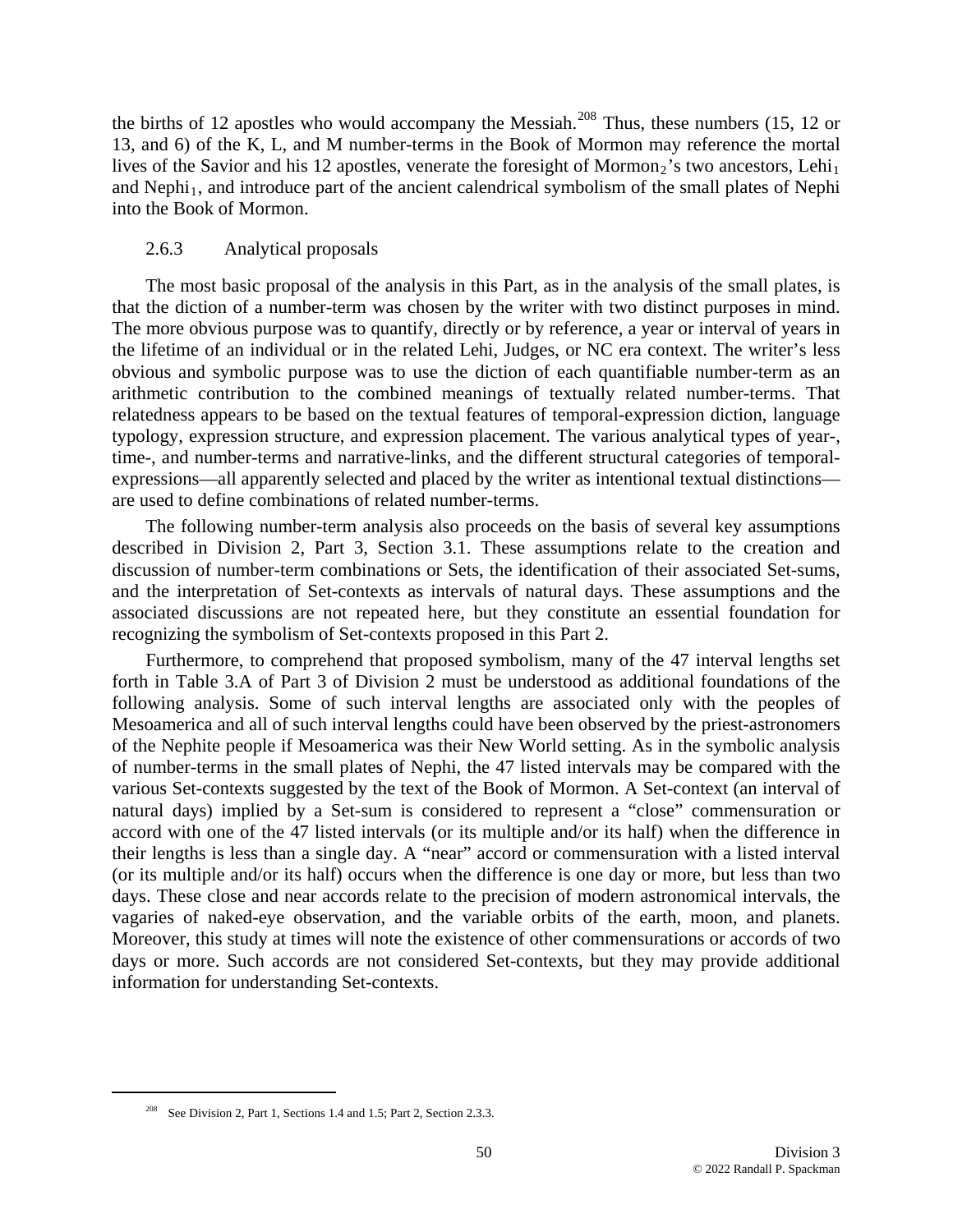the births of 12 apostles who would accompany the Messiah.<sup>[208](#page-49-0)</sup> Thus, these numbers (15, 12 or 13, and 6) of the K, L, and M number-terms in the Book of Mormon may reference the mortal lives of the Savior and his 12 apostles, venerate the foresight of Mormon<sub>2</sub>'s two ancestors, Lehi<sub>1</sub> and Nephi<sub>1</sub>, and introduce part of the ancient calendrical symbolism of the small plates of Nephi into the Book of Mormon.

### 2.6.3 Analytical proposals

The most basic proposal of the analysis in this Part, as in the analysis of the small plates, is that the diction of a number-term was chosen by the writer with two distinct purposes in mind. The more obvious purpose was to quantify, directly or by reference, a year or interval of years in the lifetime of an individual or in the related Lehi, Judges, or NC era context. The writer's less obvious and symbolic purpose was to use the diction of each quantifiable number-term as an arithmetic contribution to the combined meanings of textually related number-terms. That relatedness appears to be based on the textual features of temporal-expression diction, language typology, expression structure, and expression placement. The various analytical types of year-, time-, and number-terms and narrative-links, and the different structural categories of temporalexpressions—all apparently selected and placed by the writer as intentional textual distinctions are used to define combinations of related number-terms.

The following number-term analysis also proceeds on the basis of several key assumptions described in Division 2, Part 3, Section 3.1. These assumptions relate to the creation and discussion of number-term combinations or Sets, the identification of their associated Set-sums, and the interpretation of Set-contexts as intervals of natural days. These assumptions and the associated discussions are not repeated here, but they constitute an essential foundation for recognizing the symbolism of Set-contexts proposed in this Part 2.

Furthermore, to comprehend that proposed symbolism, many of the 47 interval lengths set forth in Table 3.A of Part 3 of Division 2 must be understood as additional foundations of the following analysis. Some of such interval lengths are associated only with the peoples of Mesoamerica and all of such interval lengths could have been observed by the priest-astronomers of the Nephite people if Mesoamerica was their New World setting. As in the symbolic analysis of number-terms in the small plates of Nephi, the 47 listed intervals may be compared with the various Set-contexts suggested by the text of the Book of Mormon. A Set-context (an interval of natural days) implied by a Set-sum is considered to represent a "close" commensuration or accord with one of the 47 listed intervals (or its multiple and/or its half) when the difference in their lengths is less than a single day. A "near" accord or commensuration with a listed interval (or its multiple and/or its half) occurs when the difference is one day or more, but less than two days. These close and near accords relate to the precision of modern astronomical intervals, the vagaries of naked-eye observation, and the variable orbits of the earth, moon, and planets. Moreover, this study at times will note the existence of other commensurations or accords of two days or more. Such accords are not considered Set-contexts, but they may provide additional information for understanding Set-contexts.

<span id="page-49-0"></span><sup>&</sup>lt;sup>208</sup> See Division 2, Part 1, Sections 1.4 and 1.5; Part 2, Section 2.3.3.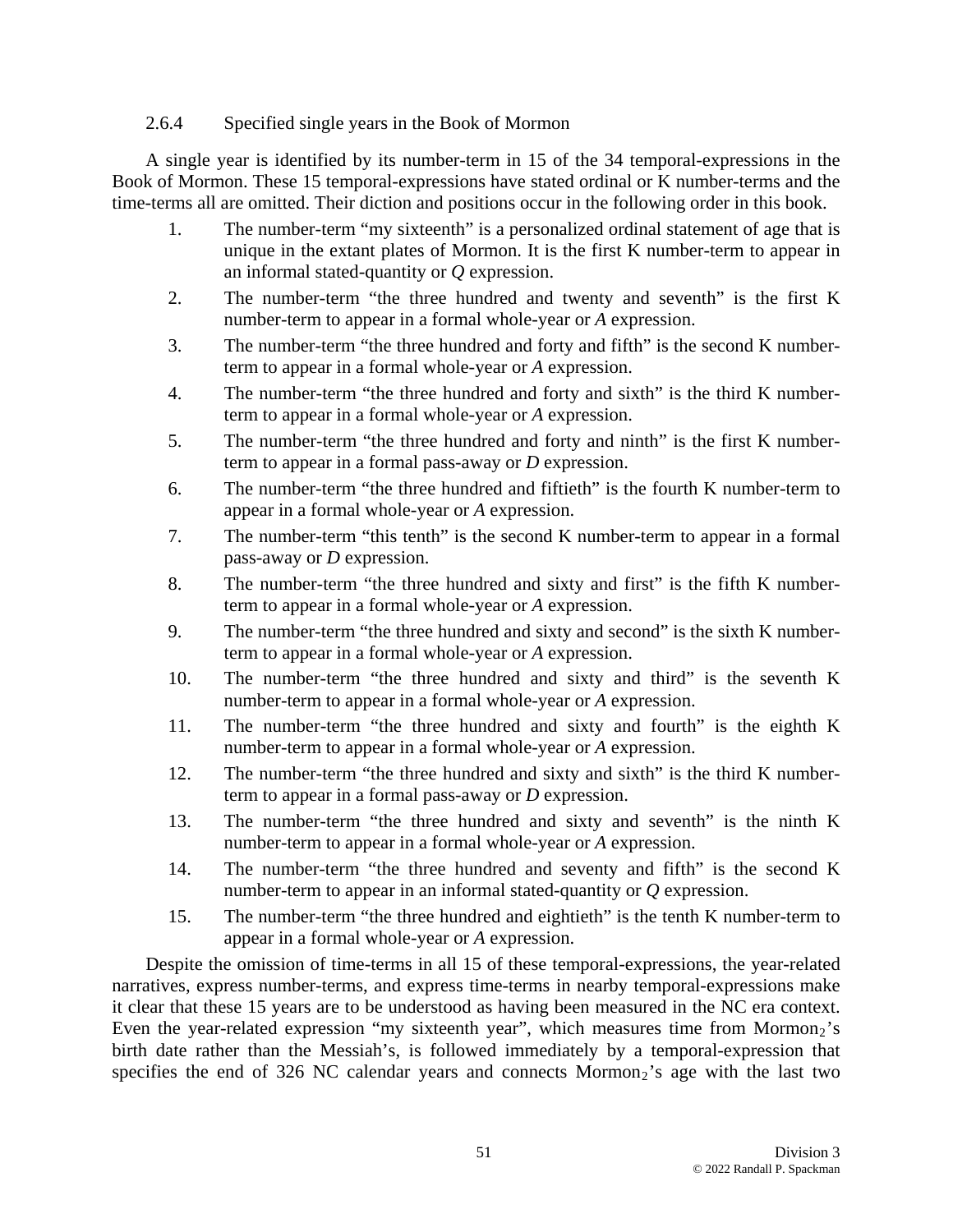## 2.6.4 Specified single years in the Book of Mormon

A single year is identified by its number-term in 15 of the 34 temporal-expressions in the Book of Mormon. These 15 temporal-expressions have stated ordinal or K number-terms and the time-terms all are omitted. Their diction and positions occur in the following order in this book.

- 1. The number-term "my sixteenth" is a personalized ordinal statement of age that is unique in the extant plates of Mormon. It is the first K number-term to appear in an informal stated-quantity or *Q* expression.
- 2. The number-term "the three hundred and twenty and seventh" is the first K number-term to appear in a formal whole-year or *A* expression.
- 3. The number-term "the three hundred and forty and fifth" is the second K numberterm to appear in a formal whole-year or *A* expression.
- 4. The number-term "the three hundred and forty and sixth" is the third K numberterm to appear in a formal whole-year or *A* expression.
- 5. The number-term "the three hundred and forty and ninth" is the first K numberterm to appear in a formal pass-away or *D* expression.
- 6. The number-term "the three hundred and fiftieth" is the fourth K number-term to appear in a formal whole-year or *A* expression.
- 7. The number-term "this tenth" is the second K number-term to appear in a formal pass-away or *D* expression.
- 8. The number-term "the three hundred and sixty and first" is the fifth K numberterm to appear in a formal whole-year or *A* expression.
- 9. The number-term "the three hundred and sixty and second" is the sixth K numberterm to appear in a formal whole-year or *A* expression.
- 10. The number-term "the three hundred and sixty and third" is the seventh K number-term to appear in a formal whole-year or *A* expression.
- 11. The number-term "the three hundred and sixty and fourth" is the eighth K number-term to appear in a formal whole-year or *A* expression.
- 12. The number-term "the three hundred and sixty and sixth" is the third K numberterm to appear in a formal pass-away or *D* expression.
- 13. The number-term "the three hundred and sixty and seventh" is the ninth K number-term to appear in a formal whole-year or *A* expression.
- 14. The number-term "the three hundred and seventy and fifth" is the second K number-term to appear in an informal stated-quantity or *Q* expression.
- 15. The number-term "the three hundred and eightieth" is the tenth K number-term to appear in a formal whole-year or *A* expression.

Despite the omission of time-terms in all 15 of these temporal-expressions, the year-related narratives, express number-terms, and express time-terms in nearby temporal-expressions make it clear that these 15 years are to be understood as having been measured in the NC era context. Even the year-related expression "my sixteenth year", which measures time from Mormon<sub>2</sub>'s birth date rather than the Messiah's, is followed immediately by a temporal-expression that specifies the end of 326 NC calendar years and connects Mormon<sub>2</sub>'s age with the last two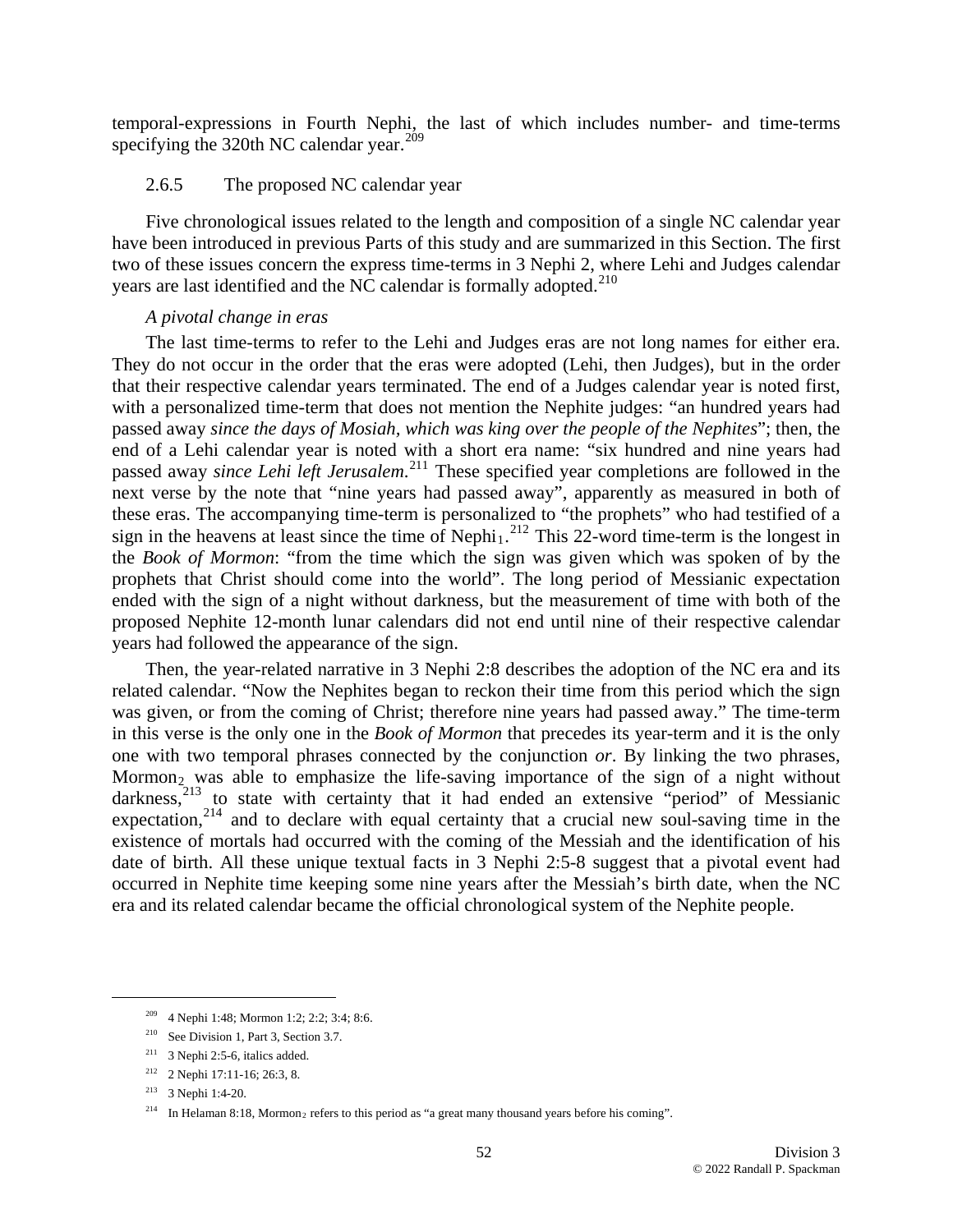temporal-expressions in Fourth Nephi, the last of which includes number- and time-terms specifying the 320th NC calendar year. $209$ 

#### 2.6.5 The proposed NC calendar year

Five chronological issues related to the length and composition of a single NC calendar year have been introduced in previous Parts of this study and are summarized in this Section. The first two of these issues concern the express time-terms in 3 Nephi 2, where Lehi and Judges calendar years are last identified and the NC calendar is formally adopted. $210$ 

#### *A pivotal change in eras*

The last time-terms to refer to the Lehi and Judges eras are not long names for either era. They do not occur in the order that the eras were adopted (Lehi, then Judges), but in the order that their respective calendar years terminated. The end of a Judges calendar year is noted first, with a personalized time-term that does not mention the Nephite judges: "an hundred years had passed away *since the days of Mosiah, which was king over the people of the Nephites*"; then, the end of a Lehi calendar year is noted with a short era name: "six hundred and nine years had passed away *since Lehi left Jerusalem*. [211](#page-51-2) These specified year completions are followed in the next verse by the note that "nine years had passed away", apparently as measured in both of these eras. The accompanying time-term is personalized to "the prophets" who had testified of a sign in the heavens at least since the time of Nephi<sub>1</sub>.<sup>[212](#page-51-3)</sup> This 22-word time-term is the longest in the *Book of Mormon*: "from the time which the sign was given which was spoken of by the prophets that Christ should come into the world". The long period of Messianic expectation ended with the sign of a night without darkness, but the measurement of time with both of the proposed Nephite 12-month lunar calendars did not end until nine of their respective calendar years had followed the appearance of the sign.

Then, the year-related narrative in 3 Nephi 2:8 describes the adoption of the NC era and its related calendar. "Now the Nephites began to reckon their time from this period which the sign was given, or from the coming of Christ; therefore nine years had passed away." The time-term in this verse is the only one in the *Book of Mormon* that precedes its year-term and it is the only one with two temporal phrases connected by the conjunction *or*. By linking the two phrases, Mormon<sub>2</sub> was able to emphasize the life-saving importance of the sign of a night without darkness, $2^{13}$  to state with certainty that it had ended an extensive "period" of Messianic expectation, $214$  and to declare with equal certainty that a crucial new soul-saving time in the existence of mortals had occurred with the coming of the Messiah and the identification of his date of birth. All these unique textual facts in 3 Nephi 2:5-8 suggest that a pivotal event had occurred in Nephite time keeping some nine years after the Messiah's birth date, when the NC era and its related calendar became the official chronological system of the Nephite people.

 <sup>209 4</sup> Nephi 1:48; Mormon 1:2; 2:2; 3:4; 8:6.

<span id="page-51-1"></span><span id="page-51-0"></span><sup>&</sup>lt;sup>210</sup> See Division 1, Part 3, Section 3.7.

<span id="page-51-2"></span> $211$  3 Nephi 2:5-6, italics added.

<span id="page-51-3"></span><sup>212 2</sup> Nephi 17:11-16; 26:3, 8.

<span id="page-51-4"></span><sup>213 3</sup> Nephi 1:4-20.

<span id="page-51-5"></span><sup>&</sup>lt;sup>214</sup> In Helaman 8:18, Mormon<sub>2</sub> refers to this period as "a great many thousand years before his coming".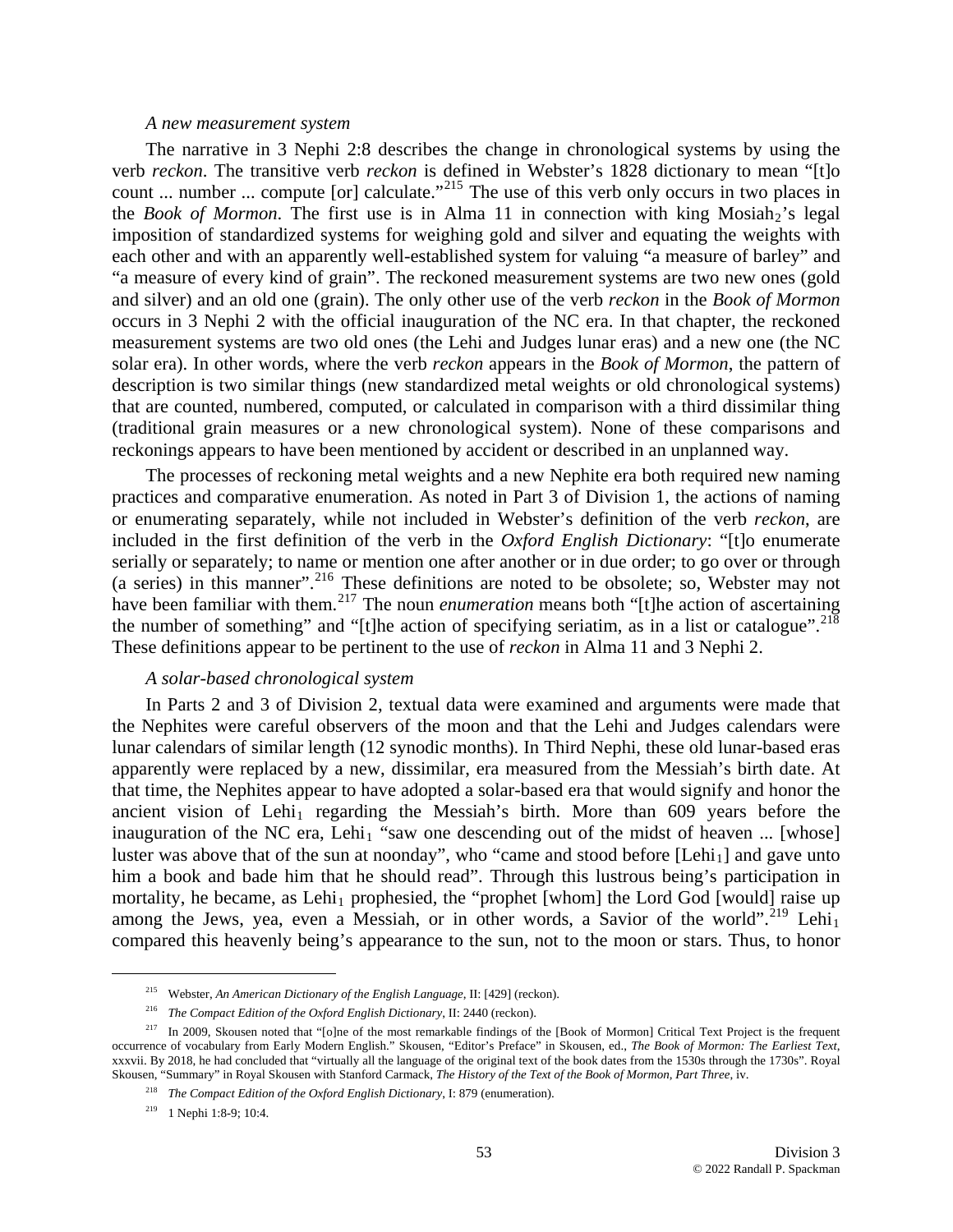#### *A new measurement system*

The narrative in 3 Nephi 2:8 describes the change in chronological systems by using the verb *reckon*. The transitive verb *reckon* is defined in Webster's 1828 dictionary to mean "[t]o count ... number ... compute [or] calculate.<sup>"[215](#page-52-0)</sup> The use of this verb only occurs in two places in the *Book of Mormon*. The first use is in Alma 11 in connection with king Mosiah<sub>2</sub>'s legal imposition of standardized systems for weighing gold and silver and equating the weights with each other and with an apparently well-established system for valuing "a measure of barley" and "a measure of every kind of grain". The reckoned measurement systems are two new ones (gold and silver) and an old one (grain). The only other use of the verb *reckon* in the *Book of Mormon* occurs in 3 Nephi 2 with the official inauguration of the NC era. In that chapter, the reckoned measurement systems are two old ones (the Lehi and Judges lunar eras) and a new one (the NC solar era). In other words, where the verb *reckon* appears in the *Book of Mormon*, the pattern of description is two similar things (new standardized metal weights or old chronological systems) that are counted, numbered, computed, or calculated in comparison with a third dissimilar thing (traditional grain measures or a new chronological system). None of these comparisons and reckonings appears to have been mentioned by accident or described in an unplanned way.

The processes of reckoning metal weights and a new Nephite era both required new naming practices and comparative enumeration. As noted in Part 3 of Division 1, the actions of naming or enumerating separately, while not included in Webster's definition of the verb *reckon*, are included in the first definition of the verb in the *Oxford English Dictionary*: "[t]o enumerate serially or separately; to name or mention one after another or in due order; to go over or through (a series) in this manner".[216](#page-52-1) These definitions are noted to be obsolete; so, Webster may not have been familiar with them.<sup>[217](#page-52-2)</sup> The noun *enumeration* means both "[t]he action of ascertaining the number of something" and "[t]he action of specifying seriatim, as in a list or catalogue".<sup>[218](#page-52-3)</sup> These definitions appear to be pertinent to the use of *reckon* in Alma 11 and 3 Nephi 2.

#### *A solar-based chronological system*

In Parts 2 and 3 of Division 2, textual data were examined and arguments were made that the Nephites were careful observers of the moon and that the Lehi and Judges calendars were lunar calendars of similar length (12 synodic months). In Third Nephi, these old lunar-based eras apparently were replaced by a new, dissimilar, era measured from the Messiah's birth date. At that time, the Nephites appear to have adopted a solar-based era that would signify and honor the ancient vision of Lehi<sub>1</sub> regarding the Messiah's birth. More than  $609$  years before the inauguration of the NC era, Lehi<sub>1</sub> "saw one descending out of the midst of heaven ... [whose] luster was above that of the sun at noonday", who "came and stood before  $[Lehi_1]$  and gave unto him a book and bade him that he should read". Through this lustrous being's participation in mortality, he became, as Lehi<sub>1</sub> prophesied, the "prophet [whom] the Lord God [would] raise up among the Jews, yea, even a Messiah, or in other words, a Savior of the world".<sup>[219](#page-52-4)</sup> Lehi<sub>1</sub> compared this heavenly being's appearance to the sun, not to the moon or stars. Thus, to honor

 <sup>215</sup> Webster, *An American Dictionary of the English Language*, II: [429] (reckon).

<sup>216</sup> *The Compact Edition of the Oxford English Dictionary*, II: 2440 (reckon).

<span id="page-52-4"></span><span id="page-52-3"></span><span id="page-52-2"></span><span id="page-52-1"></span><span id="page-52-0"></span> $^{217}$  In 2009, Skousen noted that "[o]ne of the most remarkable findings of the [Book of Mormon] Critical Text Project is the frequent occurrence of vocabulary from Early Modern English." Skousen, "Editor's Preface" in Skousen, ed., *The Book of Mormon: The Earliest Text*, xxxvii. By 2018, he had concluded that "virtually all the language of the original text of the book dates from the 1530s through the 1730s". Royal Skousen, "Summary" in Royal Skousen with Stanford Carmack, *The History of the Text of the Book of Mormon, Part Three*, iv.

<sup>218</sup> *The Compact Edition of the Oxford English Dictionary*, I: 879 (enumeration).

<sup>219 1</sup> Nephi 1:8-9; 10:4.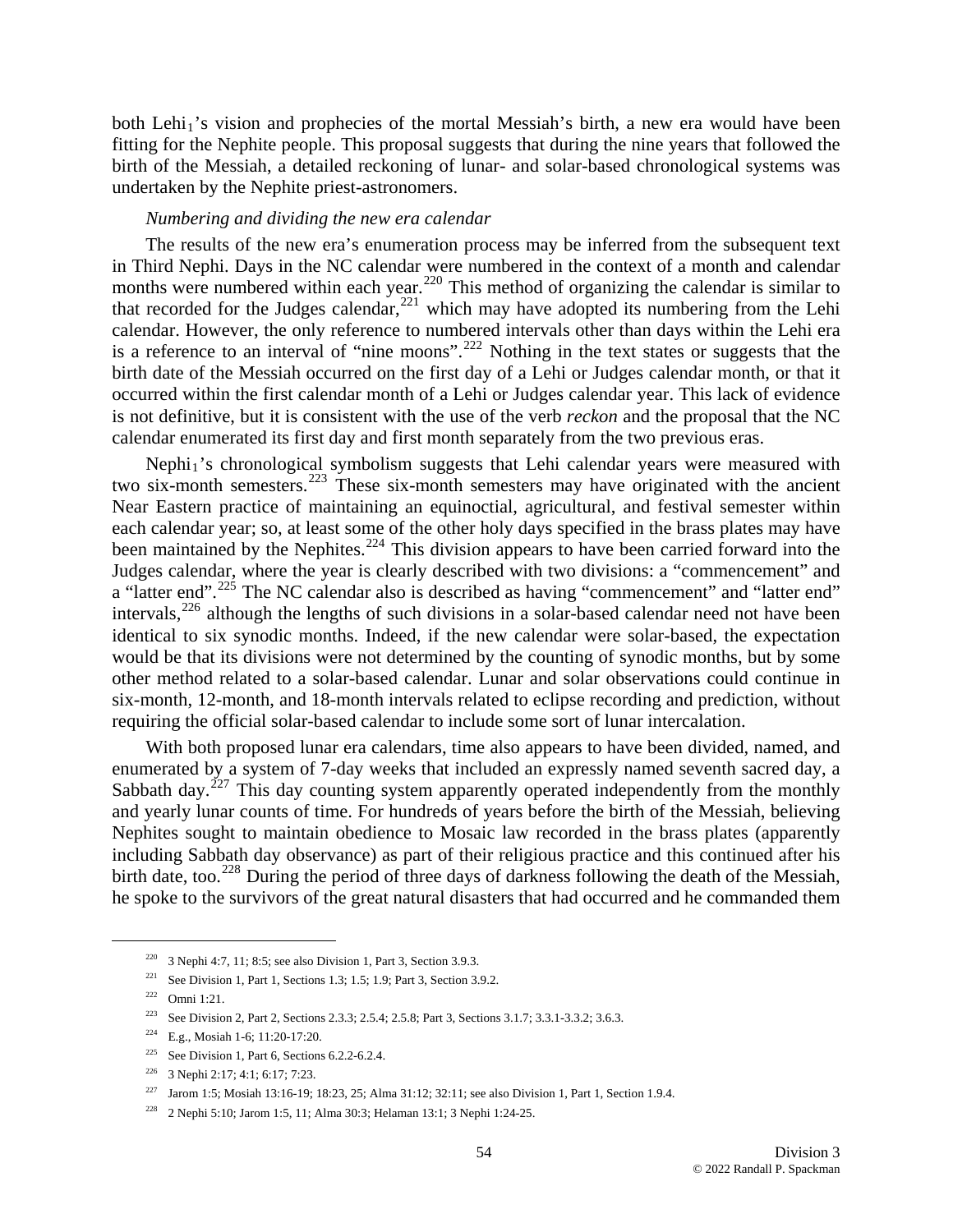both Lehi<sub>1</sub>'s vision and prophecies of the mortal Messiah's birth, a new era would have been fitting for the Nephite people. This proposal suggests that during the nine years that followed the birth of the Messiah, a detailed reckoning of lunar- and solar-based chronological systems was undertaken by the Nephite priest-astronomers.

### *Numbering and dividing the new era calendar*

The results of the new era's enumeration process may be inferred from the subsequent text in Third Nephi. Days in the NC calendar were numbered in the context of a month and calendar months were numbered within each year.<sup>[220](#page-53-0)</sup> This method of organizing the calendar is similar to that recorded for the Judges calendar,  $221$  which may have adopted its numbering from the Lehi calendar. However, the only reference to numbered intervals other than days within the Lehi era is a reference to an interval of "nine moons".[222](#page-53-2) Nothing in the text states or suggests that the birth date of the Messiah occurred on the first day of a Lehi or Judges calendar month, or that it occurred within the first calendar month of a Lehi or Judges calendar year. This lack of evidence is not definitive, but it is consistent with the use of the verb *reckon* and the proposal that the NC calendar enumerated its first day and first month separately from the two previous eras.

Nephi<sub>1</sub>'s chronological symbolism suggests that Lehi calendar years were measured with two six-month semesters.<sup>[223](#page-53-3)</sup> These six-month semesters may have originated with the ancient Near Eastern practice of maintaining an equinoctial, agricultural, and festival semester within each calendar year; so, at least some of the other holy days specified in the brass plates may have been maintained by the Nephites.<sup>[224](#page-53-4)</sup> This division appears to have been carried forward into the Judges calendar, where the year is clearly described with two divisions: a "commencement" and a "latter end".<sup>[225](#page-53-5)</sup> The NC calendar also is described as having "commencement" and "latter end" intervals,<sup>[226](#page-53-6)</sup> although the lengths of such divisions in a solar-based calendar need not have been identical to six synodic months. Indeed, if the new calendar were solar-based, the expectation would be that its divisions were not determined by the counting of synodic months, but by some other method related to a solar-based calendar. Lunar and solar observations could continue in six-month, 12-month, and 18-month intervals related to eclipse recording and prediction, without requiring the official solar-based calendar to include some sort of lunar intercalation.

With both proposed lunar era calendars, time also appears to have been divided, named, and enumerated by a system of 7-day weeks that included an expressly named seventh sacred day, a Sabbath day.<sup>[227](#page-53-7)</sup> This day counting system apparently operated independently from the monthly and yearly lunar counts of time. For hundreds of years before the birth of the Messiah, believing Nephites sought to maintain obedience to Mosaic law recorded in the brass plates (apparently including Sabbath day observance) as part of their religious practice and this continued after his birth date, too.<sup>[228](#page-53-8)</sup> During the period of three days of darkness following the death of the Messiah, he spoke to the survivors of the great natural disasters that had occurred and he commanded them

<span id="page-53-0"></span><sup>&</sup>lt;sup>220</sup> 3 Nephi 4:7, 11; 8:5; see also Division 1, Part 3, Section 3.9.3.

<span id="page-53-1"></span><sup>&</sup>lt;sup>221</sup> See Division 1, Part 1, Sections 1.3; 1.5; 1.9; Part 3, Section 3.9.2.

<span id="page-53-2"></span> $222$  Omni 1:21.

<span id="page-53-3"></span><sup>&</sup>lt;sup>223</sup> See Division 2, Part 2, Sections 2.3.3; 2.5.4; 2.5.8; Part 3, Sections 3.1.7; 3.3.1-3.3.2; 3.6.3.

<sup>&</sup>lt;sup>224</sup> E.g., Mosiah 1-6; 11:20-17:20.

<span id="page-53-5"></span><span id="page-53-4"></span><sup>&</sup>lt;sup>225</sup> See Division 1, Part 6, Sections  $6.2.2 - 6.2.4$ .

<span id="page-53-6"></span><sup>226 3</sup> Nephi 2:17; 4:1; 6:17; 7:23.

<span id="page-53-7"></span><sup>&</sup>lt;sup>227</sup> Jarom 1:5; Mosiah 13:16-19; 18:23, 25; Alma 31:12; 32:11; see also Division 1, Part 1, Section 1.9.4.

<span id="page-53-8"></span><sup>228 2</sup> Nephi 5:10; Jarom 1:5, 11; Alma 30:3; Helaman 13:1; 3 Nephi 1:24-25.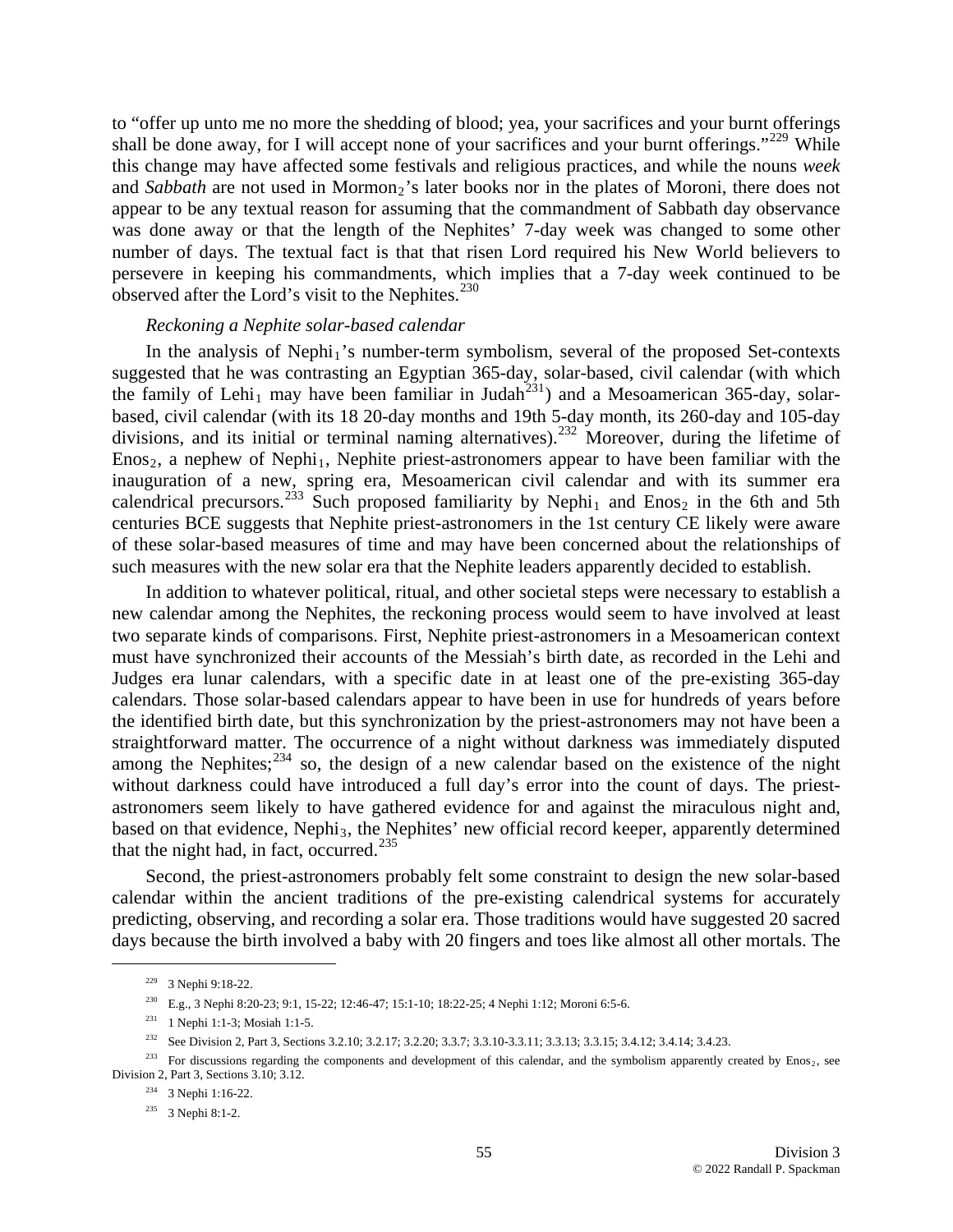to "offer up unto me no more the shedding of blood; yea, your sacrifices and your burnt offerings shall be done away, for I will accept none of your sacrifices and your burnt offerings."<sup>[229](#page-54-0)</sup> While this change may have affected some festivals and religious practices, and while the nouns *week* and *Sabbath* are not used in Mormon<sub>2</sub>'s later books nor in the plates of Moroni, there does not appear to be any textual reason for assuming that the commandment of Sabbath day observance was done away or that the length of the Nephites' 7-day week was changed to some other number of days. The textual fact is that that risen Lord required his New World believers to persevere in keeping his commandments, which implies that a 7-day week continued to be observed after the Lord's visit to the Nephites. $^{230}$  $^{230}$  $^{230}$ 

### *Reckoning a Nephite solar-based calendar*

In the analysis of Nephi<sub>1</sub>'s number-term symbolism, several of the proposed Set-contexts suggested that he was contrasting an Egyptian 365-day, solar-based, civil calendar (with which the family of Lehi<sub>1</sub> may have been familiar in Judah<sup>[231](#page-54-2)</sup>) and a Mesoamerican 365-day, solarbased, civil calendar (with its 18 20-day months and 19th 5-day month, its 260-day and 105-day divisions, and its initial or terminal naming alternatives).[232](#page-54-3) Moreover, during the lifetime of  $E$ nos<sub>2</sub>, a nephew of Nephi<sub>1</sub>, Nephite priest-astronomers appear to have been familiar with the inauguration of a new, spring era, Mesoamerican civil calendar and with its summer era calendrical precursors.<sup>[233](#page-54-4)</sup> Such proposed familiarity by Nephi<sub>1</sub> and Enos<sub>2</sub> in the 6th and 5th centuries BCE suggests that Nephite priest-astronomers in the 1st century CE likely were aware of these solar-based measures of time and may have been concerned about the relationships of such measures with the new solar era that the Nephite leaders apparently decided to establish.

In addition to whatever political, ritual, and other societal steps were necessary to establish a new calendar among the Nephites, the reckoning process would seem to have involved at least two separate kinds of comparisons. First, Nephite priest-astronomers in a Mesoamerican context must have synchronized their accounts of the Messiah's birth date, as recorded in the Lehi and Judges era lunar calendars, with a specific date in at least one of the pre-existing 365-day calendars. Those solar-based calendars appear to have been in use for hundreds of years before the identified birth date, but this synchronization by the priest-astronomers may not have been a straightforward matter. The occurrence of a night without darkness was immediately disputed among the Nephites; $^{234}$  $^{234}$  $^{234}$  so, the design of a new calendar based on the existence of the night without darkness could have introduced a full day's error into the count of days. The priestastronomers seem likely to have gathered evidence for and against the miraculous night and, based on that evidence, Nephi<sub>3</sub>, the Nephites' new official record keeper, apparently determined that the night had, in fact, occurred. $235$ 

Second, the priest-astronomers probably felt some constraint to design the new solar-based calendar within the ancient traditions of the pre-existing calendrical systems for accurately predicting, observing, and recording a solar era. Those traditions would have suggested 20 sacred days because the birth involved a baby with 20 fingers and toes like almost all other mortals. The

 <sup>229 3</sup> Nephi 9:18-22.

<sup>230</sup> E.g., 3 Nephi 8:20-23; 9:1, 15-22; 12:46-47; 15:1-10; 18:22-25; 4 Nephi 1:12; Moroni 6:5-6.

<sup>231 1</sup> Nephi 1:1-3; Mosiah 1:1-5.

<sup>&</sup>lt;sup>232</sup> See Division 2, Part 3, Sections 3.2.10; 3.2.17; 3.2.20; 3.3.7; 3.3.10-3.3.11; 3.3.13; 3.3.15; 3.4.12; 3.4.14; 3.4.23.

<span id="page-54-6"></span><span id="page-54-5"></span><span id="page-54-4"></span><span id="page-54-3"></span><span id="page-54-2"></span><span id="page-54-1"></span><span id="page-54-0"></span><sup>&</sup>lt;sup>233</sup> For discussions regarding the components and development of this calendar, and the symbolism apparently created by Enos<sub>2</sub>, see Division 2, Part 3, Sections 3.10; 3.12.

<sup>234 3</sup> Nephi 1:16-22.

<sup>235 3</sup> Nephi 8:1-2.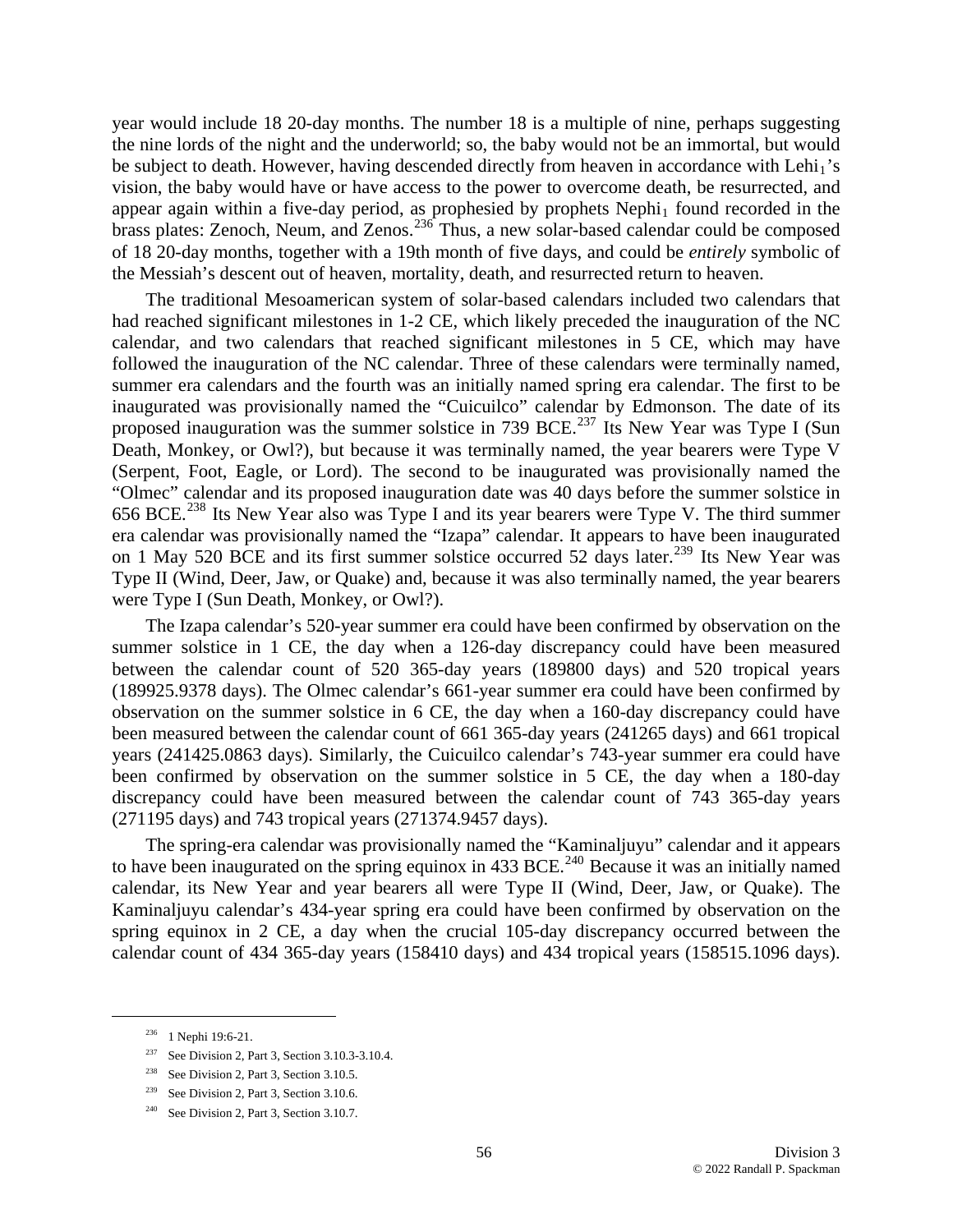year would include 18 20-day months. The number 18 is a multiple of nine, perhaps suggesting the nine lords of the night and the underworld; so, the baby would not be an immortal, but would be subject to death. However, having descended directly from heaven in accordance with Lehi<sub>1</sub>'s vision, the baby would have or have access to the power to overcome death, be resurrected, and appear again within a five-day period, as prophesied by prophets  $Nephi<sub>1</sub>$  found recorded in the brass plates: Zenoch, Neum, and Zenos.<sup>[236](#page-55-0)</sup> Thus, a new solar-based calendar could be composed of 18 20-day months, together with a 19th month of five days, and could be *entirely* symbolic of the Messiah's descent out of heaven, mortality, death, and resurrected return to heaven.

The traditional Mesoamerican system of solar-based calendars included two calendars that had reached significant milestones in 1-2 CE, which likely preceded the inauguration of the NC calendar, and two calendars that reached significant milestones in 5 CE, which may have followed the inauguration of the NC calendar. Three of these calendars were terminally named, summer era calendars and the fourth was an initially named spring era calendar. The first to be inaugurated was provisionally named the "Cuicuilco" calendar by Edmonson. The date of its proposed inauguration was the summer solstice in 739 BCE.<sup>[237](#page-55-1)</sup> Its New Year was Type I (Sun Death, Monkey, or Owl?), but because it was terminally named, the year bearers were Type V (Serpent, Foot, Eagle, or Lord). The second to be inaugurated was provisionally named the "Olmec" calendar and its proposed inauguration date was 40 days before the summer solstice in 656 BCE.[238](#page-55-2) Its New Year also was Type I and its year bearers were Type V. The third summer era calendar was provisionally named the "Izapa" calendar. It appears to have been inaugurated on 1 May 520 BCE and its first summer solstice occurred 52 days later.<sup>[239](#page-55-3)</sup> Its New Year was Type II (Wind, Deer, Jaw, or Quake) and, because it was also terminally named, the year bearers were Type I (Sun Death, Monkey, or Owl?).

The Izapa calendar's 520-year summer era could have been confirmed by observation on the summer solstice in 1 CE, the day when a 126-day discrepancy could have been measured between the calendar count of 520 365-day years (189800 days) and 520 tropical years (189925.9378 days). The Olmec calendar's 661-year summer era could have been confirmed by observation on the summer solstice in 6 CE, the day when a 160-day discrepancy could have been measured between the calendar count of 661 365-day years (241265 days) and 661 tropical years (241425.0863 days). Similarly, the Cuicuilco calendar's 743-year summer era could have been confirmed by observation on the summer solstice in 5 CE, the day when a 180-day discrepancy could have been measured between the calendar count of 743 365-day years (271195 days) and 743 tropical years (271374.9457 days).

The spring-era calendar was provisionally named the "Kaminaljuyu" calendar and it appears to have been inaugurated on the spring equinox in 433 BCE.<sup>[240](#page-55-4)</sup> Because it was an initially named calendar, its New Year and year bearers all were Type II (Wind, Deer, Jaw, or Quake). The Kaminaljuyu calendar's 434-year spring era could have been confirmed by observation on the spring equinox in 2 CE, a day when the crucial 105-day discrepancy occurred between the calendar count of 434 365-day years (158410 days) and 434 tropical years (158515.1096 days).

<span id="page-55-0"></span> <sup>236 1</sup> Nephi 19:6-21.

<span id="page-55-1"></span><sup>237</sup> See Division 2, Part 3, Section 3.10.3-3.10.4.

<span id="page-55-2"></span><sup>&</sup>lt;sup>238</sup> See Division 2, Part 3, Section 3.10.5.

<span id="page-55-3"></span><sup>&</sup>lt;sup>239</sup> See Division 2, Part 3, Section 3.10.6.

<span id="page-55-4"></span><sup>&</sup>lt;sup>240</sup> See Division 2, Part 3, Section 3.10.7.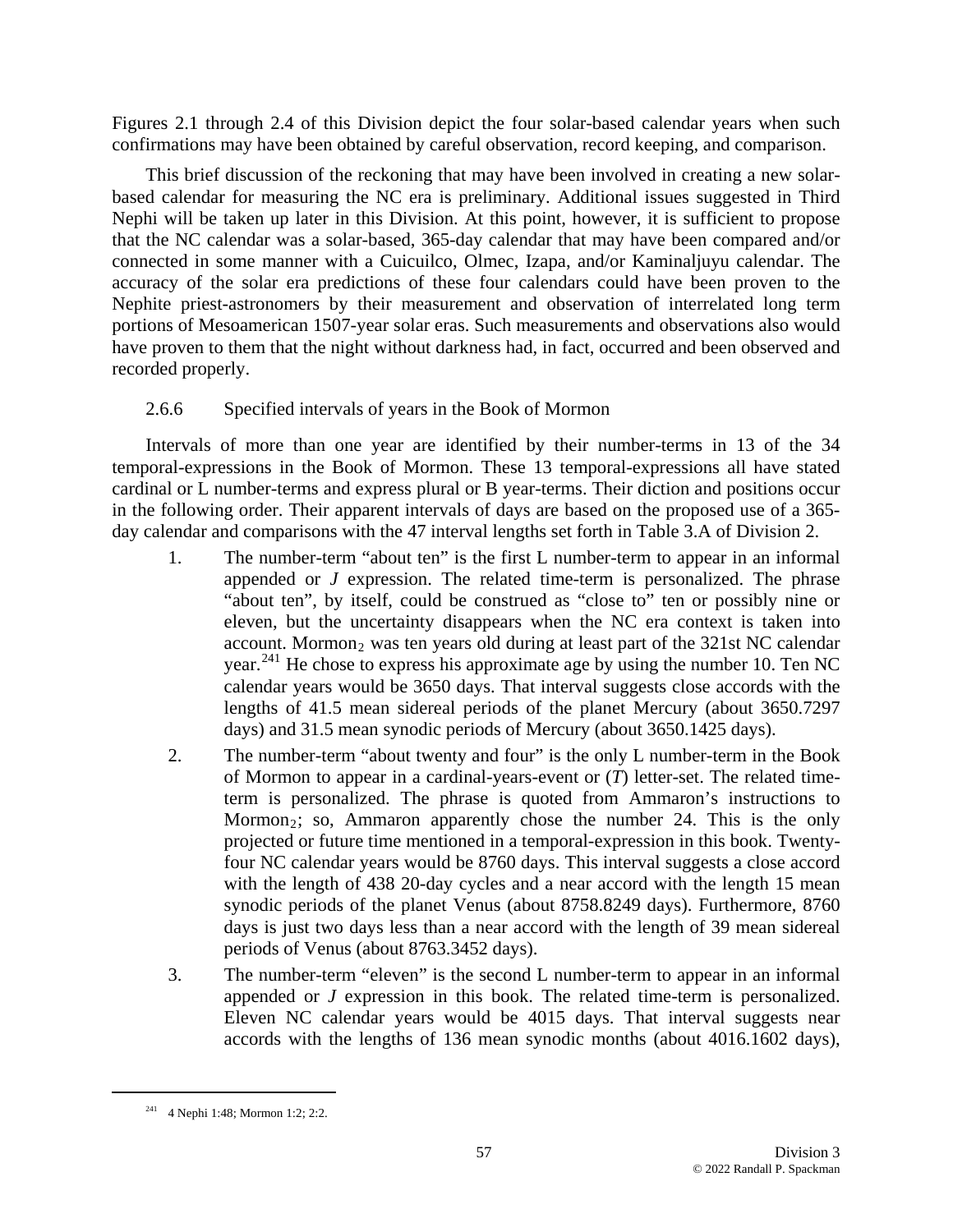Figures 2.1 through 2.4 of this Division depict the four solar-based calendar years when such confirmations may have been obtained by careful observation, record keeping, and comparison.

This brief discussion of the reckoning that may have been involved in creating a new solarbased calendar for measuring the NC era is preliminary. Additional issues suggested in Third Nephi will be taken up later in this Division. At this point, however, it is sufficient to propose that the NC calendar was a solar-based, 365-day calendar that may have been compared and/or connected in some manner with a Cuicuilco, Olmec, Izapa, and/or Kaminaljuyu calendar. The accuracy of the solar era predictions of these four calendars could have been proven to the Nephite priest-astronomers by their measurement and observation of interrelated long term portions of Mesoamerican 1507-year solar eras. Such measurements and observations also would have proven to them that the night without darkness had, in fact, occurred and been observed and recorded properly.

# 2.6.6 Specified intervals of years in the Book of Mormon

Intervals of more than one year are identified by their number-terms in 13 of the 34 temporal-expressions in the Book of Mormon. These 13 temporal-expressions all have stated cardinal or L number-terms and express plural or B year-terms. Their diction and positions occur in the following order. Their apparent intervals of days are based on the proposed use of a 365 day calendar and comparisons with the 47 interval lengths set forth in Table 3.A of Division 2.

- 1. The number-term "about ten" is the first L number-term to appear in an informal appended or *J* expression. The related time-term is personalized. The phrase "about ten", by itself, could be construed as "close to" ten or possibly nine or eleven, but the uncertainty disappears when the NC era context is taken into account. Mormon<sub>2</sub> was ten years old during at least part of the  $321st$  NC calendar year. [241](#page-56-0) He chose to express his approximate age by using the number 10. Ten NC calendar years would be 3650 days. That interval suggests close accords with the lengths of 41.5 mean sidereal periods of the planet Mercury (about 3650.7297 days) and 31.5 mean synodic periods of Mercury (about 3650.1425 days).
- 2. The number-term "about twenty and four" is the only L number-term in the Book of Mormon to appear in a cardinal-years-event or (*T*) letter-set. The related timeterm is personalized. The phrase is quoted from Ammaron's instructions to Mormon<sub>2</sub>; so, Ammaron apparently chose the number 24. This is the only projected or future time mentioned in a temporal-expression in this book. Twentyfour NC calendar years would be 8760 days. This interval suggests a close accord with the length of 438 20-day cycles and a near accord with the length 15 mean synodic periods of the planet Venus (about 8758.8249 days). Furthermore, 8760 days is just two days less than a near accord with the length of 39 mean sidereal periods of Venus (about 8763.3452 days).
- 3. The number-term "eleven" is the second L number-term to appear in an informal appended or *J* expression in this book. The related time-term is personalized. Eleven NC calendar years would be 4015 days. That interval suggests near accords with the lengths of 136 mean synodic months (about 4016.1602 days),

<span id="page-56-0"></span> <sup>241 4</sup> Nephi 1:48; Mormon 1:2; 2:2.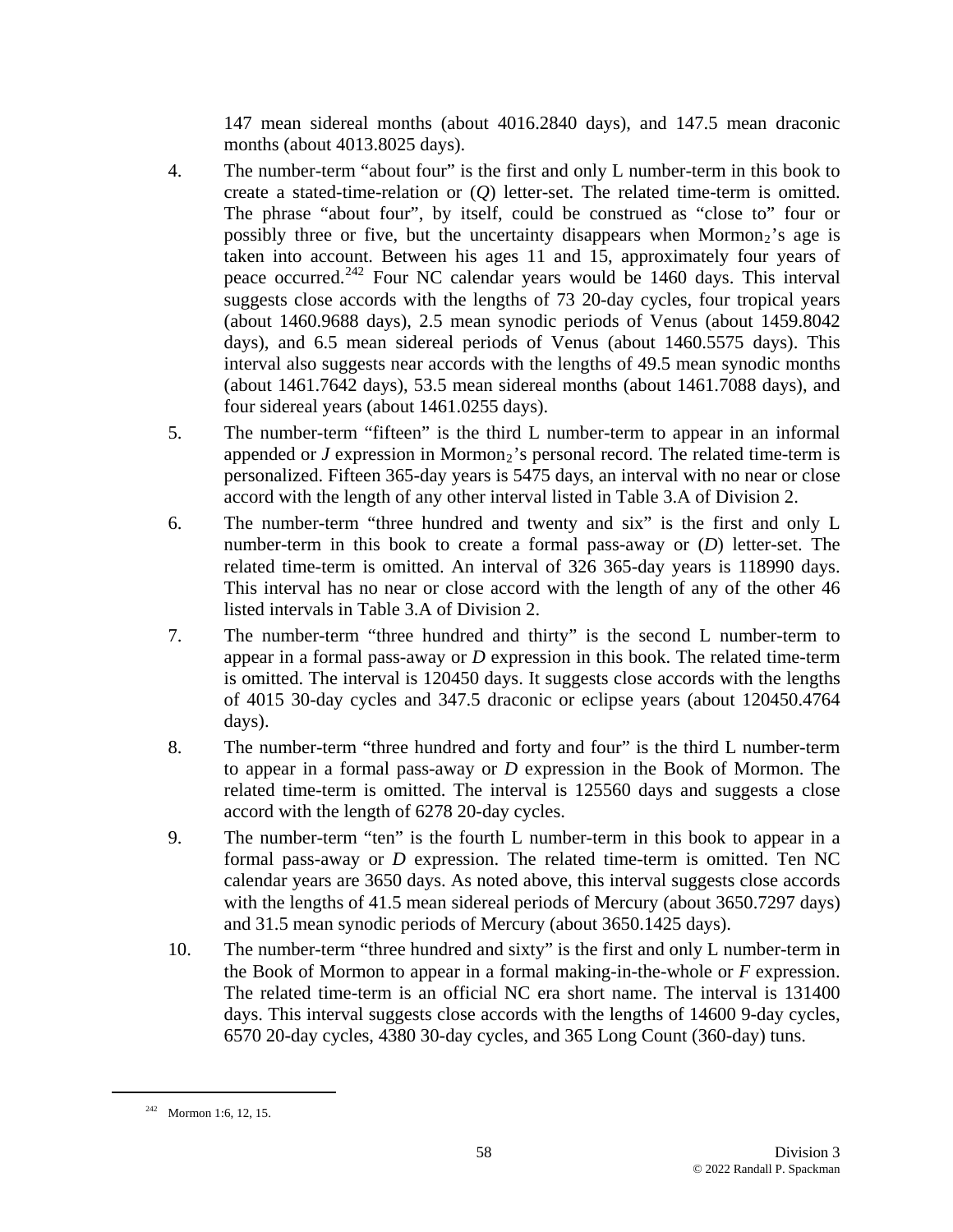147 mean sidereal months (about 4016.2840 days), and 147.5 mean draconic months (about 4013.8025 days).

- 4. The number-term "about four" is the first and only L number-term in this book to create a stated-time-relation or (*Q*) letter-set. The related time-term is omitted. The phrase "about four", by itself, could be construed as "close to" four or possibly three or five, but the uncertainty disappears when  $Mormon<sub>2</sub>$ 's age is taken into account. Between his ages 11 and 15, approximately four years of peace occurred.[242](#page-57-0) Four NC calendar years would be 1460 days. This interval suggests close accords with the lengths of 73 20-day cycles, four tropical years (about 1460.9688 days), 2.5 mean synodic periods of Venus (about 1459.8042 days), and 6.5 mean sidereal periods of Venus (about 1460.5575 days). This interval also suggests near accords with the lengths of 49.5 mean synodic months (about 1461.7642 days), 53.5 mean sidereal months (about 1461.7088 days), and four sidereal years (about 1461.0255 days).
- 5. The number-term "fifteen" is the third L number-term to appear in an informal appended or  $J$  expression in Mormon<sub>2</sub>'s personal record. The related time-term is personalized. Fifteen 365-day years is 5475 days, an interval with no near or close accord with the length of any other interval listed in Table 3.A of Division 2.
- 6. The number-term "three hundred and twenty and six" is the first and only L number-term in this book to create a formal pass-away or (*D*) letter-set. The related time-term is omitted. An interval of 326 365-day years is 118990 days. This interval has no near or close accord with the length of any of the other 46 listed intervals in Table 3.A of Division 2.
- 7. The number-term "three hundred and thirty" is the second L number-term to appear in a formal pass-away or *D* expression in this book. The related time-term is omitted. The interval is 120450 days. It suggests close accords with the lengths of 4015 30-day cycles and 347.5 draconic or eclipse years (about 120450.4764 days).
- 8. The number-term "three hundred and forty and four" is the third L number-term to appear in a formal pass-away or *D* expression in the Book of Mormon. The related time-term is omitted. The interval is 125560 days and suggests a close accord with the length of 6278 20-day cycles.
- 9. The number-term "ten" is the fourth L number-term in this book to appear in a formal pass-away or *D* expression. The related time-term is omitted. Ten NC calendar years are 3650 days. As noted above, this interval suggests close accords with the lengths of 41.5 mean sidereal periods of Mercury (about 3650.7297 days) and 31.5 mean synodic periods of Mercury (about 3650.1425 days).
- 10. The number-term "three hundred and sixty" is the first and only L number-term in the Book of Mormon to appear in a formal making-in-the-whole or *F* expression. The related time-term is an official NC era short name. The interval is 131400 days. This interval suggests close accords with the lengths of 14600 9-day cycles, 6570 20-day cycles, 4380 30-day cycles, and 365 Long Count (360-day) tuns.

<span id="page-57-0"></span> $242$  Mormon 1:6, 12, 15.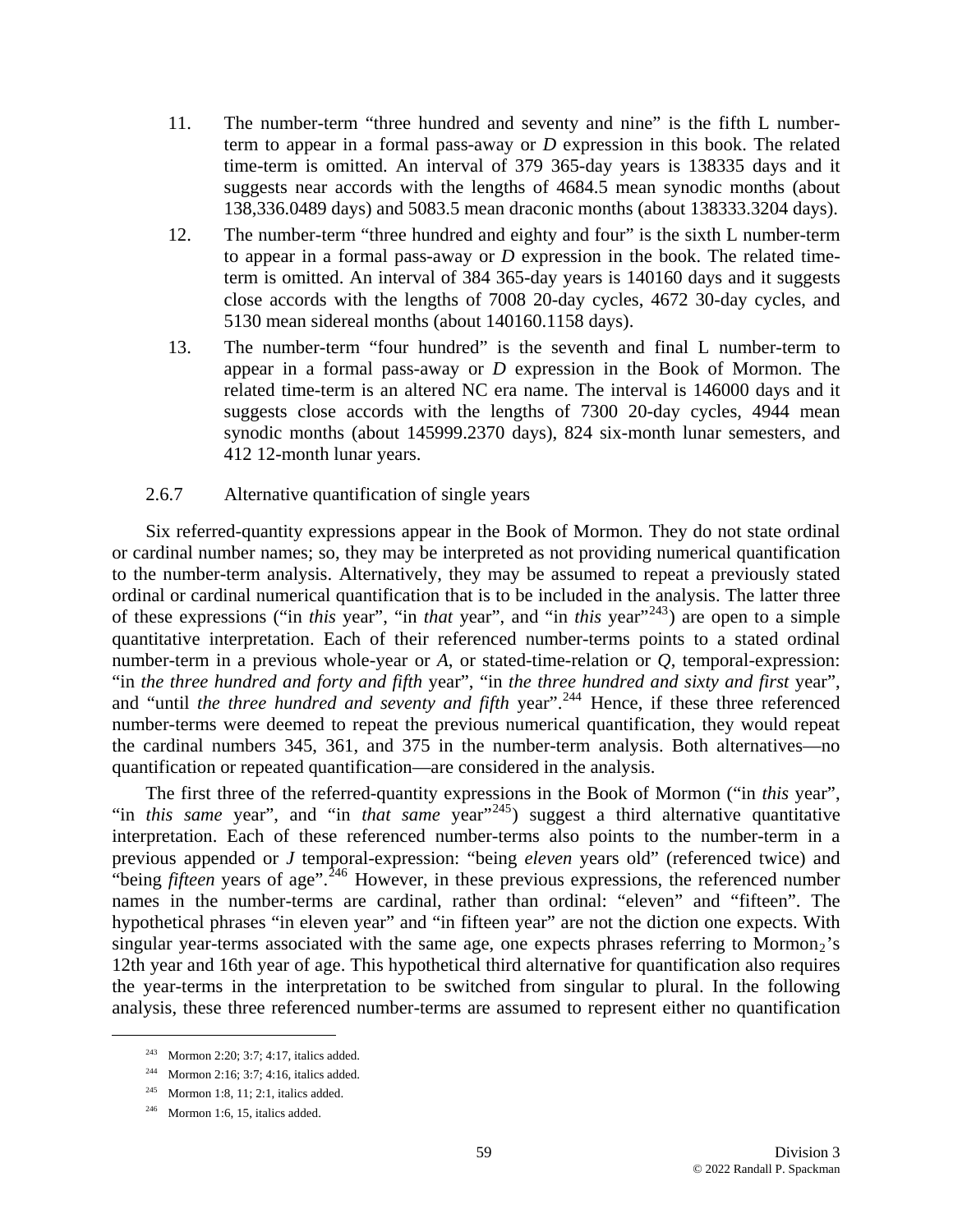- 11. The number-term "three hundred and seventy and nine" is the fifth L numberterm to appear in a formal pass-away or *D* expression in this book. The related time-term is omitted. An interval of 379 365-day years is 138335 days and it suggests near accords with the lengths of 4684.5 mean synodic months (about 138,336.0489 days) and 5083.5 mean draconic months (about 138333.3204 days).
- 12. The number-term "three hundred and eighty and four" is the sixth L number-term to appear in a formal pass-away or *D* expression in the book. The related timeterm is omitted. An interval of 384 365-day years is 140160 days and it suggests close accords with the lengths of 7008 20-day cycles, 4672 30-day cycles, and 5130 mean sidereal months (about 140160.1158 days).
- 13. The number-term "four hundred" is the seventh and final L number-term to appear in a formal pass-away or *D* expression in the Book of Mormon. The related time-term is an altered NC era name. The interval is 146000 days and it suggests close accords with the lengths of 7300 20-day cycles, 4944 mean synodic months (about 145999.2370 days), 824 six-month lunar semesters, and 412 12-month lunar years.

#### 2.6.7 Alternative quantification of single years

Six referred-quantity expressions appear in the Book of Mormon. They do not state ordinal or cardinal number names; so, they may be interpreted as not providing numerical quantification to the number-term analysis. Alternatively, they may be assumed to repeat a previously stated ordinal or cardinal numerical quantification that is to be included in the analysis. The latter three of these expressions ("in *this* year", "in *that* year", and "in *this* year"[243](#page-58-0)) are open to a simple quantitative interpretation. Each of their referenced number-terms points to a stated ordinal number-term in a previous whole-year or *A*, or stated-time-relation or *Q*, temporal-expression: "in *the three hundred and forty and fifth* year", "in *the three hundred and sixty and first* year", and "until *the three hundred and seventy and fifth* year".<sup>[244](#page-58-1)</sup> Hence, if these three referenced number-terms were deemed to repeat the previous numerical quantification, they would repeat the cardinal numbers 345, 361, and 375 in the number-term analysis. Both alternatives—no quantification or repeated quantification—are considered in the analysis.

The first three of the referred-quantity expressions in the Book of Mormon ("in *this* year", "in *this same* year", and "in *that same* year"<sup>[245](#page-58-2)</sup>) suggest a third alternative quantitative interpretation. Each of these referenced number-terms also points to the number-term in a previous appended or *J* temporal-expression: "being *eleven* years old" (referenced twice) and "being *fifteen* years of age".<sup>[246](#page-58-3)</sup> However, in these previous expressions, the referenced number names in the number-terms are cardinal, rather than ordinal: "eleven" and "fifteen". The hypothetical phrases "in eleven year" and "in fifteen year" are not the diction one expects. With singular year-terms associated with the same age, one expects phrases referring to Mormon<sub>2</sub>'s 12th year and 16th year of age. This hypothetical third alternative for quantification also requires the year-terms in the interpretation to be switched from singular to plural. In the following analysis, these three referenced number-terms are assumed to represent either no quantification

 <sup>243</sup> Mormon 2:20; 3:7; 4:17, italics added.

<span id="page-58-1"></span><span id="page-58-0"></span><sup>244</sup> Mormon 2:16; 3:7; 4:16, italics added.

<span id="page-58-2"></span> $245$  Mormon 1:8, 11; 2:1, italics added.

<span id="page-58-3"></span> $246$  Mormon 1:6, 15, italics added.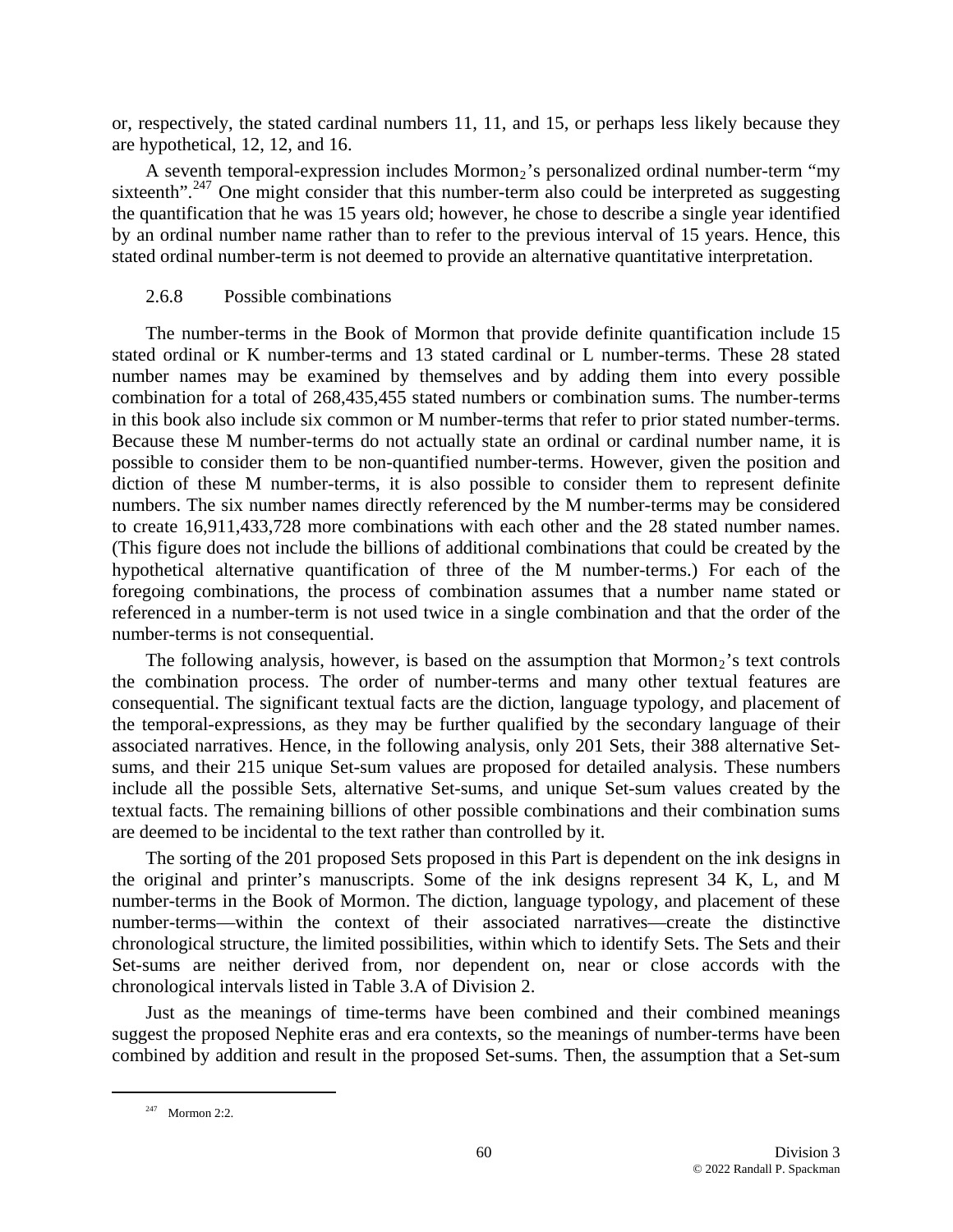or, respectively, the stated cardinal numbers 11, 11, and 15, or perhaps less likely because they are hypothetical, 12, 12, and 16.

A seventh temporal-expression includes Mormon<sub>2</sub>'s personalized ordinal number-term "my sixteenth".<sup>[247](#page-59-0)</sup> One might consider that this number-term also could be interpreted as suggesting the quantification that he was 15 years old; however, he chose to describe a single year identified by an ordinal number name rather than to refer to the previous interval of 15 years. Hence, this stated ordinal number-term is not deemed to provide an alternative quantitative interpretation.

## 2.6.8 Possible combinations

The number-terms in the Book of Mormon that provide definite quantification include 15 stated ordinal or K number-terms and 13 stated cardinal or L number-terms. These 28 stated number names may be examined by themselves and by adding them into every possible combination for a total of 268,435,455 stated numbers or combination sums. The number-terms in this book also include six common or M number-terms that refer to prior stated number-terms. Because these M number-terms do not actually state an ordinal or cardinal number name, it is possible to consider them to be non-quantified number-terms. However, given the position and diction of these M number-terms, it is also possible to consider them to represent definite numbers. The six number names directly referenced by the M number-terms may be considered to create 16,911,433,728 more combinations with each other and the 28 stated number names. (This figure does not include the billions of additional combinations that could be created by the hypothetical alternative quantification of three of the M number-terms.) For each of the foregoing combinations, the process of combination assumes that a number name stated or referenced in a number-term is not used twice in a single combination and that the order of the number-terms is not consequential.

The following analysis, however, is based on the assumption that  $Mormon<sub>2</sub>$ 's text controls the combination process. The order of number-terms and many other textual features are consequential. The significant textual facts are the diction, language typology, and placement of the temporal-expressions, as they may be further qualified by the secondary language of their associated narratives. Hence, in the following analysis, only 201 Sets, their 388 alternative Setsums, and their 215 unique Set-sum values are proposed for detailed analysis. These numbers include all the possible Sets, alternative Set-sums, and unique Set-sum values created by the textual facts. The remaining billions of other possible combinations and their combination sums are deemed to be incidental to the text rather than controlled by it.

The sorting of the 201 proposed Sets proposed in this Part is dependent on the ink designs in the original and printer's manuscripts. Some of the ink designs represent 34 K, L, and M number-terms in the Book of Mormon. The diction, language typology, and placement of these number-terms—within the context of their associated narratives—create the distinctive chronological structure, the limited possibilities, within which to identify Sets. The Sets and their Set-sums are neither derived from, nor dependent on, near or close accords with the chronological intervals listed in Table 3.A of Division 2.

Just as the meanings of time-terms have been combined and their combined meanings suggest the proposed Nephite eras and era contexts, so the meanings of number-terms have been combined by addition and result in the proposed Set-sums. Then, the assumption that a Set-sum

<span id="page-59-0"></span> $247$  Mormon 2:2.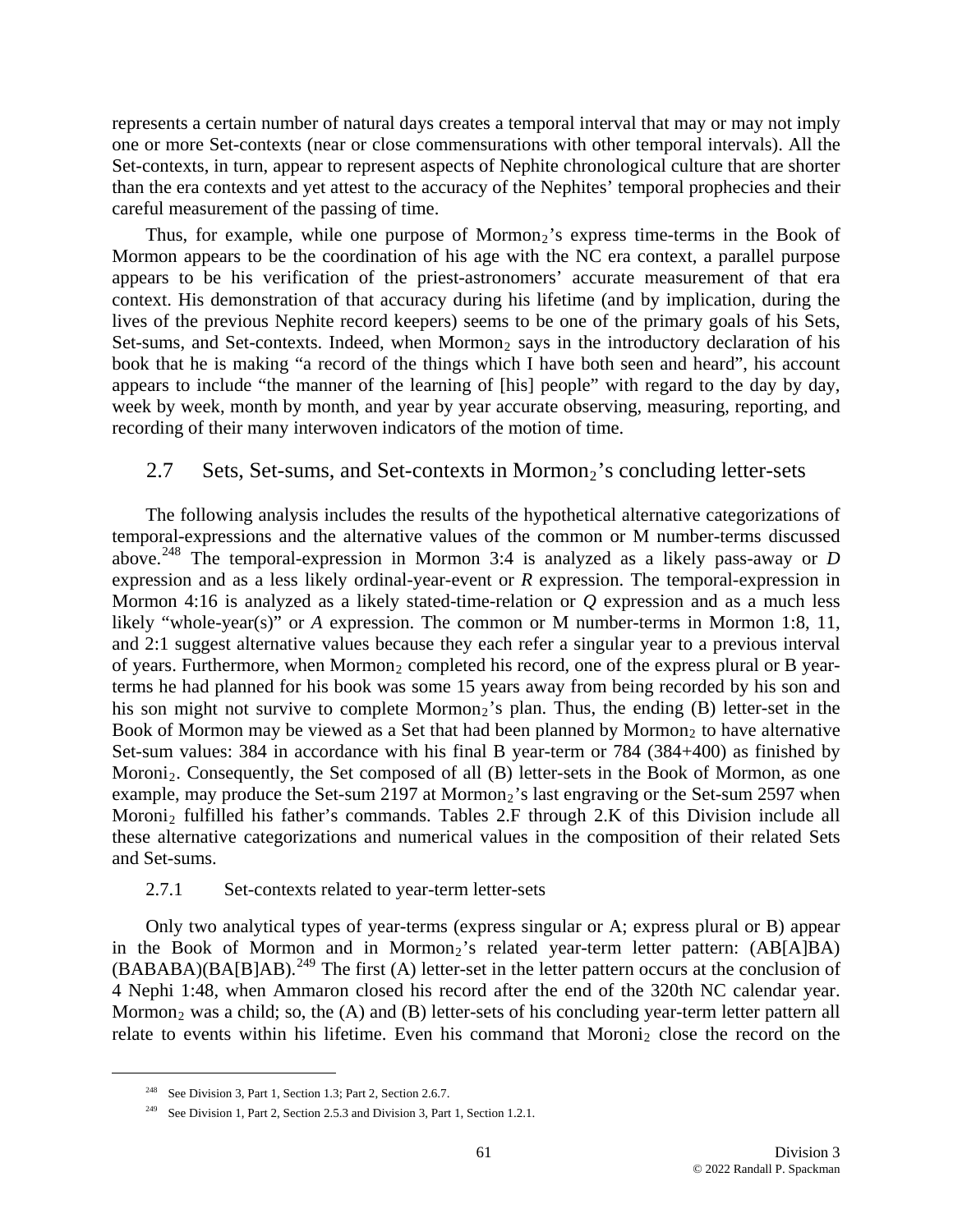represents a certain number of natural days creates a temporal interval that may or may not imply one or more Set-contexts (near or close commensurations with other temporal intervals). All the Set-contexts, in turn, appear to represent aspects of Nephite chronological culture that are shorter than the era contexts and yet attest to the accuracy of the Nephites' temporal prophecies and their careful measurement of the passing of time.

Thus, for example, while one purpose of  $Mormon<sub>2</sub>$ 's express time-terms in the Book of Mormon appears to be the coordination of his age with the NC era context, a parallel purpose appears to be his verification of the priest-astronomers' accurate measurement of that era context. His demonstration of that accuracy during his lifetime (and by implication, during the lives of the previous Nephite record keepers) seems to be one of the primary goals of his Sets, Set-sums, and Set-contexts. Indeed, when Mormon<sub>2</sub> says in the introductory declaration of his book that he is making "a record of the things which I have both seen and heard", his account appears to include "the manner of the learning of [his] people" with regard to the day by day, week by week, month by month, and year by year accurate observing, measuring, reporting, and recording of their many interwoven indicators of the motion of time.

# 2.7 Sets, Set-sums, and Set-contexts in Mormon<sub>2</sub>'s concluding letter-sets

The following analysis includes the results of the hypothetical alternative categorizations of temporal-expressions and the alternative values of the common or M number-terms discussed above.[248](#page-60-0) The temporal-expression in Mormon 3:4 is analyzed as a likely pass-away or *D* expression and as a less likely ordinal-year-event or *R* expression. The temporal-expression in Mormon 4:16 is analyzed as a likely stated-time-relation or *Q* expression and as a much less likely "whole-year(s)" or *A* expression. The common or M number-terms in Mormon 1:8, 11, and 2:1 suggest alternative values because they each refer a singular year to a previous interval of years. Furthermore, when Mormon<sub>2</sub> completed his record, one of the express plural or B yearterms he had planned for his book was some 15 years away from being recorded by his son and his son might not survive to complete Mormon<sub>2</sub>'s plan. Thus, the ending (B) letter-set in the Book of Mormon may be viewed as a Set that had been planned by Mormon<sub>2</sub> to have alternative Set-sum values: 384 in accordance with his final B year-term or 784 (384+400) as finished by Moroni<sub>2</sub>. Consequently, the Set composed of all  $(B)$  letter-sets in the Book of Mormon, as one example, may produce the Set-sum 2197 at Mormon<sub>2</sub>'s last engraving or the Set-sum 2597 when Moroni<sub>2</sub> fulfilled his father's commands. Tables  $2.F$  through  $2.K$  of this Division include all these alternative categorizations and numerical values in the composition of their related Sets and Set-sums.

#### 2.7.1 Set-contexts related to year-term letter-sets

Only two analytical types of year-terms (express singular or A; express plural or B) appear in the Book of Mormon and in Mormon<sub>2</sub>'s related year-term letter pattern: (AB[A]BA)  $(BABABA)(BA[B|AB).<sup>249</sup>$  $(BABABA)(BA[B|AB).<sup>249</sup>$  $(BABABA)(BA[B|AB).<sup>249</sup>$  The first (A) letter-set in the letter pattern occurs at the conclusion of 4 Nephi 1:48, when Ammaron closed his record after the end of the 320th NC calendar year. Mormon<sub>2</sub> was a child; so, the  $(A)$  and  $(B)$  letter-sets of his concluding year-term letter pattern all relate to events within his lifetime. Even his command that  $Moroni<sub>2</sub>$  close the record on the

<span id="page-60-0"></span><sup>&</sup>lt;sup>248</sup> See Division 3, Part 1, Section 1.3; Part 2, Section 2.6.7.

<span id="page-60-1"></span><sup>&</sup>lt;sup>249</sup> See Division 1, Part 2, Section 2.5.3 and Division 3, Part 1, Section 1.2.1.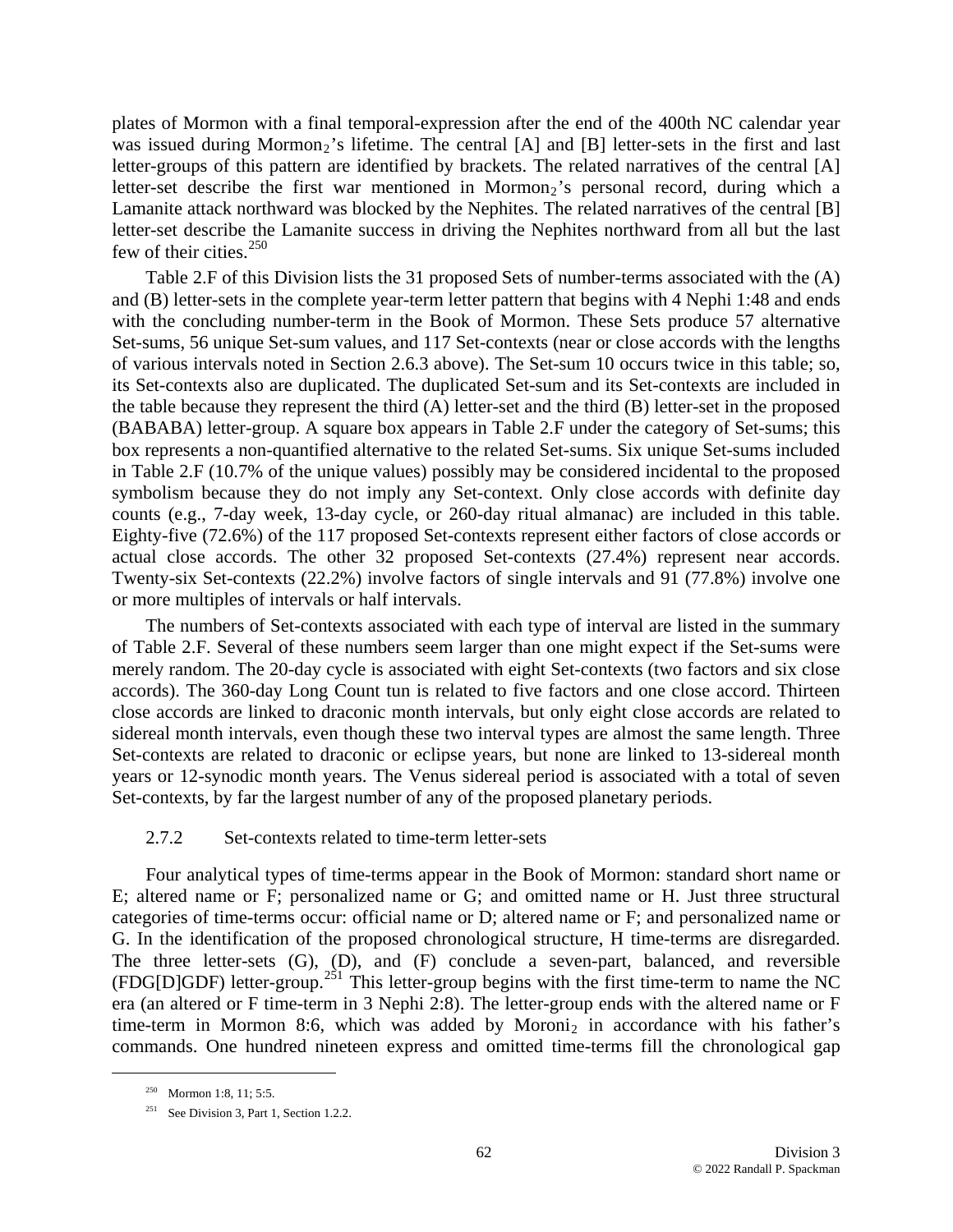plates of Mormon with a final temporal-expression after the end of the 400th NC calendar year was issued during Mormon<sub>2</sub>'s lifetime. The central  $[A]$  and  $[B]$  letter-sets in the first and last letter-groups of this pattern are identified by brackets. The related narratives of the central [A] letter-set describe the first war mentioned in Mormon<sub>2</sub>'s personal record, during which a Lamanite attack northward was blocked by the Nephites. The related narratives of the central [B] letter-set describe the Lamanite success in driving the Nephites northward from all but the last few of their cities.<sup>[250](#page-61-0)</sup>

Table 2.F of this Division lists the 31 proposed Sets of number-terms associated with the (A) and (B) letter-sets in the complete year-term letter pattern that begins with 4 Nephi 1:48 and ends with the concluding number-term in the Book of Mormon. These Sets produce 57 alternative Set-sums, 56 unique Set-sum values, and 117 Set-contexts (near or close accords with the lengths of various intervals noted in Section 2.6.3 above). The Set-sum 10 occurs twice in this table; so, its Set-contexts also are duplicated. The duplicated Set-sum and its Set-contexts are included in the table because they represent the third (A) letter-set and the third (B) letter-set in the proposed (BABABA) letter-group. A square box appears in Table 2.F under the category of Set-sums; this box represents a non-quantified alternative to the related Set-sums. Six unique Set-sums included in Table 2.F (10.7% of the unique values) possibly may be considered incidental to the proposed symbolism because they do not imply any Set-context. Only close accords with definite day counts (e.g., 7-day week, 13-day cycle, or 260-day ritual almanac) are included in this table. Eighty-five (72.6%) of the 117 proposed Set-contexts represent either factors of close accords or actual close accords. The other 32 proposed Set-contexts (27.4%) represent near accords. Twenty-six Set-contexts (22.2%) involve factors of single intervals and 91 (77.8%) involve one or more multiples of intervals or half intervals.

The numbers of Set-contexts associated with each type of interval are listed in the summary of Table 2.F. Several of these numbers seem larger than one might expect if the Set-sums were merely random. The 20-day cycle is associated with eight Set-contexts (two factors and six close accords). The 360-day Long Count tun is related to five factors and one close accord. Thirteen close accords are linked to draconic month intervals, but only eight close accords are related to sidereal month intervals, even though these two interval types are almost the same length. Three Set-contexts are related to draconic or eclipse years, but none are linked to 13-sidereal month years or 12-synodic month years. The Venus sidereal period is associated with a total of seven Set-contexts, by far the largest number of any of the proposed planetary periods.

### 2.7.2 Set-contexts related to time-term letter-sets

Four analytical types of time-terms appear in the Book of Mormon: standard short name or E; altered name or F; personalized name or G; and omitted name or H. Just three structural categories of time-terms occur: official name or D; altered name or F; and personalized name or G. In the identification of the proposed chronological structure, H time-terms are disregarded. The three letter-sets (G), (D), and (F) conclude a seven-part, balanced, and reversible (FDG[D]GDF) letter-group.[251](#page-61-1) This letter-group begins with the first time-term to name the NC era (an altered or F time-term in 3 Nephi 2:8). The letter-group ends with the altered name or F time-term in Mormon 8:6, which was added by Moroni<sub>2</sub> in accordance with his father's commands. One hundred nineteen express and omitted time-terms fill the chronological gap

<span id="page-61-0"></span><sup>&</sup>lt;sup>250</sup> Mormon 1:8, 11; 5:5.

<span id="page-61-1"></span><sup>&</sup>lt;sup>251</sup> See Division 3, Part 1, Section 1.2.2.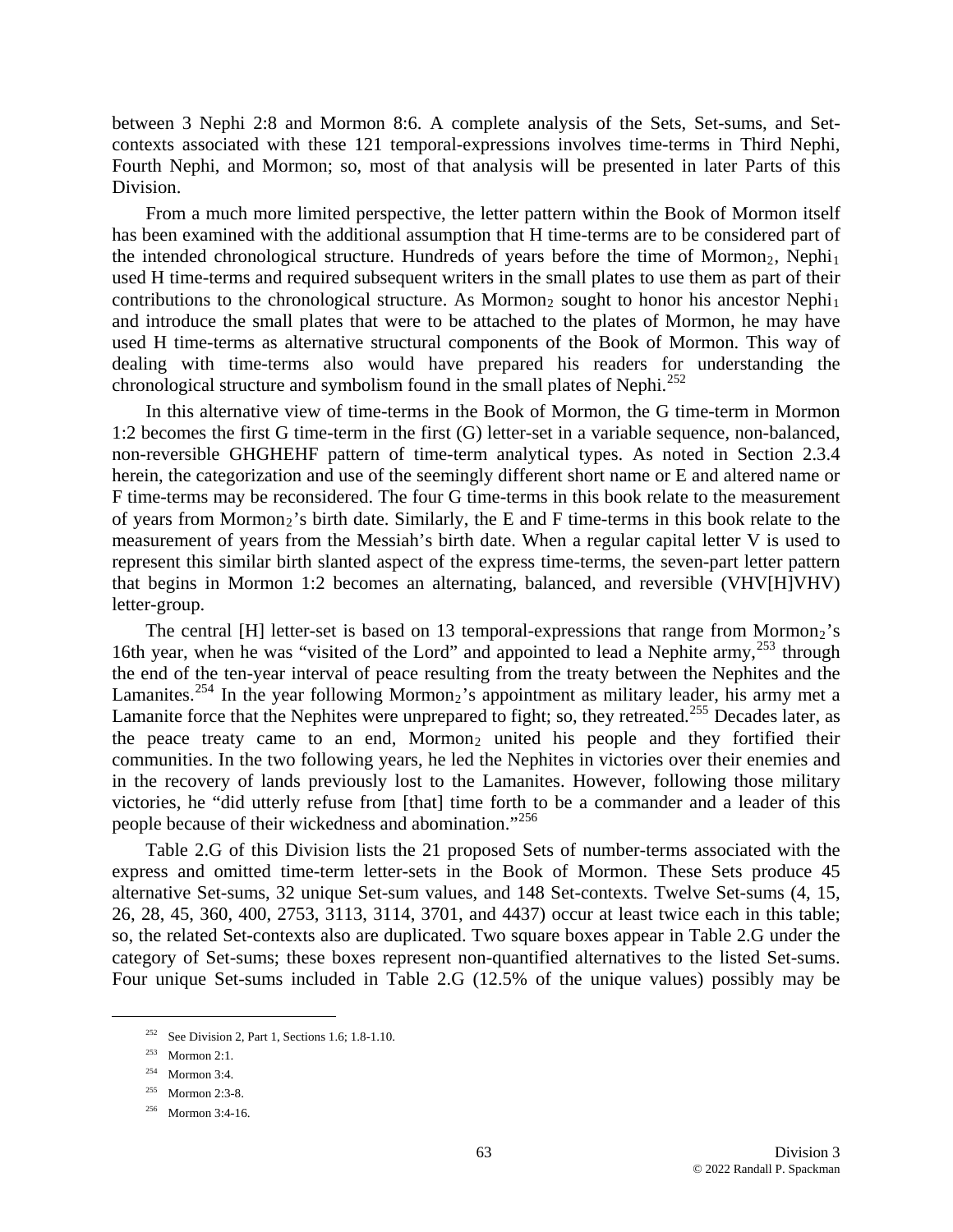between 3 Nephi 2:8 and Mormon 8:6. A complete analysis of the Sets, Set-sums, and Setcontexts associated with these 121 temporal-expressions involves time-terms in Third Nephi, Fourth Nephi, and Mormon; so, most of that analysis will be presented in later Parts of this Division.

From a much more limited perspective, the letter pattern within the Book of Mormon itself has been examined with the additional assumption that H time-terms are to be considered part of the intended chronological structure. Hundreds of years before the time of Mormon<sub>2</sub>, Nephi<sub>1</sub> used H time-terms and required subsequent writers in the small plates to use them as part of their contributions to the chronological structure. As Mormon<sub>2</sub> sought to honor his ancestor Nephi<sub>1</sub> and introduce the small plates that were to be attached to the plates of Mormon, he may have used H time-terms as alternative structural components of the Book of Mormon. This way of dealing with time-terms also would have prepared his readers for understanding the chronological structure and symbolism found in the small plates of Nephi.<sup>[252](#page-62-0)</sup>

In this alternative view of time-terms in the Book of Mormon, the G time-term in Mormon 1:2 becomes the first G time-term in the first (G) letter-set in a variable sequence, non-balanced, non-reversible GHGHEHF pattern of time-term analytical types. As noted in Section 2.3.4 herein, the categorization and use of the seemingly different short name or E and altered name or F time-terms may be reconsidered. The four G time-terms in this book relate to the measurement of years from Mormon<sub>2</sub>'s birth date. Similarly, the E and F time-terms in this book relate to the measurement of years from the Messiah's birth date. When a regular capital letter V is used to represent this similar birth slanted aspect of the express time-terms, the seven-part letter pattern that begins in Mormon 1:2 becomes an alternating, balanced, and reversible (VHV[H]VHV) letter-group.

The central [H] letter-set is based on 13 temporal-expressions that range from Mormon<sub>2</sub>'s 16th year, when he was "visited of the Lord" and appointed to lead a Nephite army, <sup>[253](#page-62-1)</sup> through the end of the ten-year interval of peace resulting from the treaty between the Nephites and the Lamanites.<sup>[254](#page-62-2)</sup> In the year following Mormon<sub>2</sub>'s appointment as military leader, his army met a Lamanite force that the Nephites were unprepared to fight; so, they retreated.<sup>[255](#page-62-3)</sup> Decades later, as the peace treaty came to an end, Mormon<sub>2</sub> united his people and they fortified their communities. In the two following years, he led the Nephites in victories over their enemies and in the recovery of lands previously lost to the Lamanites. However, following those military victories, he "did utterly refuse from [that] time forth to be a commander and a leader of this people because of their wickedness and abomination."<sup>256</sup>

Table 2.G of this Division lists the 21 proposed Sets of number-terms associated with the express and omitted time-term letter-sets in the Book of Mormon. These Sets produce 45 alternative Set-sums, 32 unique Set-sum values, and 148 Set-contexts. Twelve Set-sums (4, 15, 26, 28, 45, 360, 400, 2753, 3113, 3114, 3701, and 4437) occur at least twice each in this table; so, the related Set-contexts also are duplicated. Two square boxes appear in Table 2.G under the category of Set-sums; these boxes represent non-quantified alternatives to the listed Set-sums. Four unique Set-sums included in Table 2.G (12.5% of the unique values) possibly may be

<span id="page-62-3"></span><span id="page-62-2"></span><span id="page-62-1"></span><span id="page-62-0"></span> $\overline{a}$ 

<sup>&</sup>lt;sup>252</sup> See Division 2, Part 1, Sections 1.6; 1.8-1.10.

<sup>253</sup> Mormon 2:1.

 $254$  Mormon 3:4.

<sup>255</sup> Mormon 2:3-8.

<sup>256</sup> Mormon 3:4-16.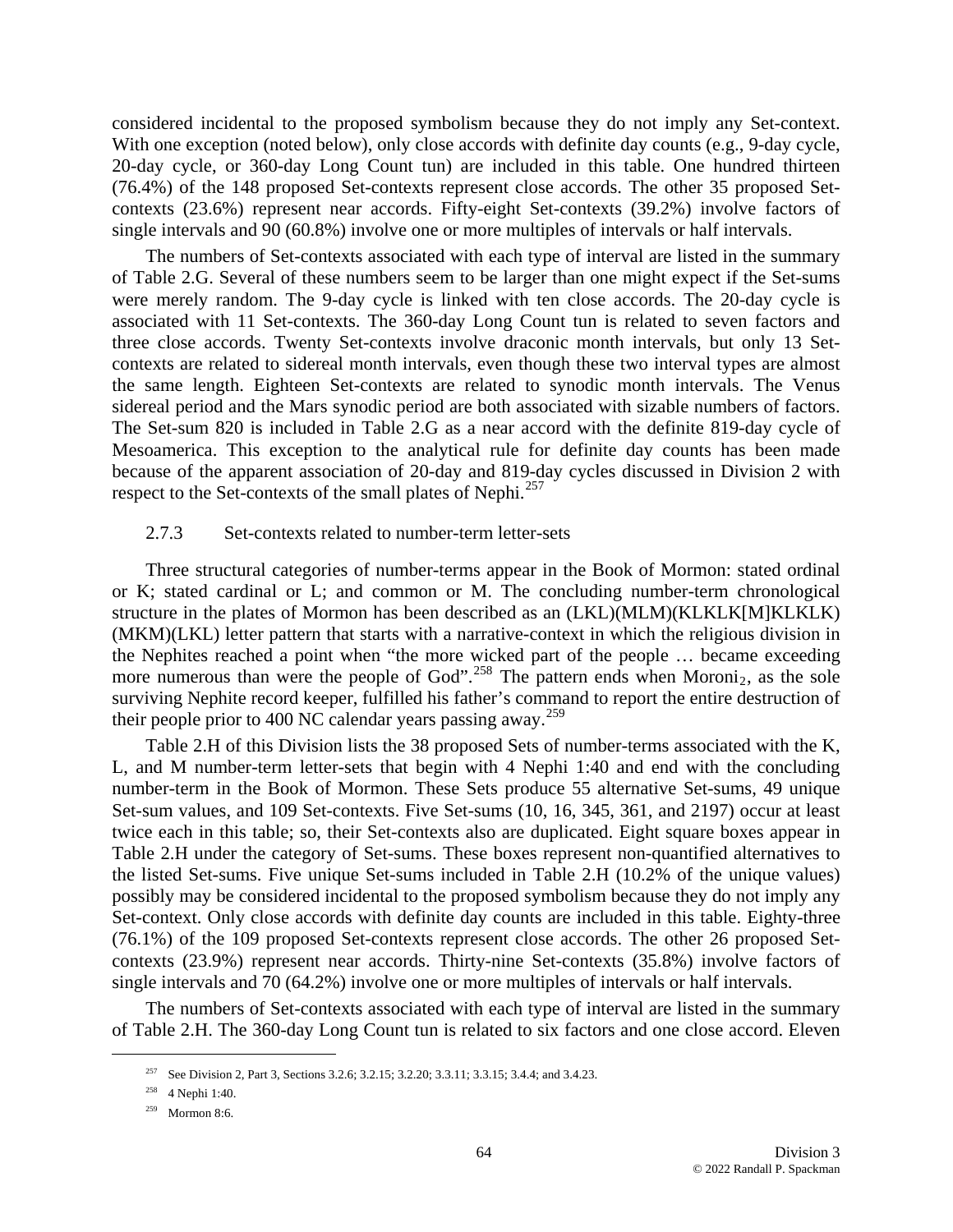considered incidental to the proposed symbolism because they do not imply any Set-context. With one exception (noted below), only close accords with definite day counts (e.g., 9-day cycle, 20-day cycle, or 360-day Long Count tun) are included in this table. One hundred thirteen (76.4%) of the 148 proposed Set-contexts represent close accords. The other 35 proposed Setcontexts (23.6%) represent near accords. Fifty-eight Set-contexts (39.2%) involve factors of single intervals and 90 (60.8%) involve one or more multiples of intervals or half intervals.

The numbers of Set-contexts associated with each type of interval are listed in the summary of Table 2.G. Several of these numbers seem to be larger than one might expect if the Set-sums were merely random. The 9-day cycle is linked with ten close accords. The 20-day cycle is associated with 11 Set-contexts. The 360-day Long Count tun is related to seven factors and three close accords. Twenty Set-contexts involve draconic month intervals, but only 13 Setcontexts are related to sidereal month intervals, even though these two interval types are almost the same length. Eighteen Set-contexts are related to synodic month intervals. The Venus sidereal period and the Mars synodic period are both associated with sizable numbers of factors. The Set-sum 820 is included in Table 2.G as a near accord with the definite 819-day cycle of Mesoamerica. This exception to the analytical rule for definite day counts has been made because of the apparent association of 20-day and 819-day cycles discussed in Division 2 with respect to the Set-contexts of the small plates of Nephi.<sup>[257](#page-63-0)</sup>

### 2.7.3 Set-contexts related to number-term letter-sets

Three structural categories of number-terms appear in the Book of Mormon: stated ordinal or K; stated cardinal or L; and common or M. The concluding number-term chronological structure in the plates of Mormon has been described as an (LKL)(MLM)(KLKLK[M]KLKLK) (MKM)(LKL) letter pattern that starts with a narrative-context in which the religious division in the Nephites reached a point when "the more wicked part of the people … became exceeding more numerous than were the people of God".<sup>[258](#page-63-1)</sup> The pattern ends when Moroni<sub>2</sub>, as the sole surviving Nephite record keeper, fulfilled his father's command to report the entire destruction of their people prior to 400 NC calendar years passing away.<sup>[259](#page-63-2)</sup>

Table 2.H of this Division lists the 38 proposed Sets of number-terms associated with the K, L, and M number-term letter-sets that begin with 4 Nephi 1:40 and end with the concluding number-term in the Book of Mormon. These Sets produce 55 alternative Set-sums, 49 unique Set-sum values, and 109 Set-contexts. Five Set-sums (10, 16, 345, 361, and 2197) occur at least twice each in this table; so, their Set-contexts also are duplicated. Eight square boxes appear in Table 2.H under the category of Set-sums. These boxes represent non-quantified alternatives to the listed Set-sums. Five unique Set-sums included in Table 2.H (10.2% of the unique values) possibly may be considered incidental to the proposed symbolism because they do not imply any Set-context. Only close accords with definite day counts are included in this table. Eighty-three (76.1%) of the 109 proposed Set-contexts represent close accords. The other 26 proposed Setcontexts (23.9%) represent near accords. Thirty-nine Set-contexts (35.8%) involve factors of single intervals and 70 (64.2%) involve one or more multiples of intervals or half intervals.

<span id="page-63-1"></span><span id="page-63-0"></span>The numbers of Set-contexts associated with each type of interval are listed in the summary of Table 2.H. The 360-day Long Count tun is related to six factors and one close accord. Eleven

<sup>&</sup>lt;sup>257</sup> See Division 2, Part 3, Sections 3.2.6; 3.2.15; 3.2.20; 3.3.11; 3.3.15; 3.4.4; and 3.4.23.

<sup>258 4</sup> Nephi 1:40.

<span id="page-63-2"></span><sup>259</sup> Mormon 8:6.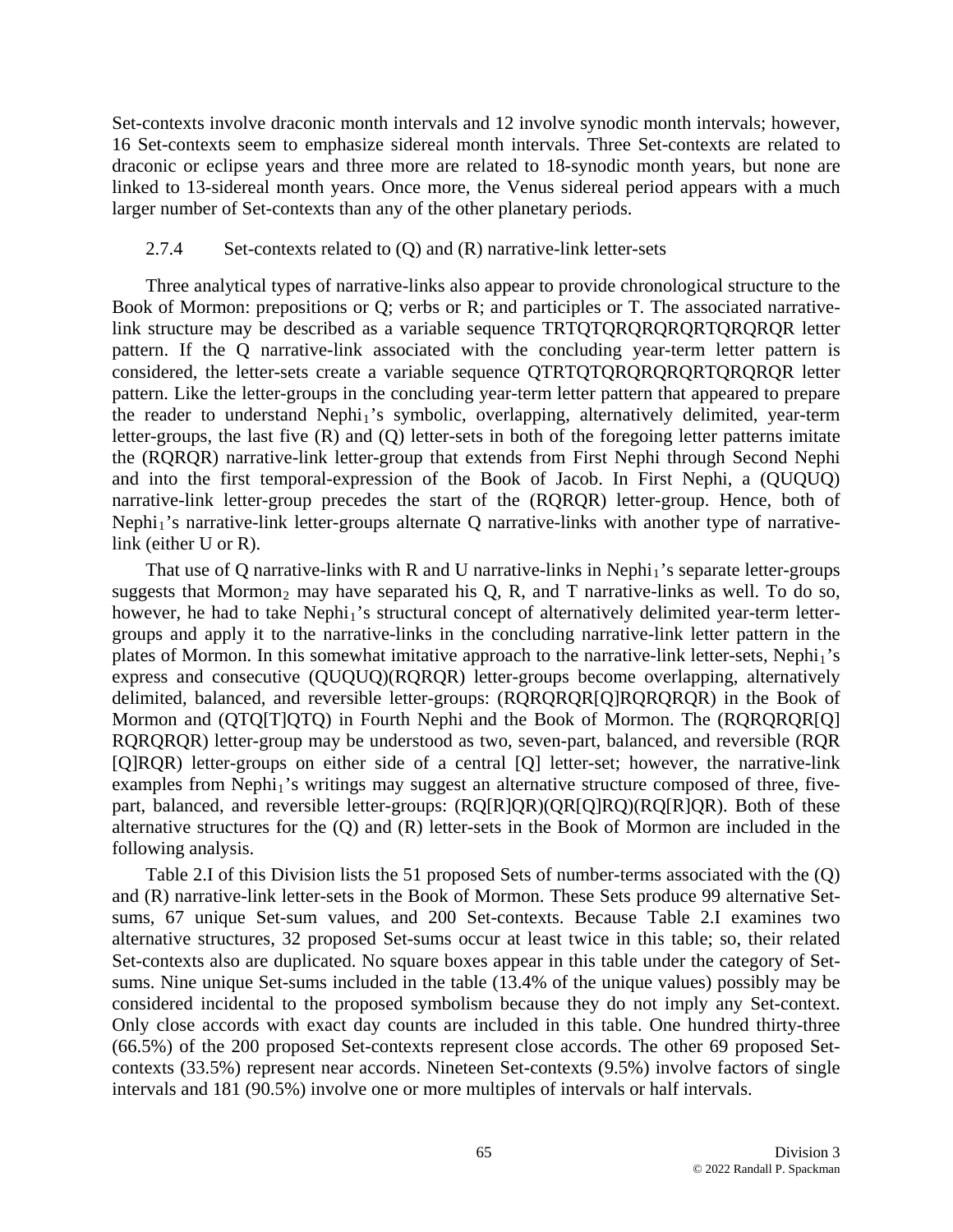Set-contexts involve draconic month intervals and 12 involve synodic month intervals; however, 16 Set-contexts seem to emphasize sidereal month intervals. Three Set-contexts are related to draconic or eclipse years and three more are related to 18-synodic month years, but none are linked to 13-sidereal month years. Once more, the Venus sidereal period appears with a much larger number of Set-contexts than any of the other planetary periods.

### 2.7.4 Set-contexts related to (Q) and (R) narrative-link letter-sets

Three analytical types of narrative-links also appear to provide chronological structure to the Book of Mormon: prepositions or Q; verbs or R; and participles or T. The associated narrativelink structure may be described as a variable sequence TRTQTQRQRQRQRTQRQRQR letter pattern. If the Q narrative-link associated with the concluding year-term letter pattern is considered, the letter-sets create a variable sequence QTRTQTQRQRQRQRTQRQRQR letter pattern. Like the letter-groups in the concluding year-term letter pattern that appeared to prepare the reader to understand  $Nephi<sub>1</sub>'s$  symbolic, overlapping, alternatively delimited, year-term letter-groups, the last five (R) and (Q) letter-sets in both of the foregoing letter patterns imitate the (RQRQR) narrative-link letter-group that extends from First Nephi through Second Nephi and into the first temporal-expression of the Book of Jacob. In First Nephi, a (QUQUQ) narrative-link letter-group precedes the start of the (RQRQR) letter-group. Hence, both of Nephi<sub>1</sub>'s narrative-link letter-groups alternate Q narrative-links with another type of narrativelink (either U or R).

That use of Q narrative-links with R and U narrative-links in Nephi<sub>1</sub>'s separate letter-groups suggests that Mormon<sub>2</sub> may have separated his Q, R, and T narrative-links as well. To do so, however, he had to take  $Nephi<sub>1</sub>'s structural concept of alternatively delimited year-term letter$ groups and apply it to the narrative-links in the concluding narrative-link letter pattern in the plates of Mormon. In this somewhat imitative approach to the narrative-link letter-sets, Nephi<sub>1</sub>'s express and consecutive (QUQUQ)(RQRQR) letter-groups become overlapping, alternatively delimited, balanced, and reversible letter-groups: (RQRQRQR[Q]RQRQRQR) in the Book of Mormon and (QTQ[T]QTQ) in Fourth Nephi and the Book of Mormon. The (RQRQRQR[Q] RQRQRQR) letter-group may be understood as two, seven-part, balanced, and reversible (RQR [Q]RQR) letter-groups on either side of a central [Q] letter-set; however, the narrative-link examples from Nephi<sub>1</sub>'s writings may suggest an alternative structure composed of three, fivepart, balanced, and reversible letter-groups: (RQ[R]QR)(QR[Q]RQ)(RQ[R]QR). Both of these alternative structures for the (Q) and (R) letter-sets in the Book of Mormon are included in the following analysis.

Table 2.I of this Division lists the 51 proposed Sets of number-terms associated with the (Q) and (R) narrative-link letter-sets in the Book of Mormon. These Sets produce 99 alternative Setsums, 67 unique Set-sum values, and 200 Set-contexts. Because Table 2.I examines two alternative structures, 32 proposed Set-sums occur at least twice in this table; so, their related Set-contexts also are duplicated. No square boxes appear in this table under the category of Setsums. Nine unique Set-sums included in the table (13.4% of the unique values) possibly may be considered incidental to the proposed symbolism because they do not imply any Set-context. Only close accords with exact day counts are included in this table. One hundred thirty-three (66.5%) of the 200 proposed Set-contexts represent close accords. The other 69 proposed Setcontexts (33.5%) represent near accords. Nineteen Set-contexts (9.5%) involve factors of single intervals and 181 (90.5%) involve one or more multiples of intervals or half intervals.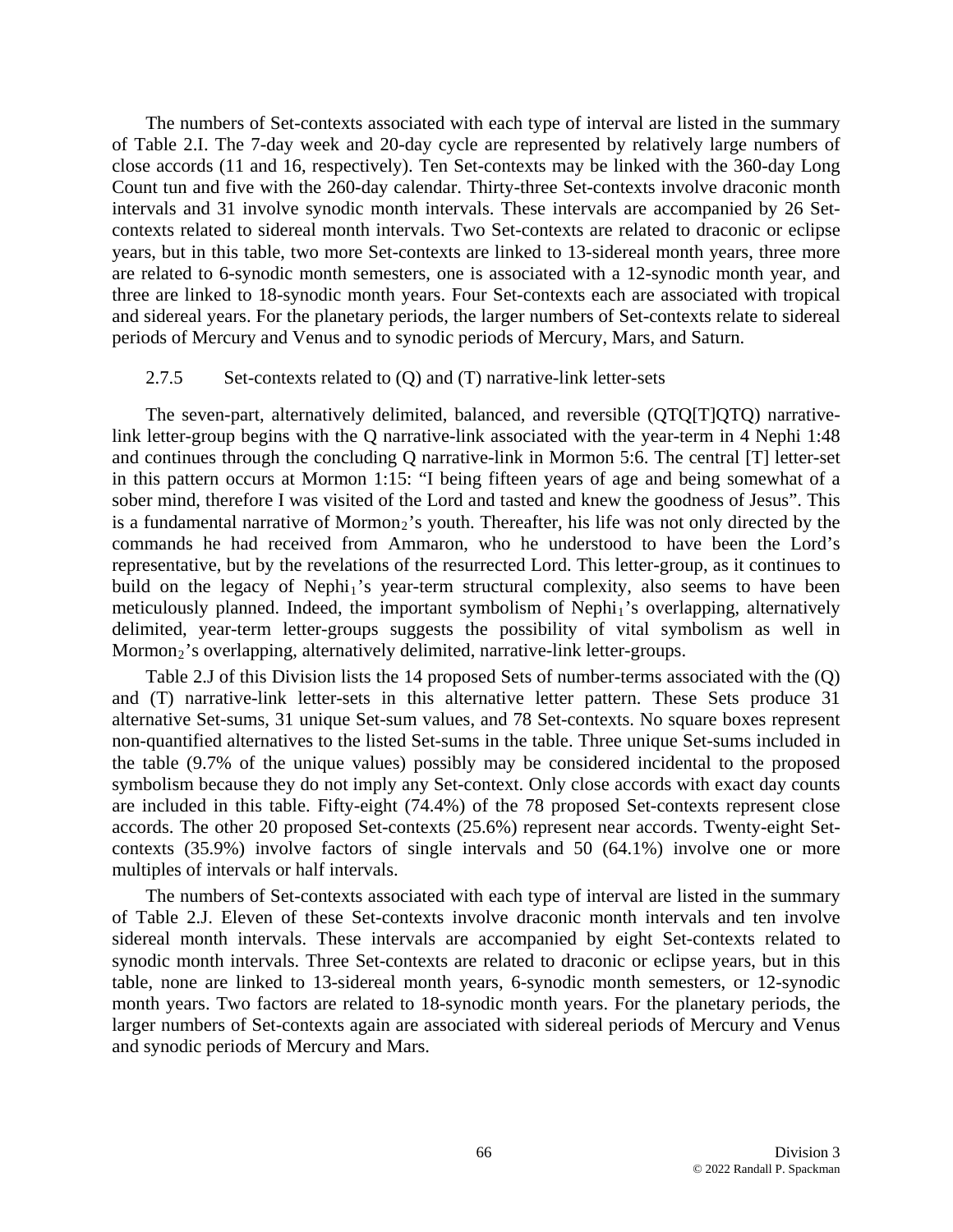The numbers of Set-contexts associated with each type of interval are listed in the summary of Table 2.I. The 7-day week and 20-day cycle are represented by relatively large numbers of close accords (11 and 16, respectively). Ten Set-contexts may be linked with the 360-day Long Count tun and five with the 260-day calendar. Thirty-three Set-contexts involve draconic month intervals and 31 involve synodic month intervals. These intervals are accompanied by 26 Setcontexts related to sidereal month intervals. Two Set-contexts are related to draconic or eclipse years, but in this table, two more Set-contexts are linked to 13-sidereal month years, three more are related to 6-synodic month semesters, one is associated with a 12-synodic month year, and three are linked to 18-synodic month years. Four Set-contexts each are associated with tropical and sidereal years. For the planetary periods, the larger numbers of Set-contexts relate to sidereal periods of Mercury and Venus and to synodic periods of Mercury, Mars, and Saturn.

### 2.7.5 Set-contexts related to (Q) and (T) narrative-link letter-sets

The seven-part, alternatively delimited, balanced, and reversible (QTQ[T]QTQ) narrativelink letter-group begins with the Q narrative-link associated with the year-term in 4 Nephi 1:48 and continues through the concluding Q narrative-link in Mormon 5:6. The central [T] letter-set in this pattern occurs at Mormon 1:15: "I being fifteen years of age and being somewhat of a sober mind, therefore I was visited of the Lord and tasted and knew the goodness of Jesus". This is a fundamental narrative of Mormon<sub>2</sub>'s youth. Thereafter, his life was not only directed by the commands he had received from Ammaron, who he understood to have been the Lord's representative, but by the revelations of the resurrected Lord. This letter-group, as it continues to build on the legacy of Nephi<sub>1</sub>'s year-term structural complexity, also seems to have been meticulously planned. Indeed, the important symbolism of Nephi<sub>1</sub>'s overlapping, alternatively delimited, year-term letter-groups suggests the possibility of vital symbolism as well in Mormon<sub>2</sub>'s overlapping, alternatively delimited, narrative-link letter-groups.

Table 2.J of this Division lists the 14 proposed Sets of number-terms associated with the (Q) and (T) narrative-link letter-sets in this alternative letter pattern. These Sets produce 31 alternative Set-sums, 31 unique Set-sum values, and 78 Set-contexts. No square boxes represent non-quantified alternatives to the listed Set-sums in the table. Three unique Set-sums included in the table (9.7% of the unique values) possibly may be considered incidental to the proposed symbolism because they do not imply any Set-context. Only close accords with exact day counts are included in this table. Fifty-eight (74.4%) of the 78 proposed Set-contexts represent close accords. The other 20 proposed Set-contexts (25.6%) represent near accords. Twenty-eight Setcontexts (35.9%) involve factors of single intervals and 50 (64.1%) involve one or more multiples of intervals or half intervals.

The numbers of Set-contexts associated with each type of interval are listed in the summary of Table 2.J. Eleven of these Set-contexts involve draconic month intervals and ten involve sidereal month intervals. These intervals are accompanied by eight Set-contexts related to synodic month intervals. Three Set-contexts are related to draconic or eclipse years, but in this table, none are linked to 13-sidereal month years, 6-synodic month semesters, or 12-synodic month years. Two factors are related to 18-synodic month years. For the planetary periods, the larger numbers of Set-contexts again are associated with sidereal periods of Mercury and Venus and synodic periods of Mercury and Mars.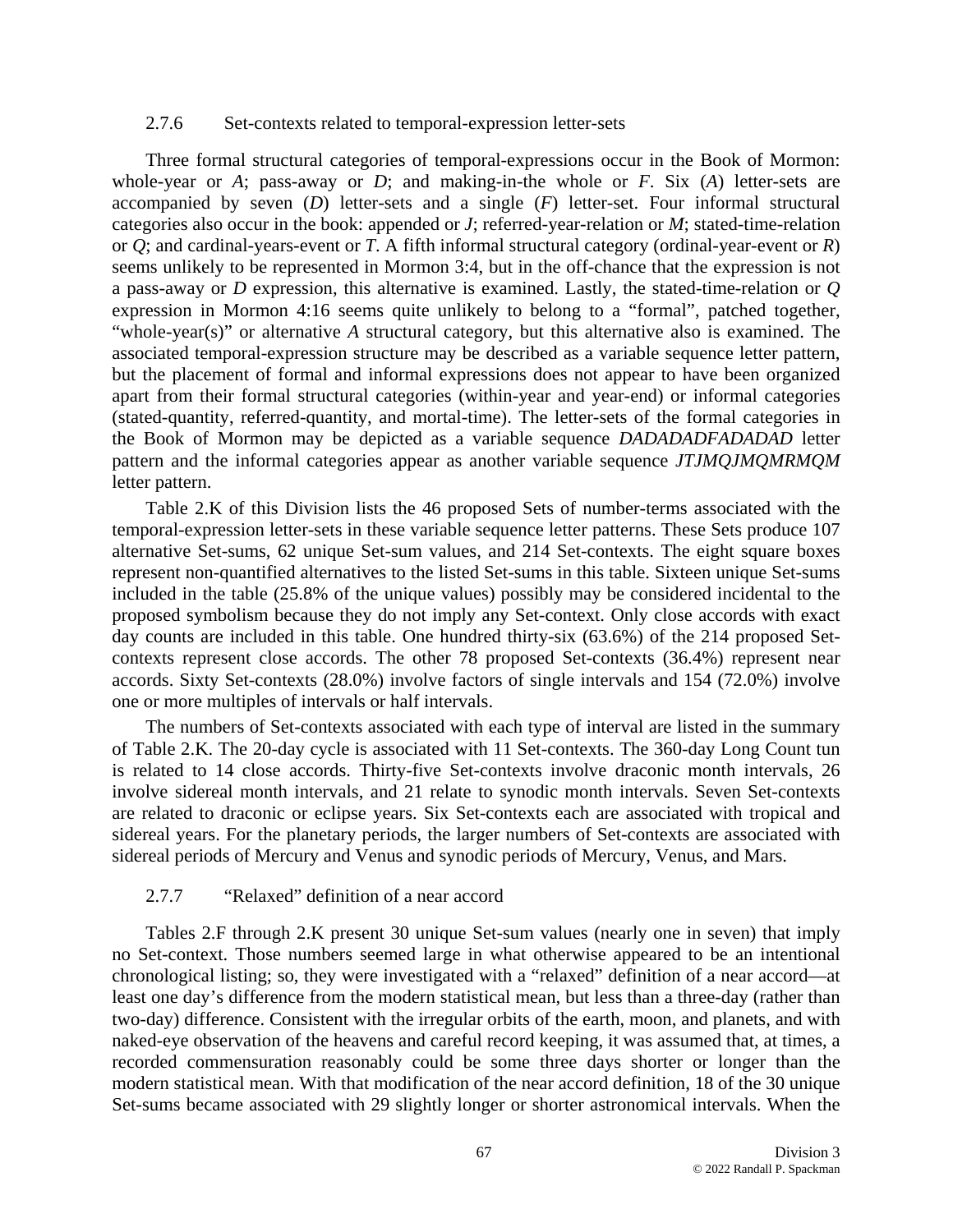### 2.7.6 Set-contexts related to temporal-expression letter-sets

Three formal structural categories of temporal-expressions occur in the Book of Mormon: whole-year or *A*; pass-away or *D*; and making-in-the whole or *F*. Six (*A*) letter-sets are accompanied by seven (*D*) letter-sets and a single (*F*) letter-set. Four informal structural categories also occur in the book: appended or *J*; referred-year-relation or *M*; stated-time-relation or *Q*; and cardinal-years-event or *T*. A fifth informal structural category (ordinal-year-event or *R*) seems unlikely to be represented in Mormon 3:4, but in the off-chance that the expression is not a pass-away or *D* expression, this alternative is examined. Lastly, the stated-time-relation or *Q* expression in Mormon 4:16 seems quite unlikely to belong to a "formal", patched together, "whole-year(s)" or alternative *A* structural category, but this alternative also is examined. The associated temporal-expression structure may be described as a variable sequence letter pattern, but the placement of formal and informal expressions does not appear to have been organized apart from their formal structural categories (within-year and year-end) or informal categories (stated-quantity, referred-quantity, and mortal-time). The letter-sets of the formal categories in the Book of Mormon may be depicted as a variable sequence *DADADADFADADAD* letter pattern and the informal categories appear as another variable sequence *JTJMQJMQMRMQM*  letter pattern.

Table 2.K of this Division lists the 46 proposed Sets of number-terms associated with the temporal-expression letter-sets in these variable sequence letter patterns. These Sets produce 107 alternative Set-sums, 62 unique Set-sum values, and 214 Set-contexts. The eight square boxes represent non-quantified alternatives to the listed Set-sums in this table. Sixteen unique Set-sums included in the table (25.8% of the unique values) possibly may be considered incidental to the proposed symbolism because they do not imply any Set-context. Only close accords with exact day counts are included in this table. One hundred thirty-six (63.6%) of the 214 proposed Setcontexts represent close accords. The other 78 proposed Set-contexts (36.4%) represent near accords. Sixty Set-contexts (28.0%) involve factors of single intervals and 154 (72.0%) involve one or more multiples of intervals or half intervals.

The numbers of Set-contexts associated with each type of interval are listed in the summary of Table 2.K. The 20-day cycle is associated with 11 Set-contexts. The 360-day Long Count tun is related to 14 close accords. Thirty-five Set-contexts involve draconic month intervals, 26 involve sidereal month intervals, and 21 relate to synodic month intervals. Seven Set-contexts are related to draconic or eclipse years. Six Set-contexts each are associated with tropical and sidereal years. For the planetary periods, the larger numbers of Set-contexts are associated with sidereal periods of Mercury and Venus and synodic periods of Mercury, Venus, and Mars.

#### 2.7.7 "Relaxed" definition of a near accord

Tables 2.F through 2.K present 30 unique Set-sum values (nearly one in seven) that imply no Set-context. Those numbers seemed large in what otherwise appeared to be an intentional chronological listing; so, they were investigated with a "relaxed" definition of a near accord—at least one day's difference from the modern statistical mean, but less than a three-day (rather than two-day) difference. Consistent with the irregular orbits of the earth, moon, and planets, and with naked-eye observation of the heavens and careful record keeping, it was assumed that, at times, a recorded commensuration reasonably could be some three days shorter or longer than the modern statistical mean. With that modification of the near accord definition, 18 of the 30 unique Set-sums became associated with 29 slightly longer or shorter astronomical intervals. When the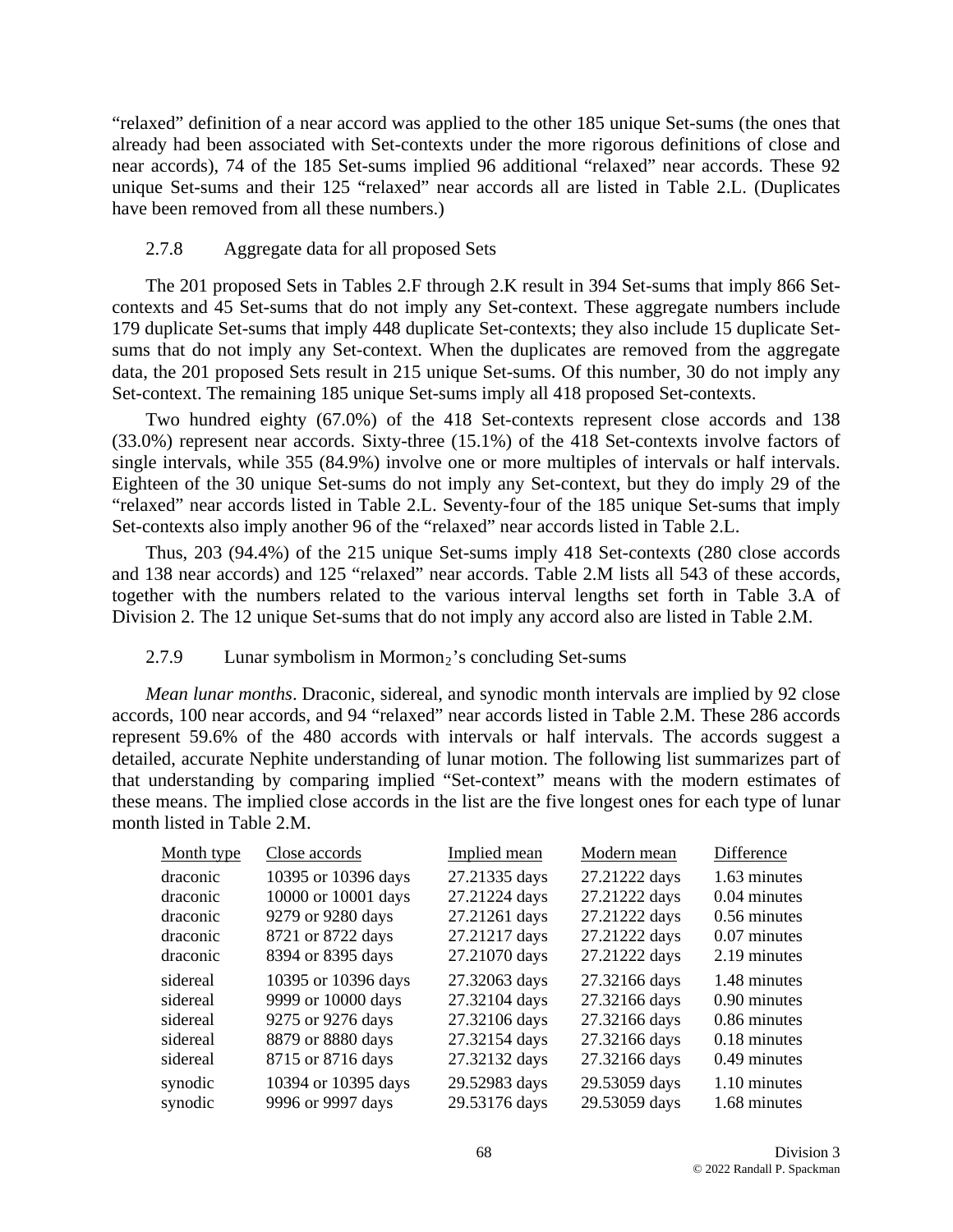"relaxed" definition of a near accord was applied to the other 185 unique Set-sums (the ones that already had been associated with Set-contexts under the more rigorous definitions of close and near accords), 74 of the 185 Set-sums implied 96 additional "relaxed" near accords. These 92 unique Set-sums and their 125 "relaxed" near accords all are listed in Table 2.L. (Duplicates have been removed from all these numbers.)

# 2.7.8 Aggregate data for all proposed Sets

The 201 proposed Sets in Tables 2.F through 2.K result in 394 Set-sums that imply 866 Setcontexts and 45 Set-sums that do not imply any Set-context. These aggregate numbers include 179 duplicate Set-sums that imply 448 duplicate Set-contexts; they also include 15 duplicate Setsums that do not imply any Set-context. When the duplicates are removed from the aggregate data, the 201 proposed Sets result in 215 unique Set-sums. Of this number, 30 do not imply any Set-context. The remaining 185 unique Set-sums imply all 418 proposed Set-contexts.

Two hundred eighty (67.0%) of the 418 Set-contexts represent close accords and 138 (33.0%) represent near accords. Sixty-three (15.1%) of the 418 Set-contexts involve factors of single intervals, while 355 (84.9%) involve one or more multiples of intervals or half intervals. Eighteen of the 30 unique Set-sums do not imply any Set-context, but they do imply 29 of the "relaxed" near accords listed in Table 2.L. Seventy-four of the 185 unique Set-sums that imply Set-contexts also imply another 96 of the "relaxed" near accords listed in Table 2.L.

Thus, 203 (94.4%) of the 215 unique Set-sums imply 418 Set-contexts (280 close accords and 138 near accords) and 125 "relaxed" near accords. Table 2.M lists all 543 of these accords, together with the numbers related to the various interval lengths set forth in Table 3.A of Division 2. The 12 unique Set-sums that do not imply any accord also are listed in Table 2.M.

# 2.7.9 Lunar symbolism in Mormon<sub>2</sub>'s concluding Set-sums

*Mean lunar months*. Draconic, sidereal, and synodic month intervals are implied by 92 close accords, 100 near accords, and 94 "relaxed" near accords listed in Table 2.M. These 286 accords represent 59.6% of the 480 accords with intervals or half intervals. The accords suggest a detailed, accurate Nephite understanding of lunar motion. The following list summarizes part of that understanding by comparing implied "Set-context" means with the modern estimates of these means. The implied close accords in the list are the five longest ones for each type of lunar month listed in Table 2.M.

| Month type | Close accords       | Implied mean  | Modern mean   | Difference     |
|------------|---------------------|---------------|---------------|----------------|
| draconic   | 10395 or 10396 days | 27.21335 days | 27.21222 days | 1.63 minutes   |
| draconic   | 10000 or 10001 days | 27.21224 days | 27.21222 days | 0.04 minutes   |
| draconic   | 9279 or 9280 days   | 27.21261 days | 27.21222 days | 0.56 minutes   |
| draconic   | 8721 or 8722 days   | 27.21217 days | 27.21222 days | $0.07$ minutes |
| draconic   | 8394 or 8395 days   | 27.21070 days | 27.21222 days | 2.19 minutes   |
| sidereal   | 10395 or 10396 days | 27.32063 days | 27.32166 days | 1.48 minutes   |
| sidereal   | 9999 or 10000 days  | 27.32104 days | 27.32166 days | $0.90$ minutes |
| sidereal   | 9275 or 9276 days   | 27.32106 days | 27.32166 days | 0.86 minutes   |
| sidereal   | 8879 or 8880 days   | 27.32154 days | 27.32166 days | 0.18 minutes   |
| sidereal   | 8715 or 8716 days   | 27.32132 days | 27.32166 days | 0.49 minutes   |
| synodic    | 10394 or 10395 days | 29.52983 days | 29.53059 days | 1.10 minutes   |
| synodic    | 9996 or 9997 days   | 29.53176 days | 29.53059 days | 1.68 minutes   |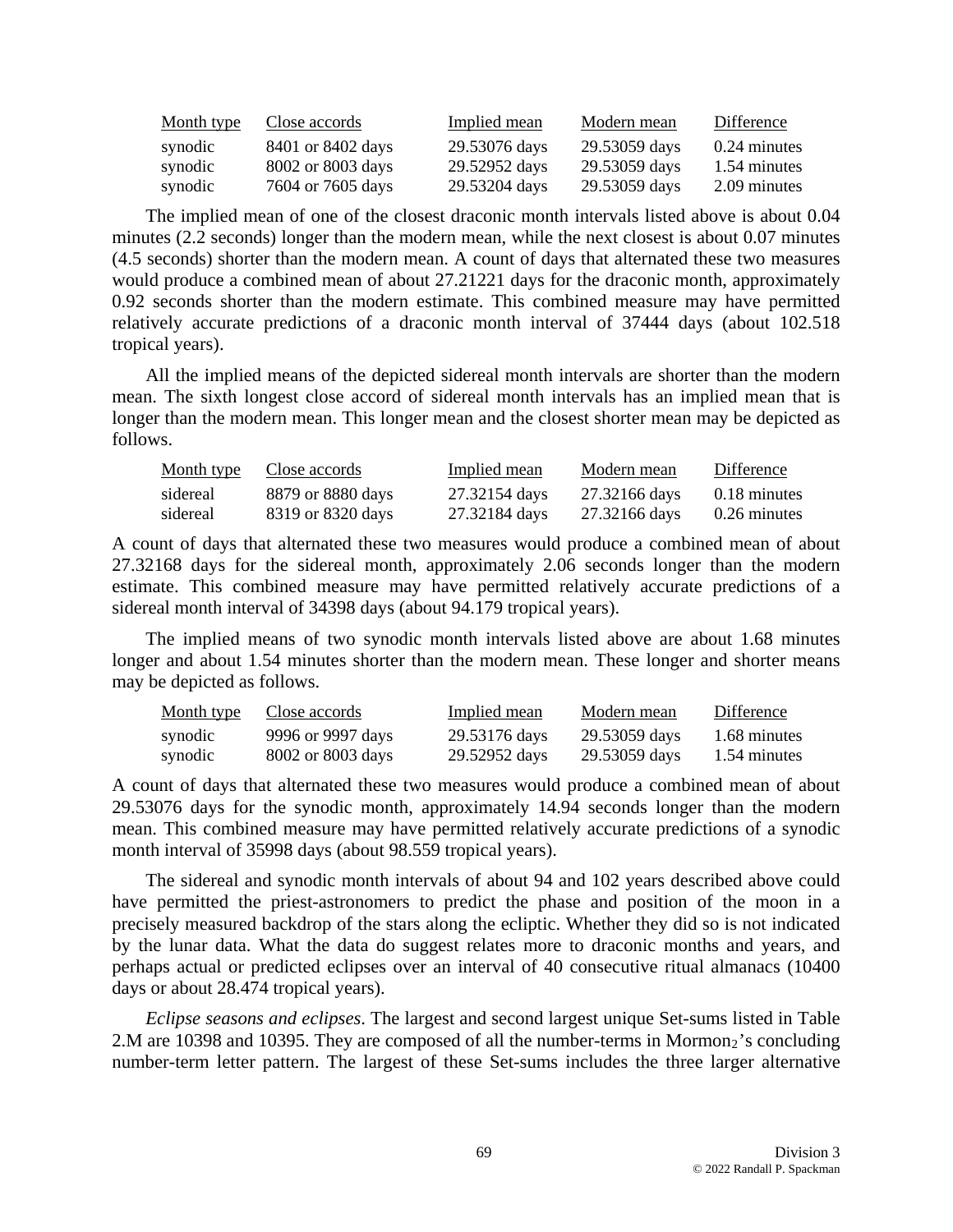| Month type | Close accords     | Implied mean  | Modern mean   | Difference     |
|------------|-------------------|---------------|---------------|----------------|
| synodic    | 8401 or 8402 days | 29.53076 days | 29.53059 days | $0.24$ minutes |
| synodic    | 8002 or 8003 days | 29.52952 days | 29.53059 days | 1.54 minutes   |
| synodic    | 7604 or 7605 days | 29.53204 days | 29.53059 days | 2.09 minutes   |

The implied mean of one of the closest draconic month intervals listed above is about 0.04 minutes (2.2 seconds) longer than the modern mean, while the next closest is about 0.07 minutes (4.5 seconds) shorter than the modern mean. A count of days that alternated these two measures would produce a combined mean of about 27.21221 days for the draconic month, approximately 0.92 seconds shorter than the modern estimate. This combined measure may have permitted relatively accurate predictions of a draconic month interval of 37444 days (about 102.518 tropical years).

All the implied means of the depicted sidereal month intervals are shorter than the modern mean. The sixth longest close accord of sidereal month intervals has an implied mean that is longer than the modern mean. This longer mean and the closest shorter mean may be depicted as follows.

| Month type | Close accords     | Implied mean  | Modern mean   | Difference     |
|------------|-------------------|---------------|---------------|----------------|
| sidereal   | 8879 or 8880 days | 27.32154 days | 27.32166 days | 0.18 minutes   |
| sidereal   | 8319 or 8320 days | 27.32184 days | 27.32166 days | $0.26$ minutes |

A count of days that alternated these two measures would produce a combined mean of about 27.32168 days for the sidereal month, approximately 2.06 seconds longer than the modern estimate. This combined measure may have permitted relatively accurate predictions of a sidereal month interval of 34398 days (about 94.179 tropical years).

The implied means of two synodic month intervals listed above are about 1.68 minutes longer and about 1.54 minutes shorter than the modern mean. These longer and shorter means may be depicted as follows.

| <u>Month type</u> | Close accords     | Implied mean  | Modern mean   | Difference   |
|-------------------|-------------------|---------------|---------------|--------------|
| synodic           | 9996 or 9997 days | 29.53176 days | 29.53059 days | 1.68 minutes |
| synodic           | 8002 or 8003 days | 29.52952 days | 29.53059 days | 1.54 minutes |

A count of days that alternated these two measures would produce a combined mean of about 29.53076 days for the synodic month, approximately 14.94 seconds longer than the modern mean. This combined measure may have permitted relatively accurate predictions of a synodic month interval of 35998 days (about 98.559 tropical years).

The sidereal and synodic month intervals of about 94 and 102 years described above could have permitted the priest-astronomers to predict the phase and position of the moon in a precisely measured backdrop of the stars along the ecliptic. Whether they did so is not indicated by the lunar data. What the data do suggest relates more to draconic months and years, and perhaps actual or predicted eclipses over an interval of 40 consecutive ritual almanacs (10400 days or about 28.474 tropical years).

*Eclipse seasons and eclipses*. The largest and second largest unique Set-sums listed in Table 2.M are 10398 and 10395. They are composed of all the number-terms in Mormon<sub>2</sub>'s concluding number-term letter pattern. The largest of these Set-sums includes the three larger alternative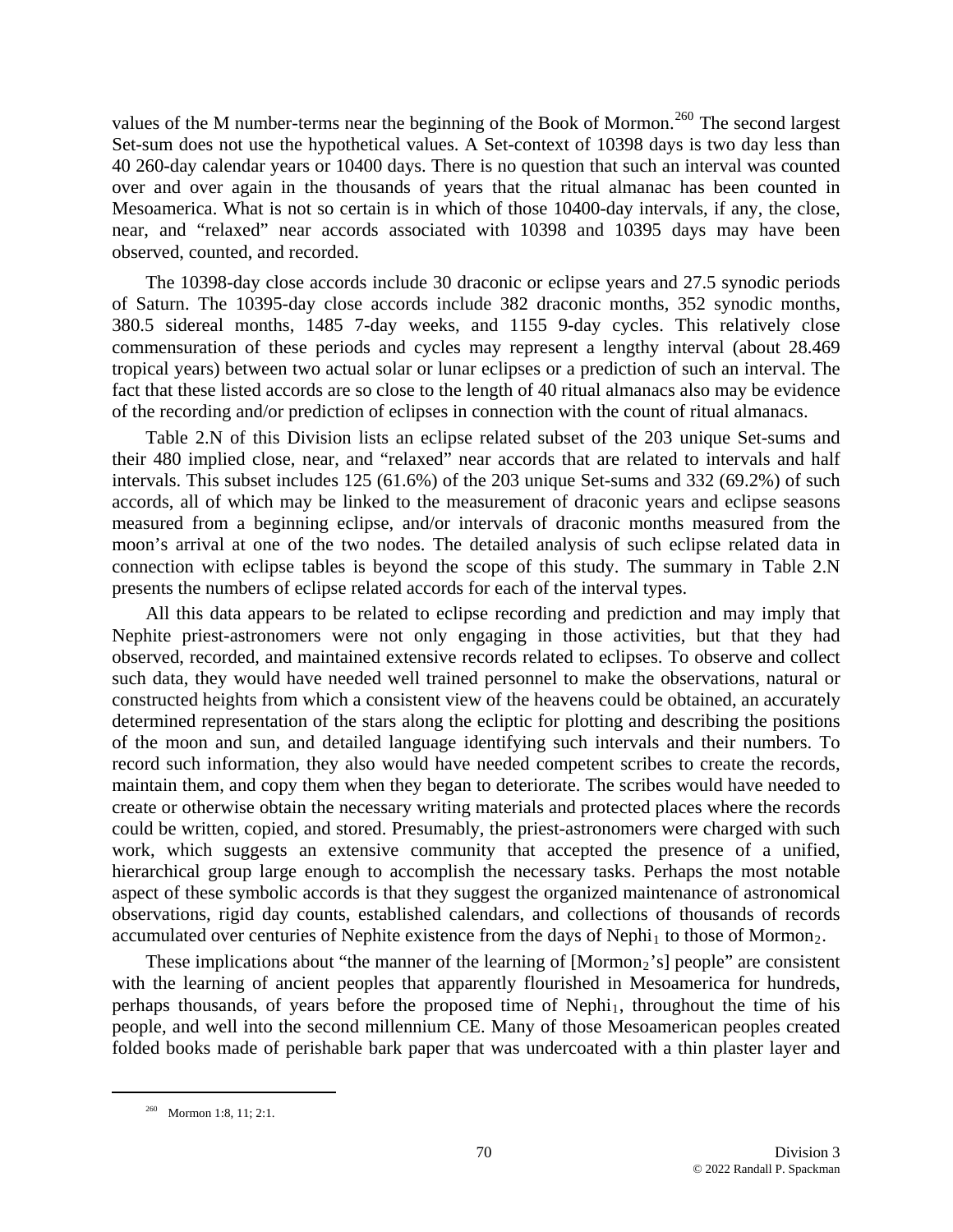values of the M number-terms near the beginning of the Book of Mormon.<sup>[260](#page-69-0)</sup> The second largest Set-sum does not use the hypothetical values. A Set-context of 10398 days is two day less than 40 260-day calendar years or 10400 days. There is no question that such an interval was counted over and over again in the thousands of years that the ritual almanac has been counted in Mesoamerica. What is not so certain is in which of those 10400-day intervals, if any, the close, near, and "relaxed" near accords associated with 10398 and 10395 days may have been observed, counted, and recorded.

The 10398-day close accords include 30 draconic or eclipse years and 27.5 synodic periods of Saturn. The 10395-day close accords include 382 draconic months, 352 synodic months, 380.5 sidereal months, 1485 7-day weeks, and 1155 9-day cycles. This relatively close commensuration of these periods and cycles may represent a lengthy interval (about 28.469 tropical years) between two actual solar or lunar eclipses or a prediction of such an interval. The fact that these listed accords are so close to the length of 40 ritual almanacs also may be evidence of the recording and/or prediction of eclipses in connection with the count of ritual almanacs.

Table 2.N of this Division lists an eclipse related subset of the 203 unique Set-sums and their 480 implied close, near, and "relaxed" near accords that are related to intervals and half intervals. This subset includes 125 (61.6%) of the 203 unique Set-sums and 332 (69.2%) of such accords, all of which may be linked to the measurement of draconic years and eclipse seasons measured from a beginning eclipse, and/or intervals of draconic months measured from the moon's arrival at one of the two nodes. The detailed analysis of such eclipse related data in connection with eclipse tables is beyond the scope of this study. The summary in Table 2.N presents the numbers of eclipse related accords for each of the interval types.

All this data appears to be related to eclipse recording and prediction and may imply that Nephite priest-astronomers were not only engaging in those activities, but that they had observed, recorded, and maintained extensive records related to eclipses. To observe and collect such data, they would have needed well trained personnel to make the observations, natural or constructed heights from which a consistent view of the heavens could be obtained, an accurately determined representation of the stars along the ecliptic for plotting and describing the positions of the moon and sun, and detailed language identifying such intervals and their numbers. To record such information, they also would have needed competent scribes to create the records, maintain them, and copy them when they began to deteriorate. The scribes would have needed to create or otherwise obtain the necessary writing materials and protected places where the records could be written, copied, and stored. Presumably, the priest-astronomers were charged with such work, which suggests an extensive community that accepted the presence of a unified, hierarchical group large enough to accomplish the necessary tasks. Perhaps the most notable aspect of these symbolic accords is that they suggest the organized maintenance of astronomical observations, rigid day counts, established calendars, and collections of thousands of records accumulated over centuries of Nephite existence from the days of Nephi<sub>1</sub> to those of Mormon<sub>2</sub>.

These implications about "the manner of the learning of  $\left[Mormon<sub>2</sub>'s $\right]$  people" are consistent$ with the learning of ancient peoples that apparently flourished in Mesoamerica for hundreds, perhaps thousands, of years before the proposed time of Nephi<sub>1</sub>, throughout the time of his people, and well into the second millennium CE. Many of those Mesoamerican peoples created folded books made of perishable bark paper that was undercoated with a thin plaster layer and

<span id="page-69-0"></span> <sup>260</sup> Mormon 1:8, 11; 2:1.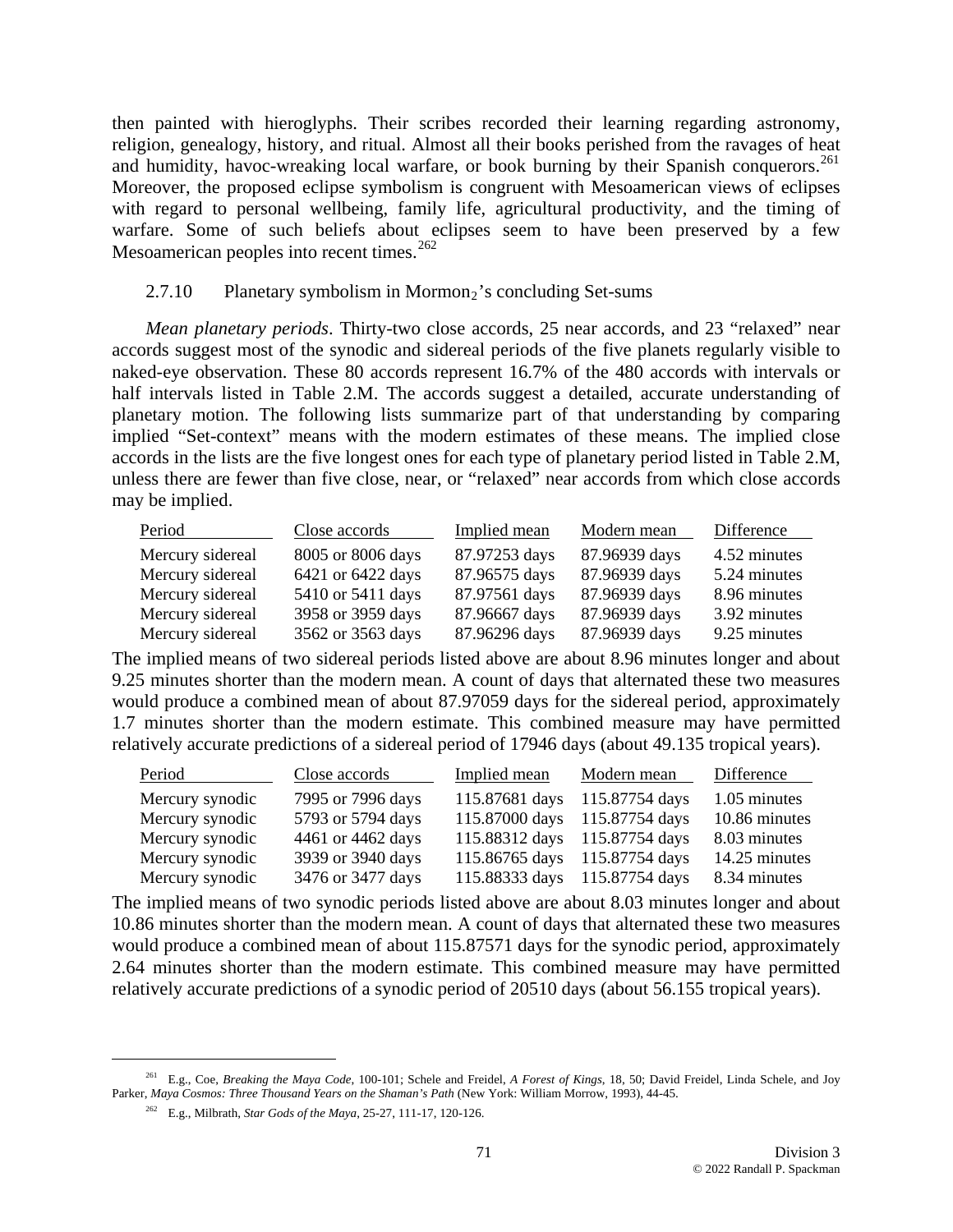then painted with hieroglyphs. Their scribes recorded their learning regarding astronomy, religion, genealogy, history, and ritual. Almost all their books perished from the ravages of heat and humidity, havoc-wreaking local warfare, or book burning by their Spanish conquerors.<sup>[261](#page-70-0)</sup> Moreover, the proposed eclipse symbolism is congruent with Mesoamerican views of eclipses with regard to personal wellbeing, family life, agricultural productivity, and the timing of warfare. Some of such beliefs about eclipses seem to have been preserved by a few Mesoamerican peoples into recent times.  $262$ 

### $2.7.10$  Planetary symbolism in Mormon<sub>2</sub>'s concluding Set-sums

*Mean planetary periods*. Thirty-two close accords, 25 near accords, and 23 "relaxed" near accords suggest most of the synodic and sidereal periods of the five planets regularly visible to naked-eye observation. These 80 accords represent 16.7% of the 480 accords with intervals or half intervals listed in Table 2.M. The accords suggest a detailed, accurate understanding of planetary motion. The following lists summarize part of that understanding by comparing implied "Set-context" means with the modern estimates of these means. The implied close accords in the lists are the five longest ones for each type of planetary period listed in Table 2.M, unless there are fewer than five close, near, or "relaxed" near accords from which close accords may be implied.

| Period           | Close accords     | Implied mean  | Modern mean   | Difference   |
|------------------|-------------------|---------------|---------------|--------------|
| Mercury sidereal | 8005 or 8006 days | 87.97253 days | 87.96939 days | 4.52 minutes |
| Mercury sidereal | 6421 or 6422 days | 87.96575 days | 87.96939 days | 5.24 minutes |
| Mercury sidereal | 5410 or 5411 days | 87.97561 days | 87.96939 days | 8.96 minutes |
| Mercury sidereal | 3958 or 3959 days | 87.96667 days | 87.96939 days | 3.92 minutes |
| Mercury sidereal | 3562 or 3563 days | 87.96296 days | 87.96939 days | 9.25 minutes |

The implied means of two sidereal periods listed above are about 8.96 minutes longer and about 9.25 minutes shorter than the modern mean. A count of days that alternated these two measures would produce a combined mean of about 87.97059 days for the sidereal period, approximately 1.7 minutes shorter than the modern estimate. This combined measure may have permitted relatively accurate predictions of a sidereal period of 17946 days (about 49.135 tropical years).

| Period          | Close accords     | Implied mean | Modern mean                   | Difference    |
|-----------------|-------------------|--------------|-------------------------------|---------------|
| Mercury synodic | 7995 or 7996 days |              | 115.87681 days 115.87754 days | 1.05 minutes  |
| Mercury synodic | 5793 or 5794 days |              | 115.87000 days 115.87754 days | 10.86 minutes |
| Mercury synodic | 4461 or 4462 days |              | 115.88312 days 115.87754 days | 8.03 minutes  |
| Mercury synodic | 3939 or 3940 days |              | 115.86765 days 115.87754 days | 14.25 minutes |
| Mercury synodic | 3476 or 3477 days |              | 115.88333 days 115.87754 days | 8.34 minutes  |

The implied means of two synodic periods listed above are about 8.03 minutes longer and about 10.86 minutes shorter than the modern mean. A count of days that alternated these two measures would produce a combined mean of about 115.87571 days for the synodic period, approximately 2.64 minutes shorter than the modern estimate. This combined measure may have permitted relatively accurate predictions of a synodic period of 20510 days (about 56.155 tropical years).

<span id="page-70-1"></span><span id="page-70-0"></span> <sup>261</sup> E.g., Coe, *Breaking the Maya Code*, 100-101; Schele and Freidel, *A Forest of Kings*, 18, 50; David Freidel, Linda Schele, and Joy Parker, *Maya Cosmos: Three Thousand Years on the Shaman's Path* (New York: William Morrow, 1993), 44-45.

<sup>262</sup> E.g., Milbrath, *Star Gods of the Maya*, 25-27, 111-17, 120-126.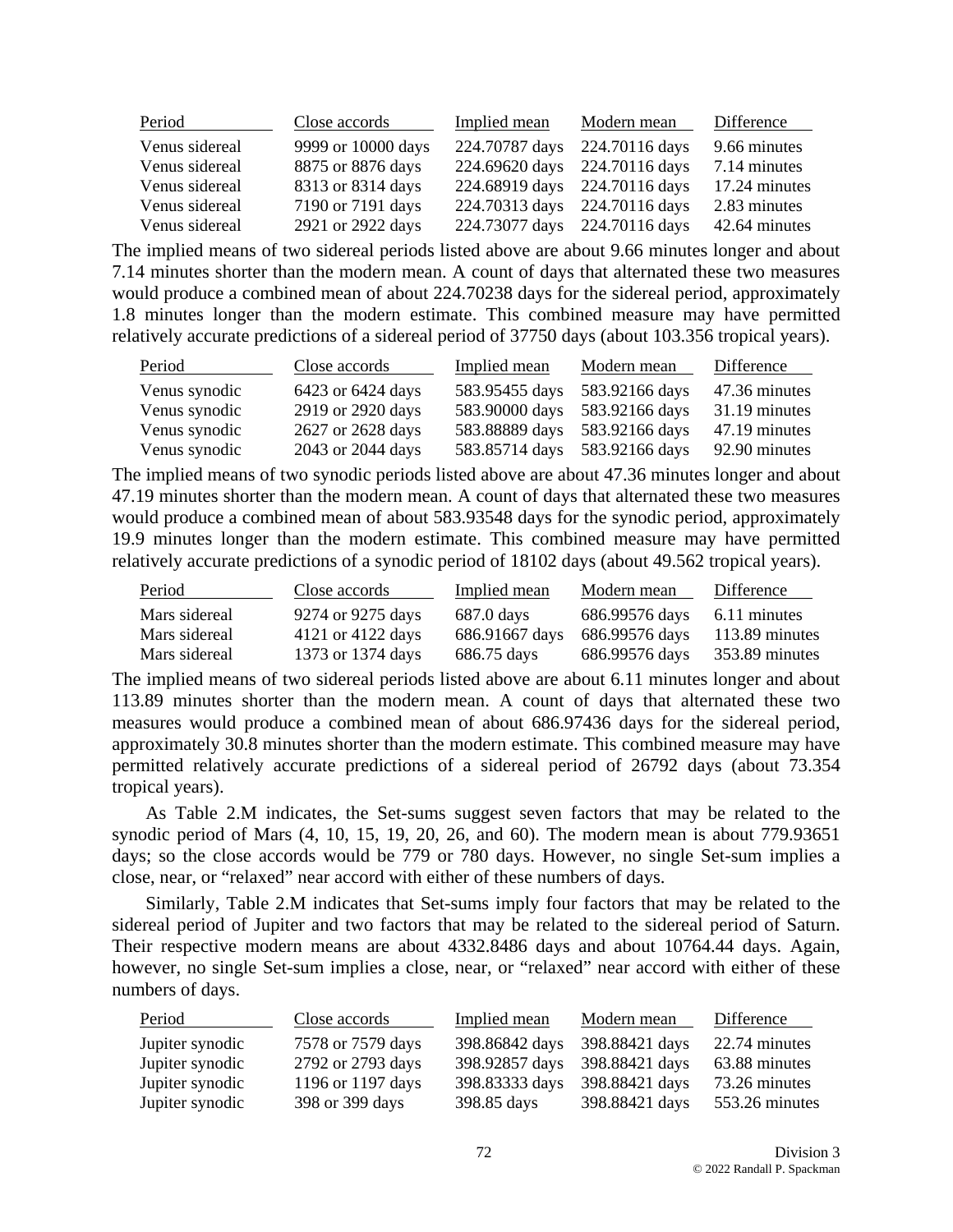| Period         | Close accords      | Implied mean                  | Modern mean | Difference    |
|----------------|--------------------|-------------------------------|-------------|---------------|
| Venus sidereal | 9999 or 10000 days | 224.70787 days 224.70116 days |             | 9.66 minutes  |
| Venus sidereal | 8875 or 8876 days  | 224.69620 days 224.70116 days |             | 7.14 minutes  |
| Venus sidereal | 8313 or 8314 days  | 224.68919 days 224.70116 days |             | 17.24 minutes |
| Venus sidereal | 7190 or 7191 days  | 224.70313 days 224.70116 days |             | 2.83 minutes  |
| Venus sidereal | 2921 or 2922 days  | 224.73077 days 224.70116 days |             | 42.64 minutes |

The implied means of two sidereal periods listed above are about 9.66 minutes longer and about 7.14 minutes shorter than the modern mean. A count of days that alternated these two measures would produce a combined mean of about 224.70238 days for the sidereal period, approximately 1.8 minutes longer than the modern estimate. This combined measure may have permitted relatively accurate predictions of a sidereal period of 37750 days (about 103.356 tropical years).

| Period        | Close accords     | Implied mean   | Modern mean    | Difference    |
|---------------|-------------------|----------------|----------------|---------------|
| Venus synodic | 6423 or 6424 days | 583.95455 days | 583.92166 days | 47.36 minutes |
| Venus synodic | 2919 or 2920 days | 583.90000 days | 583.92166 days | 31.19 minutes |
| Venus synodic | 2627 or 2628 days | 583.88889 days | 583.92166 days | 47.19 minutes |
| Venus synodic | 2043 or 2044 days | 583.85714 days | 583.92166 days | 92.90 minutes |

The implied means of two synodic periods listed above are about 47.36 minutes longer and about 47.19 minutes shorter than the modern mean. A count of days that alternated these two measures would produce a combined mean of about 583.93548 days for the synodic period, approximately 19.9 minutes longer than the modern estimate. This combined measure may have permitted relatively accurate predictions of a synodic period of 18102 days (about 49.562 tropical years).

| Period        | Close accords     | Implied mean   | Modern mean    | Difference     |
|---------------|-------------------|----------------|----------------|----------------|
| Mars sidereal | 9274 or 9275 days | 687.0 days     | 686.99576 days | 6.11 minutes   |
| Mars sidereal | 4121 or 4122 days | 686.91667 days | 686.99576 days | 113.89 minutes |
| Mars sidereal | 1373 or 1374 days | 686.75 days    | 686.99576 days | 353.89 minutes |

The implied means of two sidereal periods listed above are about 6.11 minutes longer and about 113.89 minutes shorter than the modern mean. A count of days that alternated these two measures would produce a combined mean of about 686.97436 days for the sidereal period, approximately 30.8 minutes shorter than the modern estimate. This combined measure may have permitted relatively accurate predictions of a sidereal period of 26792 days (about 73.354 tropical years).

As Table 2.M indicates, the Set-sums suggest seven factors that may be related to the synodic period of Mars (4, 10, 15, 19, 20, 26, and 60). The modern mean is about 779.93651 days; so the close accords would be 779 or 780 days. However, no single Set-sum implies a close, near, or "relaxed" near accord with either of these numbers of days.

Similarly, Table 2.M indicates that Set-sums imply four factors that may be related to the sidereal period of Jupiter and two factors that may be related to the sidereal period of Saturn. Their respective modern means are about 4332.8486 days and about 10764.44 days. Again, however, no single Set-sum implies a close, near, or "relaxed" near accord with either of these numbers of days.

| Period          | Close accords     | Implied mean   | Modern mean    | Difference     |
|-----------------|-------------------|----------------|----------------|----------------|
| Jupiter synodic | 7578 or 7579 days | 398.86842 days | 398.88421 days | 22.74 minutes  |
| Jupiter synodic | 2792 or 2793 days | 398.92857 days | 398.88421 days | 63.88 minutes  |
| Jupiter synodic | 1196 or 1197 days | 398.83333 days | 398.88421 days | 73.26 minutes  |
| Jupiter synodic | 398 or 399 days   | 398.85 days    | 398.88421 days | 553.26 minutes |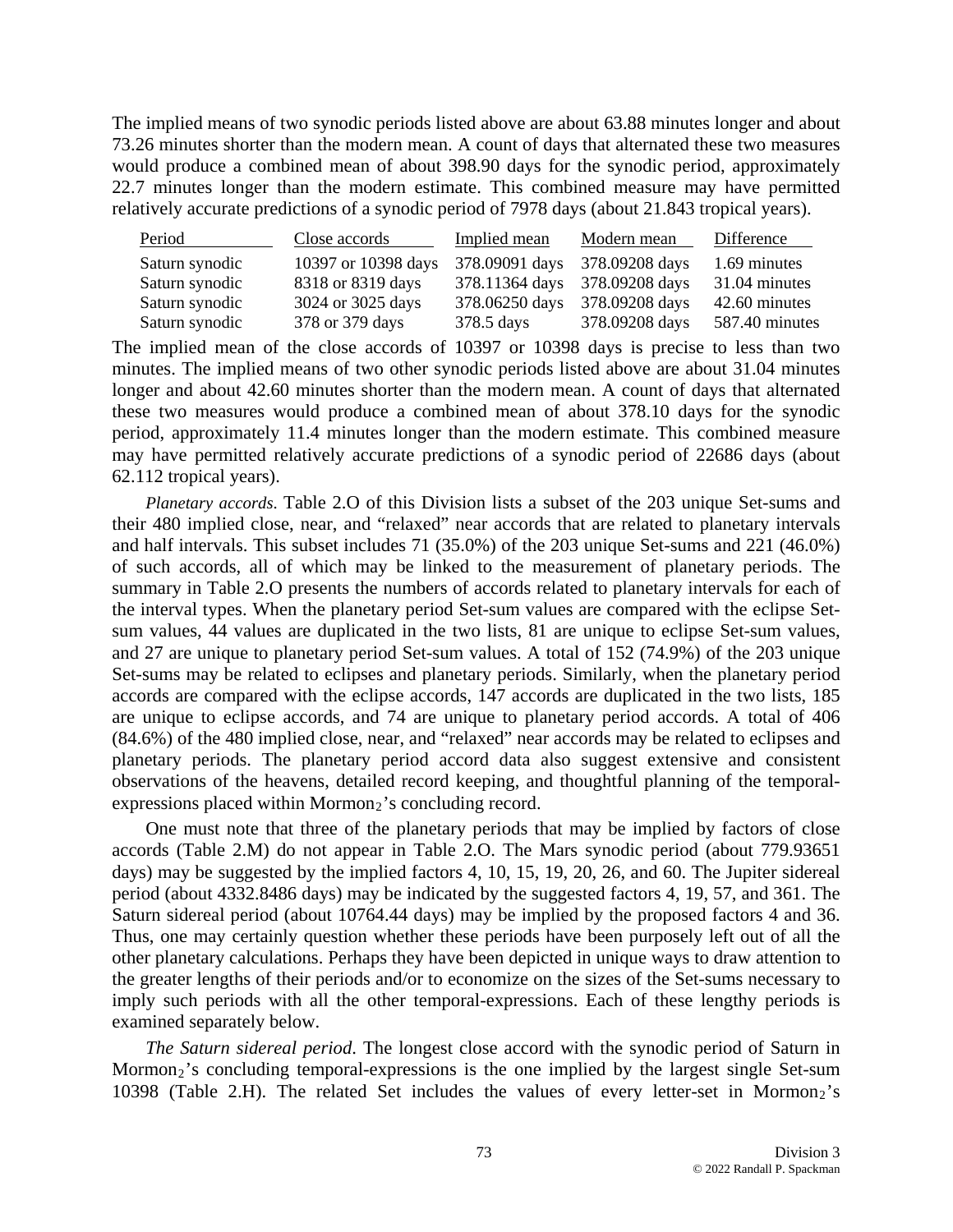The implied means of two synodic periods listed above are about 63.88 minutes longer and about 73.26 minutes shorter than the modern mean. A count of days that alternated these two measures would produce a combined mean of about 398.90 days for the synodic period, approximately 22.7 minutes longer than the modern estimate. This combined measure may have permitted relatively accurate predictions of a synodic period of 7978 days (about 21.843 tropical years).

| Period         | Close accords       | Implied mean                  | Modern mean                   | Difference     |
|----------------|---------------------|-------------------------------|-------------------------------|----------------|
| Saturn synodic | 10397 or 10398 days | 378.09091 days 378.09208 days |                               | 1.69 minutes   |
| Saturn synodic | 8318 or 8319 days   |                               | 378.11364 days 378.09208 days | 31.04 minutes  |
| Saturn synodic | 3024 or 3025 days   | 378.06250 days                | 378.09208 days                | 42.60 minutes  |
| Saturn synodic | 378 or 379 days     | 378.5 days                    | 378.09208 days                | 587.40 minutes |

The implied mean of the close accords of 10397 or 10398 days is precise to less than two minutes. The implied means of two other synodic periods listed above are about 31.04 minutes longer and about 42.60 minutes shorter than the modern mean. A count of days that alternated these two measures would produce a combined mean of about 378.10 days for the synodic period, approximately 11.4 minutes longer than the modern estimate. This combined measure may have permitted relatively accurate predictions of a synodic period of 22686 days (about 62.112 tropical years).

*Planetary accords*. Table 2.O of this Division lists a subset of the 203 unique Set-sums and their 480 implied close, near, and "relaxed" near accords that are related to planetary intervals and half intervals. This subset includes 71 (35.0%) of the 203 unique Set-sums and 221 (46.0%) of such accords, all of which may be linked to the measurement of planetary periods. The summary in Table 2.O presents the numbers of accords related to planetary intervals for each of the interval types. When the planetary period Set-sum values are compared with the eclipse Setsum values, 44 values are duplicated in the two lists, 81 are unique to eclipse Set-sum values, and 27 are unique to planetary period Set-sum values. A total of 152 (74.9%) of the 203 unique Set-sums may be related to eclipses and planetary periods. Similarly, when the planetary period accords are compared with the eclipse accords, 147 accords are duplicated in the two lists, 185 are unique to eclipse accords, and 74 are unique to planetary period accords. A total of 406 (84.6%) of the 480 implied close, near, and "relaxed" near accords may be related to eclipses and planetary periods. The planetary period accord data also suggest extensive and consistent observations of the heavens, detailed record keeping, and thoughtful planning of the temporalexpressions placed within Mormon $<sub>2</sub>$ 's concluding record.</sub>

One must note that three of the planetary periods that may be implied by factors of close accords (Table 2.M) do not appear in Table 2.O. The Mars synodic period (about 779.93651 days) may be suggested by the implied factors 4, 10, 15, 19, 20, 26, and 60. The Jupiter sidereal period (about 4332.8486 days) may be indicated by the suggested factors 4, 19, 57, and 361. The Saturn sidereal period (about 10764.44 days) may be implied by the proposed factors 4 and 36. Thus, one may certainly question whether these periods have been purposely left out of all the other planetary calculations. Perhaps they have been depicted in unique ways to draw attention to the greater lengths of their periods and/or to economize on the sizes of the Set-sums necessary to imply such periods with all the other temporal-expressions. Each of these lengthy periods is examined separately below.

*The Saturn sidereal period*. The longest close accord with the synodic period of Saturn in Mormon<sub>2</sub>'s concluding temporal-expressions is the one implied by the largest single Set-sum 10398 (Table 2.H). The related Set includes the values of every letter-set in Mormon<sub>2</sub>'s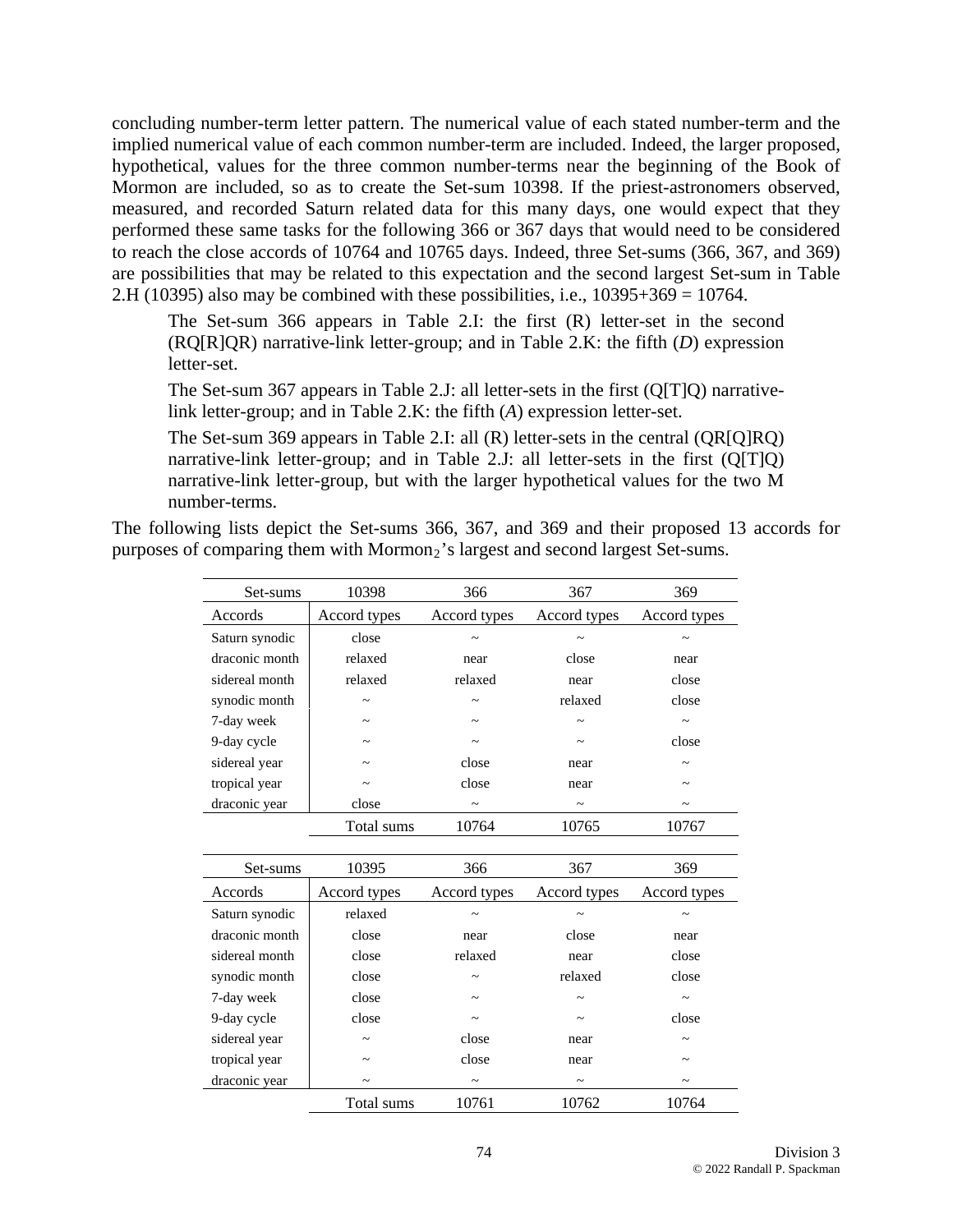concluding number-term letter pattern. The numerical value of each stated number-term and the implied numerical value of each common number-term are included. Indeed, the larger proposed, hypothetical, values for the three common number-terms near the beginning of the Book of Mormon are included, so as to create the Set-sum 10398. If the priest-astronomers observed, measured, and recorded Saturn related data for this many days, one would expect that they performed these same tasks for the following 366 or 367 days that would need to be considered to reach the close accords of 10764 and 10765 days. Indeed, three Set-sums (366, 367, and 369) are possibilities that may be related to this expectation and the second largest Set-sum in Table 2.H (10395) also may be combined with these possibilities, i.e.,  $10395+369 = 10764$ .

The Set-sum 366 appears in Table 2.I: the first (R) letter-set in the second (RQ[R]QR) narrative-link letter-group; and in Table 2.K: the fifth (*D*) expression letter-set.

The Set-sum 367 appears in Table 2.J: all letter-sets in the first (Q[T]Q) narrativelink letter-group; and in Table 2.K: the fifth (*A*) expression letter-set.

The Set-sum 369 appears in Table 2.I: all (R) letter-sets in the central (QR[Q]RQ) narrative-link letter-group; and in Table 2.J: all letter-sets in the first (Q[T]Q) narrative-link letter-group, but with the larger hypothetical values for the two M number-terms.

The following lists depict the Set-sums 366, 367, and 369 and their proposed 13 accords for purposes of comparing them with Mormon<sub>2</sub>'s largest and second largest Set-sums.

| Set-sums       | 10398        | 366          | 367                   | 369          |
|----------------|--------------|--------------|-----------------------|--------------|
| Accords        | Accord types | Accord types | Accord types          | Accord types |
| Saturn synodic | close        |              |                       |              |
| draconic month | relaxed      | near         | close                 | near         |
| sidereal month | relaxed      | relaxed      | near                  | close        |
| synodic month  |              |              | relaxed               | close        |
| 7-day week     |              |              | $\tilde{ }$           |              |
| 9-day cycle    |              |              | $\tilde{ }$           | close        |
| sidereal year  |              | close        | near                  |              |
| tropical year  |              | close        | near                  |              |
| draconic year  | close        |              | $\tilde{\phantom{a}}$ |              |
|                | Total sums   | 10764        | 10765                 | 10767        |
|                |              |              |                       |              |
| Set-sums       | 10395        | 366          | 367                   | 369          |
| Accords        | Accord types | Accord types | Accord types          | Accord types |
| Saturn synodic | relaxed      |              |                       |              |
| draconic month | close        | near         | close                 | near         |
| sidereal month | close        | relaxed      | near                  | close        |
| synodic month  | close        |              | relaxed               | close        |
| 7-day week     | close        |              |                       |              |
| 9-day cycle    | close        |              |                       | close        |
| sidereal year  |              | close        | near                  |              |
| tropical year  |              | close        | near                  |              |
| draconic year  |              |              | $\tilde{}$            |              |
|                | Total sums   | 10761        | 10762                 | 10764        |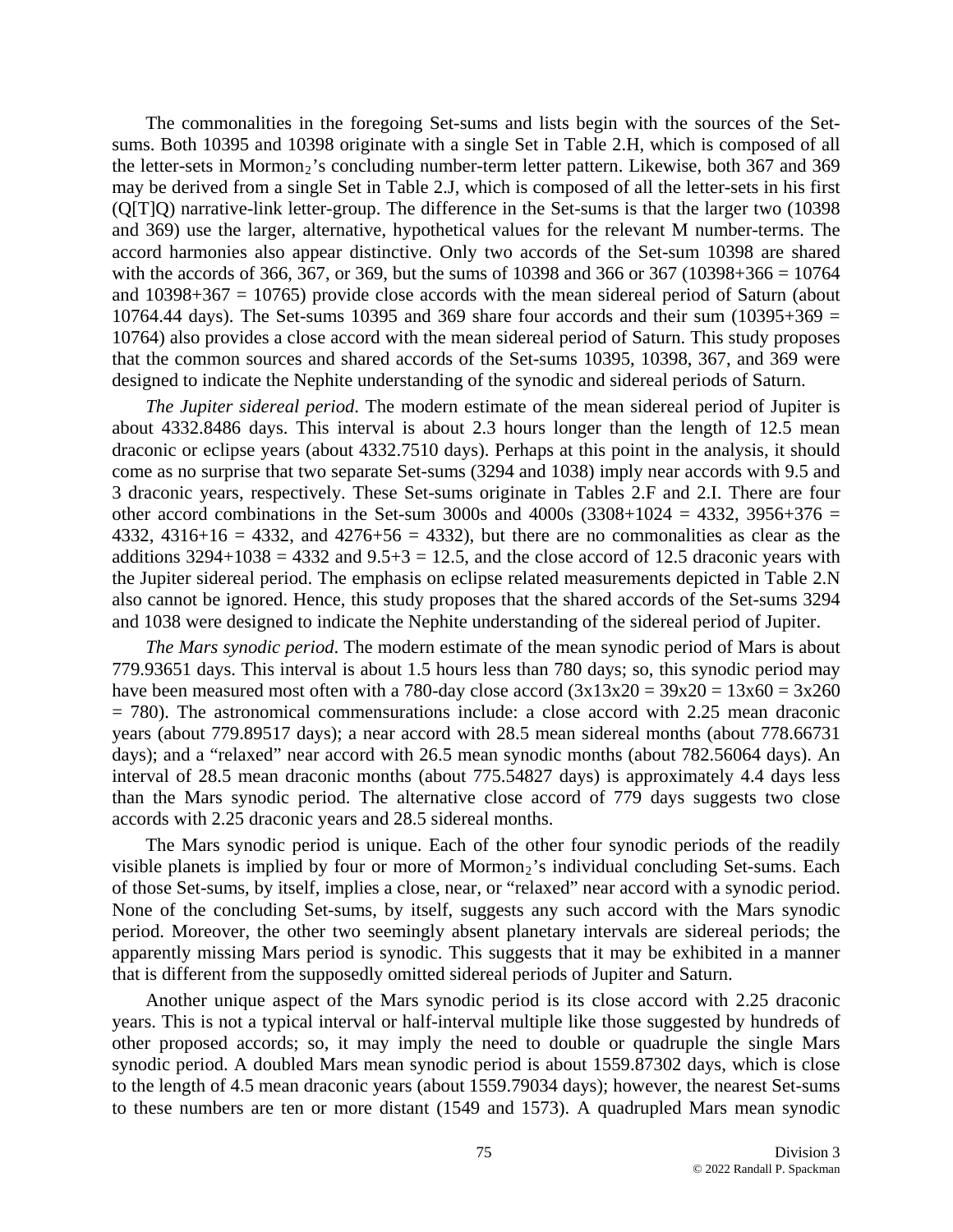The commonalities in the foregoing Set-sums and lists begin with the sources of the Setsums. Both 10395 and 10398 originate with a single Set in Table 2.H, which is composed of all the letter-sets in Mormon<sub>2</sub>'s concluding number-term letter pattern. Likewise, both 367 and 369 may be derived from a single Set in Table 2.J, which is composed of all the letter-sets in his first (Q[T]Q) narrative-link letter-group. The difference in the Set-sums is that the larger two (10398 and 369) use the larger, alternative, hypothetical values for the relevant M number-terms. The accord harmonies also appear distinctive. Only two accords of the Set-sum 10398 are shared with the accords of 366, 367, or 369, but the sums of 10398 and 366 or 367 (10398+366 = 10764 and  $10398+367 = 10765$ ) provide close accords with the mean sidereal period of Saturn (about 10764.44 days). The Set-sums 10395 and 369 share four accords and their sum  $(10395+369)$  = 10764) also provides a close accord with the mean sidereal period of Saturn. This study proposes that the common sources and shared accords of the Set-sums 10395, 10398, 367, and 369 were designed to indicate the Nephite understanding of the synodic and sidereal periods of Saturn.

*The Jupiter sidereal period*. The modern estimate of the mean sidereal period of Jupiter is about 4332.8486 days. This interval is about 2.3 hours longer than the length of 12.5 mean draconic or eclipse years (about 4332.7510 days). Perhaps at this point in the analysis, it should come as no surprise that two separate Set-sums (3294 and 1038) imply near accords with 9.5 and 3 draconic years, respectively. These Set-sums originate in Tables 2.F and 2.I. There are four other accord combinations in the Set-sum 3000s and 4000s  $(3308+1024 = 4332, 3956+376 =$ 4332, 4316+16 = 4332, and 4276+56 = 4332), but there are no commonalities as clear as the additions  $3294+1038 = 4332$  and  $9.5+3 = 12.5$ , and the close accord of 12.5 draconic years with the Jupiter sidereal period. The emphasis on eclipse related measurements depicted in Table 2.N also cannot be ignored. Hence, this study proposes that the shared accords of the Set-sums 3294 and 1038 were designed to indicate the Nephite understanding of the sidereal period of Jupiter.

*The Mars synodic period*. The modern estimate of the mean synodic period of Mars is about 779.93651 days. This interval is about 1.5 hours less than 780 days; so, this synodic period may have been measured most often with a 780-day close accord  $(3x13x20 = 39x20 = 13x60 = 3x260$ = 780). The astronomical commensurations include: a close accord with 2.25 mean draconic years (about 779.89517 days); a near accord with 28.5 mean sidereal months (about 778.66731 days); and a "relaxed" near accord with 26.5 mean synodic months (about 782.56064 days). An interval of 28.5 mean draconic months (about 775.54827 days) is approximately 4.4 days less than the Mars synodic period. The alternative close accord of 779 days suggests two close accords with 2.25 draconic years and 28.5 sidereal months.

The Mars synodic period is unique. Each of the other four synodic periods of the readily visible planets is implied by four or more of Mormon<sub>2</sub>'s individual concluding Set-sums. Each of those Set-sums, by itself, implies a close, near, or "relaxed" near accord with a synodic period. None of the concluding Set-sums, by itself, suggests any such accord with the Mars synodic period. Moreover, the other two seemingly absent planetary intervals are sidereal periods; the apparently missing Mars period is synodic. This suggests that it may be exhibited in a manner that is different from the supposedly omitted sidereal periods of Jupiter and Saturn.

Another unique aspect of the Mars synodic period is its close accord with 2.25 draconic years. This is not a typical interval or half-interval multiple like those suggested by hundreds of other proposed accords; so, it may imply the need to double or quadruple the single Mars synodic period. A doubled Mars mean synodic period is about 1559.87302 days, which is close to the length of 4.5 mean draconic years (about 1559.79034 days); however, the nearest Set-sums to these numbers are ten or more distant (1549 and 1573). A quadrupled Mars mean synodic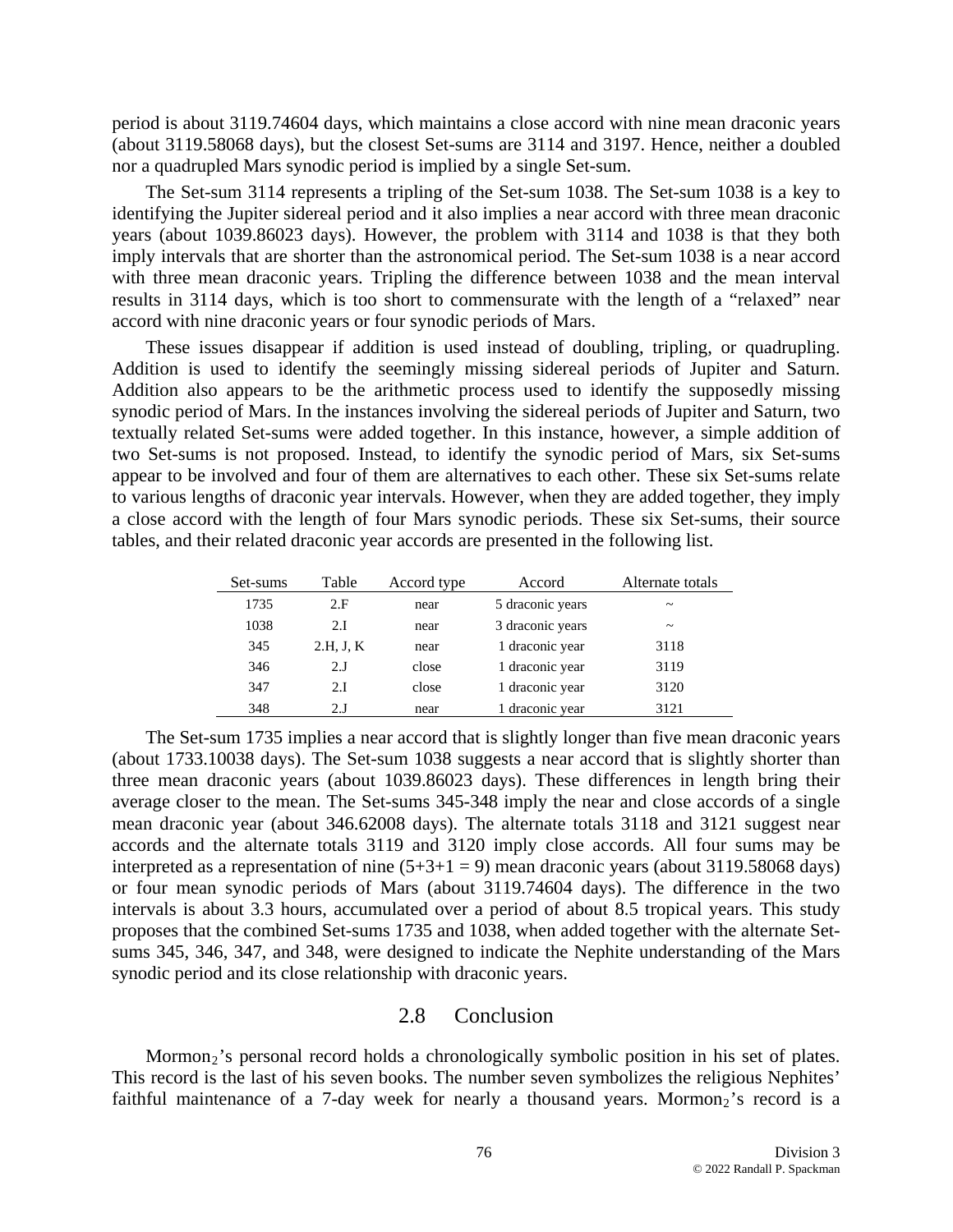period is about 3119.74604 days, which maintains a close accord with nine mean draconic years (about 3119.58068 days), but the closest Set-sums are 3114 and 3197. Hence, neither a doubled nor a quadrupled Mars synodic period is implied by a single Set-sum.

The Set-sum 3114 represents a tripling of the Set-sum 1038. The Set-sum 1038 is a key to identifying the Jupiter sidereal period and it also implies a near accord with three mean draconic years (about 1039.86023 days). However, the problem with 3114 and 1038 is that they both imply intervals that are shorter than the astronomical period. The Set-sum 1038 is a near accord with three mean draconic years. Tripling the difference between 1038 and the mean interval results in 3114 days, which is too short to commensurate with the length of a "relaxed" near accord with nine draconic years or four synodic periods of Mars.

These issues disappear if addition is used instead of doubling, tripling, or quadrupling. Addition is used to identify the seemingly missing sidereal periods of Jupiter and Saturn. Addition also appears to be the arithmetic process used to identify the supposedly missing synodic period of Mars. In the instances involving the sidereal periods of Jupiter and Saturn, two textually related Set-sums were added together. In this instance, however, a simple addition of two Set-sums is not proposed. Instead, to identify the synodic period of Mars, six Set-sums appear to be involved and four of them are alternatives to each other. These six Set-sums relate to various lengths of draconic year intervals. However, when they are added together, they imply a close accord with the length of four Mars synodic periods. These six Set-sums, their source tables, and their related draconic year accords are presented in the following list.

| Set-sums | Table     | Accord type | Accord           | Alternate totals      |
|----------|-----------|-------------|------------------|-----------------------|
| 1735     | 2. F      | near        | 5 draconic years | $\tilde{\phantom{a}}$ |
| 1038     | 2.I       | near        | 3 draconic years | $\tilde{\phantom{a}}$ |
| 345      | 2.H, J, K | near        | 1 draconic year  | 3118                  |
| 346      | 2.I       | close       | 1 draconic year  | 3119                  |
| 347      | 2.I       | close       | 1 draconic year  | 3120                  |
| 348      | 2.I       | near        | 1 draconic year  | 3121                  |

The Set-sum 1735 implies a near accord that is slightly longer than five mean draconic years (about 1733.10038 days). The Set-sum 1038 suggests a near accord that is slightly shorter than three mean draconic years (about 1039.86023 days). These differences in length bring their average closer to the mean. The Set-sums 345-348 imply the near and close accords of a single mean draconic year (about 346.62008 days). The alternate totals 3118 and 3121 suggest near accords and the alternate totals 3119 and 3120 imply close accords. All four sums may be interpreted as a representation of nine  $(5+3+1=9)$  mean draconic years (about 3119.58068 days) or four mean synodic periods of Mars (about 3119.74604 days). The difference in the two intervals is about 3.3 hours, accumulated over a period of about 8.5 tropical years. This study proposes that the combined Set-sums 1735 and 1038, when added together with the alternate Setsums 345, 346, 347, and 348, were designed to indicate the Nephite understanding of the Mars synodic period and its close relationship with draconic years.

## 2.8 Conclusion

Mormon<sub>2</sub>'s personal record holds a chronologically symbolic position in his set of plates. This record is the last of his seven books. The number seven symbolizes the religious Nephites' faithful maintenance of a 7-day week for nearly a thousand years. Mormon<sub>2</sub>'s record is a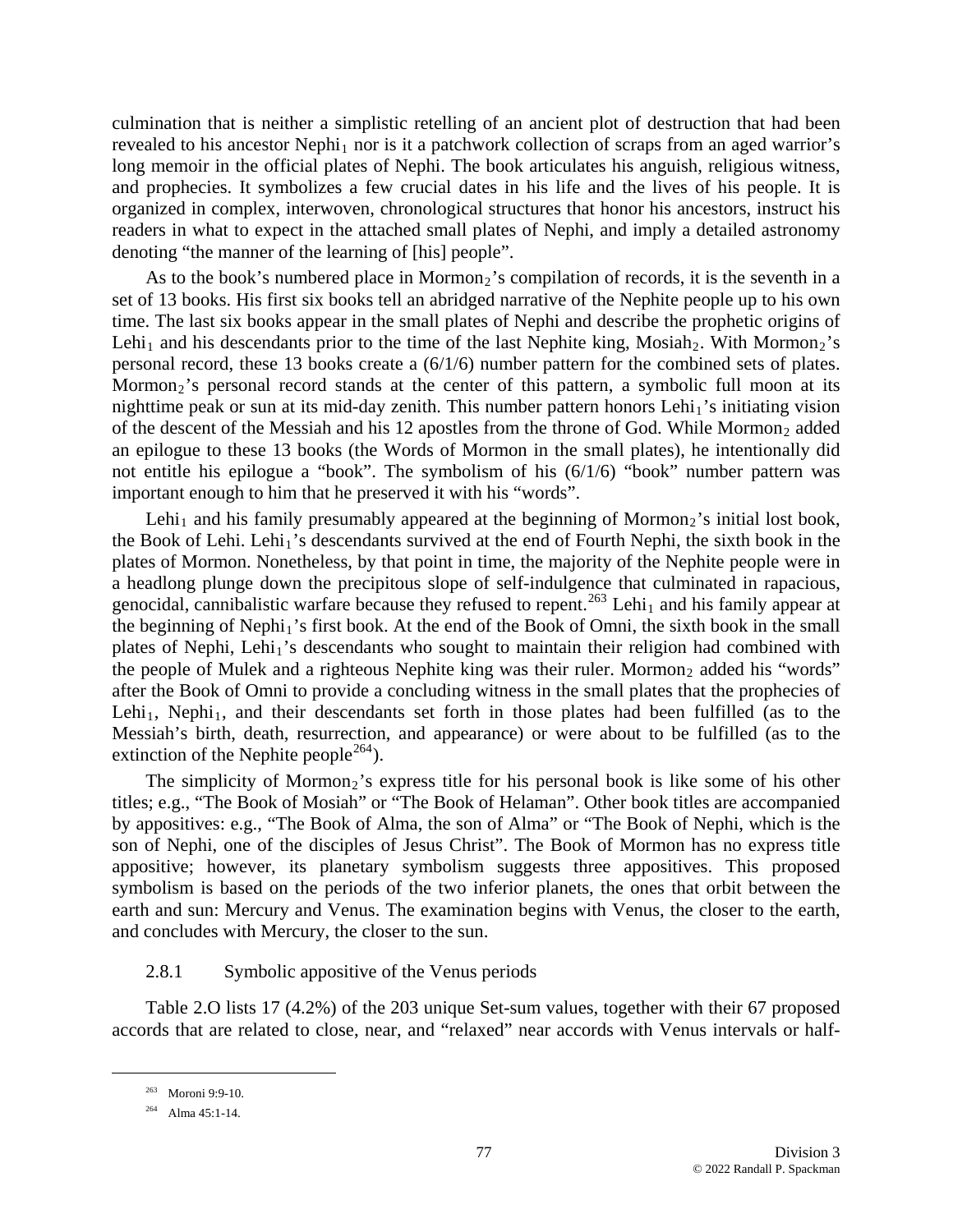culmination that is neither a simplistic retelling of an ancient plot of destruction that had been revealed to his ancestor Nephi<sub>1</sub> nor is it a patchwork collection of scraps from an aged warrior's long memoir in the official plates of Nephi. The book articulates his anguish, religious witness, and prophecies. It symbolizes a few crucial dates in his life and the lives of his people. It is organized in complex, interwoven, chronological structures that honor his ancestors, instruct his readers in what to expect in the attached small plates of Nephi, and imply a detailed astronomy denoting "the manner of the learning of [his] people".

As to the book's numbered place in Mormon<sub>2</sub>'s compilation of records, it is the seventh in a set of 13 books. His first six books tell an abridged narrative of the Nephite people up to his own time. The last six books appear in the small plates of Nephi and describe the prophetic origins of Lehi<sub>1</sub> and his descendants prior to the time of the last Nephite king, Mosiah<sub>2</sub>. With Mormon<sub>2</sub>'s personal record, these 13 books create a (6/1/6) number pattern for the combined sets of plates. Mormon<sub>2</sub>'s personal record stands at the center of this pattern, a symbolic full moon at its nighttime peak or sun at its mid-day zenith. This number pattern honors Lehi<sub>1</sub>'s initiating vision of the descent of the Messiah and his 12 apostles from the throne of God. While Mormon<sub>2</sub> added an epilogue to these 13 books (the Words of Mormon in the small plates), he intentionally did not entitle his epilogue a "book". The symbolism of his (6/1/6) "book" number pattern was important enough to him that he preserved it with his "words".

Lehi<sub>1</sub> and his family presumably appeared at the beginning of Mormon<sub>2</sub>'s initial lost book, the Book of Lehi. Lehi<sub>1</sub>'s descendants survived at the end of Fourth Nephi, the sixth book in the plates of Mormon. Nonetheless, by that point in time, the majority of the Nephite people were in a headlong plunge down the precipitous slope of self-indulgence that culminated in rapacious, genocidal, cannibalistic warfare because they refused to repent.<sup>[263](#page-76-0)</sup> Lehi<sub>1</sub> and his family appear at the beginning of Nephi<sub>1</sub>'s first book. At the end of the Book of Omni, the sixth book in the small plates of Nephi, Lehi<sub>1</sub>'s descendants who sought to maintain their religion had combined with the people of Mulek and a righteous Nephite king was their ruler. Mormon<sub>2</sub> added his "words" after the Book of Omni to provide a concluding witness in the small plates that the prophecies of Lehi<sub>1</sub>, Nephi<sub>1</sub>, and their descendants set forth in those plates had been fulfilled (as to the Messiah's birth, death, resurrection, and appearance) or were about to be fulfilled (as to the extinction of the Nephite people<sup>[264](#page-76-1)</sup>).

The simplicity of Mormon<sub>2</sub>'s express title for his personal book is like some of his other titles; e.g., "The Book of Mosiah" or "The Book of Helaman". Other book titles are accompanied by appositives: e.g., "The Book of Alma, the son of Alma" or "The Book of Nephi, which is the son of Nephi, one of the disciples of Jesus Christ". The Book of Mormon has no express title appositive; however, its planetary symbolism suggests three appositives. This proposed symbolism is based on the periods of the two inferior planets, the ones that orbit between the earth and sun: Mercury and Venus. The examination begins with Venus, the closer to the earth, and concludes with Mercury, the closer to the sun.

## 2.8.1 Symbolic appositive of the Venus periods

<span id="page-76-0"></span>Table 2.O lists 17 (4.2%) of the 203 unique Set-sum values, together with their 67 proposed accords that are related to close, near, and "relaxed" near accords with Venus intervals or half-

 <sup>263</sup> Moroni 9:9-10.

<span id="page-76-1"></span><sup>264</sup> Alma 45:1-14.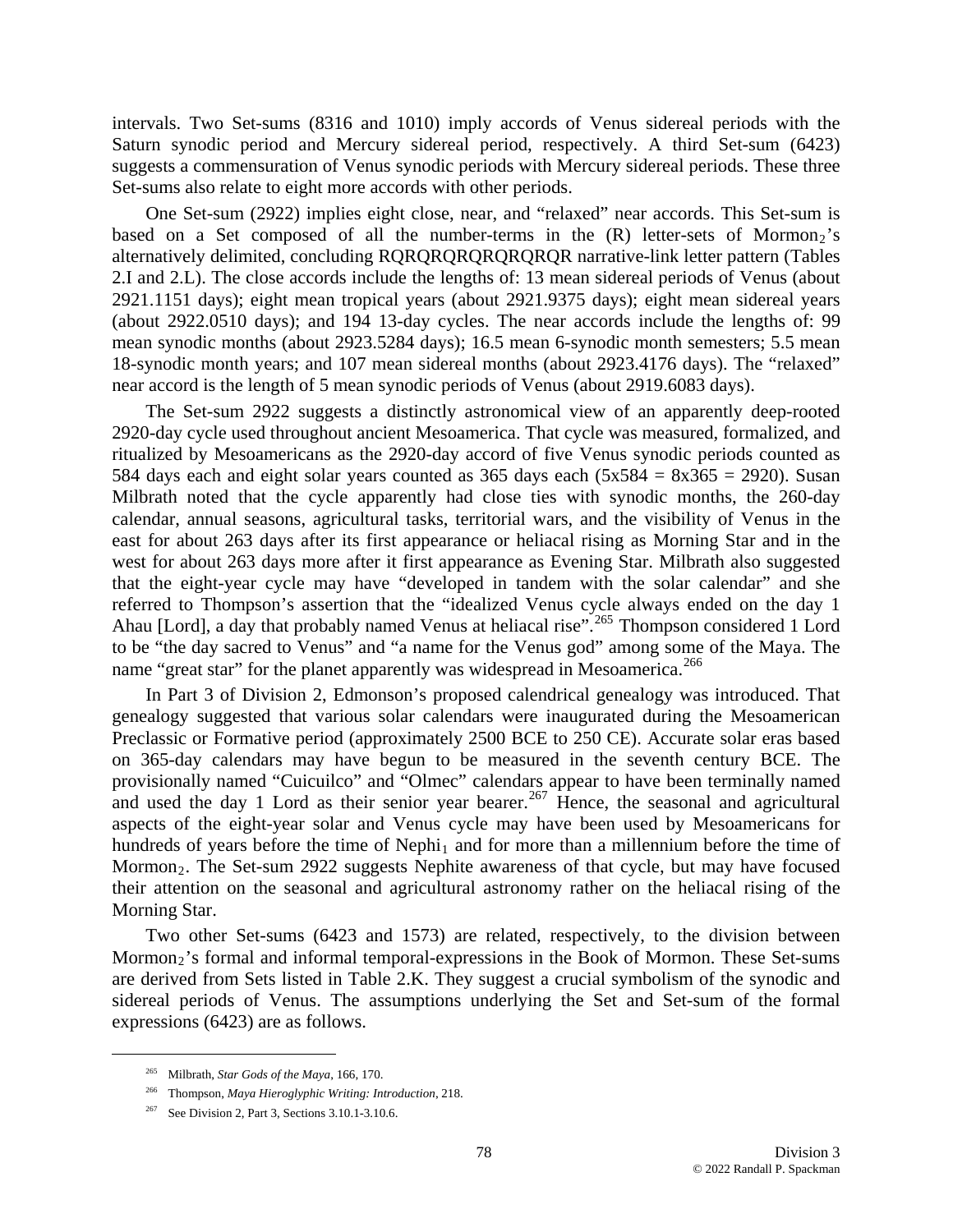intervals. Two Set-sums (8316 and 1010) imply accords of Venus sidereal periods with the Saturn synodic period and Mercury sidereal period, respectively. A third Set-sum (6423) suggests a commensuration of Venus synodic periods with Mercury sidereal periods. These three Set-sums also relate to eight more accords with other periods.

One Set-sum (2922) implies eight close, near, and "relaxed" near accords. This Set-sum is based on a Set composed of all the number-terms in the  $(R)$  letter-sets of Mormon<sub>2</sub>'s alternatively delimited, concluding RQRQRQRQRQRQRQR narrative-link letter pattern (Tables 2.I and 2.L). The close accords include the lengths of: 13 mean sidereal periods of Venus (about 2921.1151 days); eight mean tropical years (about 2921.9375 days); eight mean sidereal years (about 2922.0510 days); and 194 13-day cycles. The near accords include the lengths of: 99 mean synodic months (about 2923.5284 days); 16.5 mean 6-synodic month semesters; 5.5 mean 18-synodic month years; and 107 mean sidereal months (about 2923.4176 days). The "relaxed" near accord is the length of 5 mean synodic periods of Venus (about 2919.6083 days).

The Set-sum 2922 suggests a distinctly astronomical view of an apparently deep-rooted 2920-day cycle used throughout ancient Mesoamerica. That cycle was measured, formalized, and ritualized by Mesoamericans as the 2920-day accord of five Venus synodic periods counted as 584 days each and eight solar years counted as 365 days each  $(5x584 = 8x365 = 2920)$ . Susan Milbrath noted that the cycle apparently had close ties with synodic months, the 260-day calendar, annual seasons, agricultural tasks, territorial wars, and the visibility of Venus in the east for about 263 days after its first appearance or heliacal rising as Morning Star and in the west for about 263 days more after it first appearance as Evening Star. Milbrath also suggested that the eight-year cycle may have "developed in tandem with the solar calendar" and she referred to Thompson's assertion that the "idealized Venus cycle always ended on the day 1 Ahau [Lord], a day that probably named Venus at heliacal rise".<sup>[265](#page-77-0)</sup> Thompson considered 1 Lord to be "the day sacred to Venus" and "a name for the Venus god" among some of the Maya. The name "great star" for the planet apparently was widespread in Mesoamerica.<sup>[266](#page-77-1)</sup>

In Part 3 of Division 2, Edmonson's proposed calendrical genealogy was introduced. That genealogy suggested that various solar calendars were inaugurated during the Mesoamerican Preclassic or Formative period (approximately 2500 BCE to 250 CE). Accurate solar eras based on 365-day calendars may have begun to be measured in the seventh century BCE. The provisionally named "Cuicuilco" and "Olmec" calendars appear to have been terminally named and used the day 1 Lord as their senior year bearer.<sup>[267](#page-77-2)</sup> Hence, the seasonal and agricultural aspects of the eight-year solar and Venus cycle may have been used by Mesoamericans for hundreds of years before the time of Nephi<sub>1</sub> and for more than a millennium before the time of Mormon<sub>2</sub>. The Set-sum 2922 suggests Nephite awareness of that cycle, but may have focused their attention on the seasonal and agricultural astronomy rather on the heliacal rising of the Morning Star.

Two other Set-sums (6423 and 1573) are related, respectively, to the division between Mormon<sub>2</sub>'s formal and informal temporal-expressions in the Book of Mormon. These Set-sums are derived from Sets listed in Table 2.K. They suggest a crucial symbolism of the synodic and sidereal periods of Venus. The assumptions underlying the Set and Set-sum of the formal expressions (6423) are as follows.

<span id="page-77-0"></span> <sup>265</sup> Milbrath, *Star Gods of the Maya*, 166, 170.

<sup>266</sup> Thompson, *Maya Hieroglyphic Writing: Introduction*, 218.

<span id="page-77-2"></span><span id="page-77-1"></span><sup>&</sup>lt;sup>267</sup> See Division 2, Part 3, Sections 3.10.1-3.10.6.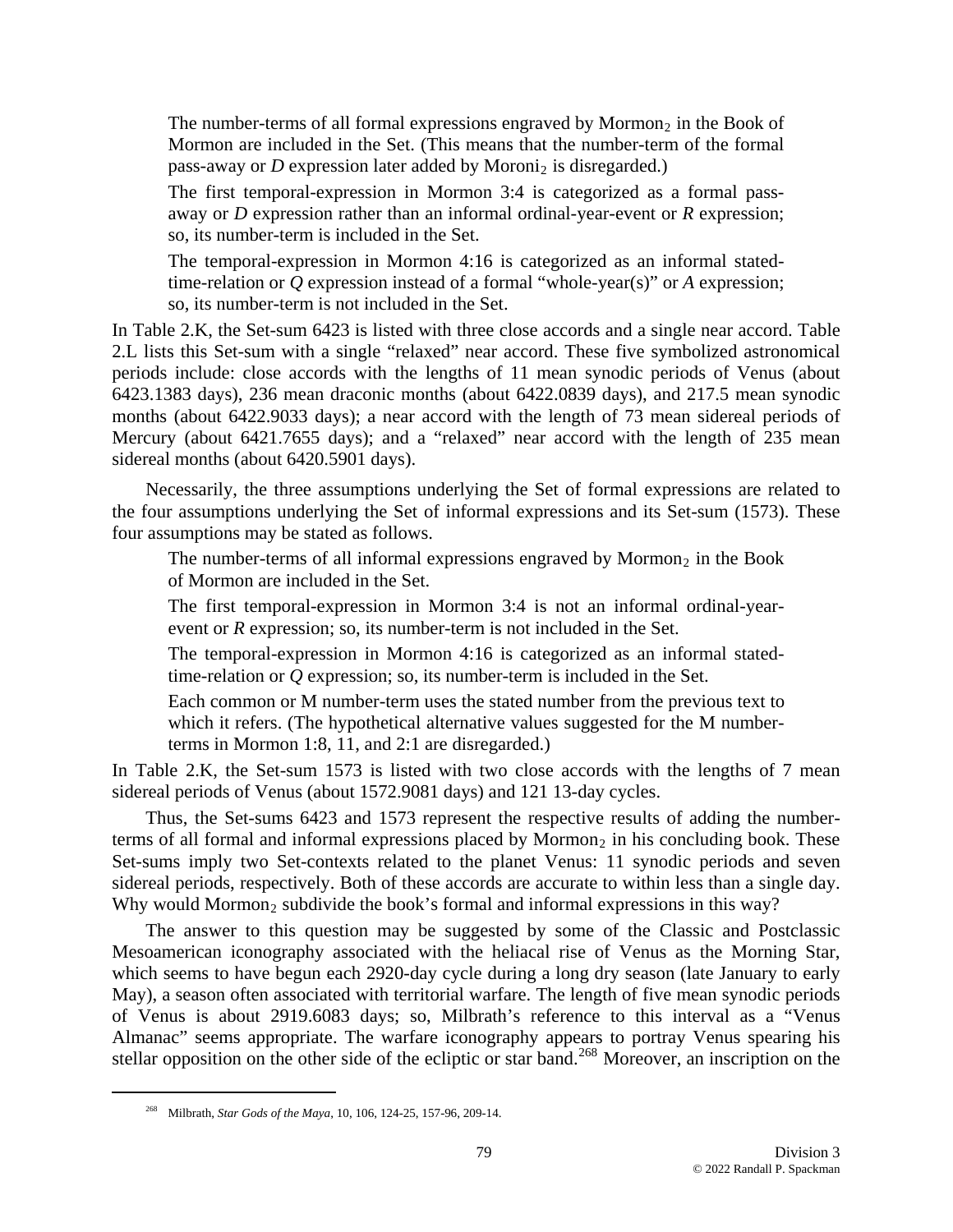The number-terms of all formal expressions engraved by Mormon<sub>2</sub> in the Book of Mormon are included in the Set. (This means that the number-term of the formal pass-away or  $D$  expression later added by Moroni<sub>2</sub> is disregarded.)

The first temporal-expression in Mormon 3:4 is categorized as a formal passaway or *D* expression rather than an informal ordinal-year-event or *R* expression; so, its number-term is included in the Set.

The temporal-expression in Mormon 4:16 is categorized as an informal statedtime-relation or *Q* expression instead of a formal "whole-year(s)" or *A* expression; so, its number-term is not included in the Set.

In Table 2.K, the Set-sum 6423 is listed with three close accords and a single near accord. Table 2.L lists this Set-sum with a single "relaxed" near accord. These five symbolized astronomical periods include: close accords with the lengths of 11 mean synodic periods of Venus (about 6423.1383 days), 236 mean draconic months (about 6422.0839 days), and 217.5 mean synodic months (about 6422.9033 days); a near accord with the length of 73 mean sidereal periods of Mercury (about 6421.7655 days); and a "relaxed" near accord with the length of 235 mean sidereal months (about 6420.5901 days).

Necessarily, the three assumptions underlying the Set of formal expressions are related to the four assumptions underlying the Set of informal expressions and its Set-sum (1573). These four assumptions may be stated as follows.

The number-terms of all informal expressions engraved by Mormon<sub>2</sub> in the Book of Mormon are included in the Set.

The first temporal-expression in Mormon 3:4 is not an informal ordinal-yearevent or *R* expression; so, its number-term is not included in the Set.

The temporal-expression in Mormon 4:16 is categorized as an informal statedtime-relation or *Q* expression; so, its number-term is included in the Set.

Each common or M number-term uses the stated number from the previous text to which it refers. (The hypothetical alternative values suggested for the M numberterms in Mormon 1:8, 11, and 2:1 are disregarded.)

In Table 2.K, the Set-sum 1573 is listed with two close accords with the lengths of 7 mean sidereal periods of Venus (about 1572.9081 days) and 121 13-day cycles.

Thus, the Set-sums 6423 and 1573 represent the respective results of adding the numberterms of all formal and informal expressions placed by Mormon<sub>2</sub> in his concluding book. These Set-sums imply two Set-contexts related to the planet Venus: 11 synodic periods and seven sidereal periods, respectively. Both of these accords are accurate to within less than a single day. Why would Mormon<sub>2</sub> subdivide the book's formal and informal expressions in this way?

The answer to this question may be suggested by some of the Classic and Postclassic Mesoamerican iconography associated with the heliacal rise of Venus as the Morning Star, which seems to have begun each 2920-day cycle during a long dry season (late January to early May), a season often associated with territorial warfare. The length of five mean synodic periods of Venus is about 2919.6083 days; so, Milbrath's reference to this interval as a "Venus Almanac" seems appropriate. The warfare iconography appears to portray Venus spearing his stellar opposition on the other side of the ecliptic or star band.<sup>[268](#page-78-0)</sup> Moreover, an inscription on the

<span id="page-78-0"></span> <sup>268</sup> Milbrath, *Star Gods of the Maya*, 10, 106, 124-25, 157-96, 209-14.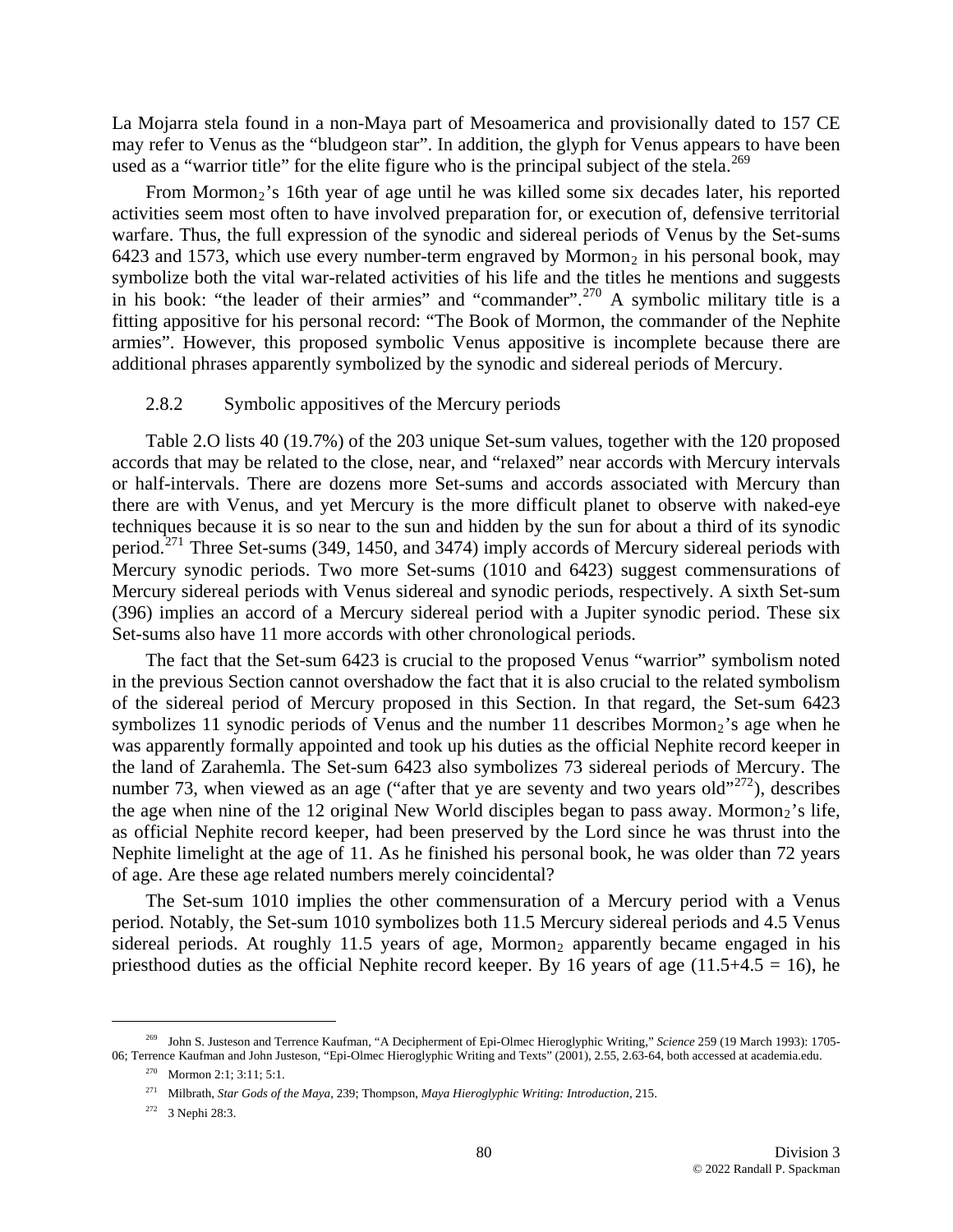La Mojarra stela found in a non-Maya part of Mesoamerica and provisionally dated to 157 CE may refer to Venus as the "bludgeon star". In addition, the glyph for Venus appears to have been used as a "warrior title" for the elite figure who is the principal subject of the stela.<sup>[269](#page-79-0)</sup>

From Mormon<sub>2</sub>'s 16th year of age until he was killed some six decades later, his reported activities seem most often to have involved preparation for, or execution of, defensive territorial warfare. Thus, the full expression of the synodic and sidereal periods of Venus by the Set-sums 6423 and 1573, which use every number-term engraved by Mormon<sub>2</sub> in his personal book, may symbolize both the vital war-related activities of his life and the titles he mentions and suggests in his book: "the leader of their armies" and "commander".<sup>[270](#page-79-1)</sup> A symbolic military title is a fitting appositive for his personal record: "The Book of Mormon, the commander of the Nephite armies". However, this proposed symbolic Venus appositive is incomplete because there are additional phrases apparently symbolized by the synodic and sidereal periods of Mercury.

## 2.8.2 Symbolic appositives of the Mercury periods

Table 2.O lists 40 (19.7%) of the 203 unique Set-sum values, together with the 120 proposed accords that may be related to the close, near, and "relaxed" near accords with Mercury intervals or half-intervals. There are dozens more Set-sums and accords associated with Mercury than there are with Venus, and yet Mercury is the more difficult planet to observe with naked-eye techniques because it is so near to the sun and hidden by the sun for about a third of its synodic period.<sup>[271](#page-79-2)</sup> Three Set-sums (349, 1450, and 3474) imply accords of Mercury sidereal periods with Mercury synodic periods. Two more Set-sums (1010 and 6423) suggest commensurations of Mercury sidereal periods with Venus sidereal and synodic periods, respectively. A sixth Set-sum (396) implies an accord of a Mercury sidereal period with a Jupiter synodic period. These six Set-sums also have 11 more accords with other chronological periods.

The fact that the Set-sum 6423 is crucial to the proposed Venus "warrior" symbolism noted in the previous Section cannot overshadow the fact that it is also crucial to the related symbolism of the sidereal period of Mercury proposed in this Section. In that regard, the Set-sum 6423 symbolizes 11 synodic periods of Venus and the number 11 describes  $Mormon<sub>2</sub>$ 's age when he was apparently formally appointed and took up his duties as the official Nephite record keeper in the land of Zarahemla. The Set-sum 6423 also symbolizes 73 sidereal periods of Mercury. The number 73, when viewed as an age ("after that ye are seventy and two years old"<sup>[272](#page-79-3)</sup>), describes the age when nine of the 12 original New World disciples began to pass away. Mormon<sub>2</sub>'s life, as official Nephite record keeper, had been preserved by the Lord since he was thrust into the Nephite limelight at the age of 11. As he finished his personal book, he was older than 72 years of age. Are these age related numbers merely coincidental?

The Set-sum 1010 implies the other commensuration of a Mercury period with a Venus period. Notably, the Set-sum 1010 symbolizes both 11.5 Mercury sidereal periods and 4.5 Venus sidereal periods. At roughly 11.5 years of age, Mormon<sub>2</sub> apparently became engaged in his priesthood duties as the official Nephite record keeper. By 16 years of age  $(11.5+4.5 = 16)$ , he

<span id="page-79-3"></span><span id="page-79-2"></span><span id="page-79-1"></span><span id="page-79-0"></span> <sup>269</sup> John S. Justeson and Terrence Kaufman, "A Decipherment of Epi-Olmec Hieroglyphic Writing," *Science* 259 (19 March 1993): 1705- 06; Terrence Kaufman and John Justeson, "Epi-Olmec Hieroglyphic Writing and Texts" (2001), 2.55, 2.63-64, both accessed at academia.edu.

<sup>270</sup> Mormon 2:1; 3:11; 5:1.

<sup>271</sup> Milbrath, *Star Gods of the Maya*, 239; Thompson, *Maya Hieroglyphic Writing: Introduction*, 215.

<sup>272 3</sup> Nephi 28:3.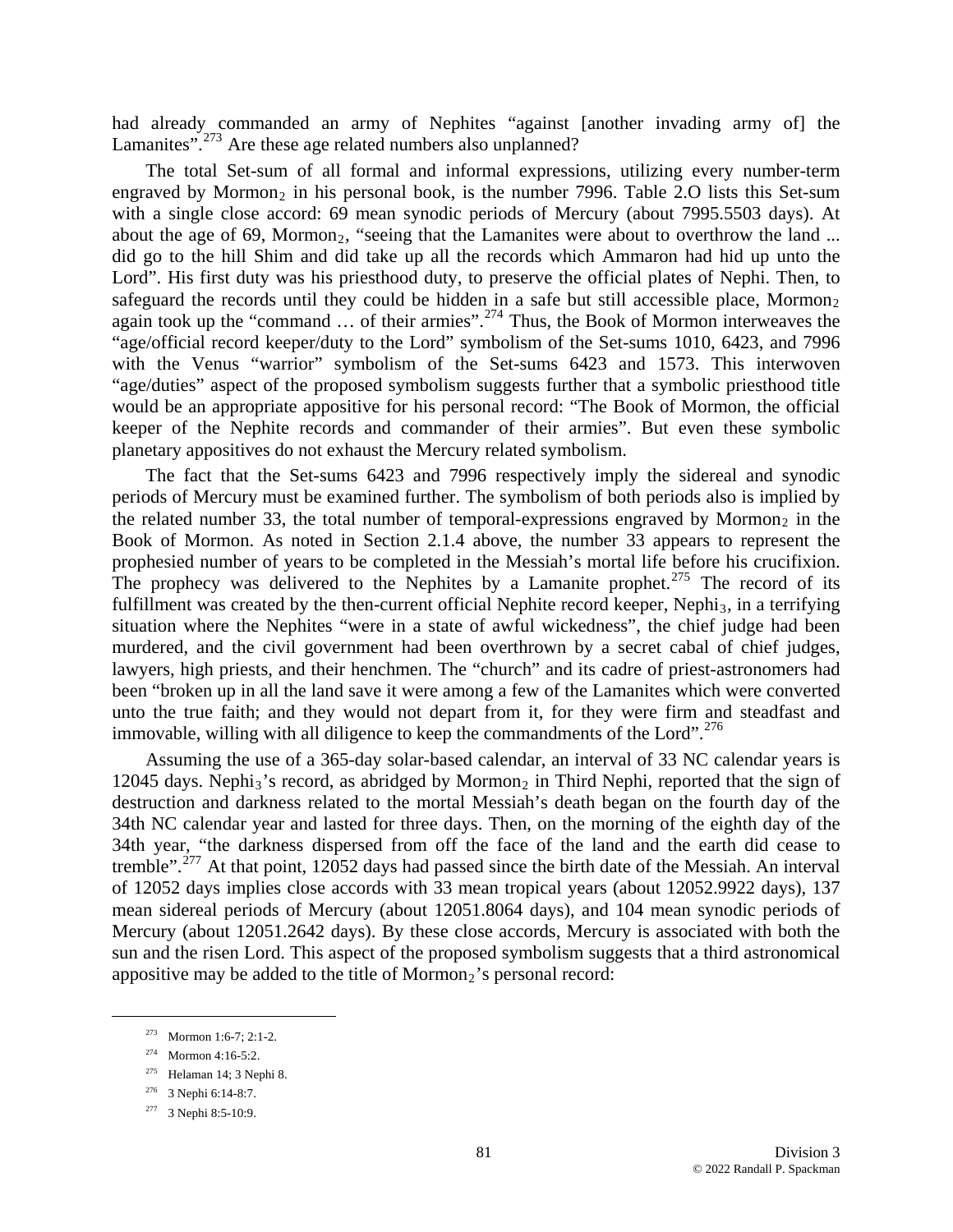had already commanded an army of Nephites "against [another invading army of] the Lamanites".<sup>[273](#page-80-0)</sup> Are these age related numbers also unplanned?

The total Set-sum of all formal and informal expressions, utilizing every number-term engraved by Mormon<sub>2</sub> in his personal book, is the number 7996. Table 2.O lists this Set-sum with a single close accord: 69 mean synodic periods of Mercury (about 7995.5503 days). At about the age of 69, Mormon<sub>2</sub>, "seeing that the Lamanites were about to overthrow the land ... did go to the hill Shim and did take up all the records which Ammaron had hid up unto the Lord". His first duty was his priesthood duty, to preserve the official plates of Nephi. Then, to safeguard the records until they could be hidden in a safe but still accessible place, Mormon<sub>2</sub> again took up the "command  $\ldots$  of their armies".<sup>[274](#page-80-1)</sup> Thus, the Book of Mormon interweaves the "age/official record keeper/duty to the Lord" symbolism of the Set-sums 1010, 6423, and 7996 with the Venus "warrior" symbolism of the Set-sums 6423 and 1573. This interwoven "age/duties" aspect of the proposed symbolism suggests further that a symbolic priesthood title would be an appropriate appositive for his personal record: "The Book of Mormon, the official keeper of the Nephite records and commander of their armies". But even these symbolic planetary appositives do not exhaust the Mercury related symbolism.

The fact that the Set-sums 6423 and 7996 respectively imply the sidereal and synodic periods of Mercury must be examined further. The symbolism of both periods also is implied by the related number 33, the total number of temporal-expressions engraved by Mormon<sub>2</sub> in the Book of Mormon. As noted in Section 2.1.4 above, the number 33 appears to represent the prophesied number of years to be completed in the Messiah's mortal life before his crucifixion. The prophecy was delivered to the Nephites by a Lamanite prophet.<sup>[275](#page-80-2)</sup> The record of its fulfillment was created by the then-current official Nephite record keeper, Nephi<sub>3</sub>, in a terrifying situation where the Nephites "were in a state of awful wickedness", the chief judge had been murdered, and the civil government had been overthrown by a secret cabal of chief judges, lawyers, high priests, and their henchmen. The "church" and its cadre of priest-astronomers had been "broken up in all the land save it were among a few of the Lamanites which were converted unto the true faith; and they would not depart from it, for they were firm and steadfast and immovable, willing with all diligence to keep the commandments of the Lord".<sup>[276](#page-80-3)</sup>

Assuming the use of a 365-day solar-based calendar, an interval of 33 NC calendar years is 12045 days. Nephi<sub>3</sub>'s record, as abridged by Mormon<sub>2</sub> in Third Nephi, reported that the sign of destruction and darkness related to the mortal Messiah's death began on the fourth day of the 34th NC calendar year and lasted for three days. Then, on the morning of the eighth day of the 34th year, "the darkness dispersed from off the face of the land and the earth did cease to tremble".[277](#page-80-4) At that point, 12052 days had passed since the birth date of the Messiah. An interval of 12052 days implies close accords with 33 mean tropical years (about 12052.9922 days), 137 mean sidereal periods of Mercury (about 12051.8064 days), and 104 mean synodic periods of Mercury (about 12051.2642 days). By these close accords, Mercury is associated with both the sun and the risen Lord. This aspect of the proposed symbolism suggests that a third astronomical appositive may be added to the title of  $Mormon<sub>2</sub>$ 's personal record:

<span id="page-80-0"></span> <sup>273</sup> Mormon 1:6-7; 2:1-2.

<span id="page-80-1"></span><sup>274</sup> Mormon 4:16-5:2.

<span id="page-80-2"></span><sup>275</sup> Helaman 14; 3 Nephi 8.

<span id="page-80-3"></span><sup>276 3</sup> Nephi 6:14-8:7.

<span id="page-80-4"></span><sup>277 3</sup> Nephi 8:5-10:9.